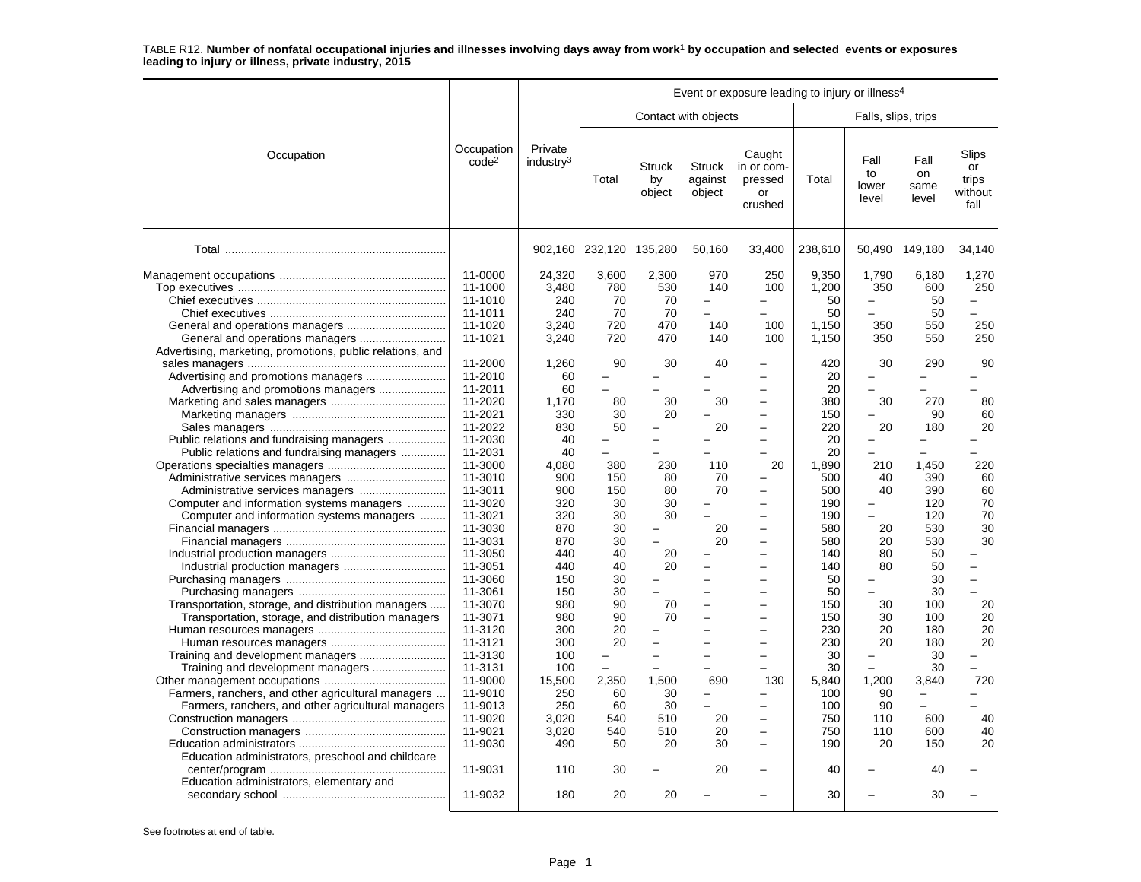|                                                                                                                                               |                                                                           |                                                          |                                              |                                                  |                                                        | Event or exposure leading to injury or illness <sup>4</sup>                                                                |                                                     |                                                        |                                               |                                         |
|-----------------------------------------------------------------------------------------------------------------------------------------------|---------------------------------------------------------------------------|----------------------------------------------------------|----------------------------------------------|--------------------------------------------------|--------------------------------------------------------|----------------------------------------------------------------------------------------------------------------------------|-----------------------------------------------------|--------------------------------------------------------|-----------------------------------------------|-----------------------------------------|
|                                                                                                                                               |                                                                           |                                                          |                                              |                                                  | Contact with objects                                   |                                                                                                                            |                                                     | Falls, slips, trips                                    |                                               |                                         |
| Occupation                                                                                                                                    | Occupation<br>code <sup>2</sup>                                           | Private<br>industry <sup>3</sup>                         | Total                                        | <b>Struck</b><br>by<br>object                    | <b>Struck</b><br>against<br>object                     | Caught<br>in or com-<br>pressed<br>or<br>crushed                                                                           | Total                                               | Fall<br>to<br>lower<br>level                           | Fall<br>on<br>same<br>level                   | Slips<br>or<br>trips<br>without<br>fall |
|                                                                                                                                               |                                                                           | 902,160                                                  | 232,120                                      | 135,280                                          | 50,160                                                 | 33,400                                                                                                                     | 238,610                                             | 50,490                                                 | 149,180                                       | 34,140                                  |
| Advertising, marketing, promotions, public relations, and                                                                                     | 11-0000<br>11-1000<br>11-1010<br>11-1011<br>11-1020<br>11-1021<br>11-2000 | 24,320<br>3,480<br>240<br>240<br>3.240<br>3,240<br>1,260 | 3,600<br>780<br>70<br>70<br>720<br>720<br>90 | 2,300<br>530<br>70<br>70<br>470<br>470<br>30     | 970<br>140<br>$\equiv$<br>$\equiv$<br>140<br>140<br>40 | 250<br>100<br><u>.</u><br>100<br>100                                                                                       | 9.350<br>1,200<br>50<br>50<br>1.150<br>1,150<br>420 | 1,790<br>350<br>▃<br>350<br>350<br>30                  | 6.180<br>600<br>50<br>50<br>550<br>550<br>290 | 1,270<br>250<br>250<br>250<br>90        |
| Advertising and promotions managers<br>Public relations and fundraising managers                                                              | 11-2010<br>11-2011<br>11-2020<br>11-2021<br>11-2022<br>11-2030            | 60<br>60<br>1.170<br>330<br>830<br>40                    | 80<br>30<br>50                               | 30<br>20                                         | 30<br>20                                               | -<br>L.<br>$\overline{\phantom{0}}$<br>$\overline{\phantom{0}}$<br>$\overline{a}$<br>$\overline{\phantom{0}}$              | 20<br>20<br>380<br>150<br>220<br>20                 | $\overline{\phantom{0}}$<br>$\overline{ }$<br>30<br>20 | $\overline{\phantom{0}}$<br>270<br>90<br>180  | 80<br>60<br>20                          |
| Public relations and fundraising managers<br>Computer and information systems managers<br>Computer and information systems managers           | 11-2031<br>11-3000<br>11-3010<br>11-3011<br>11-3020<br>11-3021            | 40<br>4,080<br>900<br>900<br>320<br>320                  | 380<br>150<br>150<br>30<br>30                | 230<br>80<br>80<br>30<br>30                      | 110<br>70<br>70                                        | -<br>20<br>-<br>$\overline{\phantom{0}}$<br>$\overline{\phantom{0}}$                                                       | 20<br>1,890<br>500<br>500<br>190<br>190             | 210<br>40<br>40<br>$\overline{a}$                      | ÷<br>1,450<br>390<br>390<br>120<br>120        | 220<br>60<br>60<br>70<br>70             |
|                                                                                                                                               | 11-3030<br>11-3031<br>11-3050<br>11-3051<br>11-3060<br>11-3061            | 870<br>870<br>440<br>440<br>150<br>150                   | 30<br>30<br>40<br>40<br>30<br>30             | $\overline{\phantom{m}}$<br>$\equiv$<br>20<br>20 | 20<br>20<br>$\equiv$<br>$\equiv$                       | $\overline{\phantom{0}}$<br>$\overline{\phantom{0}}$<br>$\overline{a}$<br><u>.</u><br>$\overline{\phantom{0}}$<br><u>.</u> | 580<br>580<br>140<br>140<br>50<br>50                | 20<br>20<br>80<br>80<br>$\overline{\phantom{0}}$       | 530<br>530<br>50<br>50<br>30<br>30            | 30<br>30<br>$\overline{a}$<br>$\equiv$  |
| Transportation, storage, and distribution managers<br>Transportation, storage, and distribution managers<br>Training and development managers | 11-3070<br>11-3071<br>11-3120<br>11-3121<br>11-3130<br>11-3131            | 980<br>980<br>300<br>300<br>100<br>100                   | 90<br>90<br>20<br>20                         | 70<br>70<br>$\overline{\phantom{0}}$             | $\equiv$<br>÷<br>$\overline{\phantom{0}}$              | <u>.</u><br>—<br>$\overline{\phantom{0}}$<br>L.<br>$\overline{\phantom{0}}$<br>L,                                          | 150<br>150<br>230<br>230<br>30<br>30                | 30<br>30<br>20<br>20                                   | 100<br>100<br>180<br>180<br>30<br>30          | 20<br>20<br>20<br>20                    |
| Farmers, ranchers, and other agricultural managers<br>Farmers, ranchers, and other agricultural managers                                      | 11-9000<br>11-9010<br>11-9013<br>11-9020<br>11-9021<br>11-9030            | 15,500<br>250<br>250<br>3,020<br>3,020<br>490            | 2,350<br>60<br>60<br>540<br>540<br>50        | 1,500<br>30<br>30<br>510<br>510<br>20            | 690<br>20<br>20<br>30                                  | 130<br>$\overline{\phantom{0}}$<br>-<br>$\overline{\phantom{0}}$<br>-<br>-                                                 | 5,840<br>100<br>100<br>750<br>750<br>190            | 1,200<br>90<br>90<br>110<br>110<br>20                  | 3,840<br>600<br>600<br>150                    | 720<br>40<br>40<br>20                   |
| Education administrators, preschool and childcare<br>Education administrators, elementary and                                                 | 11-9031<br>11-9032                                                        | 110<br>180                                               | 30<br>20                                     | $\overline{\phantom{0}}$<br>20                   | 20                                                     |                                                                                                                            | 40<br>30                                            | $\overline{\phantom{0}}$                               | 40<br>30                                      |                                         |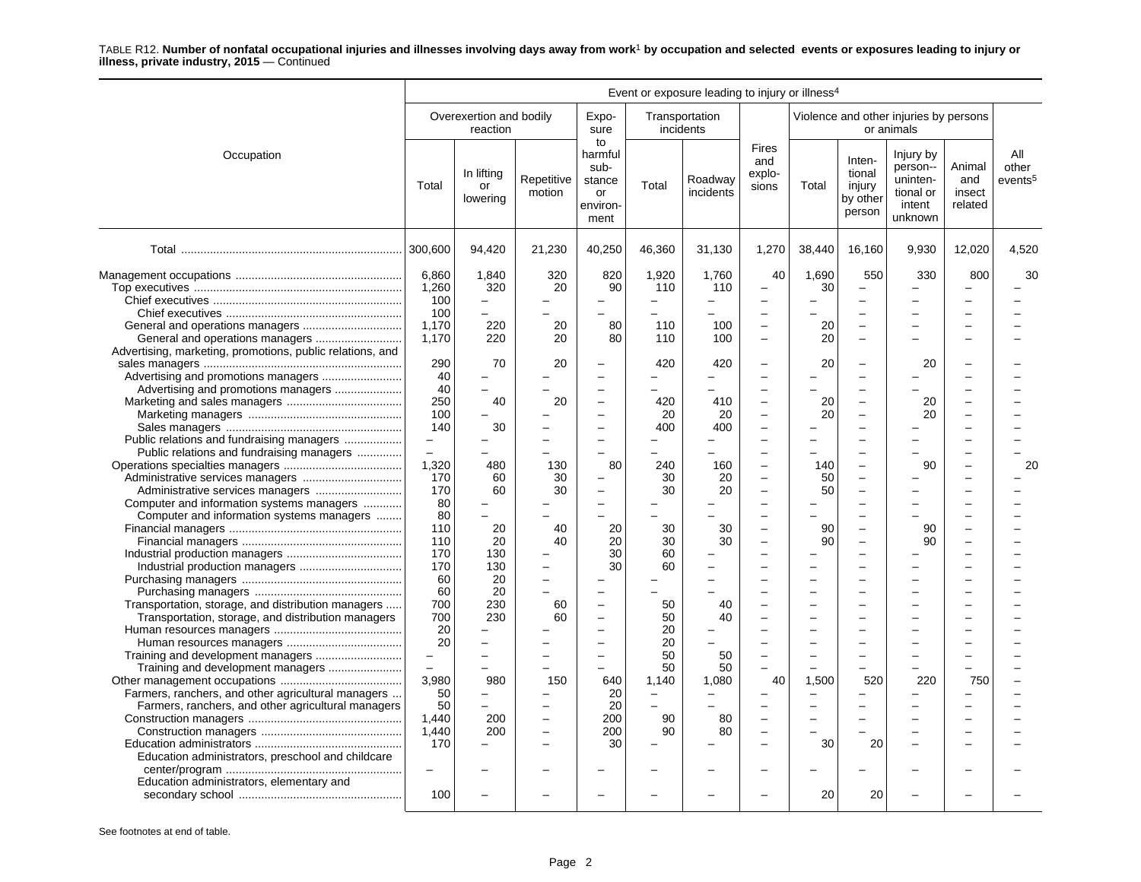|                                                                                                                            | Event or exposure leading to injury or illness <sup>4</sup> |                                            |                                                                  |                                                            |                                                  |                                  |                                                                                  |                   |                                                                                                     |                                                                     |                                    |                                     |
|----------------------------------------------------------------------------------------------------------------------------|-------------------------------------------------------------|--------------------------------------------|------------------------------------------------------------------|------------------------------------------------------------|--------------------------------------------------|----------------------------------|----------------------------------------------------------------------------------|-------------------|-----------------------------------------------------------------------------------------------------|---------------------------------------------------------------------|------------------------------------|-------------------------------------|
|                                                                                                                            |                                                             | Overexertion and bodily<br>reaction        |                                                                  | Expo-<br>sure                                              | incidents                                        | Transportation                   |                                                                                  |                   |                                                                                                     | Violence and other injuries by persons<br>or animals                |                                    |                                     |
| Occupation                                                                                                                 | Total                                                       | In lifting<br>or<br>lowering               | Repetitive<br>motion                                             | to<br>harmful<br>sub-<br>stance<br>or<br>environ-<br>ment  | Total                                            | Roadway<br>incidents             | Fires<br>and<br>explo-<br>sions                                                  | Total             | Inten-<br>tional<br>injury<br>by other<br>person                                                    | Injury by<br>person--<br>uninten-<br>tional or<br>intent<br>unknown | Animal<br>and<br>insect<br>related | All<br>other<br>events <sup>5</sup> |
|                                                                                                                            |                                                             | 94,420                                     | 21,230                                                           | 40,250                                                     | 46,360                                           | 31,130                           | 1,270                                                                            | 38,440            | 16,160                                                                                              | 9,930                                                               | 12,020                             | 4,520                               |
|                                                                                                                            | 6,860<br>1,260<br>100<br>100<br>1,170                       | 1.840<br>320<br>$\overline{a}$<br>÷<br>220 | 320<br>20<br>20                                                  | 820<br>90<br>80                                            | 1,920<br>110<br>$\equiv$<br>110                  | 1,760<br>110<br>$\equiv$<br>100  | 40<br>$\overline{\phantom{0}}$<br>$\sim$<br>$\overline{\phantom{0}}$             | 1,690<br>30<br>20 | 550<br>$\overline{\phantom{0}}$<br>$\overline{\phantom{0}}$<br>$\equiv$<br>$\overline{\phantom{0}}$ | 330<br>÷<br>÷                                                       | 800                                | 30                                  |
| Advertising, marketing, promotions, public relations, and                                                                  | 1,170<br>290<br>40                                          | 220<br>70                                  | 20<br>20                                                         | 80<br>$\sim$                                               | 110<br>420<br>÷                                  | 100<br>420                       | $\overline{\phantom{0}}$<br>÷                                                    | 20<br>20          | -<br>$\overline{\phantom{0}}$<br>$\equiv$                                                           | 20                                                                  |                                    |                                     |
| Advertising and promotions managers                                                                                        | 40<br>250<br>100<br>140                                     | 40<br>30                                   | 20                                                               | $\overline{\phantom{0}}$<br>$\overline{\phantom{0}}$       | 420<br>20<br>400                                 | 410<br>20<br>400                 | L.<br>$\overline{\phantom{0}}$<br>$\overline{\phantom{0}}$<br>$\sim$             | 20<br>20          | $\overline{\phantom{0}}$<br>$\overline{\phantom{0}}$<br>$\equiv$                                    | 20<br>20                                                            |                                    |                                     |
| Public relations and fundraising managers<br>Public relations and fundraising managers<br>Administrative services managers | $\overline{\phantom{0}}$<br>1,320<br>170                    | 480<br>60                                  | 130<br>30                                                        | $\overline{\phantom{m}}$<br>80                             | 240<br>30                                        | 160<br>20                        | $\overline{\phantom{0}}$<br>$\overline{\phantom{0}}$<br>$\overline{\phantom{0}}$ | 140<br>50         | $\overline{\phantom{0}}$<br>$\overline{\phantom{0}}$                                                | 90                                                                  |                                    | 20                                  |
| Computer and information systems managers<br>Computer and information systems managers                                     | 170<br>80<br>80<br>110                                      | 60<br>20                                   | 30<br>40                                                         | $\overline{\phantom{0}}$<br>$\overline{\phantom{0}}$<br>20 | 30<br>30                                         | 20<br>30                         | L.<br>÷<br>L.                                                                    | 50<br>90          | $\overline{\phantom{0}}$<br>۰<br>$\equiv$                                                           | 90                                                                  |                                    |                                     |
|                                                                                                                            | 110<br>170<br>170<br>60                                     | 20<br>130<br>130<br>20                     | 40<br>$\equiv$                                                   | 20<br>30<br>30                                             | 30<br>60<br>60                                   | 30<br>$\equiv$                   | $\overline{\phantom{0}}$                                                         | 90                | $\equiv$                                                                                            | 90                                                                  |                                    |                                     |
| Transportation, storage, and distribution managers<br>Transportation, storage, and distribution managers                   | 60<br>700<br>700<br>20                                      | 20<br>230<br>230                           | 60<br>60                                                         | $\overline{\phantom{0}}$<br>$\overline{\phantom{0}}$       | 50<br>50<br>20                                   | 40<br>40                         |                                                                                  |                   | $\equiv$                                                                                            |                                                                     |                                    |                                     |
| Training and development managers                                                                                          | 20<br>$\overline{\phantom{0}}$<br>3,980                     | 980                                        | 150                                                              | $\equiv$<br>$\overline{\phantom{0}}$<br>640                | 20<br>50<br>50<br>1,140                          | $\equiv$<br>50<br>50<br>1.080    | L.<br>40                                                                         | 1.500             | 520                                                                                                 | 220                                                                 | 750                                |                                     |
| Farmers, ranchers, and other agricultural managers<br>Farmers, ranchers, and other agricultural managers                   | 50<br>50<br>1,440<br>1,440<br>170                           | 200<br>200                                 | $\overline{\phantom{0}}$<br>$\equiv$<br>$\overline{\phantom{0}}$ | 20<br>20<br>200<br>200<br>30                               | $\overline{\phantom{m}}$<br>$\equiv$<br>90<br>90 | $\equiv$<br>$\equiv$<br>80<br>80 |                                                                                  | 30                | 20                                                                                                  |                                                                     |                                    |                                     |
| Education administrators, preschool and childcare<br>Education administrators, elementary and                              | $\overline{\phantom{0}}$<br>100                             |                                            |                                                                  |                                                            |                                                  |                                  |                                                                                  | 20                | 20                                                                                                  |                                                                     |                                    |                                     |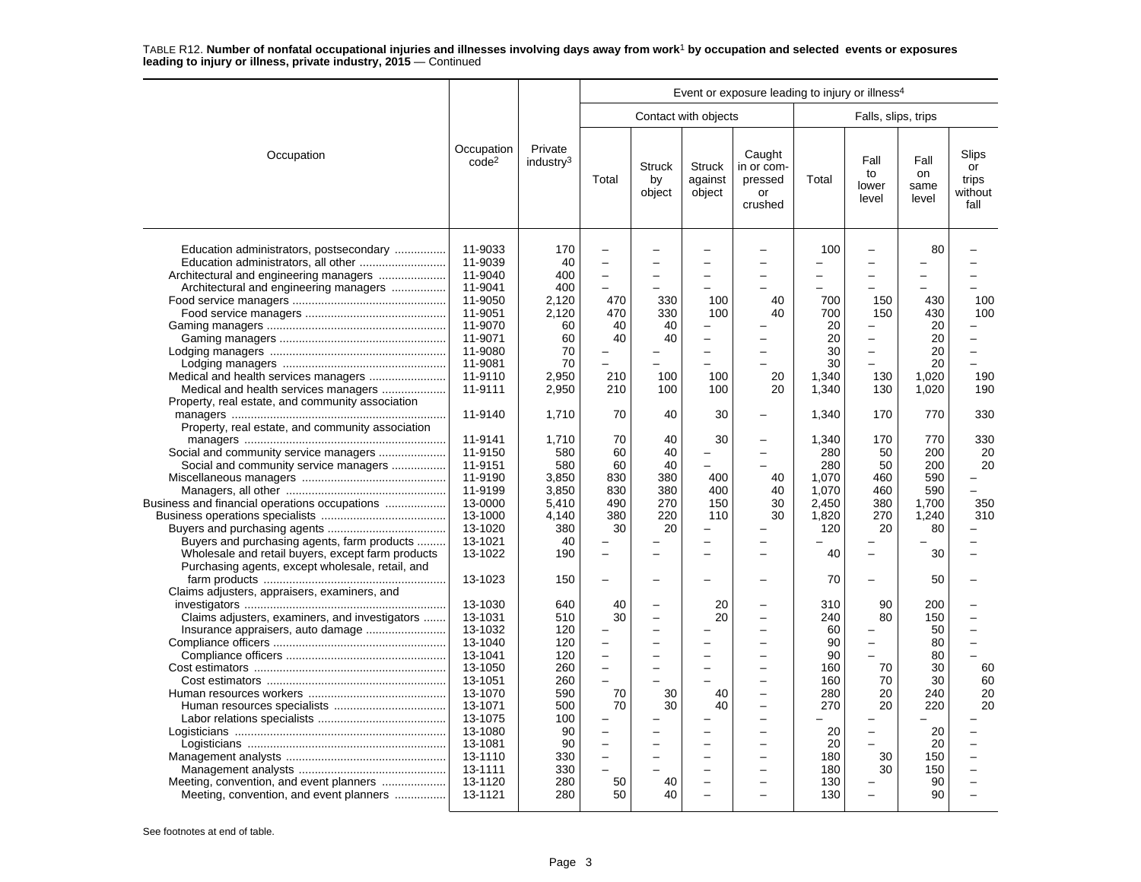|                                                                                                                                                                                                                                                                                                                                             | Event or exposure leading to injury or illness <sup>4</sup>                                                                                                                  |                                                                                                            |                                                                                                                                                                                                                                   |                                                   |                                     |                                                  |                                                                                                  |                                                                                                                                          |                                                                                              |                                                                     |
|---------------------------------------------------------------------------------------------------------------------------------------------------------------------------------------------------------------------------------------------------------------------------------------------------------------------------------------------|------------------------------------------------------------------------------------------------------------------------------------------------------------------------------|------------------------------------------------------------------------------------------------------------|-----------------------------------------------------------------------------------------------------------------------------------------------------------------------------------------------------------------------------------|---------------------------------------------------|-------------------------------------|--------------------------------------------------|--------------------------------------------------------------------------------------------------|------------------------------------------------------------------------------------------------------------------------------------------|----------------------------------------------------------------------------------------------|---------------------------------------------------------------------|
|                                                                                                                                                                                                                                                                                                                                             |                                                                                                                                                                              |                                                                                                            |                                                                                                                                                                                                                                   |                                                   | Contact with objects                |                                                  |                                                                                                  | Falls, slips, trips                                                                                                                      |                                                                                              |                                                                     |
| Occupation                                                                                                                                                                                                                                                                                                                                  | Occupation<br>code <sup>2</sup>                                                                                                                                              | Private<br>industry <sup>3</sup>                                                                           | Total                                                                                                                                                                                                                             | <b>Struck</b><br>by<br>object                     | <b>Struck</b><br>against<br>object  | Caught<br>in or com-<br>pressed<br>or<br>crushed | Total                                                                                            | Fall<br>to<br>lower<br>level                                                                                                             | Fall<br>on<br>same<br>level                                                                  | Slips<br>or<br>trips<br>without<br>fall                             |
| Education administrators, postsecondary<br>Architectural and engineering managers<br>Architectural and engineering managers<br>Medical and health services managers<br>Medical and health services managers<br>Property, real estate, and community association                                                                             | 11-9033<br>11-9039<br>11-9040<br>11-9041<br>11-9050<br>11-9051<br>11-9070<br>11-9071<br>11-9080<br>11-9081<br>11-9110<br>11-9111                                             | 170<br>40<br>400<br>400<br>2,120<br>2.120<br>60<br>60<br>70<br>70<br>2,950<br>2,950                        | $\overline{\phantom{0}}$<br>$\overline{a}$<br>$\overline{\phantom{0}}$<br>470<br>470<br>40<br>40<br>210<br>210                                                                                                                    | —<br>330<br>330<br>40<br>40<br>100<br>100         | -<br>100<br>100<br>100<br>100       | 40<br>40<br>20<br>20                             | 100<br>$\overline{\phantom{0}}$<br>700<br>700<br>20<br>20<br>30<br>30<br>1,340<br>1,340          | $\overline{\phantom{0}}$<br>$\overline{\phantom{m}}$<br>150<br>150<br>$\overline{\phantom{0}}$<br>$\overline{\phantom{0}}$<br>130<br>130 | 80<br>430<br>430<br>20<br>20<br>20<br>20<br>1,020<br>1,020                                   | 100<br>100<br>$\overline{\phantom{0}}$<br>190<br>190                |
|                                                                                                                                                                                                                                                                                                                                             | 11-9140                                                                                                                                                                      | 1,710                                                                                                      | 70                                                                                                                                                                                                                                | 40                                                | 30                                  |                                                  | 1,340                                                                                            | 170                                                                                                                                      | 770                                                                                          | 330                                                                 |
| Property, real estate, and community association<br>Social and community service managers<br>Social and community service managers<br>Business and financial operations occupations<br>Buyers and purchasing agents, farm products<br>Wholesale and retail buyers, except farm products<br>Purchasing agents, except wholesale, retail, and | 11-9141<br>11-9150<br>11-9151<br>11-9190<br>11-9199<br>13-0000<br>13-1000<br>13-1020<br>13-1021<br>13-1022<br>13-1023                                                        | 1,710<br>580<br>580<br>3,850<br>3,850<br>5,410<br>4.140<br>380<br>40<br>190<br>150                         | 70<br>60<br>60<br>830<br>830<br>490<br>380<br>30<br>$\overline{a}$<br>$\equiv$                                                                                                                                                    | 40<br>40<br>40<br>380<br>380<br>270<br>220<br>20  | 30<br>400<br>400<br>150<br>110<br>- | $\overline{\phantom{a}}$<br>40<br>40<br>30<br>30 | 1,340<br>280<br>280<br>1.070<br>1,070<br>2,450<br>1,820<br>120<br>40<br>70                       | 170<br>50<br>50<br>460<br>460<br>380<br>270<br>20<br>$\overline{\phantom{0}}$<br>$\overline{\phantom{0}}$                                | 770<br>200<br>200<br>590<br>590<br>1,700<br>1,240<br>80<br>30<br>50                          | 330<br>20<br>20<br>L.<br>350<br>310                                 |
| Claims adjusters, appraisers, examiners, and                                                                                                                                                                                                                                                                                                |                                                                                                                                                                              |                                                                                                            |                                                                                                                                                                                                                                   |                                                   |                                     |                                                  |                                                                                                  |                                                                                                                                          |                                                                                              |                                                                     |
| Claims adjusters, examiners, and investigators<br>Insurance appraisers, auto damage<br>Meeting, convention, and event planners<br>Meeting, convention, and event planners                                                                                                                                                                   | 13-1030<br>13-1031<br>13-1032<br>13-1040<br>13-1041<br>13-1050<br>13-1051<br>13-1070<br>13-1071<br>13-1075<br>13-1080<br>13-1081<br>13-1110<br>13-1111<br>13-1120<br>13-1121 | 640<br>510<br>120<br>120<br>120<br>260<br>260<br>590<br>500<br>100<br>90<br>90<br>330<br>330<br>280<br>280 | 40<br>30<br>$\overline{\phantom{0}}$<br>$\equiv$<br>$\overline{\phantom{0}}$<br>$\overline{\phantom{0}}$<br>70<br>70<br>-<br>$\overline{a}$<br>$\overline{\phantom{0}}$<br>$\overline{a}$<br>$\overline{\phantom{0}}$<br>50<br>50 | L.<br>÷<br>$\equiv$<br>L,<br>30<br>30<br>40<br>40 | 20<br>20<br>40<br>40                | $\sim$<br>$\sim$<br>$\sim$<br>$\sim$<br>$\sim$   | 310<br>240<br>60<br>90<br>90<br>160<br>160<br>280<br>270<br>20<br>20<br>180<br>180<br>130<br>130 | 90<br>80<br>$\overline{\phantom{0}}$<br>$\equiv$<br>70<br>70<br>20<br>20<br>$\qquad \qquad -$<br>30<br>30<br>$\overline{\phantom{m}}$    | 200<br>150<br>50<br>80<br>80<br>30<br>30<br>240<br>220<br>20<br>20<br>150<br>150<br>90<br>90 | $\equiv$<br>$\equiv$<br>$\overline{a}$<br>L<br>60<br>60<br>20<br>20 |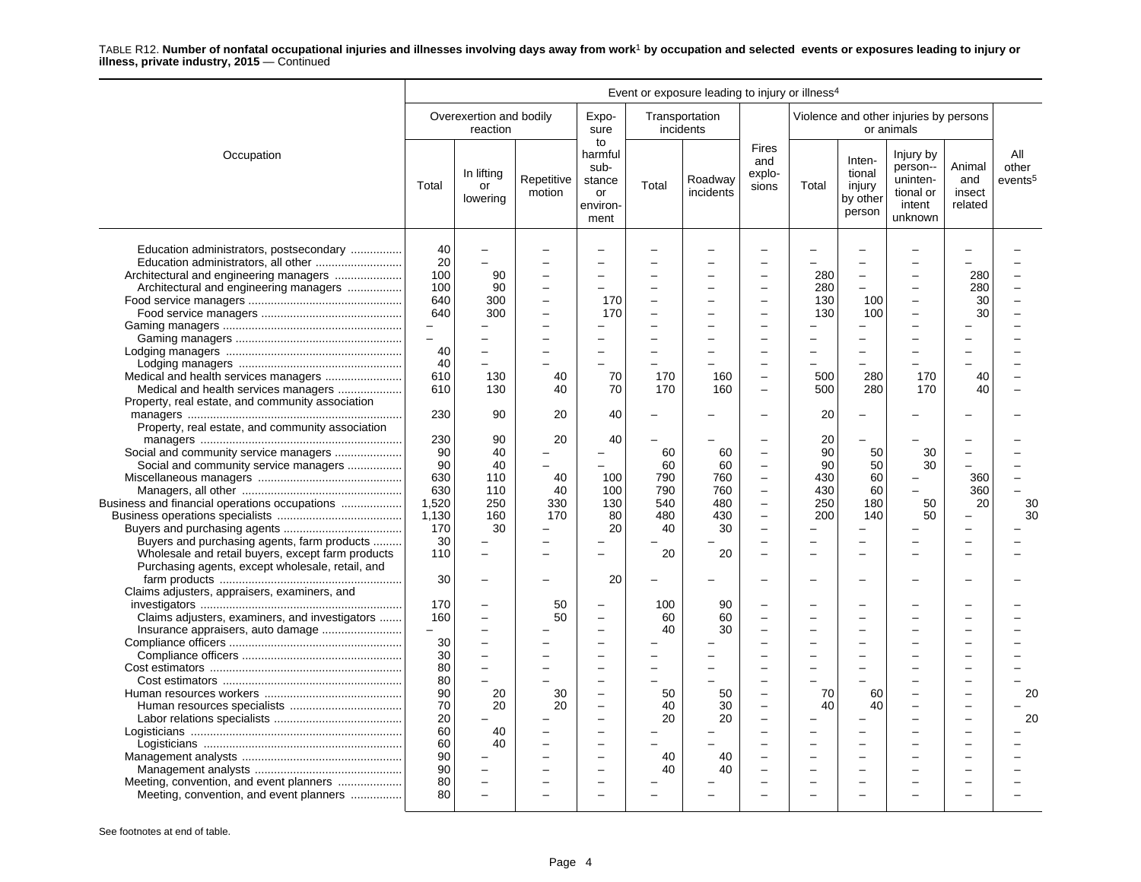| Total                                                                                    | Overexertion and bodily<br>reaction<br>In lifting<br>or<br>lowering                                                           | Repetitive<br>motion                                                 | Expo-<br>sure<br>to<br>harmful<br>sub-<br>stance                                                              | incidents                                           | Transportation                               | <b>Fires</b>                                                                                                                                                               |                                      |                                                  | Violence and other injuries by persons<br>or animals                |                                    |                                     |
|------------------------------------------------------------------------------------------|-------------------------------------------------------------------------------------------------------------------------------|----------------------------------------------------------------------|---------------------------------------------------------------------------------------------------------------|-----------------------------------------------------|----------------------------------------------|----------------------------------------------------------------------------------------------------------------------------------------------------------------------------|--------------------------------------|--------------------------------------------------|---------------------------------------------------------------------|------------------------------------|-------------------------------------|
|                                                                                          |                                                                                                                               |                                                                      |                                                                                                               |                                                     |                                              |                                                                                                                                                                            |                                      |                                                  |                                                                     |                                    |                                     |
|                                                                                          |                                                                                                                               |                                                                      | or<br>environ-<br>ment                                                                                        | Total                                               | Roadway<br>incidents                         | and<br>explo-<br>sions                                                                                                                                                     | Total                                | Inten-<br>tional<br>injury<br>by other<br>person | Injury by<br>person--<br>uninten-<br>tional or<br>intent<br>unknown | Animal<br>and<br>insect<br>related | All<br>other<br>events <sup>5</sup> |
| 20<br>100<br>100<br>640<br>640<br>$\overline{\phantom{m}}$<br>$\overline{a}$<br>40<br>40 | $\overline{\phantom{m}}$<br>$\equiv$<br>90<br>90<br>300<br>300<br>$\overline{\phantom{m}}$                                    | $\equiv$<br>÷<br>$\equiv$<br>$\overline{\phantom{0}}$                | -<br>170<br>170                                                                                               | -<br>$\overline{\phantom{0}}$                       |                                              | $\overline{\phantom{0}}$                                                                                                                                                   | 280<br>280<br>130<br>130             | -<br>$\equiv$<br>100<br>100                      |                                                                     | 280<br>280<br>30<br>30             |                                     |
| 610<br>230                                                                               | 130<br>90                                                                                                                     | 40<br>20                                                             | 70<br>40                                                                                                      | 170                                                 | 160                                          | $\overline{\phantom{0}}$                                                                                                                                                   | 500<br>20                            | 280                                              | 170                                                                 | 40                                 |                                     |
| 90<br>90<br>630<br>630<br>1,520<br>1,130<br>170<br>30                                    | 40<br>40<br>110<br>110<br>250<br>160<br>30                                                                                    | $\overline{\phantom{0}}$<br>40<br>40<br>330<br>170<br>$\overline{a}$ | 100<br>100<br>130<br>80<br>20                                                                                 | 60<br>60<br>790<br>790<br>540<br>480<br>40          | 60<br>60<br>760<br>760<br>480<br>430<br>30   | $\frac{1}{2}$<br>$\overline{\phantom{0}}$<br>$\overline{\phantom{0}}$<br>$\frac{1}{2}$<br>$\overline{\phantom{a}}$<br>$\overline{\phantom{0}}$<br>$\overline{\phantom{0}}$ | 90<br>90<br>430<br>430<br>250<br>200 | 50<br>50<br>60<br>60<br>180<br>140               | 30<br>30<br>L.<br>50<br>50                                          | 360<br>360<br>20                   | 30<br>30                            |
| 110<br>30                                                                                | $\sim$<br>$\overline{\phantom{0}}$                                                                                            | $\equiv$                                                             | 20                                                                                                            | 20                                                  | 20                                           |                                                                                                                                                                            |                                      |                                                  |                                                                     |                                    |                                     |
| 170<br>160<br>30<br>30<br>80<br>80<br>90<br>70<br>20<br>60<br>60<br>90<br>90<br>80       | $\overline{\phantom{0}}$<br>$\overline{\phantom{a}}$<br>۰<br>L.<br>$\overline{\phantom{0}}$<br>$\sim$<br>20<br>20<br>40<br>40 | 50<br>50<br>30<br>20<br>$\equiv$<br>$\equiv$                         | $\equiv$<br>$\overline{\phantom{0}}$<br>$\equiv$<br>$\overline{\phantom{0}}$<br>-<br>$\overline{\phantom{a}}$ | 100<br>60<br>40<br>L.<br>50<br>40<br>20<br>40<br>40 | 90<br>60<br>30<br>50<br>30<br>20<br>40<br>40 | $\equiv$<br>$\sim$<br>$\sim$<br>$\sim$                                                                                                                                     | 70<br>40                             | 60<br>40                                         |                                                                     | $\equiv$                           | 20<br>20                            |
|                                                                                          | 40<br>610<br>230<br>80                                                                                                        | 130<br>90                                                            | 40<br>20                                                                                                      | 70<br>40                                            | 170                                          | 160                                                                                                                                                                        |                                      | 500<br>20                                        | 280                                                                 | 170                                | 40                                  |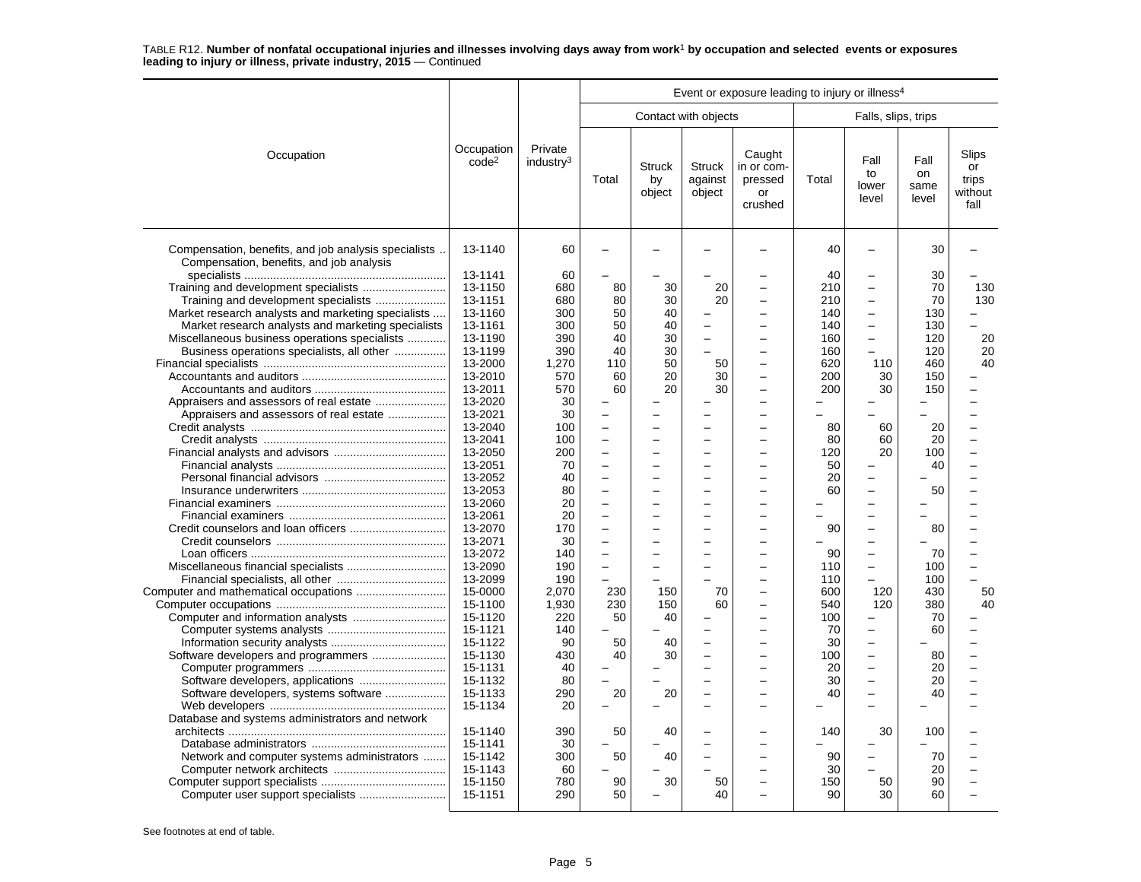|                                                                                                  |                                 | Event or exposure leading to injury or illness <sup>4</sup> |                          |                               |                                    |                                                  |          |                               |                             |                                         |
|--------------------------------------------------------------------------------------------------|---------------------------------|-------------------------------------------------------------|--------------------------|-------------------------------|------------------------------------|--------------------------------------------------|----------|-------------------------------|-----------------------------|-----------------------------------------|
|                                                                                                  |                                 |                                                             |                          |                               | Contact with objects               |                                                  |          | Falls, slips, trips           |                             |                                         |
| Occupation                                                                                       | Occupation<br>code <sup>2</sup> | Private<br>industry <sup>3</sup>                            | Total                    | <b>Struck</b><br>by<br>object | <b>Struck</b><br>against<br>object | Caught<br>in or com-<br>pressed<br>or<br>crushed | Total    | Fall<br>to<br>lower<br>level  | Fall<br>on<br>same<br>level | Slips<br>or<br>trips<br>without<br>fall |
| Compensation, benefits, and job analysis specialists<br>Compensation, benefits, and job analysis | 13-1140<br>13-1141              | 60<br>60                                                    |                          |                               |                                    |                                                  | 40<br>40 | $\overline{\phantom{0}}$<br>- | 30<br>30                    |                                         |
| Training and development specialists                                                             | 13-1150                         | 680                                                         | 80                       | 30                            | 20                                 |                                                  | 210      | $\overline{\phantom{0}}$      | 70                          | 130                                     |
| Training and development specialists                                                             | 13-1151                         | 680                                                         | 80                       | 30                            | 20                                 |                                                  | 210      | $\overline{a}$                | 70                          | 130                                     |
| Market research analysts and marketing specialists                                               | 13-1160                         | 300                                                         | 50                       | 40                            |                                    |                                                  | 140      | $\overline{\phantom{0}}$      | 130                         |                                         |
| Market research analysts and marketing specialists                                               | 13-1161                         | 300                                                         | 50                       | 40                            |                                    | $\overline{\phantom{0}}$                         | 140      | $\overline{\phantom{0}}$      | 130                         |                                         |
| Miscellaneous business operations specialists                                                    | 13-1190                         | 390                                                         | 40                       | 30                            |                                    | ÷                                                | 160      | $\overline{a}$                | 120                         | 20                                      |
| Business operations specialists, all other                                                       | 13-1199                         | 390                                                         | 40                       | 30                            |                                    |                                                  | 160      | $\overline{\phantom{0}}$      | 120                         | 20                                      |
|                                                                                                  | 13-2000                         | 1.270                                                       | 110                      | 50                            | 50                                 | ÷                                                | 620      | 110                           | 460                         | 40                                      |
|                                                                                                  |                                 |                                                             | 60                       | 20                            |                                    | $\overline{\phantom{0}}$                         |          |                               | 150                         |                                         |
|                                                                                                  | 13-2010                         | 570                                                         | 60                       | 20                            | 30<br>30                           | L.                                               | 200      | 30<br>30                      |                             |                                         |
|                                                                                                  | 13-2011<br>13-2020              | 570                                                         |                          |                               |                                    | ÷                                                | 200      |                               | 150                         |                                         |
| Appraisers and assessors of real estate                                                          |                                 | 30                                                          |                          |                               |                                    |                                                  |          | L.                            |                             |                                         |
| Appraisers and assessors of real estate                                                          | 13-2021                         | 30                                                          |                          |                               |                                    |                                                  |          |                               |                             |                                         |
|                                                                                                  | 13-2040                         | 100                                                         | $\overline{\phantom{0}}$ |                               |                                    |                                                  | 80       | 60                            | 20                          |                                         |
|                                                                                                  | 13-2041                         | 100                                                         |                          |                               |                                    |                                                  | 80       | 60                            | 20                          |                                         |
|                                                                                                  | 13-2050                         | 200                                                         | $\overline{\phantom{0}}$ |                               | $\sim$                             | $\equiv$                                         | 120      | 20                            | 100                         |                                         |
|                                                                                                  | 13-2051                         | 70                                                          | L.                       |                               |                                    |                                                  | 50       | Ē,                            | 40                          |                                         |
|                                                                                                  | 13-2052                         | 40                                                          | L                        |                               |                                    |                                                  | 20       | $\overline{\phantom{0}}$      |                             |                                         |
|                                                                                                  | 13-2053                         | 80                                                          | $\overline{\phantom{0}}$ |                               |                                    |                                                  | 60       | $\overline{\phantom{0}}$      | 50                          |                                         |
|                                                                                                  | 13-2060                         | 20                                                          |                          |                               |                                    |                                                  |          | L.                            |                             |                                         |
|                                                                                                  | 13-2061                         | 20                                                          | L.                       |                               |                                    | ÷                                                | L        | $\overline{a}$                |                             |                                         |
|                                                                                                  | 13-2070                         | 170                                                         | $\overline{\phantom{0}}$ |                               |                                    | ÷                                                | 90       | $\overline{a}$                | 80                          |                                         |
|                                                                                                  | 13-2071                         | 30                                                          | $\overline{\phantom{0}}$ |                               |                                    | $\overline{\phantom{a}}$                         |          | $\overline{\phantom{0}}$      |                             |                                         |
|                                                                                                  | 13-2072                         | 140                                                         | $\overline{\phantom{0}}$ |                               |                                    |                                                  | 90       | $\overline{\phantom{0}}$      | 70                          |                                         |
|                                                                                                  | 13-2090                         | 190                                                         | $\overline{a}$           |                               |                                    |                                                  | 110      | $\overline{\phantom{0}}$      | 100                         |                                         |
|                                                                                                  | 13-2099                         | 190                                                         | $\overline{\phantom{0}}$ |                               |                                    | $\overline{\phantom{0}}$                         | 110      | $\overline{\phantom{0}}$      | 100                         | $\equiv$                                |
|                                                                                                  | 15-0000                         | 2.070                                                       | 230                      | 150                           | 70                                 | $\overline{\phantom{a}}$                         | 600      | 120                           | 430                         | 50                                      |
|                                                                                                  | 15-1100                         | 1,930                                                       | 230                      | 150                           | 60                                 | ÷                                                | 540      | 120                           | 380                         | 40                                      |
|                                                                                                  | 15-1120                         | 220                                                         | 50                       | 40                            |                                    |                                                  | 100      | -                             | 70                          |                                         |
|                                                                                                  | 15-1121                         | 140                                                         |                          |                               |                                    |                                                  | 70       | $\overline{a}$                | 60                          |                                         |
|                                                                                                  | 15-1122                         | 90                                                          | 50                       | 40                            |                                    |                                                  | 30       | $\overline{\phantom{0}}$      |                             |                                         |
|                                                                                                  | 15-1130                         | 430                                                         | 40                       | 30                            |                                    | $\overline{\phantom{0}}$                         | 100      | $\overline{\phantom{0}}$      | 80                          |                                         |
|                                                                                                  | 15-1131                         | 40                                                          |                          |                               |                                    | L.                                               | 20       | $\overline{a}$                | 20                          |                                         |
|                                                                                                  | 15-1132                         | 80                                                          |                          |                               |                                    | L.                                               | 30       | $\overline{a}$                | 20                          |                                         |
| Software developers, systems software                                                            | 15-1133                         | 290                                                         | 20                       | 20                            |                                    |                                                  | 40       | $\overline{a}$                | 40                          |                                         |
|                                                                                                  | 15-1134                         | 20                                                          |                          |                               |                                    |                                                  |          | L.                            |                             |                                         |
| Database and systems administrators and network                                                  |                                 |                                                             |                          |                               |                                    |                                                  |          |                               |                             |                                         |
|                                                                                                  | 15-1140                         | 390                                                         | 50                       | 40                            |                                    |                                                  | 140      | 30                            | 100                         |                                         |
|                                                                                                  | 15-1141                         | 30                                                          |                          |                               |                                    |                                                  |          | -                             |                             |                                         |
| Network and computer systems administrators                                                      | 15-1142                         | 300                                                         | 50                       | 40                            |                                    |                                                  | 90       | $\overline{\phantom{0}}$      | 70                          |                                         |
|                                                                                                  | 15-1143                         | 60                                                          |                          |                               |                                    |                                                  | 30       |                               | 20                          |                                         |
|                                                                                                  | 15-1150                         | 780                                                         | 90                       | 30                            | 50                                 |                                                  | 150      | 50                            | 90                          |                                         |
|                                                                                                  | 15-1151                         | 290                                                         | 50                       |                               | 40                                 |                                                  | 90       | 30                            | 60                          |                                         |
|                                                                                                  |                                 |                                                             |                          |                               |                                    |                                                  |          |                               |                             |                                         |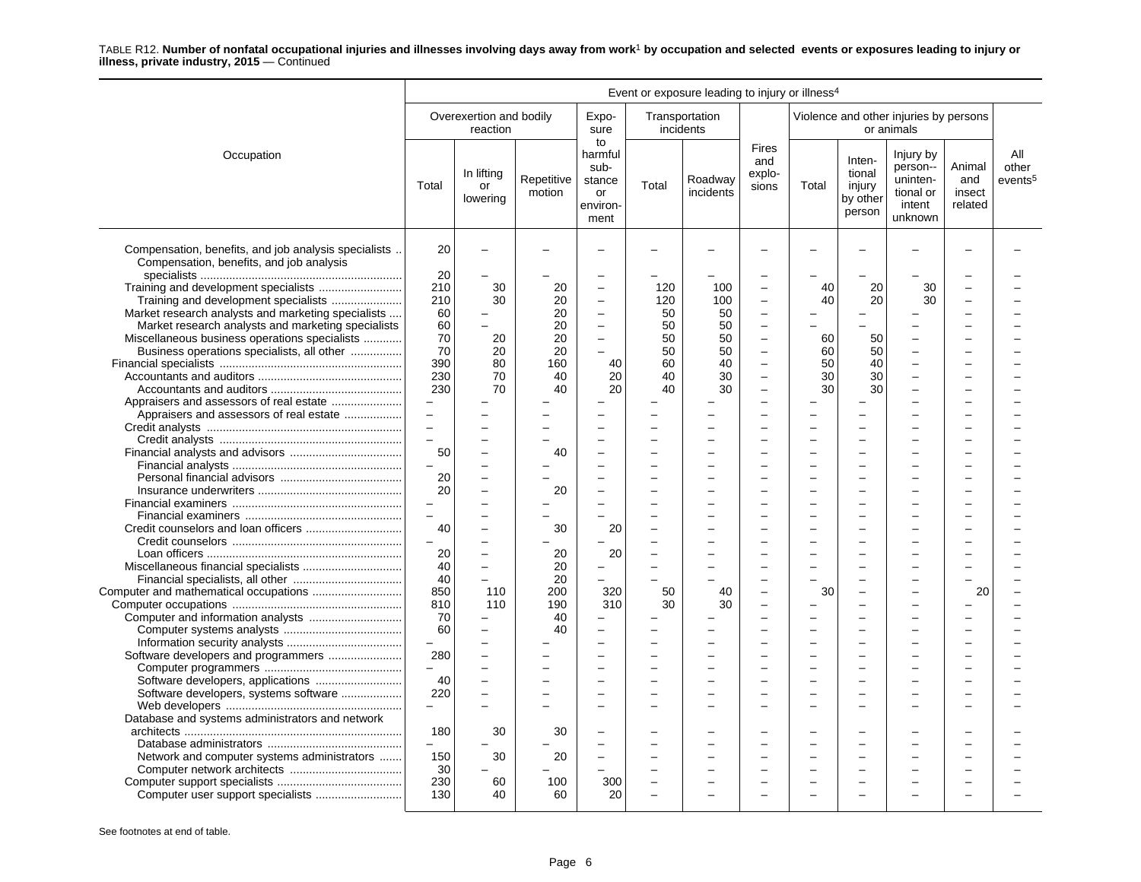|                                                                                                                                                                                                   | Event or exposure leading to injury or illness <sup>4</sup>        |                                                        |                            |                                                                                                                |                                                      |                              |                                                                                 |                      |                                                  |                                                                     |                                    |                                     |
|---------------------------------------------------------------------------------------------------------------------------------------------------------------------------------------------------|--------------------------------------------------------------------|--------------------------------------------------------|----------------------------|----------------------------------------------------------------------------------------------------------------|------------------------------------------------------|------------------------------|---------------------------------------------------------------------------------|----------------------|--------------------------------------------------|---------------------------------------------------------------------|------------------------------------|-------------------------------------|
|                                                                                                                                                                                                   |                                                                    | Overexertion and bodily<br>reaction                    |                            | Expo-<br>sure                                                                                                  | incidents                                            | Transportation               |                                                                                 |                      |                                                  | Violence and other injuries by persons<br>or animals                |                                    |                                     |
| Occupation                                                                                                                                                                                        | Total                                                              | In lifting<br>or<br>lowering                           | Repetitive<br>motion       | to<br>harmful<br>sub-<br>stance<br>or<br>environ-<br>ment                                                      | Total                                                | Roadway<br>incidents         | <b>Fires</b><br>and<br>explo-<br>sions                                          | Total                | Inten-<br>tional<br>injury<br>by other<br>person | Injury by<br>person--<br>uninten-<br>tional or<br>intent<br>unknown | Animal<br>and<br>insect<br>related | All<br>other<br>events <sup>5</sup> |
| Compensation, benefits, and job analysis specialists<br>Compensation, benefits, and job analysis                                                                                                  | 20<br>20                                                           | $\overline{a}$                                         |                            |                                                                                                                |                                                      |                              |                                                                                 |                      |                                                  |                                                                     |                                    |                                     |
| Training and development specialists<br>Market research analysts and marketing specialists<br>Market research analysts and marketing specialists<br>Miscellaneous business operations specialists | 210<br>210<br>60<br>60<br>70                                       | 30<br>30<br>$\overline{\phantom{0}}$<br>$\equiv$<br>20 | 20<br>20<br>20<br>20<br>20 | $\overline{a}$<br>$\overline{\phantom{0}}$<br>$\overline{\phantom{0}}$<br>$\equiv$<br>$\overline{\phantom{0}}$ | 120<br>120<br>50<br>50<br>50                         | 100<br>100<br>50<br>50<br>50 | $\frac{1}{2}$<br>$\overline{\phantom{0}}$<br>$\sim$<br>$\overline{\phantom{0}}$ | 40<br>40<br>60       | 20<br>20<br>50                                   | 30<br>30                                                            |                                    |                                     |
| Business operations specialists, all other                                                                                                                                                        | 70<br>390<br>230<br>230<br>$\equiv$                                | 20<br>80<br>70<br>70                                   | 20<br>160<br>40<br>40      | 40<br>20<br>20                                                                                                 | 50<br>60<br>40<br>40                                 | 50<br>40<br>30<br>30         | $\frac{1}{2}$<br>$\overline{\phantom{0}}$<br>$\sim$                             | 60<br>50<br>30<br>30 | 50<br>40<br>30<br>30                             |                                                                     |                                    |                                     |
| Appraisers and assessors of real estate                                                                                                                                                           | $\equiv$<br>$\overline{a}$<br>$\equiv$<br>50                       |                                                        | 40                         |                                                                                                                | $\equiv$                                             |                              |                                                                                 |                      |                                                  |                                                                     |                                    |                                     |
|                                                                                                                                                                                                   | $\equiv$<br>20<br>20<br>$\overline{\phantom{m}}$<br>$\overline{a}$ | L.                                                     | 20                         |                                                                                                                | $\equiv$                                             |                              |                                                                                 |                      |                                                  |                                                                     |                                    |                                     |
|                                                                                                                                                                                                   | 40<br>$\equiv$<br>20<br>40                                         | ÷<br>Ĭ.<br>$\overline{\phantom{0}}$                    | 30<br>20<br>20             | 20<br>20                                                                                                       | $\equiv$                                             |                              |                                                                                 |                      |                                                  |                                                                     |                                    |                                     |
|                                                                                                                                                                                                   | 40<br>850<br>810<br>70                                             | $\overline{\phantom{0}}$<br>110<br>110                 | 20<br>200<br>190<br>40     | ÷<br>320<br>310<br>$\overline{\phantom{0}}$                                                                    | ÷<br>50<br>30                                        | 40<br>30                     | $\sim$<br>$\overline{\phantom{0}}$                                              | 30                   | $\equiv$<br>$\equiv$                             | $\overline{\phantom{0}}$                                            | 20                                 |                                     |
| Software developers and programmers                                                                                                                                                               | 60<br>280<br>$\equiv$<br>40                                        | $\overline{a}$<br>L.                                   | 40                         |                                                                                                                | $=$<br>$\equiv$                                      |                              |                                                                                 |                      |                                                  |                                                                     |                                    |                                     |
| Software developers, systems software<br>Database and systems administrators and network                                                                                                          | 220<br>180                                                         | 30                                                     | 30                         |                                                                                                                |                                                      |                              |                                                                                 |                      |                                                  |                                                                     |                                    |                                     |
| Network and computer systems administrators                                                                                                                                                       | 150<br>30<br>230                                                   | 30<br>60                                               | 20<br>100                  | $\overline{\phantom{0}}$<br>300                                                                                | $\overline{\phantom{0}}$<br>$\overline{\phantom{0}}$ |                              |                                                                                 |                      |                                                  |                                                                     |                                    |                                     |
|                                                                                                                                                                                                   | 130                                                                | 40                                                     | 60                         | 20                                                                                                             |                                                      |                              |                                                                                 |                      |                                                  |                                                                     |                                    |                                     |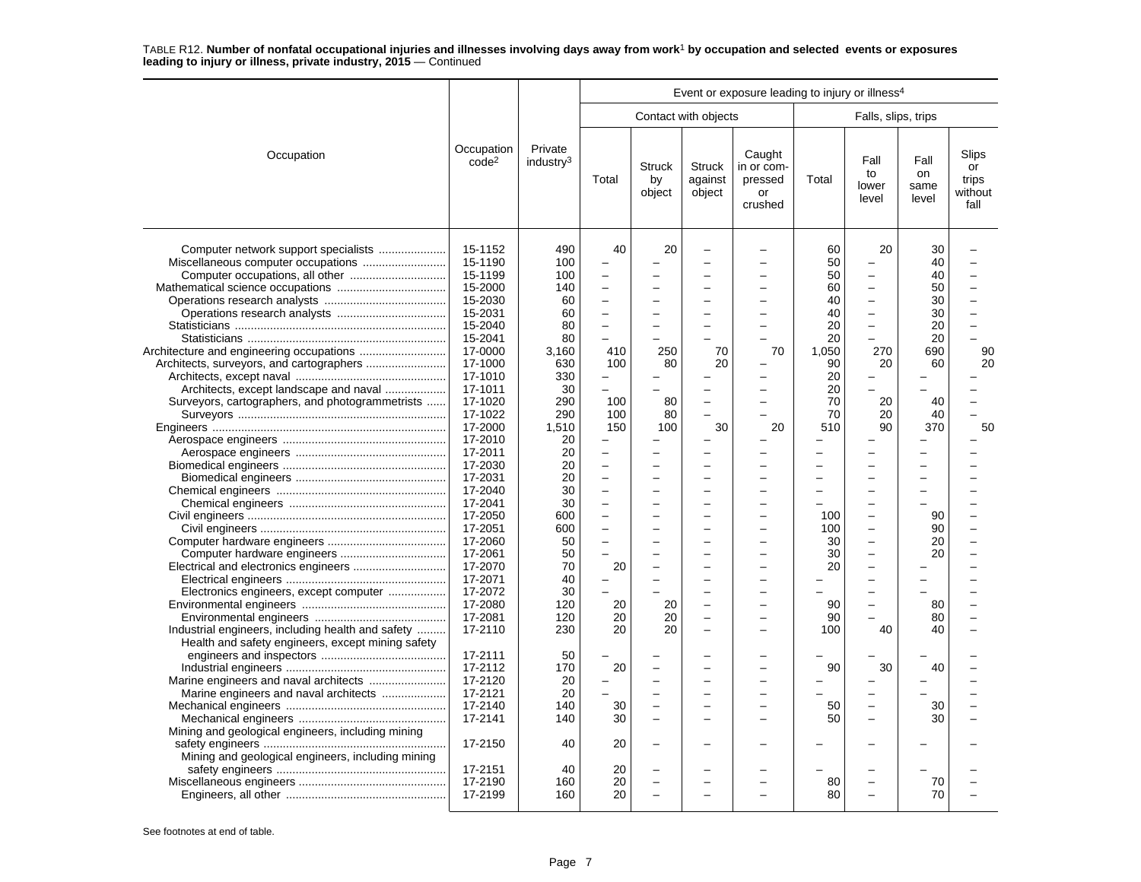|                                                                                                                                                                                                                                                                                       | Event or exposure leading to injury or illness <sup>4</sup><br>Contact with objects                                                                                                                                                                                                                                                                                                |                                                                                                                                                                                                                              |                                                                                                                                                                                                                                                                                                                                                            |                                                      |                                    |                                                  |                                                                                                                                                                                           |                                                                                                                                                                                                                                                                                                                                                                                      |                                                                                                                              |                                              |
|---------------------------------------------------------------------------------------------------------------------------------------------------------------------------------------------------------------------------------------------------------------------------------------|------------------------------------------------------------------------------------------------------------------------------------------------------------------------------------------------------------------------------------------------------------------------------------------------------------------------------------------------------------------------------------|------------------------------------------------------------------------------------------------------------------------------------------------------------------------------------------------------------------------------|------------------------------------------------------------------------------------------------------------------------------------------------------------------------------------------------------------------------------------------------------------------------------------------------------------------------------------------------------------|------------------------------------------------------|------------------------------------|--------------------------------------------------|-------------------------------------------------------------------------------------------------------------------------------------------------------------------------------------------|--------------------------------------------------------------------------------------------------------------------------------------------------------------------------------------------------------------------------------------------------------------------------------------------------------------------------------------------------------------------------------------|------------------------------------------------------------------------------------------------------------------------------|----------------------------------------------|
|                                                                                                                                                                                                                                                                                       |                                                                                                                                                                                                                                                                                                                                                                                    |                                                                                                                                                                                                                              |                                                                                                                                                                                                                                                                                                                                                            |                                                      |                                    |                                                  |                                                                                                                                                                                           | Falls, slips, trips                                                                                                                                                                                                                                                                                                                                                                  |                                                                                                                              |                                              |
| Occupation                                                                                                                                                                                                                                                                            | Occupation<br>code <sup>2</sup>                                                                                                                                                                                                                                                                                                                                                    | Private<br>industry <sup>3</sup>                                                                                                                                                                                             | Total                                                                                                                                                                                                                                                                                                                                                      | <b>Struck</b><br>by<br>object                        | <b>Struck</b><br>against<br>object | Caught<br>in or com-<br>pressed<br>or<br>crushed | Total                                                                                                                                                                                     | Fall<br>to<br>lower<br>level                                                                                                                                                                                                                                                                                                                                                         | Fall<br>on<br>same<br>level                                                                                                  | Slips<br>or<br>trips<br>without<br>fall      |
| Computer network support specialists<br>Architects, except landscape and naval<br>Surveyors, cartographers, and photogrammetrists<br>Electronics engineers, except computer<br>Industrial engineers, including health and safety<br>Health and safety engineers, except mining safety | 15-1152<br>15-1190<br>15-1199<br>15-2000<br>15-2030<br>15-2031<br>15-2040<br>15-2041<br>17-0000<br>17-1000<br>17-1010<br>17-1011<br>17-1020<br>17-1022<br>17-2000<br>17-2010<br>17-2011<br>17-2030<br>17-2031<br>17-2040<br>17-2041<br>17-2050<br>17-2051<br>17-2060<br>17-2061<br>17-2070<br>17-2071<br>17-2072<br>17-2080<br>17-2081<br>17-2110<br>17-2111<br>17-2112<br>17-2120 | 490<br>100<br>100<br>140<br>60<br>60<br>80<br>80<br>3.160<br>630<br>330<br>30<br>290<br>290<br>1,510<br>20<br>20<br>20<br>20<br>30<br>30<br>600<br>600<br>50<br>50<br>70<br>40<br>30<br>120<br>120<br>230<br>50<br>170<br>20 | 40<br>$\overline{a}$<br>$\overline{\phantom{0}}$<br>$\overline{\phantom{0}}$<br>÷<br>L<br>410<br>100<br>$\overline{\phantom{0}}$<br>100<br>100<br>150<br>$\equiv$<br>$\overline{\phantom{0}}$<br>$\overline{\phantom{0}}$<br>$\overline{\phantom{0}}$<br>$\overline{\phantom{0}}$<br>L<br>$\overline{\phantom{0}}$<br>-<br>20<br>20<br>20<br>20<br>20<br>- | 20<br>250<br>80<br>80<br>80<br>100<br>20<br>20<br>20 | 70<br>20<br>30                     | $\equiv$<br>70<br>$\overline{a}$<br>20<br>÷      | 60<br>50<br>50<br>60<br>40<br>40<br>20<br>20<br>1,050<br>90<br>20<br>20<br>70<br>70<br>510<br>L<br>-<br>$\overline{\phantom{0}}$<br>100<br>100<br>30<br>30<br>20<br>90<br>90<br>100<br>90 | 20<br>L,<br>$\overline{\phantom{0}}$<br>$\overline{\phantom{0}}$<br>$\overline{\phantom{0}}$<br>$\overline{\phantom{0}}$<br>$\overline{a}$<br>270<br>20<br>20<br>20<br>90<br>L.<br>L.<br>-<br>$\overline{a}$<br>$\overline{\phantom{0}}$<br>$\overline{\phantom{0}}$<br>-<br>$\overline{\phantom{0}}$<br>$\overline{\phantom{0}}$<br>-<br>$\overline{a}$<br>L.<br>÷<br>40<br>30<br>÷ | 30<br>40<br>40<br>50<br>30<br>30<br>20<br>20<br>690<br>60<br>40<br>40<br>370<br>90<br>90<br>20<br>20<br>80<br>80<br>40<br>40 | $\overline{a}$<br>$\equiv$<br>90<br>20<br>50 |
| Marine engineers and naval architects                                                                                                                                                                                                                                                 | 17-2121<br>17-2140<br>17-2141                                                                                                                                                                                                                                                                                                                                                      | 20<br>140<br>140                                                                                                                                                                                                             | 30<br>30                                                                                                                                                                                                                                                                                                                                                   |                                                      |                                    |                                                  | 50<br>50                                                                                                                                                                                  | $\overline{\phantom{0}}$<br>$\overline{a}$                                                                                                                                                                                                                                                                                                                                           | 30<br>30                                                                                                                     |                                              |
| Mining and geological engineers, including mining<br>Mining and geological engineers, including mining                                                                                                                                                                                | 17-2150                                                                                                                                                                                                                                                                                                                                                                            | 40                                                                                                                                                                                                                           | 20                                                                                                                                                                                                                                                                                                                                                         |                                                      |                                    |                                                  |                                                                                                                                                                                           |                                                                                                                                                                                                                                                                                                                                                                                      |                                                                                                                              |                                              |
|                                                                                                                                                                                                                                                                                       | 17-2151<br>17-2190<br>17-2199                                                                                                                                                                                                                                                                                                                                                      | 40<br>160<br>160                                                                                                                                                                                                             | 20<br>20<br>20                                                                                                                                                                                                                                                                                                                                             |                                                      |                                    |                                                  | 80<br>80                                                                                                                                                                                  | Ē,<br>$\overline{\phantom{0}}$                                                                                                                                                                                                                                                                                                                                                       | 70<br>70                                                                                                                     |                                              |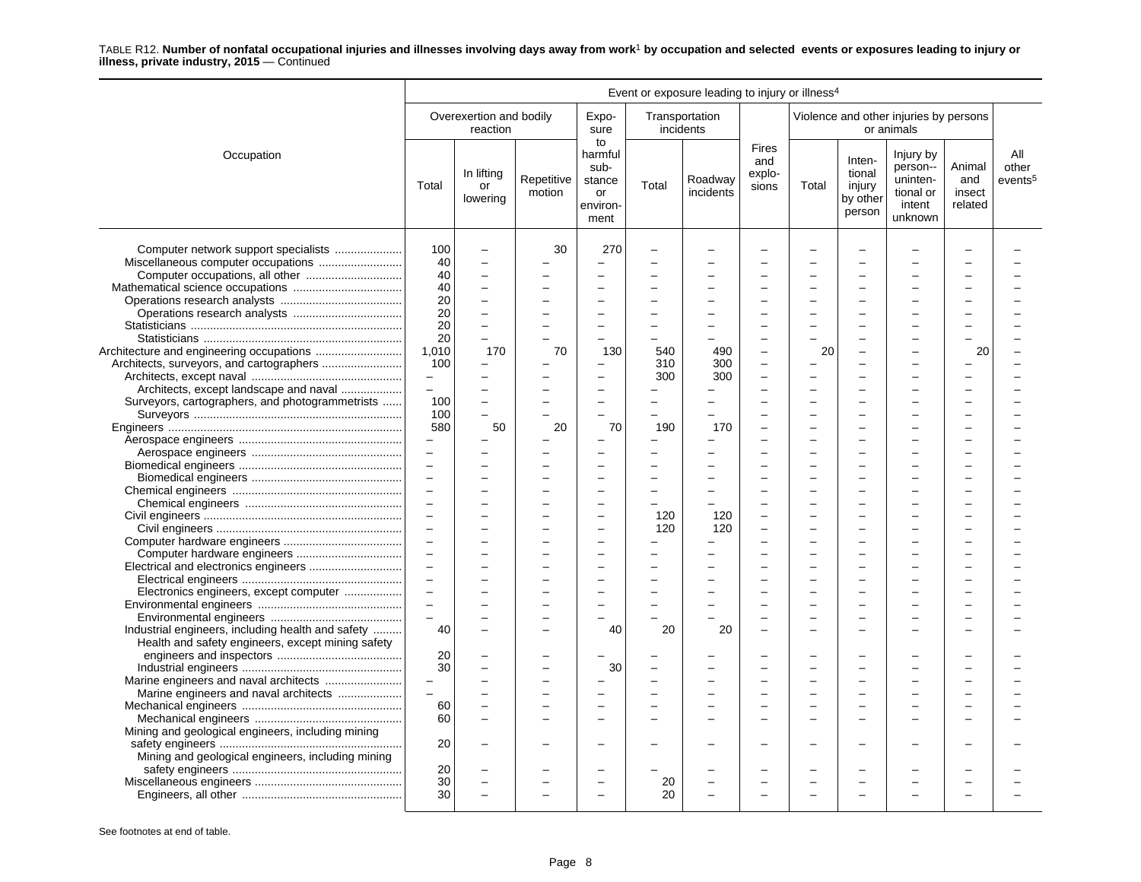|                                                   | Event or exposure leading to injury or illness <sup>4</sup> |                                     |                      |                                                           |          |                             |                                        |          |                                                  |                                                                     |                                    |                                     |
|---------------------------------------------------|-------------------------------------------------------------|-------------------------------------|----------------------|-----------------------------------------------------------|----------|-----------------------------|----------------------------------------|----------|--------------------------------------------------|---------------------------------------------------------------------|------------------------------------|-------------------------------------|
|                                                   |                                                             | Overexertion and bodily<br>reaction |                      | Expo-<br>sure                                             |          | Transportation<br>incidents |                                        |          |                                                  | Violence and other injuries by persons<br>or animals                |                                    |                                     |
| Occupation                                        | Total                                                       | In lifting<br>or<br>lowering        | Repetitive<br>motion | to<br>harmful<br>sub-<br>stance<br>or<br>environ-<br>ment | Total    | Roadway<br>incidents        | <b>Fires</b><br>and<br>explo-<br>sions | Total    | Inten-<br>tional<br>injury<br>by other<br>person | Injury by<br>person--<br>uninten-<br>tional or<br>intent<br>unknown | Animal<br>and<br>insect<br>related | All<br>other<br>events <sup>5</sup> |
| Computer network support specialists              | 100<br>40                                                   | $\overline{\phantom{0}}$            | 30                   | 270                                                       |          |                             |                                        |          |                                                  |                                                                     |                                    |                                     |
|                                                   | 40                                                          |                                     |                      |                                                           |          |                             |                                        |          |                                                  |                                                                     |                                    |                                     |
|                                                   | 40                                                          |                                     |                      |                                                           |          |                             |                                        |          |                                                  |                                                                     |                                    |                                     |
|                                                   | 20                                                          |                                     |                      |                                                           |          |                             |                                        |          |                                                  |                                                                     |                                    |                                     |
|                                                   | 20                                                          |                                     |                      | $\sim$                                                    |          |                             | ÷                                      |          |                                                  |                                                                     |                                    |                                     |
|                                                   | 20                                                          | $\overline{\phantom{0}}$            |                      |                                                           | $\equiv$ |                             | $\overline{\phantom{0}}$               | $\equiv$ |                                                  |                                                                     |                                    |                                     |
|                                                   | 20                                                          | $\overline{\phantom{0}}$            |                      |                                                           |          |                             |                                        |          |                                                  |                                                                     |                                    |                                     |
|                                                   | 1,010                                                       | 170                                 | 70                   | 130                                                       | 540      | 490                         | L.                                     | 20       |                                                  |                                                                     | 20                                 |                                     |
|                                                   | 100                                                         |                                     |                      |                                                           | 310      | 300                         | $\overline{a}$                         |          |                                                  |                                                                     |                                    |                                     |
|                                                   | $\equiv$                                                    |                                     |                      | $\sim$                                                    | 300      | 300                         | $\overline{\phantom{a}}$               | -        |                                                  |                                                                     |                                    |                                     |
| Architects, except landscape and naval            | $\equiv$                                                    |                                     |                      |                                                           |          |                             |                                        |          |                                                  |                                                                     |                                    |                                     |
| Surveyors, cartographers, and photogrammetrists   | 100                                                         |                                     |                      |                                                           |          |                             |                                        |          |                                                  |                                                                     |                                    |                                     |
|                                                   | 100                                                         | $\overline{a}$                      |                      |                                                           |          |                             | $\overline{\phantom{0}}$               |          |                                                  |                                                                     |                                    |                                     |
|                                                   | 580                                                         | 50                                  | 20                   | 70                                                        | 190      | 170                         | ÷                                      |          |                                                  |                                                                     |                                    |                                     |
|                                                   |                                                             |                                     |                      | $\sim$                                                    | $\equiv$ |                             | $\overline{\phantom{a}}$               |          |                                                  |                                                                     |                                    |                                     |
|                                                   | $\qquad \qquad -$                                           |                                     |                      |                                                           |          |                             |                                        |          |                                                  |                                                                     |                                    |                                     |
|                                                   |                                                             |                                     |                      |                                                           |          |                             |                                        |          |                                                  |                                                                     |                                    |                                     |
|                                                   | $\equiv$                                                    |                                     |                      |                                                           |          |                             |                                        |          |                                                  |                                                                     |                                    |                                     |
|                                                   | $\overline{\phantom{m}}$                                    |                                     |                      |                                                           |          |                             |                                        |          |                                                  |                                                                     |                                    |                                     |
|                                                   | $\equiv$                                                    |                                     |                      | $\overline{\phantom{0}}$                                  | $\equiv$ | -                           | ÷                                      | -        | -                                                |                                                                     |                                    |                                     |
|                                                   | $\overline{\phantom{a}}$                                    |                                     |                      | $\overline{\phantom{0}}$                                  |          |                             |                                        |          |                                                  |                                                                     |                                    |                                     |
|                                                   | $\overline{\phantom{m}}$                                    |                                     |                      |                                                           | 120      | 120                         |                                        |          |                                                  |                                                                     |                                    |                                     |
|                                                   | $\equiv$                                                    |                                     |                      |                                                           | 120      | 120                         | $\overline{\phantom{0}}$               |          |                                                  |                                                                     |                                    |                                     |
|                                                   | $\equiv$                                                    |                                     |                      |                                                           |          |                             |                                        |          |                                                  |                                                                     |                                    |                                     |
|                                                   | $\overline{\phantom{m}}$                                    |                                     |                      | $\sim$                                                    | $\equiv$ |                             |                                        | -        | -                                                |                                                                     |                                    |                                     |
|                                                   | $\equiv$                                                    |                                     |                      | $\overline{\phantom{0}}$                                  |          |                             |                                        |          |                                                  |                                                                     |                                    |                                     |
|                                                   | $\equiv$                                                    |                                     |                      |                                                           |          |                             | ÷                                      | L        |                                                  |                                                                     |                                    |                                     |
| Electronics engineers, except computer            | $\overline{\phantom{m}}$                                    |                                     |                      |                                                           |          |                             |                                        |          |                                                  |                                                                     |                                    |                                     |
|                                                   |                                                             |                                     |                      |                                                           |          |                             |                                        |          |                                                  |                                                                     |                                    |                                     |
|                                                   | $\equiv$                                                    |                                     |                      |                                                           |          |                             | $\overline{\phantom{0}}$               | -        | -                                                |                                                                     |                                    |                                     |
| Industrial engineers, including health and safety | 40                                                          |                                     |                      | 40                                                        | 20       | 20                          | $\overline{\phantom{0}}$               | $\equiv$ | -                                                |                                                                     | $\overline{\phantom{a}}$           |                                     |
| Health and safety engineers, except mining safety |                                                             |                                     |                      |                                                           |          |                             |                                        |          |                                                  |                                                                     |                                    |                                     |
|                                                   |                                                             |                                     |                      |                                                           |          |                             |                                        |          |                                                  |                                                                     |                                    |                                     |
|                                                   | 20                                                          |                                     |                      |                                                           |          |                             |                                        |          |                                                  |                                                                     |                                    |                                     |
|                                                   | 30                                                          |                                     |                      | 30                                                        |          |                             |                                        |          |                                                  |                                                                     |                                    |                                     |
|                                                   |                                                             |                                     |                      |                                                           |          |                             |                                        |          |                                                  |                                                                     |                                    |                                     |
| Marine engineers and naval architects             | $\equiv$                                                    |                                     |                      |                                                           |          |                             |                                        |          |                                                  |                                                                     |                                    |                                     |
|                                                   | 60                                                          |                                     |                      |                                                           |          |                             |                                        |          |                                                  |                                                                     |                                    |                                     |
|                                                   | 60                                                          |                                     |                      |                                                           |          |                             |                                        |          |                                                  |                                                                     |                                    |                                     |
| Mining and geological engineers, including mining |                                                             |                                     |                      |                                                           |          |                             |                                        |          |                                                  |                                                                     |                                    |                                     |
|                                                   | 20                                                          |                                     |                      |                                                           |          |                             |                                        | -        |                                                  |                                                                     |                                    |                                     |
| Mining and geological engineers, including mining |                                                             |                                     |                      |                                                           |          |                             |                                        |          |                                                  |                                                                     |                                    |                                     |
|                                                   | 20                                                          |                                     |                      |                                                           |          |                             |                                        |          |                                                  |                                                                     |                                    |                                     |
|                                                   | 30                                                          | $\overline{a}$                      |                      | $\sim$                                                    | 20       |                             |                                        | -        |                                                  |                                                                     |                                    |                                     |
|                                                   | 30                                                          |                                     |                      |                                                           | 20       |                             | ÷                                      |          |                                                  |                                                                     |                                    |                                     |
|                                                   |                                                             |                                     |                      |                                                           |          |                             |                                        |          |                                                  |                                                                     |                                    |                                     |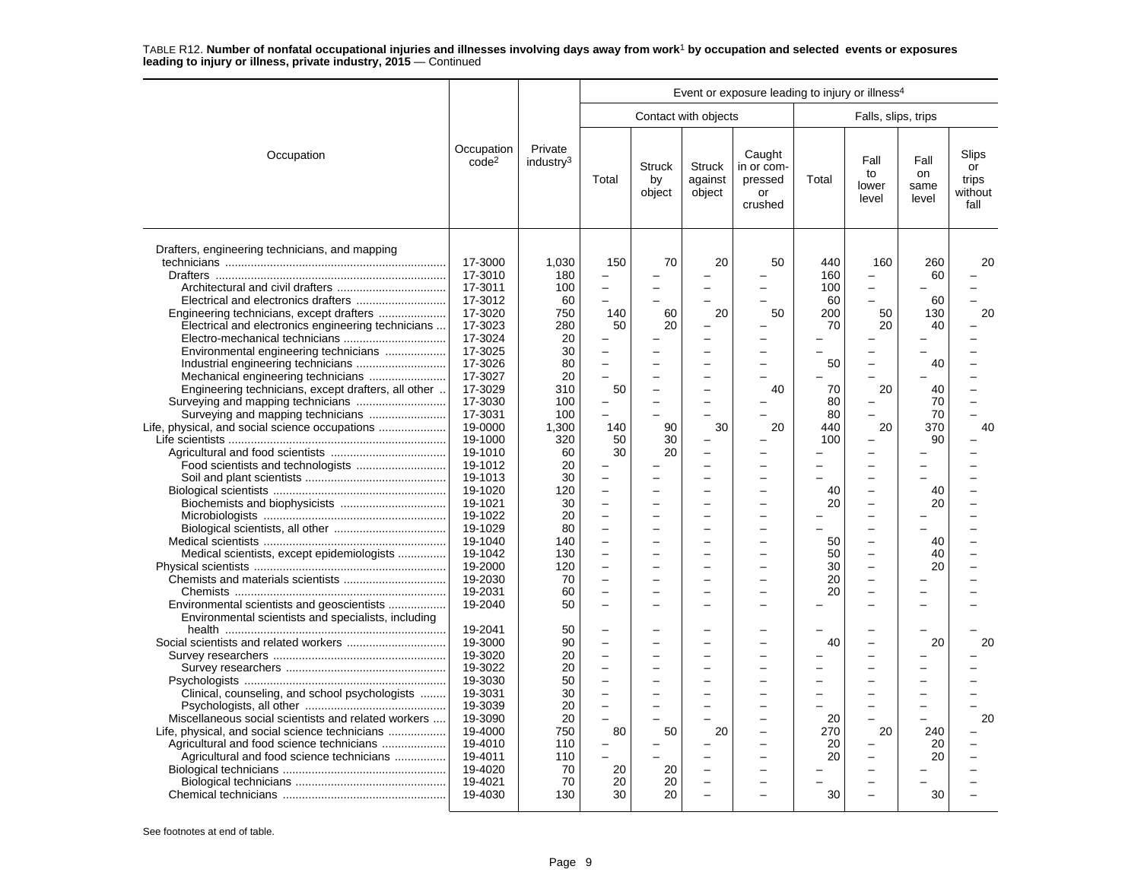|                                                     |                                 |                                  |                          |                               |                                    | Event or exposure leading to injury or illness <sup>4</sup> |          |                              |                             |                                         |
|-----------------------------------------------------|---------------------------------|----------------------------------|--------------------------|-------------------------------|------------------------------------|-------------------------------------------------------------|----------|------------------------------|-----------------------------|-----------------------------------------|
|                                                     |                                 |                                  |                          |                               | Contact with objects               |                                                             |          | Falls, slips, trips          |                             |                                         |
| Occupation                                          | Occupation<br>code <sup>2</sup> | Private<br>industry <sup>3</sup> | Total                    | <b>Struck</b><br>by<br>object | <b>Struck</b><br>against<br>object | Caught<br>in or com-<br>pressed<br>or<br>crushed            | Total    | Fall<br>to<br>lower<br>level | Fall<br>on<br>same<br>level | Slips<br>or<br>trips<br>without<br>fall |
| Drafters, engineering technicians, and mapping      |                                 |                                  |                          |                               |                                    |                                                             |          |                              |                             |                                         |
|                                                     | 17-3000                         | 1,030                            | 150                      | 70                            | 20                                 | 50                                                          | 440      | 160                          | 260                         | 20                                      |
|                                                     | 17-3010                         | 180                              |                          |                               |                                    |                                                             | 160      | -                            | 60                          |                                         |
|                                                     | 17-3011                         | 100                              |                          |                               |                                    |                                                             | 100      | $\overline{\phantom{0}}$     |                             |                                         |
|                                                     | 17-3012                         | 60                               |                          |                               |                                    |                                                             | 60       |                              | 60                          |                                         |
| Engineering technicians, except drafters            | 17-3020                         | 750                              | 140                      | 60                            | 20                                 | 50                                                          | 200      | 50                           | 130                         | 20                                      |
| Electrical and electronics engineering technicians  | 17-3023                         | 280                              | 50                       | 20                            |                                    |                                                             | 70       | 20                           | 40                          |                                         |
|                                                     | 17-3024                         | 20                               |                          |                               | ÷                                  |                                                             |          |                              |                             |                                         |
| Environmental engineering technicians               | 17-3025                         | 30                               |                          |                               |                                    |                                                             |          |                              |                             |                                         |
|                                                     | 17-3026                         | 80                               |                          |                               |                                    | $\overline{\phantom{0}}$                                    | 50       | $\overline{\phantom{0}}$     | 40                          |                                         |
|                                                     | 17-3027                         | 20                               | $\equiv$                 |                               |                                    |                                                             |          | -                            |                             |                                         |
| Engineering technicians, except drafters, all other | 17-3029                         | 310                              | 50                       |                               |                                    | 40                                                          | 70       | 20                           | 40                          |                                         |
|                                                     | 17-3030                         | 100                              |                          |                               | $\overline{\phantom{0}}$           |                                                             | 80       | $\overline{\phantom{0}}$     | 70                          |                                         |
|                                                     | 17-3031                         | 100                              | $\overline{a}$           |                               |                                    |                                                             | 80       |                              | 70                          | $\overline{\phantom{0}}$                |
| Life, physical, and social science occupations      | 19-0000                         | 1.300                            | 140                      | 90                            | 30                                 | 20                                                          | 440      | 20                           | 370                         | 40                                      |
|                                                     | 19-1000                         | 320                              | 50                       | 30                            |                                    |                                                             | 100      |                              | 90                          |                                         |
|                                                     | 19-1010                         | 60                               | 30                       | 20                            |                                    |                                                             |          | -                            |                             |                                         |
|                                                     | 19-1012                         | 20                               |                          |                               | $\overline{\phantom{a}}$           | -                                                           | $\equiv$ | $\sim$                       |                             |                                         |
|                                                     | 19-1013                         | 30                               |                          |                               |                                    |                                                             |          | -                            |                             |                                         |
|                                                     | 19-1020                         | 120                              |                          |                               |                                    | $\overline{\phantom{0}}$                                    | 40       | $\overline{\phantom{0}}$     | 40                          |                                         |
|                                                     | 19-1021                         | 30                               |                          |                               | $\overline{\phantom{0}}$           | ÷                                                           | 20       | $\overline{\phantom{0}}$     | 20                          |                                         |
|                                                     | 19-1022                         | 20                               | $\equiv$                 |                               | $\sim$                             | L.                                                          |          | $\overline{\phantom{0}}$     |                             |                                         |
|                                                     | 19-1029                         | 80                               | $\overline{\phantom{0}}$ |                               | $\sim$                             | -                                                           |          | $\overline{\phantom{0}}$     |                             |                                         |
|                                                     | 19-1040                         | 140                              |                          |                               |                                    | -                                                           | 50       | -                            | 40                          |                                         |
| Medical scientists, except epidemiologists          | 19-1042                         | 130                              |                          |                               | $\overline{\phantom{0}}$           | $\overline{a}$                                              | 50       | $\overline{\phantom{0}}$     | 40                          |                                         |
|                                                     |                                 |                                  |                          |                               |                                    |                                                             |          | L.                           |                             |                                         |
|                                                     | 19-2000                         | 120                              |                          |                               | $\sim$                             |                                                             | 30       |                              | 20                          |                                         |
|                                                     | 19-2030                         | 70                               | $\equiv$                 |                               | $\overline{\phantom{0}}$           | $\overline{\phantom{0}}$                                    | 20       | $\overline{a}$               |                             |                                         |
|                                                     | 19-2031                         | 60                               | $\overline{\phantom{0}}$ |                               | L.                                 | -                                                           | 20       | -                            |                             |                                         |
| Environmental scientists and geoscientists          | 19-2040                         | 50                               | $\overline{\phantom{0}}$ |                               |                                    |                                                             |          | $\overline{\phantom{0}}$     |                             |                                         |
| Environmental scientists and specialists, including |                                 |                                  |                          |                               |                                    |                                                             |          |                              |                             |                                         |
|                                                     | 19-2041                         | 50                               | $\overline{\phantom{0}}$ |                               | $\overline{\phantom{0}}$           |                                                             |          | -                            |                             |                                         |
|                                                     | 19-3000                         | 90                               | $\equiv$                 |                               | $\sim$                             |                                                             | 40       | L.                           | 20                          | 20                                      |
|                                                     | 19-3020                         | 20                               | $\equiv$                 |                               | $\sim$                             | $\overline{\phantom{0}}$                                    |          | $\overline{\phantom{0}}$     |                             |                                         |
|                                                     | 19-3022                         | 20                               |                          |                               |                                    |                                                             |          |                              |                             |                                         |
|                                                     | 19-3030                         | 50                               |                          |                               |                                    |                                                             |          | $\overline{\phantom{0}}$     |                             |                                         |
| Clinical, counseling, and school psychologists      | 19-3031                         | 30                               |                          |                               |                                    | $\overline{\phantom{0}}$                                    |          | ▃                            |                             |                                         |
|                                                     | 19-3039                         | 20                               | $\overline{a}$           |                               | $\sim$                             | $\overline{\phantom{0}}$                                    |          | $\overline{\phantom{0}}$     | $\overline{a}$              |                                         |
| Miscellaneous social scientists and related workers | 19-3090                         | 20                               |                          |                               |                                    | L.                                                          | 20       |                              |                             | 20                                      |
| Life, physical, and social science technicians      | 19-4000                         | 750                              | 80                       | 50                            | 20                                 | $\overline{\phantom{0}}$                                    | 270      | 20                           | 240                         |                                         |
| Agricultural and food science technicians           | 19-4010                         | 110                              |                          |                               |                                    | $\overline{\phantom{0}}$                                    | 20       |                              | 20                          |                                         |
| Agricultural and food science technicians           | 19-4011                         | 110                              |                          |                               |                                    |                                                             | 20       | -                            | 20                          |                                         |
|                                                     | 19-4020                         | 70                               | 20                       | 20                            | $\overline{a}$                     | L                                                           |          | $\overline{a}$               |                             |                                         |
|                                                     | 19-4021                         | 70                               | 20                       | 20                            | $\overline{\phantom{0}}$           | -                                                           |          | $\overline{\phantom{0}}$     |                             |                                         |
|                                                     | 19-4030                         | 130                              | 30                       | 20                            | $\overline{a}$                     |                                                             | 30       | $\overline{\phantom{0}}$     | 30                          |                                         |
|                                                     |                                 |                                  |                          |                               |                                    |                                                             |          |                              |                             |                                         |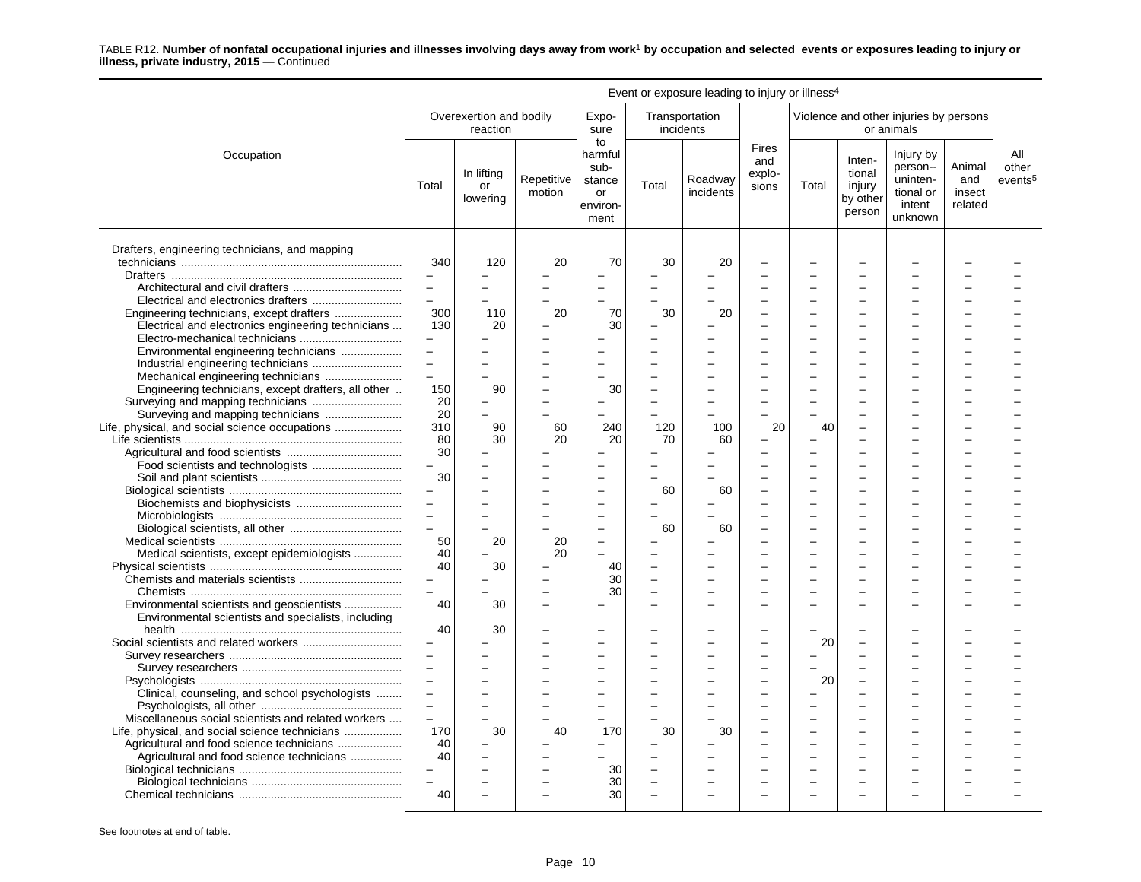|                                                     | Event or exposure leading to injury or illness <sup>4</sup> |                                     |                      |                                                           |                          |                             |                                 |          |                                                  |                                                                     |                                    |                                     |  |
|-----------------------------------------------------|-------------------------------------------------------------|-------------------------------------|----------------------|-----------------------------------------------------------|--------------------------|-----------------------------|---------------------------------|----------|--------------------------------------------------|---------------------------------------------------------------------|------------------------------------|-------------------------------------|--|
|                                                     |                                                             | Overexertion and bodily<br>reaction |                      | Expo-<br>sure                                             |                          | Transportation<br>incidents |                                 |          |                                                  | Violence and other injuries by persons<br>or animals                |                                    |                                     |  |
| Occupation                                          | Total                                                       | In lifting<br>or<br>lowering        | Repetitive<br>motion | to<br>harmful<br>sub-<br>stance<br>or<br>environ-<br>ment | Total                    | Roadway<br>incidents        | Fires<br>and<br>explo-<br>sions | Total    | Inten-<br>tional<br>injury<br>by other<br>person | Injury by<br>person--<br>uninten-<br>tional or<br>intent<br>unknown | Animal<br>and<br>insect<br>related | All<br>other<br>events <sup>5</sup> |  |
| Drafters, engineering technicians, and mapping      |                                                             |                                     |                      |                                                           |                          |                             |                                 |          |                                                  |                                                                     |                                    |                                     |  |
|                                                     | 340                                                         | 120                                 | 20                   | 70                                                        | 30                       | 20                          |                                 |          |                                                  |                                                                     |                                    |                                     |  |
|                                                     | -                                                           |                                     |                      | -                                                         |                          |                             |                                 |          |                                                  |                                                                     |                                    |                                     |  |
|                                                     | $\overline{\phantom{0}}$                                    |                                     |                      | $\equiv$                                                  |                          |                             |                                 |          |                                                  |                                                                     |                                    |                                     |  |
|                                                     | $\overline{\phantom{0}}$                                    |                                     |                      |                                                           |                          |                             |                                 |          |                                                  |                                                                     |                                    |                                     |  |
|                                                     | 300                                                         | 110                                 | 20                   | 70                                                        | 30                       | 20                          |                                 |          |                                                  |                                                                     |                                    |                                     |  |
| Electrical and electronics engineering technicians  | 130                                                         | 20                                  |                      | 30                                                        |                          |                             |                                 | $\equiv$ | $\overline{\phantom{0}}$                         |                                                                     |                                    |                                     |  |
|                                                     | $\overline{\phantom{0}}$                                    |                                     |                      |                                                           |                          |                             |                                 |          |                                                  |                                                                     |                                    |                                     |  |
|                                                     | L,                                                          |                                     |                      |                                                           |                          |                             |                                 |          |                                                  |                                                                     |                                    |                                     |  |
| Environmental engineering technicians               |                                                             |                                     |                      |                                                           |                          |                             |                                 |          |                                                  |                                                                     |                                    |                                     |  |
|                                                     | $\qquad \qquad -$                                           |                                     |                      | $\overline{\phantom{0}}$                                  |                          |                             |                                 |          |                                                  |                                                                     |                                    |                                     |  |
|                                                     | L                                                           |                                     |                      |                                                           |                          |                             |                                 |          |                                                  |                                                                     |                                    |                                     |  |
| Engineering technicians, except drafters, all other | 150                                                         | 90                                  |                      | 30                                                        | L.                       |                             |                                 |          | $\overline{\phantom{0}}$                         |                                                                     |                                    |                                     |  |
|                                                     | 20                                                          |                                     |                      | $\overline{\phantom{0}}$                                  |                          |                             |                                 |          | ÷                                                |                                                                     |                                    |                                     |  |
| Surveying and mapping technicians                   | 20                                                          | $\equiv$                            |                      |                                                           |                          |                             |                                 |          |                                                  |                                                                     |                                    |                                     |  |
| Life, physical, and social science occupations      | 310                                                         | 90                                  | 60                   | 240                                                       | 120                      | 100                         | 20                              | 40       | ÷                                                |                                                                     |                                    |                                     |  |
|                                                     | 80                                                          | 30                                  | 20                   | 20                                                        | 70                       | 60                          |                                 |          |                                                  |                                                                     |                                    |                                     |  |
|                                                     | 30                                                          |                                     |                      |                                                           |                          |                             |                                 |          | ÷                                                |                                                                     |                                    |                                     |  |
| Food scientists and technologists                   | $\overline{\phantom{0}}$                                    |                                     |                      |                                                           |                          |                             |                                 |          |                                                  |                                                                     |                                    |                                     |  |
|                                                     | 30                                                          |                                     |                      |                                                           |                          |                             |                                 |          |                                                  |                                                                     |                                    |                                     |  |
|                                                     | $\overline{\phantom{0}}$                                    |                                     |                      | $\overline{a}$                                            | 60                       | 60                          |                                 |          |                                                  |                                                                     |                                    |                                     |  |
|                                                     | $\equiv$                                                    |                                     |                      |                                                           |                          |                             |                                 |          |                                                  |                                                                     |                                    |                                     |  |
|                                                     |                                                             |                                     |                      | $\overline{\phantom{0}}$                                  |                          |                             |                                 |          |                                                  |                                                                     |                                    |                                     |  |
|                                                     | $\equiv$                                                    |                                     |                      | $\overline{\phantom{0}}$                                  |                          |                             |                                 |          | $\equiv$                                         |                                                                     |                                    |                                     |  |
|                                                     | $\overline{a}$                                              |                                     |                      | ÷                                                         | 60                       | 60                          |                                 |          | ÷                                                |                                                                     |                                    |                                     |  |
|                                                     | 50                                                          | 20                                  | 20                   |                                                           |                          |                             |                                 |          |                                                  |                                                                     |                                    |                                     |  |
| Medical scientists, except epidemiologists          | 40                                                          |                                     | 20                   |                                                           |                          |                             |                                 |          |                                                  |                                                                     |                                    |                                     |  |
|                                                     | 40                                                          | 30                                  |                      | 40                                                        | $\overline{\phantom{0}}$ |                             |                                 |          |                                                  |                                                                     |                                    |                                     |  |
|                                                     | $\overline{\phantom{0}}$                                    |                                     |                      | 30                                                        | $\overline{\phantom{a}}$ |                             | $\overline{\phantom{a}}$        | $\equiv$ | $\overline{\phantom{a}}$                         | ÷                                                                   |                                    |                                     |  |
|                                                     | $\overline{\phantom{0}}$                                    |                                     |                      | 30                                                        |                          |                             |                                 |          |                                                  |                                                                     |                                    |                                     |  |
| Environmental scientists and geoscientists          | 40                                                          | 30                                  |                      |                                                           |                          |                             |                                 |          |                                                  |                                                                     |                                    |                                     |  |
| Environmental scientists and specialists, including |                                                             |                                     |                      |                                                           |                          |                             |                                 |          |                                                  |                                                                     |                                    |                                     |  |
|                                                     | 40                                                          | 30                                  |                      |                                                           |                          |                             |                                 |          |                                                  |                                                                     |                                    |                                     |  |
|                                                     |                                                             |                                     |                      | $\overline{\phantom{a}}$                                  |                          |                             |                                 | 20       | $\overline{\phantom{a}}$                         |                                                                     |                                    |                                     |  |
|                                                     | $\overline{a}$                                              |                                     |                      | $\overline{a}$                                            |                          |                             |                                 |          |                                                  |                                                                     |                                    |                                     |  |
|                                                     | $\overline{a}$                                              |                                     |                      |                                                           |                          |                             |                                 |          |                                                  |                                                                     |                                    |                                     |  |
|                                                     | $\overline{a}$                                              |                                     |                      | $\overline{\phantom{0}}$                                  |                          |                             |                                 |          | L.                                               |                                                                     |                                    |                                     |  |
|                                                     |                                                             |                                     |                      |                                                           |                          |                             |                                 | 20       |                                                  |                                                                     |                                    |                                     |  |
| Clinical, counseling, and school psychologists      | $\qquad \qquad -$                                           |                                     |                      | $\overline{\phantom{0}}$                                  |                          |                             |                                 |          | ÷                                                |                                                                     |                                    |                                     |  |
|                                                     | $\equiv$                                                    |                                     |                      | $\overline{\phantom{0}}$                                  |                          |                             |                                 |          |                                                  |                                                                     |                                    |                                     |  |
| Miscellaneous social scientists and related workers | $\equiv$                                                    |                                     |                      |                                                           |                          |                             | ÷                               |          | $\overline{a}$                                   |                                                                     |                                    |                                     |  |
|                                                     | 170                                                         | 30                                  | 40                   | 170                                                       | 30                       | 30                          |                                 |          | L.                                               |                                                                     |                                    |                                     |  |
|                                                     | 40                                                          |                                     |                      |                                                           |                          |                             |                                 |          | L.                                               |                                                                     |                                    |                                     |  |
| Agricultural and food science technicians           | 40                                                          |                                     |                      |                                                           |                          |                             |                                 | $\equiv$ | $\overline{\phantom{0}}$                         |                                                                     |                                    |                                     |  |
|                                                     |                                                             |                                     |                      | 30                                                        | L,                       |                             |                                 |          |                                                  |                                                                     |                                    |                                     |  |
|                                                     | $\equiv$                                                    |                                     |                      | 30                                                        | $\overline{\phantom{0}}$ |                             |                                 |          |                                                  |                                                                     |                                    |                                     |  |
|                                                     | 40                                                          |                                     |                      | 30                                                        |                          |                             |                                 |          |                                                  |                                                                     |                                    |                                     |  |
|                                                     |                                                             |                                     |                      |                                                           |                          |                             |                                 |          |                                                  |                                                                     |                                    |                                     |  |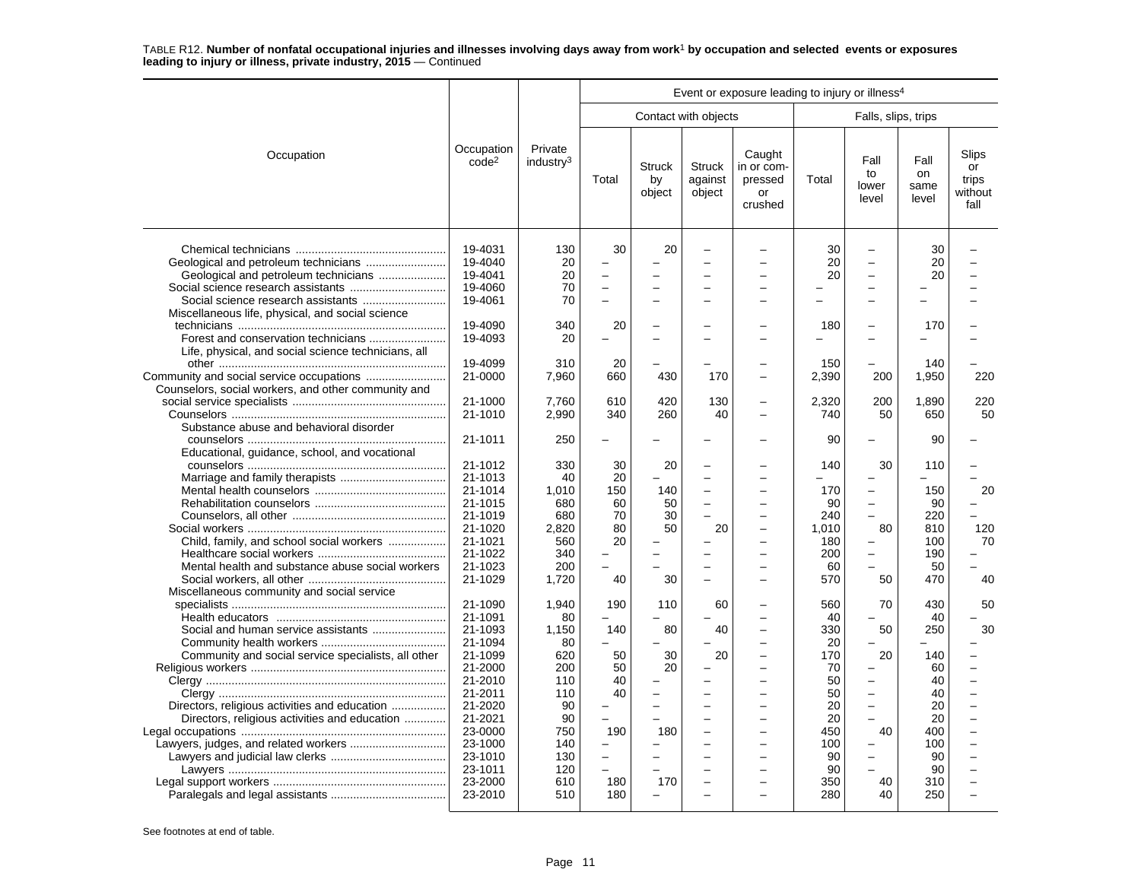|                                                                                                                                                                                             |                                                                                                                                                                              |                                                                                                              | Event or exposure leading to injury or illness <sup>4</sup>                          |                                                             |                                                                                              |                                                  |                                                                                                     |                                                                                                                                                         |                                                                                               |                                              |
|---------------------------------------------------------------------------------------------------------------------------------------------------------------------------------------------|------------------------------------------------------------------------------------------------------------------------------------------------------------------------------|--------------------------------------------------------------------------------------------------------------|--------------------------------------------------------------------------------------|-------------------------------------------------------------|----------------------------------------------------------------------------------------------|--------------------------------------------------|-----------------------------------------------------------------------------------------------------|---------------------------------------------------------------------------------------------------------------------------------------------------------|-----------------------------------------------------------------------------------------------|----------------------------------------------|
|                                                                                                                                                                                             |                                                                                                                                                                              |                                                                                                              |                                                                                      |                                                             | Contact with objects                                                                         |                                                  |                                                                                                     | Falls, slips, trips                                                                                                                                     |                                                                                               |                                              |
| Occupation                                                                                                                                                                                  | Occupation<br>code <sup>2</sup>                                                                                                                                              | Private<br>industry <sup>3</sup>                                                                             | Total                                                                                | <b>Struck</b><br>by<br>object                               | <b>Struck</b><br>against<br>object                                                           | Caught<br>in or com-<br>pressed<br>or<br>crushed | Total                                                                                               | Fall<br>to<br>lower<br>level                                                                                                                            | Fall<br>on<br>same<br>level                                                                   | Slips<br>or<br>trips<br>without<br>fall      |
| Social science research assistants<br>Miscellaneous life, physical, and social science                                                                                                      | 19-4031<br>19-4040<br>19-4041<br>19-4060<br>19-4061<br>19-4090                                                                                                               | 130<br>20<br>20<br>70<br>70<br>340                                                                           | 30<br>$\equiv$<br>$\overline{\phantom{0}}$<br>$\overline{\phantom{0}}$<br>20         | 20                                                          | -<br>╾<br>$\equiv$                                                                           |                                                  | 30<br>20<br>20<br>$\overline{a}$                                                                    | $\equiv$<br>$\equiv$<br>$\overline{\phantom{0}}$<br>$\overline{\phantom{0}}$                                                                            | 30<br>20<br>20<br>170                                                                         |                                              |
| Life, physical, and social science technicians, all                                                                                                                                         | 19-4093                                                                                                                                                                      | 20                                                                                                           |                                                                                      |                                                             |                                                                                              |                                                  | 180                                                                                                 | $\overline{\phantom{0}}$                                                                                                                                |                                                                                               |                                              |
| Community and social service occupations<br>Counselors, social workers, and other community and                                                                                             | 19-4099<br>21-0000                                                                                                                                                           | 310<br>7,960                                                                                                 | 20<br>660                                                                            | 430                                                         | 170                                                                                          |                                                  | 150<br>2,390                                                                                        | 200                                                                                                                                                     | 140<br>1,950                                                                                  | 220                                          |
|                                                                                                                                                                                             | 21-1000<br>21-1010                                                                                                                                                           | 7,760<br>2,990                                                                                               | 610<br>340                                                                           | 420<br>260                                                  | 130<br>40                                                                                    |                                                  | 2,320<br>740                                                                                        | 200<br>50                                                                                                                                               | 1.890<br>650                                                                                  | 220<br>50                                    |
| Substance abuse and behavioral disorder                                                                                                                                                     | 21-1011                                                                                                                                                                      | 250                                                                                                          | $\overline{\phantom{0}}$                                                             |                                                             |                                                                                              |                                                  | 90                                                                                                  |                                                                                                                                                         | 90                                                                                            |                                              |
| Educational, guidance, school, and vocational<br>Child, family, and school social workers<br>Mental health and substance abuse social workers<br>Miscellaneous community and social service | 21-1012<br>21-1013<br>21-1014<br>21-1015<br>21-1019<br>21-1020<br>21-1021<br>21-1022<br>21-1023<br>21-1029                                                                   | 330<br>40<br>1.010<br>680<br>680<br>2,820<br>560<br>340<br>200<br>1.720                                      | 30<br>20<br>150<br>60<br>70<br>80<br>20<br>40                                        | 20<br>140<br>50<br>30<br>50<br>30                           | $\overline{\phantom{0}}$<br>$\equiv$<br>$\equiv$<br>$\overline{\phantom{0}}$<br>20<br>╾<br>- | $\equiv$                                         | 140<br>170<br>90<br>240<br>1.010<br>180<br>200<br>60<br>570                                         | 30<br>$\overline{\phantom{a}}$<br>$\overline{\phantom{0}}$<br>$\qquad \qquad -$<br>$\overline{a}$<br>80<br>$\overline{\phantom{0}}$<br>$\equiv$<br>50   | 110<br>150<br>90<br>220<br>810<br>100<br>190<br>50<br>470                                     | 20<br>120<br>70<br>40                        |
| Community and social service specialists, all other<br>Directors, religious activities and education<br>Directors, religious activities and education                                       | 21-1090<br>21-1091<br>21-1093<br>21-1094<br>21-1099<br>21-2000<br>21-2010<br>21-2011<br>21-2020<br>21-2021<br>23-0000<br>23-1000<br>23-1010<br>23-1011<br>23-2000<br>23-2010 | 1,940<br>80<br>1,150<br>80<br>620<br>200<br>110<br>110<br>90<br>90<br>750<br>140<br>130<br>120<br>610<br>510 | 190<br>140<br>50<br>50<br>40<br>40<br>$\equiv$<br>190<br>$\equiv$<br>÷<br>180<br>180 | 110<br>80<br>30<br>20<br>$\equiv$<br>180<br>$\equiv$<br>170 | 60<br>40<br>20<br>$\overline{\phantom{0}}$<br>-<br>$\equiv$<br>$\overline{\phantom{0}}$      |                                                  | 560<br>40<br>330<br>20<br>170<br>70<br>50<br>50<br>20<br>20<br>450<br>100<br>90<br>90<br>350<br>280 | 70<br>50<br>20<br>$\overline{\phantom{0}}$<br>$\overline{\phantom{0}}$<br>$\equiv$<br>$\qquad \qquad -$<br>$\overline{a}$<br>40<br>$\equiv$<br>40<br>40 | 430<br>40<br>250<br>140<br>60<br>40<br>40<br>20<br>20<br>400<br>100<br>90<br>90<br>310<br>250 | 50<br>30<br>$\overline{a}$<br>$\overline{a}$ |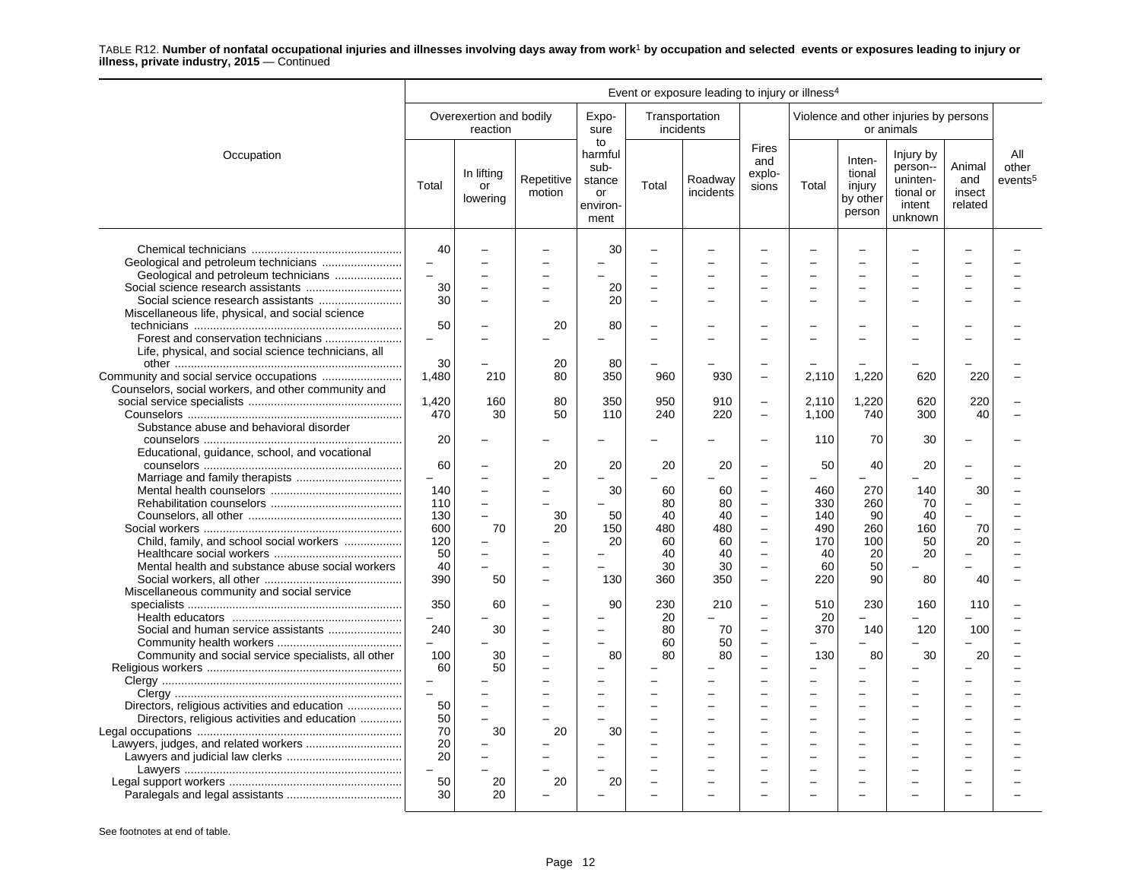|                                                                                                                                                                                              | Event or exposure leading to injury or illness <sup>4</sup>                             |                                                        |                                     |                                                           |                                                      |                                                      |                                                                                                                                                                                              |                                                                |                                                        |                                                                     |                                    |                                     |
|----------------------------------------------------------------------------------------------------------------------------------------------------------------------------------------------|-----------------------------------------------------------------------------------------|--------------------------------------------------------|-------------------------------------|-----------------------------------------------------------|------------------------------------------------------|------------------------------------------------------|----------------------------------------------------------------------------------------------------------------------------------------------------------------------------------------------|----------------------------------------------------------------|--------------------------------------------------------|---------------------------------------------------------------------|------------------------------------|-------------------------------------|
|                                                                                                                                                                                              |                                                                                         | Overexertion and bodily<br>reaction                    |                                     | Expo-<br>sure                                             | incidents                                            | Transportation                                       |                                                                                                                                                                                              |                                                                |                                                        | Violence and other injuries by persons<br>or animals                |                                    |                                     |
| Occupation                                                                                                                                                                                   | Total                                                                                   | In lifting<br>or<br>lowering                           | Repetitive<br>motion                | to<br>harmful<br>sub-<br>stance<br>or<br>environ-<br>ment | Total                                                | Roadway<br>incidents                                 | <b>Fires</b><br>and<br>explo-<br>sions                                                                                                                                                       | Total                                                          | Inten-<br>tional<br>injury<br>by other<br>person       | Injury by<br>person--<br>uninten-<br>tional or<br>intent<br>unknown | Animal<br>and<br>insect<br>related | All<br>other<br>events <sup>5</sup> |
| Geological and petroleum technicians                                                                                                                                                         | 40<br>30<br>30                                                                          |                                                        | $\overline{\phantom{0}}$            | 30<br>20<br>20                                            | $\overline{a}$                                       |                                                      |                                                                                                                                                                                              |                                                                |                                                        |                                                                     |                                    |                                     |
| Miscellaneous life, physical, and social science<br>Life, physical, and social science technicians, all                                                                                      | 50                                                                                      |                                                        | 20                                  | 80                                                        |                                                      |                                                      |                                                                                                                                                                                              |                                                                |                                                        |                                                                     |                                    |                                     |
| Counselors, social workers, and other community and                                                                                                                                          | 30<br>1,480                                                                             | 210                                                    | 20<br>80                            | 80<br>350                                                 | 960                                                  | 930                                                  | $\equiv$                                                                                                                                                                                     | 2,110                                                          | 1,220                                                  | 620                                                                 | 220                                |                                     |
| Substance abuse and behavioral disorder                                                                                                                                                      | 1,420<br>470                                                                            | 160<br>30                                              | 80<br>50                            | 350<br>110                                                | 950<br>240                                           | 910<br>220                                           | $\overline{\phantom{0}}$<br>$\overline{\phantom{a}}$                                                                                                                                         | 2,110<br>1.100                                                 | 1,220<br>740                                           | 620<br>300                                                          | 220<br>40                          |                                     |
| Educational, guidance, school, and vocational                                                                                                                                                | 20                                                                                      |                                                        |                                     |                                                           |                                                      |                                                      |                                                                                                                                                                                              | 110                                                            | 70                                                     | 30                                                                  |                                    |                                     |
| Child, family, and school social workers<br>Mental health and substance abuse social workers<br>Miscellaneous community and social service                                                   | 60<br>140<br>110<br>130<br>600<br>120<br>50<br>40<br>390                                | 70<br>50                                               | 20<br>30<br>20<br>L.                | 20<br>30<br>50<br>150<br>20<br>130                        | 20<br>60<br>80<br>40<br>480<br>60<br>40<br>30<br>360 | 20<br>60<br>80<br>40<br>480<br>60<br>40<br>30<br>350 | $\overline{\phantom{0}}$<br>$\overline{\phantom{a}}$<br>$\equiv$<br>$\overline{\phantom{0}}$<br>$\overline{\phantom{a}}$<br>$\equiv$<br>$\overline{\phantom{0}}$<br>$\overline{\phantom{a}}$ | 50<br>L.<br>460<br>330<br>140<br>490<br>170<br>40<br>60<br>220 | 40<br>270<br>260<br>90<br>260<br>100<br>20<br>50<br>90 | 20<br>140<br>70<br>40<br>160<br>50<br>20<br>80                      | 30<br>70<br>20<br>40               |                                     |
| Social and human service assistants<br>Community and social service specialists, all other<br>Directors, religious activities and education<br>Directors, religious activities and education | 350<br>240<br>100<br>60<br>$\overline{\phantom{0}}$<br>$\overline{a}$<br>50<br>50<br>70 | 60<br>30<br>30<br>50<br>$\overline{\phantom{0}}$<br>30 | -<br>$\overline{\phantom{0}}$<br>20 | 90<br>80<br>$\equiv$<br>30                                | 230<br>20<br>80<br>60<br>80<br>L.                    | 210<br>÷<br>70<br>50<br>80                           | $\overline{\phantom{0}}$<br>$\equiv$<br>$\overline{\phantom{0}}$                                                                                                                             | 510<br>20<br>370<br>130                                        | 230<br>140<br>80                                       | 160<br>120<br>30                                                    | 110<br>100<br>20                   |                                     |
|                                                                                                                                                                                              | 20<br>20<br>50<br>30                                                                    | 20<br>20                                               | 20                                  | 20                                                        | $\overline{\phantom{0}}$                             |                                                      |                                                                                                                                                                                              |                                                                |                                                        |                                                                     |                                    |                                     |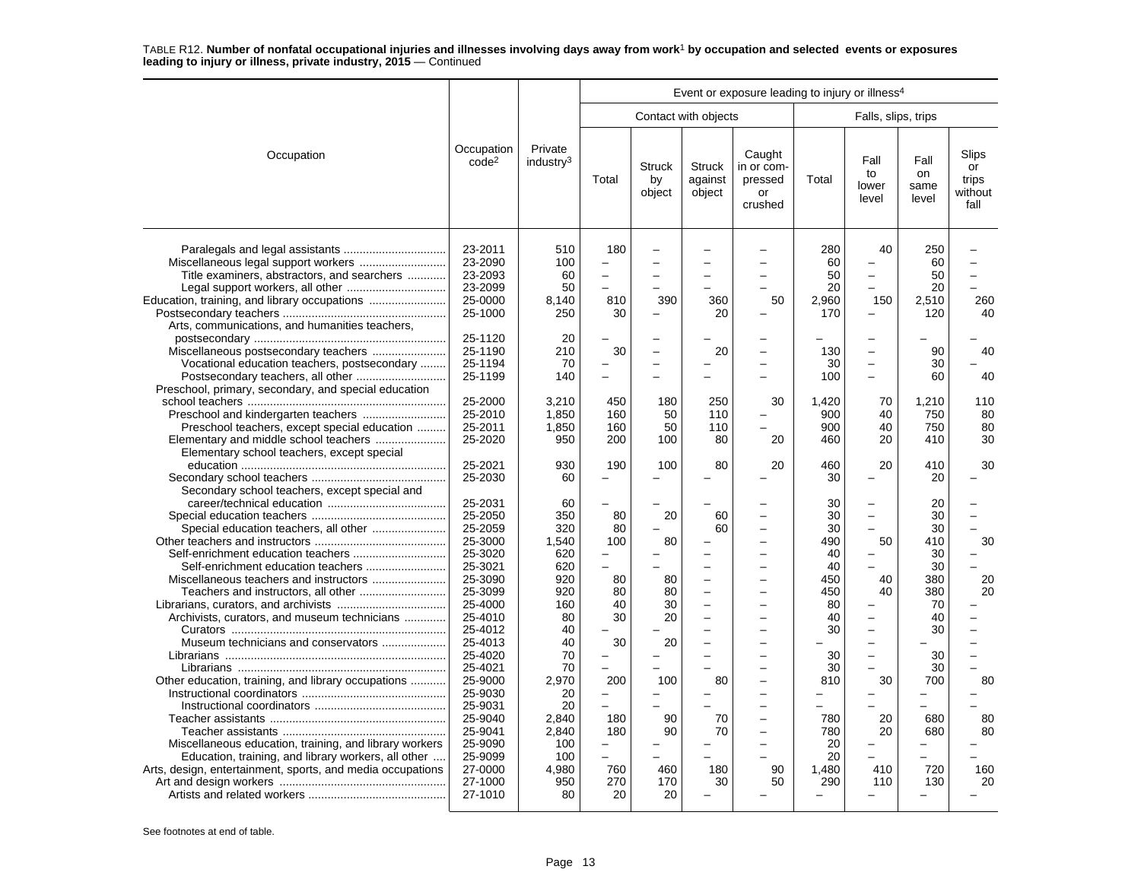|                                                                                                                                                                                                                                                                                                                                                                           |                                                                                                                                                                                                                                                |                                                                                                                                                          |                                                                                       |                                                                  |                                    | Event or exposure leading to injury or illness <sup>4</sup>                                                                                                                                 |                                                                                                                         |                                                                                                                                                                                                                |                                                                                                           |                                         |
|---------------------------------------------------------------------------------------------------------------------------------------------------------------------------------------------------------------------------------------------------------------------------------------------------------------------------------------------------------------------------|------------------------------------------------------------------------------------------------------------------------------------------------------------------------------------------------------------------------------------------------|----------------------------------------------------------------------------------------------------------------------------------------------------------|---------------------------------------------------------------------------------------|------------------------------------------------------------------|------------------------------------|---------------------------------------------------------------------------------------------------------------------------------------------------------------------------------------------|-------------------------------------------------------------------------------------------------------------------------|----------------------------------------------------------------------------------------------------------------------------------------------------------------------------------------------------------------|-----------------------------------------------------------------------------------------------------------|-----------------------------------------|
|                                                                                                                                                                                                                                                                                                                                                                           |                                                                                                                                                                                                                                                |                                                                                                                                                          |                                                                                       |                                                                  | Contact with objects               |                                                                                                                                                                                             |                                                                                                                         | Falls, slips, trips                                                                                                                                                                                            |                                                                                                           |                                         |
| Occupation                                                                                                                                                                                                                                                                                                                                                                | Occupation<br>code <sup>2</sup>                                                                                                                                                                                                                | Private<br>industry <sup>3</sup>                                                                                                                         | Total                                                                                 | <b>Struck</b><br>by<br>object                                    | <b>Struck</b><br>against<br>object | Caught<br>in or com-<br>pressed<br>or<br>crushed                                                                                                                                            | Total                                                                                                                   | Fall<br>to<br>lower<br>level                                                                                                                                                                                   | Fall<br>on<br>same<br>level                                                                               | Slips<br>or<br>trips<br>without<br>fall |
| Title examiners, abstractors, and searchers<br>Education, training, and library occupations<br>Arts, communications, and humanities teachers,                                                                                                                                                                                                                             | 23-2011<br>23-2090<br>23-2093<br>23-2099<br>25-0000<br>25-1000                                                                                                                                                                                 | 510<br>100<br>60<br>50<br>8.140<br>250                                                                                                                   | 180<br>810<br>30                                                                      | 390                                                              | 360<br>20                          | $\overline{\phantom{a}}$<br>$\overline{\phantom{0}}$<br>50                                                                                                                                  | 280<br>60<br>50<br>20<br>2,960<br>170                                                                                   | 40<br>L.<br>$\overline{\phantom{0}}$<br>150<br>$\overline{\phantom{0}}$                                                                                                                                        | 250<br>60<br>50<br>20<br>2,510<br>120                                                                     | $\equiv$<br>260<br>40                   |
| Miscellaneous postsecondary teachers<br>Vocational education teachers, postsecondary<br>Preschool, primary, secondary, and special education                                                                                                                                                                                                                              | 25-1120<br>25-1190<br>25-1194<br>25-1199                                                                                                                                                                                                       | 20<br>210<br>70<br>140                                                                                                                                   | 30                                                                                    |                                                                  | 20                                 | L,                                                                                                                                                                                          | 130<br>30<br>100                                                                                                        | -<br>-<br>$\overline{\phantom{0}}$<br>$\overline{\phantom{0}}$                                                                                                                                                 | 90<br>30<br>60                                                                                            | 40<br>40                                |
| Preschool teachers, except special education                                                                                                                                                                                                                                                                                                                              | 25-2000<br>25-2010<br>25-2011<br>25-2020                                                                                                                                                                                                       | 3.210<br>1.850<br>1,850<br>950                                                                                                                           | 450<br>160<br>160<br>200                                                              | 180<br>50<br>50<br>100                                           | 250<br>110<br>110<br>80            | 30<br>20                                                                                                                                                                                    | 1.420<br>900<br>900<br>460                                                                                              | 70<br>40<br>40<br>20                                                                                                                                                                                           | 1.210<br>750<br>750<br>410                                                                                | 110<br>80<br>80<br>30                   |
| Elementary school teachers, except special                                                                                                                                                                                                                                                                                                                                | 25-2021<br>25-2030                                                                                                                                                                                                                             | 930<br>60                                                                                                                                                | 190                                                                                   | 100                                                              | 80                                 | 20                                                                                                                                                                                          | 460<br>30                                                                                                               | 20                                                                                                                                                                                                             | 410<br>20                                                                                                 | 30                                      |
| Secondary school teachers, except special and<br>Archivists, curators, and museum technicians<br>Museum technicians and conservators<br>Other education, training, and library occupations<br>Miscellaneous education, training, and library workers<br>Education, training, and library workers, all other<br>Arts, design, entertainment, sports, and media occupations | 25-2031<br>25-2050<br>25-2059<br>25-3000<br>25-3020<br>25-3021<br>25-3090<br>25-3099<br>25-4000<br>25-4010<br>25-4012<br>25-4013<br>25-4020<br>25-4021<br>25-9000<br>25-9030<br>25-9031<br>25-9040<br>25-9041<br>25-9090<br>25-9099<br>27-0000 | 60<br>350<br>320<br>1.540<br>620<br>620<br>920<br>920<br>160<br>80<br>40<br>40<br>70<br>70<br>2.970<br>20<br>20<br>2,840<br>2.840<br>100<br>100<br>4.980 | 80<br>80<br>100<br>80<br>80<br>40<br>30<br>30<br>$\equiv$<br>200<br>180<br>180<br>760 | 20<br>80<br>80<br>80<br>30<br>20<br>20<br>100<br>90<br>90<br>460 | 60<br>60<br>80<br>70<br>70<br>180  | $\overline{\phantom{0}}$<br>Ē,<br>L.<br>$\overline{a}$<br>÷<br>$\sim$<br>$\overline{\phantom{0}}$<br>$\overline{\phantom{0}}$<br>$\overline{\phantom{0}}$<br>$\overline{\phantom{0}}$<br>90 | 30<br>30<br>30<br>490<br>40<br>40<br>450<br>450<br>80<br>40<br>30<br>30<br>30<br>810<br>780<br>780<br>20<br>20<br>1.480 | -<br>L.<br>$\overline{\phantom{0}}$<br>50<br>-<br>40<br>40<br>$\overline{\phantom{0}}$<br>$\overline{\phantom{0}}$<br>$\overline{\phantom{0}}$<br>$\overline{\phantom{0}}$<br>L.<br>30<br>20<br>20<br>-<br>410 | 20<br>30<br>30<br>410<br>30<br>30<br>380<br>380<br>70<br>40<br>30<br>30<br>30<br>700<br>680<br>680<br>720 | 30<br>20<br>20<br>80<br>80<br>80<br>160 |
|                                                                                                                                                                                                                                                                                                                                                                           | 27-1000<br>27-1010                                                                                                                                                                                                                             | 950<br>80                                                                                                                                                | 270<br>20                                                                             | 170<br>20                                                        | 30                                 | 50                                                                                                                                                                                          | 290                                                                                                                     | 110                                                                                                                                                                                                            | 130                                                                                                       | 20                                      |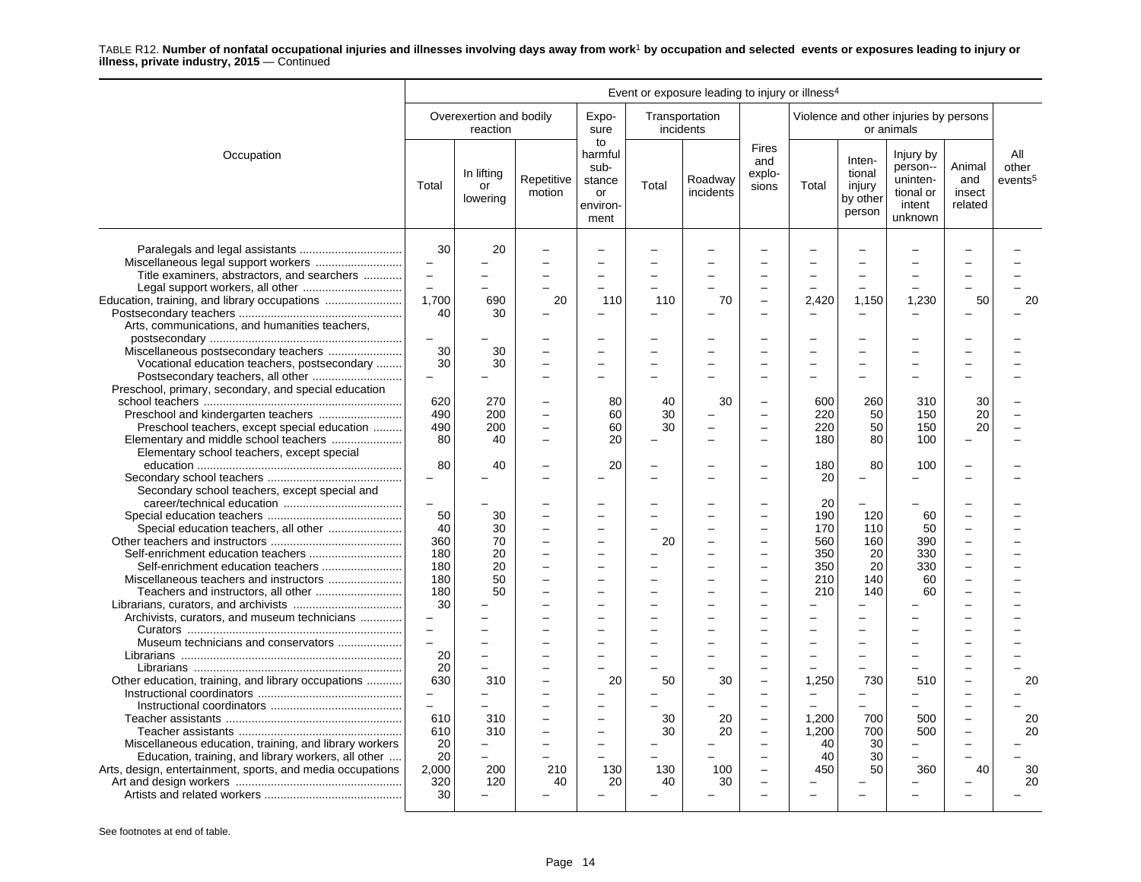|                                                                                                                                                                                                |                                                     |                                               |                       |                                                                  |                | Event or exposure leading to injury or illness <sup>4</sup> |                                                                                              |                                              |                                                  |                                                                     |                                    |                                     |
|------------------------------------------------------------------------------------------------------------------------------------------------------------------------------------------------|-----------------------------------------------------|-----------------------------------------------|-----------------------|------------------------------------------------------------------|----------------|-------------------------------------------------------------|----------------------------------------------------------------------------------------------|----------------------------------------------|--------------------------------------------------|---------------------------------------------------------------------|------------------------------------|-------------------------------------|
|                                                                                                                                                                                                |                                                     | Overexertion and bodily<br>reaction           |                       | Expo-<br>sure                                                    |                | Transportation<br>incidents                                 |                                                                                              |                                              |                                                  | Violence and other injuries by persons<br>or animals                |                                    |                                     |
| Occupation                                                                                                                                                                                     | Total                                               | In lifting<br>or<br>lowering                  | Repetitive<br>motion  | to<br>harmful<br>sub-<br>stance<br><b>or</b><br>environ-<br>ment | Total          | Roadway<br>incidents                                        | <b>Fires</b><br>and<br>explo-<br>sions                                                       | Total                                        | Inten-<br>tional<br>injury<br>by other<br>person | Injury by<br>person--<br>uninten-<br>tional or<br>intent<br>unknown | Animal<br>and<br>insect<br>related | All<br>other<br>events <sup>5</sup> |
| Miscellaneous legal support workers<br>Title examiners, abstractors, and searchers<br>Education, training, and library occupations                                                             | 30<br>$\sim$<br>$\equiv$<br>$\equiv$<br>1,700<br>40 | 20<br>690<br>30                               | 20                    | $\overline{\phantom{0}}$<br>110                                  | 110            | 70                                                          |                                                                                              | 2,420                                        | 1,150                                            | 1,230                                                               | 50                                 | 20                                  |
| Arts, communications, and humanities teachers,<br>Miscellaneous postsecondary teachers<br>Vocational education teachers, postsecondary<br>Preschool, primary, secondary, and special education | $\overline{\phantom{0}}$<br>30<br>30<br>$\equiv$    | 30<br>30                                      |                       | $\overline{a}$                                                   | $\overline{a}$ |                                                             |                                                                                              |                                              |                                                  |                                                                     |                                    |                                     |
| Preschool teachers, except special education<br>Elementary school teachers, except special                                                                                                     | 620<br>490<br>490<br>80                             | 270<br>200<br>200<br>40                       | $\equiv$<br>$\equiv$  | 80<br>60<br>60<br>20                                             | 40<br>30<br>30 | 30                                                          | $\overline{\phantom{0}}$                                                                     | 600<br>220<br>220<br>180                     | 260<br>50<br>50<br>80                            | 310<br>150<br>150<br>100                                            | 30<br>20<br>20                     |                                     |
| Secondary school teachers, except special and                                                                                                                                                  | 80                                                  | 40                                            |                       | 20                                                               |                |                                                             |                                                                                              | 180<br>20                                    | 80<br>$\overline{\phantom{0}}$                   | 100                                                                 |                                    |                                     |
|                                                                                                                                                                                                | $\equiv$<br>50<br>40<br>360<br>180<br>180<br>180    | 30<br>30<br>70<br>20<br>20<br>50              | $\equiv$<br>$\equiv$  | $\equiv$<br>$\equiv$                                             | -<br>20<br>-   |                                                             | $\sim$<br>$\equiv$<br>$\overline{\phantom{a}}$<br>$\overline{a}$<br>$\overline{\phantom{0}}$ | 20<br>190<br>170<br>560<br>350<br>350<br>210 | 120<br>110<br>160<br>20<br>20<br>140             | 60<br>50<br>390<br>330<br>330<br>60                                 | $\overline{a}$                     |                                     |
| Archivists, curators, and museum technicians<br>Museum technicians and conservators                                                                                                            | 180<br>30<br>$\equiv$<br>$\equiv$<br>20             | 50<br>$\overline{a}$                          |                       | $\sim$<br>$\equiv$                                               | $\equiv$<br>-  |                                                             | $\sim$<br>$\overline{\phantom{a}}$<br>$\overline{\phantom{a}}$                               | 210<br>÷                                     | 140                                              | 60                                                                  |                                    |                                     |
| Other education, training, and library occupations                                                                                                                                             | 20<br>630<br>$\equiv$<br>610<br>610                 | $\overline{\phantom{0}}$<br>310<br>310<br>310 |                       | 20<br>$\overline{\phantom{0}}$<br>L.                             | 50<br>30<br>30 | 30<br>20<br>20                                              | $\overline{\phantom{0}}$<br>$\equiv$<br>$\overline{\phantom{0}}$<br>$\overline{a}$           | 1,250<br>1,200<br>1,200                      | 730<br>700<br>700                                | 510<br>500<br>500                                                   |                                    | 20<br>20<br>20                      |
| Miscellaneous education, training, and library workers<br>Education, training, and library workers, all other<br>Arts, design, entertainment, sports, and media occupations                    | 20<br>20<br>2,000<br>320<br>30                      | $-$<br>200<br>120                             | $\equiv$<br>210<br>40 | $\equiv$<br>130<br>20                                            | 130<br>40      | 100<br>30                                                   | $\overline{\phantom{0}}$<br>L.                                                               | 40<br>40<br>450                              | 30<br>30<br>50                                   | $\equiv$<br>360                                                     | 40                                 | 30<br>20                            |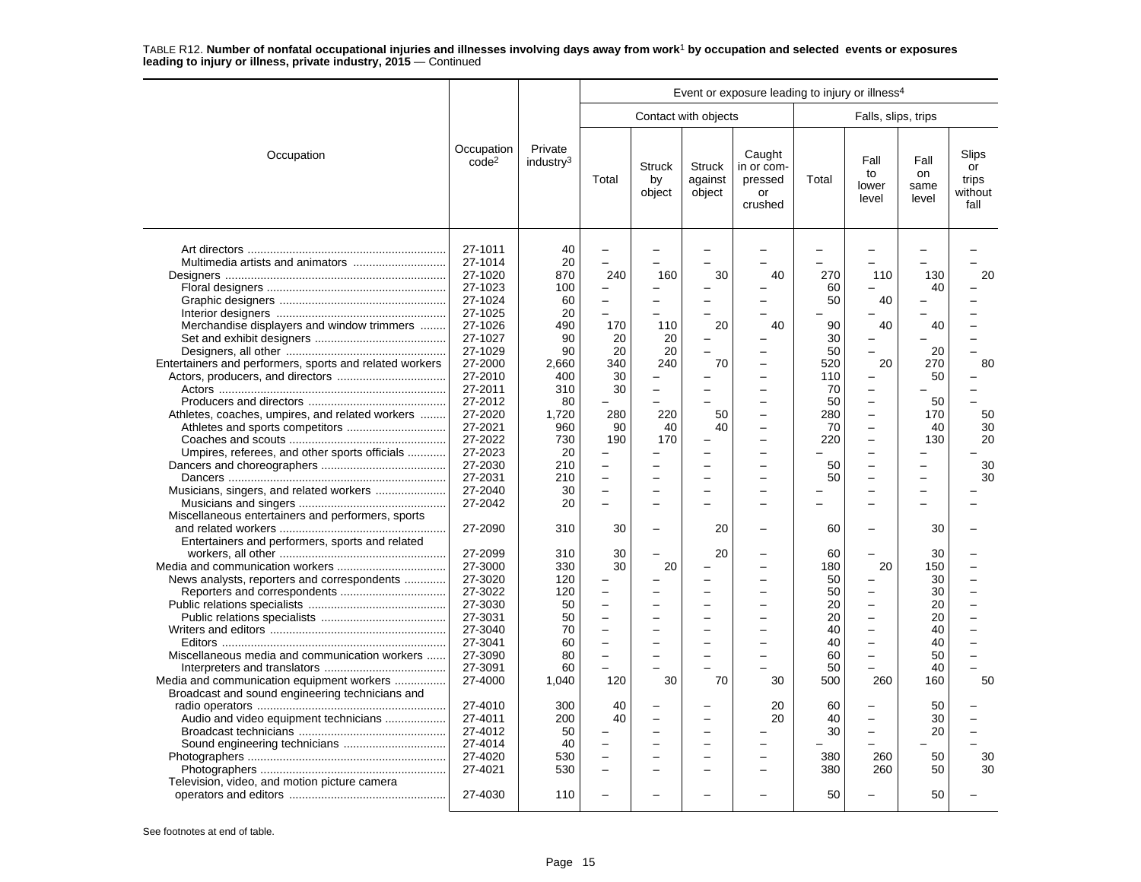|                                                                                                                                                                                              |                                                                                                                                                                   |                                                                                                    |                                                        |                                                        |                                    | Event or exposure leading to injury or illness <sup>4</sup>                                                                                                      |                                                                          |                                                                                                                     |                                                                  |                                         |
|----------------------------------------------------------------------------------------------------------------------------------------------------------------------------------------------|-------------------------------------------------------------------------------------------------------------------------------------------------------------------|----------------------------------------------------------------------------------------------------|--------------------------------------------------------|--------------------------------------------------------|------------------------------------|------------------------------------------------------------------------------------------------------------------------------------------------------------------|--------------------------------------------------------------------------|---------------------------------------------------------------------------------------------------------------------|------------------------------------------------------------------|-----------------------------------------|
|                                                                                                                                                                                              |                                                                                                                                                                   |                                                                                                    |                                                        |                                                        | Contact with objects               |                                                                                                                                                                  |                                                                          | Falls, slips, trips                                                                                                 |                                                                  |                                         |
| Occupation                                                                                                                                                                                   | Occupation<br>code <sup>2</sup>                                                                                                                                   | Private<br>industry <sup>3</sup>                                                                   | Total                                                  | <b>Struck</b><br>by<br>object                          | <b>Struck</b><br>against<br>object | Caught<br>in or com-<br>pressed<br>or<br>crushed                                                                                                                 | Total                                                                    | Fall<br>to<br>lower<br>level                                                                                        | Fall<br>on<br>same<br>level                                      | Slips<br>or<br>trips<br>without<br>fall |
| Merchandise displayers and window trimmers<br>Entertainers and performers, sports and related workers<br>Athletes, coaches, umpires, and related workers                                     | 27-1011<br>27-1014<br>27-1020<br>27-1023<br>27-1024<br>27-1025<br>27-1026<br>27-1027<br>27-1029<br>27-2000<br>27-2010<br>27-2011<br>27-2012<br>27-2020<br>27-2021 | 40<br>20<br>870<br>100<br>60<br>20<br>490<br>90<br>90<br>2,660<br>400<br>310<br>80<br>1,720<br>960 | 240<br>170<br>20<br>20<br>340<br>30<br>30<br>280<br>90 | 160<br>110<br>20<br>20<br>240<br>$\equiv$<br>220<br>40 | 30<br>20<br>-<br>70<br>50<br>40    | 40<br>L.<br>40<br>$\overline{\phantom{0}}$<br>L.<br>$\overline{\phantom{0}}$<br>$\overline{\phantom{0}}$<br>$\overline{\phantom{0}}$<br>$\overline{\phantom{0}}$ | 270<br>60<br>50<br>90<br>30<br>50<br>520<br>110<br>70<br>50<br>280<br>70 | 110<br>40<br>40<br>-<br>20<br>$\overline{\phantom{0}}$<br>$\overline{\phantom{0}}$<br>-<br>$\overline{\phantom{0}}$ | 130<br>40<br>40<br>20<br>270<br>50<br>50<br>170<br>40            | 20<br>80<br>50<br>30                    |
| Umpires, referees, and other sports officials                                                                                                                                                | 27-2022<br>27-2023<br>27-2030<br>27-2031<br>27-2040                                                                                                               | 730<br>20<br>210<br>210<br>30                                                                      | 190                                                    | 170                                                    | Ē,                                 | L<br>-<br>$\overline{\phantom{0}}$<br>$\overline{\phantom{0}}$                                                                                                   | 220<br>50<br>50                                                          | $\overline{\phantom{0}}$<br>-<br>-<br>-<br>$\overline{\phantom{0}}$                                                 | 130<br>-<br>—<br>$\overline{\phantom{0}}$                        | 20<br>30<br>30                          |
| Miscellaneous entertainers and performers, sports                                                                                                                                            | 27-2042<br>27-2090                                                                                                                                                | 20<br>310                                                                                          | 30                                                     |                                                        | 20                                 |                                                                                                                                                                  | 60                                                                       | $\overline{\phantom{0}}$<br>-                                                                                       | 30                                                               |                                         |
| Entertainers and performers, sports and related<br>News analysts, reporters and correspondents<br>Miscellaneous media and communication workers<br>Media and communication equipment workers | 27-2099<br>27-3000<br>27-3020<br>27-3022<br>27-3030<br>27-3031<br>27-3040<br>27-3041<br>27-3090<br>27-3091<br>27-4000                                             | 310<br>330<br>120<br>120<br>50<br>50<br>70<br>60<br>80<br>60<br>1,040                              | 30<br>30<br>120                                        | 20<br>30                                               | 20<br>۳<br>70                      | -<br>$\overline{\phantom{0}}$<br>L.<br>-<br>-<br>30                                                                                                              | 60<br>180<br>50<br>50<br>20<br>20<br>40<br>40<br>60<br>50<br>500         | 20<br>$\overline{\phantom{0}}$<br>-<br>-<br>$\overline{\phantom{0}}$<br>L.<br>-<br>260                              | 30<br>150<br>30<br>30<br>20<br>20<br>40<br>40<br>50<br>40<br>160 | $\overline{a}$<br>50                    |
| Broadcast and sound engineering technicians and<br>Audio and video equipment technicians<br>Television, video, and motion picture camera                                                     | 27-4010<br>27-4011<br>27-4012<br>27-4014<br>27-4020<br>27-4021<br>27-4030                                                                                         | 300<br>200<br>50<br>40<br>530<br>530<br>110                                                        | 40<br>40                                               |                                                        | $\sim$<br>-                        | 20<br>20<br>-                                                                                                                                                    | 60<br>40<br>30<br>380<br>380<br>50                                       | $\overline{\phantom{0}}$<br>L.<br>260<br>260                                                                        | 50<br>30<br>20<br>50<br>50<br>50                                 | 30<br>30                                |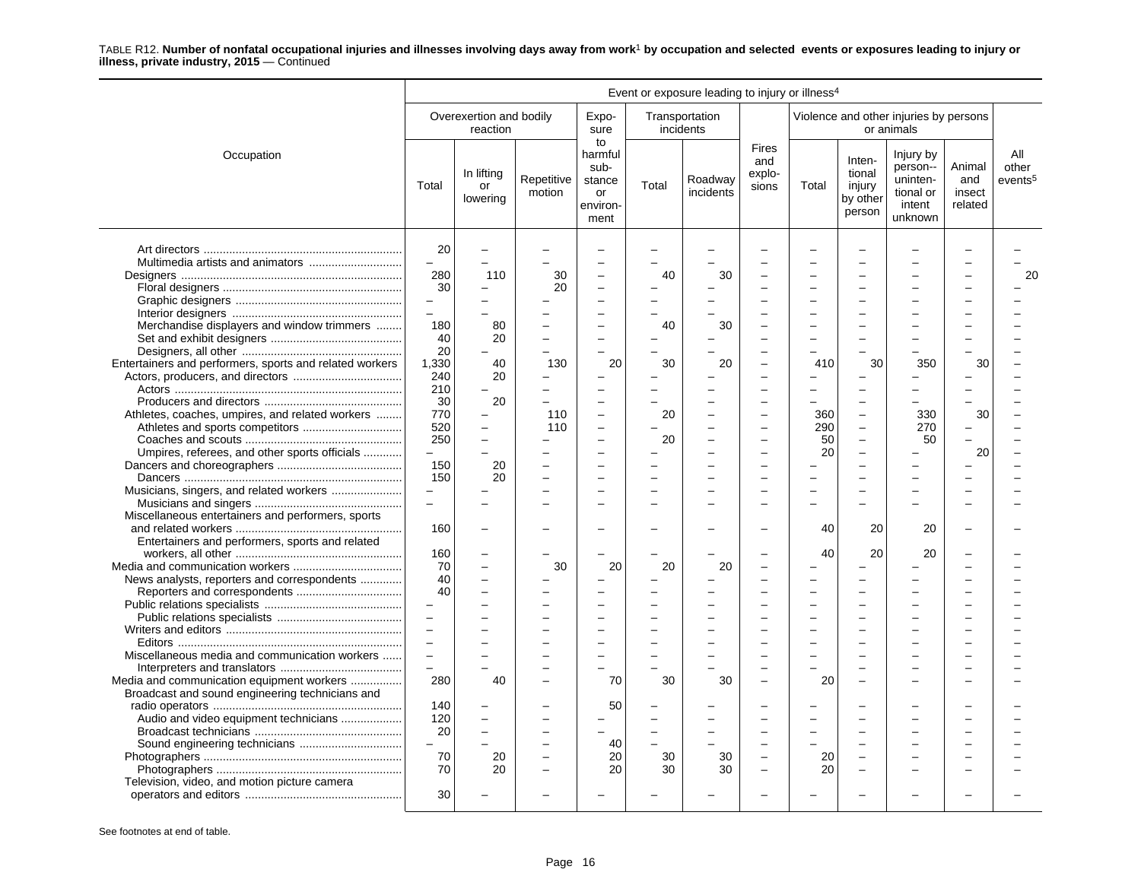|                                                         |                          |                                     |                      |                                                           |           | Event or exposure leading to injury or illness <sup>4</sup> |                                 |       |                                                  |                                                                     |                                    |                                     |
|---------------------------------------------------------|--------------------------|-------------------------------------|----------------------|-----------------------------------------------------------|-----------|-------------------------------------------------------------|---------------------------------|-------|--------------------------------------------------|---------------------------------------------------------------------|------------------------------------|-------------------------------------|
|                                                         |                          | Overexertion and bodily<br>reaction |                      | Expo-<br>sure                                             | incidents | Transportation                                              |                                 |       |                                                  | Violence and other injuries by persons<br>or animals                |                                    |                                     |
| Occupation                                              | Total                    | In lifting<br>or<br>lowering        | Repetitive<br>motion | to<br>harmful<br>sub-<br>stance<br>or<br>environ-<br>ment | Total     | Roadway<br>incidents                                        | Fires<br>and<br>explo-<br>sions | Total | Inten-<br>tional<br>injury<br>by other<br>person | Injury by<br>person--<br>uninten-<br>tional or<br>intent<br>unknown | Animal<br>and<br>insect<br>related | All<br>other<br>events <sup>5</sup> |
|                                                         | 20<br>L.<br>280          | 110                                 | 30                   | $\sim$<br>$\overline{\phantom{0}}$                        | 40        | 30                                                          |                                 |       |                                                  |                                                                     |                                    | 20                                  |
|                                                         | 30                       |                                     | 20                   | $\overline{\phantom{0}}$                                  |           |                                                             |                                 |       |                                                  |                                                                     |                                    |                                     |
|                                                         | $\overline{\phantom{a}}$ |                                     |                      |                                                           |           |                                                             |                                 |       |                                                  |                                                                     |                                    |                                     |
|                                                         | $\overline{a}$           |                                     |                      | $\overline{\phantom{0}}$                                  |           |                                                             |                                 |       |                                                  |                                                                     |                                    |                                     |
| Merchandise displayers and window trimmers              | 180                      | 80                                  |                      | $\sim$                                                    | 40        | 30                                                          |                                 |       |                                                  |                                                                     |                                    |                                     |
|                                                         | 40                       | 20                                  |                      | $\sim$                                                    |           |                                                             |                                 |       |                                                  |                                                                     |                                    |                                     |
|                                                         | 20                       |                                     |                      |                                                           |           |                                                             |                                 |       |                                                  |                                                                     |                                    |                                     |
| Entertainers and performers, sports and related workers | 1,330                    | 40                                  | 130                  | 20                                                        | 30        | 20                                                          |                                 | 410   | 30                                               | 350                                                                 | 30                                 |                                     |
|                                                         | 240                      | 20                                  |                      | $\overline{\phantom{0}}$                                  |           |                                                             |                                 |       |                                                  |                                                                     |                                    |                                     |
|                                                         | 210                      |                                     |                      |                                                           |           |                                                             |                                 |       |                                                  |                                                                     |                                    |                                     |
|                                                         | 30                       | 20                                  |                      | $\sim$                                                    |           |                                                             |                                 |       |                                                  |                                                                     |                                    |                                     |
|                                                         | 770                      |                                     | 110                  |                                                           | 20        |                                                             |                                 | 360   | $\qquad \qquad -$                                | 330                                                                 | 30                                 |                                     |
| Athletes, coaches, umpires, and related workers         | 520                      |                                     | 110                  |                                                           |           |                                                             |                                 | 290   | $\overline{a}$                                   | 270                                                                 |                                    |                                     |
|                                                         | 250                      |                                     |                      |                                                           | 20        |                                                             |                                 | 50    | $\overline{a}$                                   | 50                                                                  |                                    |                                     |
|                                                         | $\overline{a}$           |                                     |                      | $\overline{\phantom{a}}$                                  |           |                                                             | $\overline{\phantom{a}}$        | 20    | ÷                                                |                                                                     | 20                                 |                                     |
| Umpires, referees, and other sports officials           | 150                      | 20                                  |                      | $\overline{\phantom{a}}$                                  |           |                                                             |                                 |       |                                                  |                                                                     |                                    |                                     |
|                                                         | 150                      | 20                                  |                      |                                                           |           |                                                             |                                 |       |                                                  |                                                                     |                                    |                                     |
|                                                         | $\overline{\phantom{0}}$ |                                     |                      |                                                           |           |                                                             |                                 |       |                                                  |                                                                     |                                    |                                     |
| Musicians, singers, and related workers                 | $\overline{\phantom{0}}$ |                                     |                      |                                                           |           |                                                             |                                 |       |                                                  |                                                                     |                                    |                                     |
|                                                         |                          |                                     |                      |                                                           |           |                                                             |                                 |       |                                                  |                                                                     |                                    |                                     |
| Miscellaneous entertainers and performers, sports       |                          |                                     |                      |                                                           |           |                                                             |                                 |       |                                                  |                                                                     |                                    |                                     |
|                                                         | 160                      |                                     |                      |                                                           |           |                                                             |                                 | 40    | 20                                               | 20                                                                  |                                    |                                     |
| Entertainers and performers, sports and related         |                          |                                     |                      |                                                           |           |                                                             |                                 |       |                                                  |                                                                     |                                    |                                     |
|                                                         | 160                      |                                     |                      |                                                           |           |                                                             |                                 | 40    | 20                                               | 20                                                                  |                                    |                                     |
|                                                         | 70<br>40                 |                                     | 30                   | 20                                                        | 20        | 20                                                          |                                 |       | $\overline{\phantom{0}}$                         |                                                                     |                                    |                                     |
| News analysts, reporters and correspondents             |                          |                                     |                      |                                                           |           |                                                             |                                 |       |                                                  |                                                                     |                                    |                                     |
|                                                         | 40                       |                                     |                      |                                                           |           |                                                             |                                 |       |                                                  |                                                                     |                                    |                                     |
|                                                         | $\overline{\phantom{0}}$ |                                     |                      |                                                           |           |                                                             |                                 |       |                                                  |                                                                     |                                    |                                     |
|                                                         | $\overline{a}$           |                                     |                      |                                                           |           |                                                             |                                 |       |                                                  |                                                                     |                                    |                                     |
|                                                         | $\equiv$                 |                                     |                      | $\overline{\phantom{0}}$                                  |           |                                                             |                                 |       |                                                  |                                                                     |                                    |                                     |
|                                                         | $\overline{\phantom{0}}$ |                                     |                      |                                                           |           |                                                             |                                 |       |                                                  |                                                                     |                                    |                                     |
| Miscellaneous media and communication workers           | $\overline{a}$           |                                     |                      | $\overline{\phantom{0}}$                                  |           |                                                             |                                 |       |                                                  |                                                                     |                                    |                                     |
|                                                         |                          |                                     |                      |                                                           |           |                                                             |                                 |       |                                                  |                                                                     |                                    |                                     |
| Media and communication equipment workers               | 280                      | 40                                  |                      | 70                                                        | 30        | 30                                                          |                                 | 20    |                                                  |                                                                     |                                    |                                     |
| Broadcast and sound engineering technicians and         |                          |                                     |                      |                                                           |           |                                                             |                                 |       |                                                  |                                                                     |                                    |                                     |
|                                                         | 140                      |                                     |                      | 50                                                        |           |                                                             |                                 |       |                                                  |                                                                     |                                    |                                     |
| Audio and video equipment technicians                   | 120                      |                                     |                      |                                                           |           |                                                             |                                 |       |                                                  |                                                                     |                                    |                                     |
|                                                         | 20                       |                                     |                      |                                                           |           |                                                             |                                 |       |                                                  |                                                                     |                                    |                                     |
|                                                         | $\overline{\phantom{0}}$ |                                     |                      | 40                                                        |           |                                                             |                                 |       |                                                  |                                                                     |                                    |                                     |
|                                                         | 70                       | 20                                  |                      | 20                                                        | 30        | 30                                                          | $\overline{\phantom{a}}$        | 20    | $\overline{\phantom{0}}$                         |                                                                     |                                    |                                     |
|                                                         | 70                       | 20                                  |                      | 20                                                        | 30        | 30                                                          |                                 | 20    |                                                  |                                                                     |                                    |                                     |
| Television, video, and motion picture camera            | 30                       |                                     |                      |                                                           |           |                                                             |                                 |       |                                                  |                                                                     |                                    |                                     |
|                                                         |                          |                                     |                      |                                                           |           |                                                             |                                 |       |                                                  |                                                                     |                                    |                                     |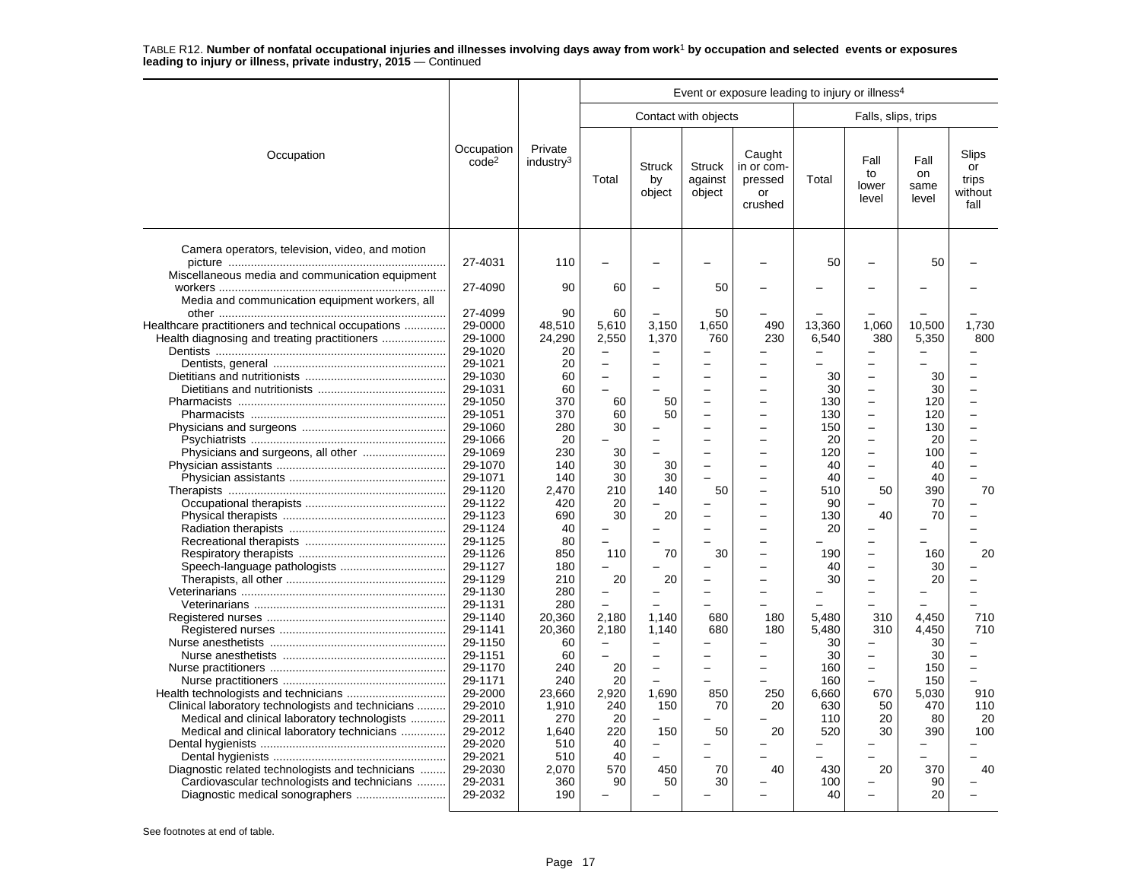| Contact with objects<br>Falls, slips, trips<br>Private<br>Occupation<br>Caught<br>Occupation<br>Fall<br>code <sup>2</sup><br>industry <sup>3</sup><br><b>Struck</b><br><b>Struck</b><br>in or com-<br>to<br>Total<br>against<br>pressed<br>Total<br>by<br>lower                                 | Fall<br>on<br>same<br>level<br>50 | Slips<br>or<br>trips<br>without<br>fall |
|-------------------------------------------------------------------------------------------------------------------------------------------------------------------------------------------------------------------------------------------------------------------------------------------------|-----------------------------------|-----------------------------------------|
|                                                                                                                                                                                                                                                                                                 |                                   |                                         |
| object<br>object<br>or<br>level<br>crushed                                                                                                                                                                                                                                                      |                                   |                                         |
| Camera operators, television, video, and motion<br>27-4031<br>110<br>50<br>Miscellaneous media and communication equipment<br>27-4090<br>90<br>60<br>50                                                                                                                                         |                                   |                                         |
| Media and communication equipment workers, all                                                                                                                                                                                                                                                  |                                   |                                         |
| 27-4099<br>90<br>60<br>50<br>29-0000<br>5,610<br>3,150<br>13,360<br>1,060<br>Healthcare practitioners and technical occupations<br>48,510<br>1,650<br>490<br>24,290<br>2,550<br>Health diagnosing and treating practitioners<br>29-1000<br>1,370<br>760<br>230<br>6,540<br>380<br>29-1020<br>20 | 10,500<br>5,350                   | 1,730<br>800                            |
| 29-1021<br>20<br>-<br>-                                                                                                                                                                                                                                                                         |                                   |                                         |
| 29-1030<br>60<br>30                                                                                                                                                                                                                                                                             | 30                                |                                         |
| 30<br>29-1031<br>60<br>$\overline{\phantom{0}}$<br>L.<br>29-1050<br>370<br>60<br>130<br>50<br>$\equiv$<br>$\overline{\phantom{a}}$<br>$\overline{\phantom{0}}$                                                                                                                                  | 30<br>120                         | $\equiv$                                |
| 29-1051<br>370<br>60<br>50<br>130<br>$\overline{a}$<br>$\overline{\phantom{a}}$                                                                                                                                                                                                                 | 120                               | $\overline{a}$                          |
| 29-1060<br>280<br>30<br>150<br>$\overline{\phantom{0}}$                                                                                                                                                                                                                                         | 130                               |                                         |
| 29-1066<br>20<br>20<br>-                                                                                                                                                                                                                                                                        | 20                                |                                         |
| 29-1069<br>230<br>30<br>120<br>-                                                                                                                                                                                                                                                                | 100                               | $\overline{\phantom{0}}$                |
| 29-1070<br>30<br>140<br>30<br>40<br>L.<br>$\overline{\phantom{0}}$                                                                                                                                                                                                                              | 40                                |                                         |
| 29-1071<br>30<br>140<br>30<br>40                                                                                                                                                                                                                                                                | 40                                |                                         |
| 29-1120<br>210<br>2.470<br>140<br>50<br>510<br>50                                                                                                                                                                                                                                               | 390                               | 70                                      |
| 29-1122<br>420<br>20<br>90                                                                                                                                                                                                                                                                      | 70                                |                                         |
| 29-1123<br>690<br>30<br>20<br>130<br>40<br>L.                                                                                                                                                                                                                                                   | 70                                |                                         |
| 29-1124<br>20<br>40<br>$\overline{\phantom{0}}$<br>$\overline{\phantom{0}}$<br>29-1125<br>80<br>$\overline{\phantom{0}}$<br>$\overline{\phantom{0}}$                                                                                                                                            |                                   |                                         |
| -<br>29-1126<br>850<br>110<br>70<br>30<br>190<br>L<br>$\overline{\phantom{0}}$                                                                                                                                                                                                                  | 160                               | 20                                      |
| 29-1127<br>180<br>40                                                                                                                                                                                                                                                                            | 30                                |                                         |
| 29-1129<br>20<br>30<br>210<br>20<br>$\overline{\phantom{0}}$<br>$\overline{\phantom{0}}$                                                                                                                                                                                                        | 20                                |                                         |
| 29-1130<br>280<br>$\overline{\phantom{0}}$<br>L.<br>-                                                                                                                                                                                                                                           |                                   |                                         |
| 29-1131<br>280                                                                                                                                                                                                                                                                                  |                                   |                                         |
| 29-1140<br>20.360<br>2.180<br>1.140<br>5.480<br>680<br>180<br>310                                                                                                                                                                                                                               | 4.450                             | 710                                     |
| 5.480<br>29-1141<br>20,360<br>2,180<br>1,140<br>680<br>180<br>310                                                                                                                                                                                                                               | 4,450                             | 710                                     |
| 29-1150<br>60<br>30<br>$\equiv$<br>L                                                                                                                                                                                                                                                            | 30                                |                                         |
| 29-1151<br>60<br>30<br>$\overline{\phantom{0}}$<br>$\overline{\phantom{0}}$<br>$\overline{\phantom{0}}$<br>$\overline{\phantom{0}}$                                                                                                                                                             | 30                                |                                         |
| 29-1170<br>20<br>160<br>240<br>$\overline{\phantom{0}}$<br>$\overline{\phantom{0}}$<br>$\overline{\phantom{0}}$                                                                                                                                                                                 | 150                               | $\overline{\phantom{0}}$                |
| 29-1171<br>240<br>20<br>160                                                                                                                                                                                                                                                                     | 150                               | $\equiv$                                |
| 29-2000<br>23,660<br>2,920<br>1,690<br>6,660<br>850<br>250<br>670                                                                                                                                                                                                                               | 5,030                             | 910                                     |
| 29-2010<br>240<br>Clinical laboratory technologists and technicians<br>1,910<br>150<br>20<br>630<br>50<br>70<br>20<br>Medical and clinical laboratory technologists<br>29-2011<br>270<br>20<br>110                                                                                              | 470<br>80                         | 110<br>20                               |
| 29-2012<br>Medical and clinical laboratory technicians<br>1,640<br>220<br>150<br>50<br>20<br>520<br>30                                                                                                                                                                                          | 390                               | 100                                     |
| 29-2020<br>510<br>40<br>$\overline{\phantom{m}}$<br>-<br>-                                                                                                                                                                                                                                      |                                   |                                         |
| 29-2021<br>40<br>510                                                                                                                                                                                                                                                                            |                                   |                                         |
| 29-2030<br>2,070<br>570<br>450<br>430<br>20<br>Diagnostic related technologists and technicians<br>70<br>40                                                                                                                                                                                     | 370                               | 40                                      |
| Cardiovascular technologists and technicians<br>29-2031<br>360<br>90<br>50<br>30<br>100<br>-                                                                                                                                                                                                    | 90                                |                                         |
| 29-2032<br>190<br>40<br>$\overline{\phantom{0}}$                                                                                                                                                                                                                                                | 20                                |                                         |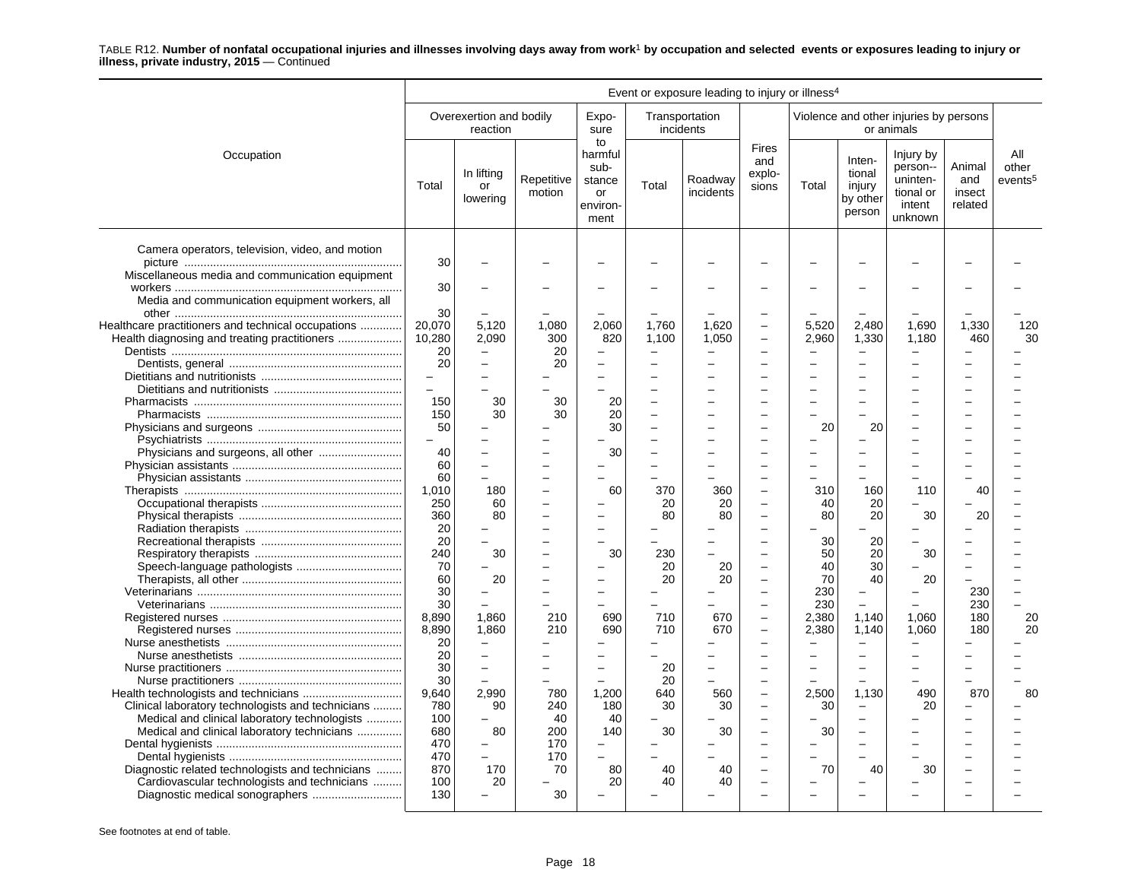|                                                    |        |                                     |                      |                                                           |                          | Event or exposure leading to injury or illness <sup>4</sup> |                                        |                          |                                                  |                                                                     |                                    |                                     |
|----------------------------------------------------|--------|-------------------------------------|----------------------|-----------------------------------------------------------|--------------------------|-------------------------------------------------------------|----------------------------------------|--------------------------|--------------------------------------------------|---------------------------------------------------------------------|------------------------------------|-------------------------------------|
|                                                    |        | Overexertion and bodily<br>reaction |                      | Expo-<br>sure                                             | incidents                | Transportation                                              |                                        |                          |                                                  | Violence and other injuries by persons<br>or animals                |                                    |                                     |
| Occupation                                         | Total  | In lifting<br>or<br>lowering        | Repetitive<br>motion | to<br>harmful<br>sub-<br>stance<br>or<br>environ-<br>ment | Total                    | Roadway<br>incidents                                        | <b>Fires</b><br>and<br>explo-<br>sions | Total                    | Inten-<br>tional<br>injury<br>by other<br>person | Injury by<br>person--<br>uninten-<br>tional or<br>intent<br>unknown | Animal<br>and<br>insect<br>related | All<br>other<br>events <sup>5</sup> |
| Camera operators, television, video, and motion    | 30     |                                     |                      |                                                           |                          |                                                             |                                        |                          |                                                  |                                                                     |                                    |                                     |
| Miscellaneous media and communication equipment    |        |                                     |                      |                                                           |                          |                                                             |                                        |                          |                                                  |                                                                     |                                    |                                     |
|                                                    | 30     |                                     |                      |                                                           |                          |                                                             |                                        |                          |                                                  |                                                                     |                                    |                                     |
| Media and communication equipment workers, all     |        |                                     |                      |                                                           |                          |                                                             |                                        |                          |                                                  |                                                                     |                                    |                                     |
|                                                    | 30     |                                     |                      |                                                           |                          |                                                             |                                        |                          |                                                  |                                                                     |                                    |                                     |
| Healthcare practitioners and technical occupations | 20,070 | 5,120                               | 1,080                | 2,060                                                     | 1,760                    | 1,620                                                       | $\equiv$                               | 5,520                    | 2,480                                            | 1,690                                                               | 1,330                              | 120                                 |
| Health diagnosing and treating practitioners       | 10,280 | 2,090                               | 300                  | 820                                                       | 1,100                    | 1,050                                                       | $\overline{\phantom{0}}$               | 2,960                    | 1,330                                            | 1,180                                                               | 460                                | 30                                  |
|                                                    | 20     |                                     | 20                   |                                                           |                          |                                                             |                                        |                          |                                                  |                                                                     |                                    |                                     |
|                                                    | 20     | $\equiv$                            | 20                   | $\overline{\phantom{0}}$                                  |                          | L,                                                          |                                        | $\overline{\phantom{a}}$ |                                                  |                                                                     |                                    |                                     |
|                                                    |        |                                     |                      |                                                           |                          |                                                             |                                        |                          |                                                  |                                                                     |                                    |                                     |
|                                                    |        |                                     |                      |                                                           |                          |                                                             |                                        |                          |                                                  |                                                                     |                                    |                                     |
|                                                    | 150    | 30                                  | 30                   | 20                                                        | $\overline{\phantom{0}}$ |                                                             |                                        |                          |                                                  |                                                                     |                                    |                                     |
|                                                    | 150    | 30                                  | 30                   | 20                                                        | $\overline{\phantom{0}}$ |                                                             | $\equiv$                               |                          |                                                  |                                                                     |                                    |                                     |
|                                                    | 50     |                                     |                      | 30                                                        |                          |                                                             |                                        | 20                       | 20                                               |                                                                     |                                    |                                     |
|                                                    |        |                                     |                      |                                                           |                          |                                                             |                                        |                          |                                                  |                                                                     |                                    |                                     |
|                                                    | 40     |                                     |                      | 30                                                        | $\overline{\phantom{0}}$ |                                                             |                                        |                          |                                                  |                                                                     |                                    |                                     |
|                                                    | 60     | $\overline{\phantom{0}}$            |                      |                                                           |                          |                                                             |                                        |                          |                                                  |                                                                     |                                    |                                     |
|                                                    | 60     |                                     |                      |                                                           |                          |                                                             |                                        |                          |                                                  |                                                                     |                                    |                                     |
|                                                    | 1,010  | 180                                 |                      | 60                                                        | 370                      | 360                                                         | $\equiv$                               | 310                      | 160                                              | 110                                                                 | 40                                 |                                     |
|                                                    | 250    | 60                                  |                      |                                                           | 20                       | 20                                                          | $\overline{\phantom{0}}$               | 40                       | 20                                               |                                                                     |                                    |                                     |
|                                                    | 360    | 80                                  |                      |                                                           | 80                       | 80                                                          |                                        | 80                       | 20                                               | 30                                                                  | 20                                 |                                     |
|                                                    | 20     |                                     |                      |                                                           |                          |                                                             |                                        |                          |                                                  |                                                                     |                                    |                                     |
|                                                    | 20     | $\overline{\phantom{a}}$            |                      |                                                           |                          |                                                             |                                        | 30                       | 20                                               |                                                                     |                                    |                                     |
|                                                    | 240    | 30                                  |                      | 30                                                        | 230                      |                                                             | $\overline{a}$                         | 50                       | 20                                               | 30                                                                  |                                    |                                     |
|                                                    | 70     |                                     |                      |                                                           | 20                       | 20                                                          |                                        | 40                       | 30                                               |                                                                     |                                    |                                     |
|                                                    | 60     | 20                                  |                      |                                                           | 20                       | 20                                                          |                                        | 70                       | 40                                               | 20                                                                  |                                    |                                     |
|                                                    | 30     |                                     |                      |                                                           |                          |                                                             |                                        | 230                      |                                                  |                                                                     | 230                                |                                     |
|                                                    | 30     |                                     |                      |                                                           |                          |                                                             | $\equiv$                               | 230                      |                                                  |                                                                     | 230                                |                                     |
|                                                    | 8,890  | 1,860                               | 210                  | 690                                                       | 710                      | 670                                                         | $\overline{\phantom{0}}$               | 2,380                    | 1,140                                            | 1,060                                                               | 180                                | 20                                  |
|                                                    | 8,890  | 1,860                               | 210                  | 690                                                       | 710                      | 670                                                         | $\overline{\phantom{0}}$               | 2,380                    | 1,140                                            | 1,060                                                               | 180                                | 20                                  |
|                                                    | 20     |                                     |                      |                                                           |                          |                                                             |                                        | L.                       | ÷                                                |                                                                     |                                    |                                     |
|                                                    | 20     | $\overline{\phantom{m}}$            |                      |                                                           |                          |                                                             |                                        |                          |                                                  |                                                                     |                                    |                                     |
|                                                    | 30     | $\equiv$                            | -                    | $\overline{\phantom{0}}$                                  | 20                       | $\overline{a}$                                              | $\equiv$                               | $\overline{\phantom{a}}$ | $\equiv$                                         |                                                                     | $\equiv$                           |                                     |
|                                                    | 30     |                                     |                      |                                                           | 20                       |                                                             |                                        |                          |                                                  |                                                                     |                                    |                                     |
|                                                    | 9,640  | 2,990                               | 780                  | 1,200                                                     | 640                      | 560                                                         |                                        | 2,500                    | 1,130                                            | 490                                                                 | 870                                | 80                                  |
| Clinical laboratory technologists and technicians  | 780    | 90                                  | 240                  | 180                                                       | 30                       | 30                                                          | $\overline{\phantom{0}}$               | 30                       | $\overline{\phantom{0}}$                         | 20                                                                  |                                    |                                     |
| Medical and clinical laboratory technologists      | 100    |                                     | 40                   | 40                                                        |                          |                                                             |                                        |                          |                                                  |                                                                     |                                    |                                     |
| Medical and clinical laboratory technicians        | 680    | 80                                  | 200                  | 140                                                       | 30                       | 30                                                          |                                        | 30                       |                                                  |                                                                     |                                    |                                     |
|                                                    | 470    | $\overline{\phantom{m}}$            | 170                  | -                                                         |                          |                                                             |                                        |                          |                                                  |                                                                     |                                    |                                     |
|                                                    | 470    |                                     | 170                  |                                                           |                          |                                                             |                                        |                          |                                                  |                                                                     |                                    |                                     |
| Diagnostic related technologists and technicians   | 870    | 170                                 | 70                   | 80                                                        | 40                       | 40                                                          |                                        | 70                       | 40                                               | 30                                                                  |                                    |                                     |
| Cardiovascular technologists and technicians       | 100    | 20                                  |                      | 20                                                        | 40                       | 40                                                          |                                        |                          |                                                  |                                                                     |                                    |                                     |
|                                                    | 130    |                                     | 30                   |                                                           |                          |                                                             |                                        |                          |                                                  |                                                                     |                                    |                                     |
|                                                    |        |                                     |                      |                                                           |                          |                                                             |                                        |                          |                                                  |                                                                     |                                    |                                     |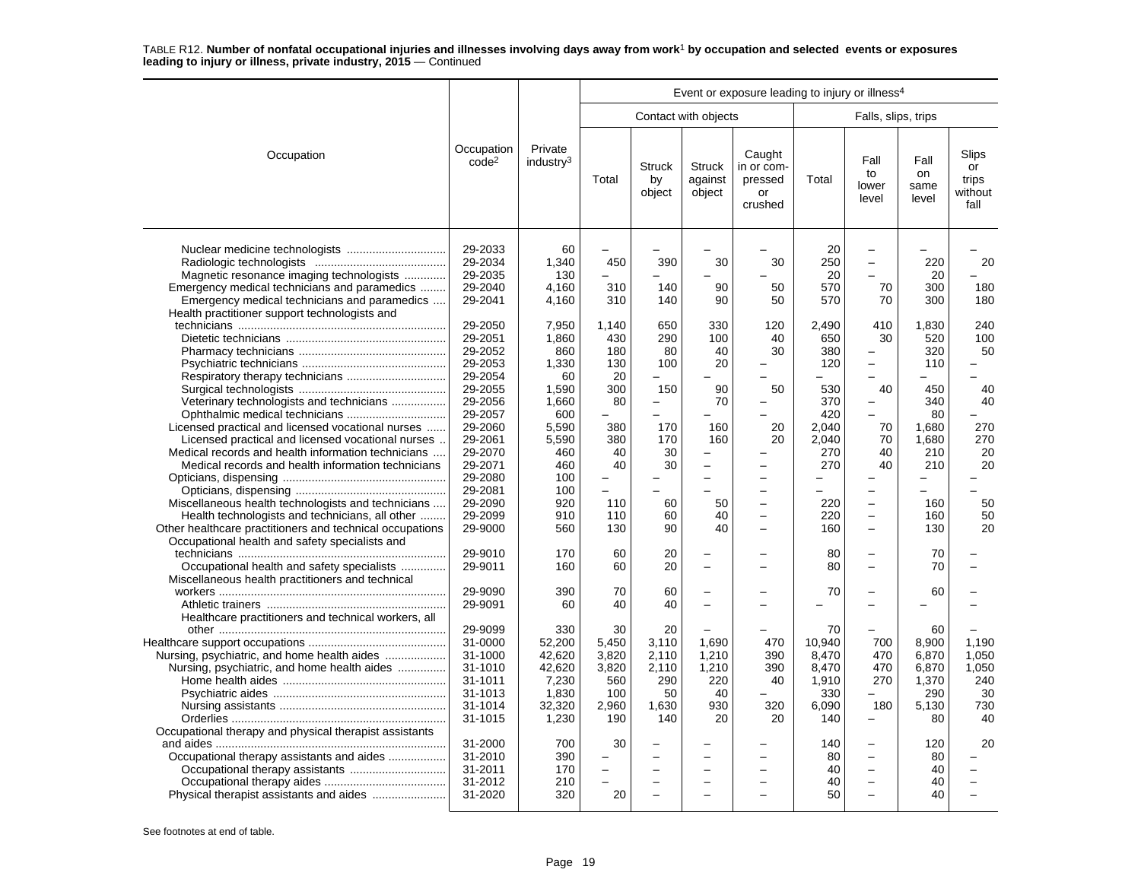|                                                                                                                                                                                                              |                                                                                      |                                                                        |                                                             |                                                            |                                                      | Event or exposure leading to injury or illness <sup>4</sup>      |                                                                |                                                                                                                                          |                                                              |                                                    |
|--------------------------------------------------------------------------------------------------------------------------------------------------------------------------------------------------------------|--------------------------------------------------------------------------------------|------------------------------------------------------------------------|-------------------------------------------------------------|------------------------------------------------------------|------------------------------------------------------|------------------------------------------------------------------|----------------------------------------------------------------|------------------------------------------------------------------------------------------------------------------------------------------|--------------------------------------------------------------|----------------------------------------------------|
|                                                                                                                                                                                                              |                                                                                      |                                                                        |                                                             |                                                            | Contact with objects                                 |                                                                  |                                                                | Falls, slips, trips                                                                                                                      |                                                              |                                                    |
| Occupation                                                                                                                                                                                                   | Occupation<br>code <sup>2</sup>                                                      | Private<br>industry <sup>3</sup>                                       | Total                                                       | <b>Struck</b><br>by<br>object                              | <b>Struck</b><br>against<br>object                   | Caught<br>in or com-<br>pressed<br>or<br>crushed                 | Total                                                          | Fall<br>to<br>lower<br>level                                                                                                             | Fall<br>on<br>same<br>level                                  | Slips<br>or<br>trips<br>without<br>fall            |
| Magnetic resonance imaging technologists<br>Emergency medical technicians and paramedics<br>Emergency medical technicians and paramedics<br>Health practitioner support technologists and                    | 29-2033<br>29-2034<br>29-2035<br>29-2040<br>29-2041                                  | 60<br>1.340<br>130<br>4,160<br>4,160                                   | 450<br>310<br>310                                           | 390<br>140<br>140                                          | 30<br>90<br>90                                       | 30<br>50<br>50                                                   | 20<br>250<br>20<br>570<br>570                                  | $\overline{\phantom{0}}$<br>$\equiv$<br>L.<br>70<br>70                                                                                   | 220<br>20<br>300<br>300                                      | 20<br>180<br>180                                   |
|                                                                                                                                                                                                              | 29-2050<br>29-2051<br>29-2052<br>29-2053<br>29-2054<br>29-2055                       | 7,950<br>1.860<br>860<br>1,330<br>60<br>1,590                          | 1,140<br>430<br>180<br>130<br>20<br>300                     | 650<br>290<br>80<br>100<br>150                             | 330<br>100<br>40<br>20<br>90                         | 120<br>40<br>30<br>50                                            | 2,490<br>650<br>380<br>120<br>530                              | 410<br>30<br>$\overline{\phantom{0}}$<br>$\overline{\phantom{0}}$<br>40                                                                  | 1,830<br>520<br>320<br>110<br>450                            | 240<br>100<br>50<br>$\overline{\phantom{0}}$<br>40 |
| Veterinary technologists and technicians<br>Licensed practical and licensed vocational nurses<br>Licensed practical and licensed vocational nurses<br>Medical records and health information technicians     | 29-2056<br>29-2057<br>29-2060<br>29-2061<br>29-2070                                  | 1.660<br>600<br>5.590<br>5,590<br>460                                  | 80<br>380<br>380<br>40                                      | $\equiv$<br>170<br>170<br>30                               | 70<br>160<br>160                                     | 20<br>20                                                         | 370<br>420<br>2.040<br>2,040<br>270                            | $\overline{\phantom{0}}$<br>70<br>70<br>40                                                                                               | 340<br>80<br>1.680<br>1,680<br>210                           | 40<br>270<br>270<br>20                             |
| Medical records and health information technicians<br>Miscellaneous health technologists and technicians<br>Health technologists and technicians, all other                                                  | 29-2071<br>29-2080<br>29-2081<br>29-2090<br>29-2099                                  | 460<br>100<br>100<br>920<br>910                                        | 40<br>110<br>110                                            | 30<br>60<br>60                                             | 50<br>40                                             | $\overline{\phantom{0}}$<br>$\overline{\phantom{0}}$<br>$\equiv$ | 270<br>220<br>220                                              | 40<br>$\overline{\phantom{0}}$<br>$\overline{\phantom{0}}$<br>$\overline{\phantom{0}}$                                                   | 210<br>160<br>160                                            | 20<br>50<br>50                                     |
| Other healthcare practitioners and technical occupations<br>Occupational health and safety specialists and<br>Occupational health and safety specialists<br>Miscellaneous health practitioners and technical | 29-9000<br>29-9010<br>29-9011                                                        | 560<br>170<br>160                                                      | 130<br>60<br>60                                             | 90<br>20<br>20                                             | 40<br>$\overline{\phantom{0}}$<br>$\overline{a}$     | $\equiv$                                                         | 160<br>80<br>80                                                | $\overline{\phantom{0}}$<br>$\overline{\phantom{0}}$<br>$\overline{\phantom{0}}$                                                         | 130<br>70<br>70                                              | 20                                                 |
| Healthcare practitioners and technical workers, all                                                                                                                                                          | 29-9090<br>29-9091                                                                   | 390<br>60                                                              | 70<br>40                                                    | 60<br>40                                                   | $\overline{\phantom{0}}$<br>$\overline{\phantom{0}}$ | $\sim$                                                           | 70                                                             | $\overline{\phantom{0}}$<br>$\overline{\phantom{0}}$                                                                                     | 60                                                           |                                                    |
| Nursing, psychiatric, and home health aides<br>Nursing, psychiatric, and home health aides                                                                                                                   | 29-9099<br>31-0000<br>31-1000<br>31-1010<br>31-1011<br>31-1013<br>31-1014<br>31-1015 | 330<br>52,200<br>42,620<br>42.620<br>7,230<br>1,830<br>32,320<br>1,230 | 30<br>5,450<br>3,820<br>3,820<br>560<br>100<br>2,960<br>190 | 20<br>3,110<br>2,110<br>2,110<br>290<br>50<br>1.630<br>140 | 1,690<br>1,210<br>1,210<br>220<br>40<br>930<br>20    | 470<br>390<br>390<br>40<br>320<br>20                             | 70<br>10,940<br>8,470<br>8.470<br>1,910<br>330<br>6,090<br>140 | 700<br>470<br>470<br>270<br>180<br>$\overline{\phantom{0}}$                                                                              | 60<br>8,900<br>6,870<br>6.870<br>1,370<br>290<br>5,130<br>80 | 1,190<br>1,050<br>1,050<br>240<br>30<br>730<br>40  |
| Occupational therapy and physical therapist assistants<br>Occupational therapy assistants and aides<br>Physical therapist assistants and aides                                                               | 31-2000<br>31-2010<br>31-2011<br>31-2012<br>31-2020                                  | 700<br>390<br>170<br>210<br>320                                        | 30<br>20                                                    |                                                            |                                                      |                                                                  | 140<br>80<br>40<br>40<br>50                                    | $\overline{\phantom{0}}$<br>$\overline{\phantom{0}}$<br>$\overline{\phantom{0}}$<br>$\overline{\phantom{0}}$<br>$\overline{\phantom{0}}$ | 120<br>80<br>40<br>40<br>40                                  | 20                                                 |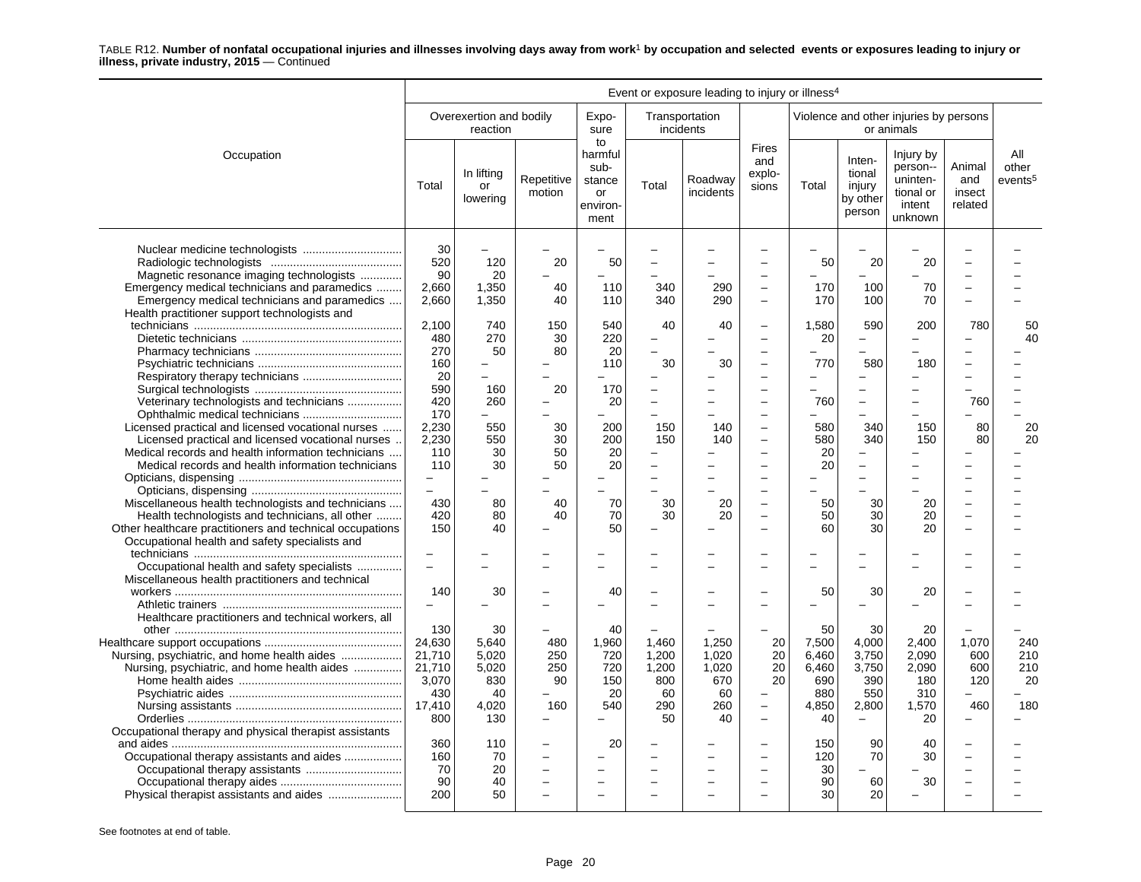|                                                                                                                                                                                                                    |                                                                    |                                                            |                                                                                  |                                                           |                                                      | Event or exposure leading to injury or illness <sup>4</sup> |                                                                              |                                                            |                                                                                  |                                                                     |                                    |                                     |
|--------------------------------------------------------------------------------------------------------------------------------------------------------------------------------------------------------------------|--------------------------------------------------------------------|------------------------------------------------------------|----------------------------------------------------------------------------------|-----------------------------------------------------------|------------------------------------------------------|-------------------------------------------------------------|------------------------------------------------------------------------------|------------------------------------------------------------|----------------------------------------------------------------------------------|---------------------------------------------------------------------|------------------------------------|-------------------------------------|
|                                                                                                                                                                                                                    |                                                                    | Overexertion and bodily<br>reaction                        |                                                                                  | Expo-<br>sure                                             |                                                      | Transportation<br>incidents                                 |                                                                              |                                                            |                                                                                  | Violence and other injuries by persons<br>or animals                |                                    |                                     |
| Occupation                                                                                                                                                                                                         | Total                                                              | In lifting<br>or<br>lowering                               | Repetitive<br>motion                                                             | to<br>harmful<br>sub-<br>stance<br>or<br>environ-<br>ment | Total                                                | Roadway<br>incidents                                        | <b>Fires</b><br>and<br>explo-<br>sions                                       | Total                                                      | Inten-<br>tional<br>injury<br>by other<br>person                                 | Injury by<br>person--<br>uninten-<br>tional or<br>intent<br>unknown | Animal<br>and<br>insect<br>related | All<br>other<br>events <sup>5</sup> |
| Nuclear medicine technologists<br>Magnetic resonance imaging technologists<br>Emergency medical technicians and paramedics<br>Emergency medical technicians and paramedics                                         | 30<br>520<br>90<br>2,660<br>2,660                                  | 120<br>20<br>1,350<br>1,350                                | 20<br>40<br>40                                                                   | 50<br>110<br>110                                          | 340<br>340                                           | 290<br>290                                                  | $\overline{\phantom{0}}$<br>$\sim$                                           | 50<br>170<br>170                                           | 20<br>100<br>100                                                                 | 20<br>70<br>70                                                      |                                    |                                     |
| Health practitioner support technologists and                                                                                                                                                                      | 2,100<br>480<br>270                                                | 740<br>270<br>50                                           | 150<br>30<br>80                                                                  | 540<br>220<br>20                                          | 40<br>$\overline{\phantom{0}}$<br>L.                 | 40                                                          | $\overline{\phantom{0}}$<br>$\overline{\phantom{0}}$                         | 1,580<br>20                                                | 590<br>$\equiv$                                                                  | 200                                                                 | 780                                | 50<br>40                            |
| Veterinary technologists and technicians                                                                                                                                                                           | 160<br>20<br>590<br>420                                            | -<br>$\overline{a}$<br>160<br>260                          | 20                                                                               | 110<br>170<br>20                                          | 30<br>$\overline{\phantom{0}}$<br>$\equiv$<br>L.     | 30                                                          | ÷<br>-<br>$\overline{\phantom{a}}$                                           | 770<br>760                                                 | 580                                                                              | 180                                                                 | 760                                |                                     |
| Licensed practical and licensed vocational nurses<br>Licensed practical and licensed vocational nurses<br>Medical records and health information technicians<br>Medical records and health information technicians | 170<br>2,230<br>2,230<br>110<br>110                                | 550<br>550<br>30<br>30                                     | 30<br>30<br>50<br>50                                                             | 200<br>200<br>20<br>20                                    | 150<br>150<br>-<br>-                                 | 140<br>140                                                  | $\overline{\phantom{0}}$                                                     | 580<br>580<br>20<br>20                                     | 340<br>340                                                                       | 150<br>150                                                          | 80<br>80                           | 20<br>20                            |
| Miscellaneous health technologists and technicians<br>Health technologists and technicians, all other                                                                                                              | 430<br>420                                                         | 80<br>80                                                   | 40<br>40                                                                         | 70<br>70                                                  | L.<br>L.<br>30<br>30                                 | 20<br>20                                                    | L.<br>$\overline{\phantom{0}}$                                               | 50<br>50                                                   | 30<br>30                                                                         | 20<br>20                                                            |                                    |                                     |
| Other healthcare practitioners and technical occupations<br>Occupational health and safety specialists and<br>Occupational health and safety specialists                                                           | 150<br>$\equiv$                                                    | 40                                                         |                                                                                  | 50                                                        |                                                      |                                                             |                                                                              | 60                                                         | 30                                                                               | 20                                                                  |                                    |                                     |
| Miscellaneous health practitioners and technical<br>Healthcare practitioners and technical workers, all                                                                                                            | 140                                                                | 30                                                         |                                                                                  | 40                                                        |                                                      |                                                             |                                                                              | 50                                                         | 30                                                                               | 20                                                                  |                                    |                                     |
| Nursing, psychiatric, and home health aides<br>Nursing, psychiatric, and home health aides                                                                                                                         | 130<br>24.630<br>21,710<br>21,710<br>3,070<br>430<br>17,410<br>800 | 30<br>5.640<br>5,020<br>5,020<br>830<br>40<br>4,020<br>130 | 480<br>250<br>250<br>90<br>160<br>$\overline{\phantom{m}}$                       | 40<br>1,960<br>720<br>720<br>150<br>20<br>540             | 1.460<br>1,200<br>1,200<br>800<br>60<br>290<br>50    | 1.250<br>1,020<br>1,020<br>670<br>60<br>260<br>40           | 20<br>20<br>20<br>20<br>$\overline{\phantom{m}}$<br>$\overline{\phantom{m}}$ | 50<br>7,500<br>6,460<br>6,460<br>690<br>880<br>4,850<br>40 | 30<br>4.000<br>3,750<br>3,750<br>390<br>550<br>2,800<br>$\overline{\phantom{m}}$ | 20<br>2.400<br>2,090<br>2,090<br>180<br>310<br>1,570<br>20          | 1.070<br>600<br>600<br>120<br>460  | 240<br>210<br>210<br>20<br>180      |
| Occupational therapy and physical therapist assistants<br>Occupational therapy assistants and aides<br>Physical therapist assistants and aides                                                                     | 360<br>160<br>70<br>90<br>200                                      | 110<br>70<br>20<br>40<br>50                                | $\overline{\phantom{0}}$<br>$\overline{\phantom{m}}$<br>$\overline{\phantom{0}}$ | 20<br>$\overline{\phantom{0}}$                            | $\overline{\phantom{0}}$<br>$\overline{\phantom{0}}$ |                                                             | $\overline{\phantom{a}}$<br>$\overline{\phantom{a}}$<br>÷                    | 150<br>120<br>30<br>90<br>30                               | 90<br>70<br>60<br>20                                                             | 40<br>30<br>30                                                      |                                    |                                     |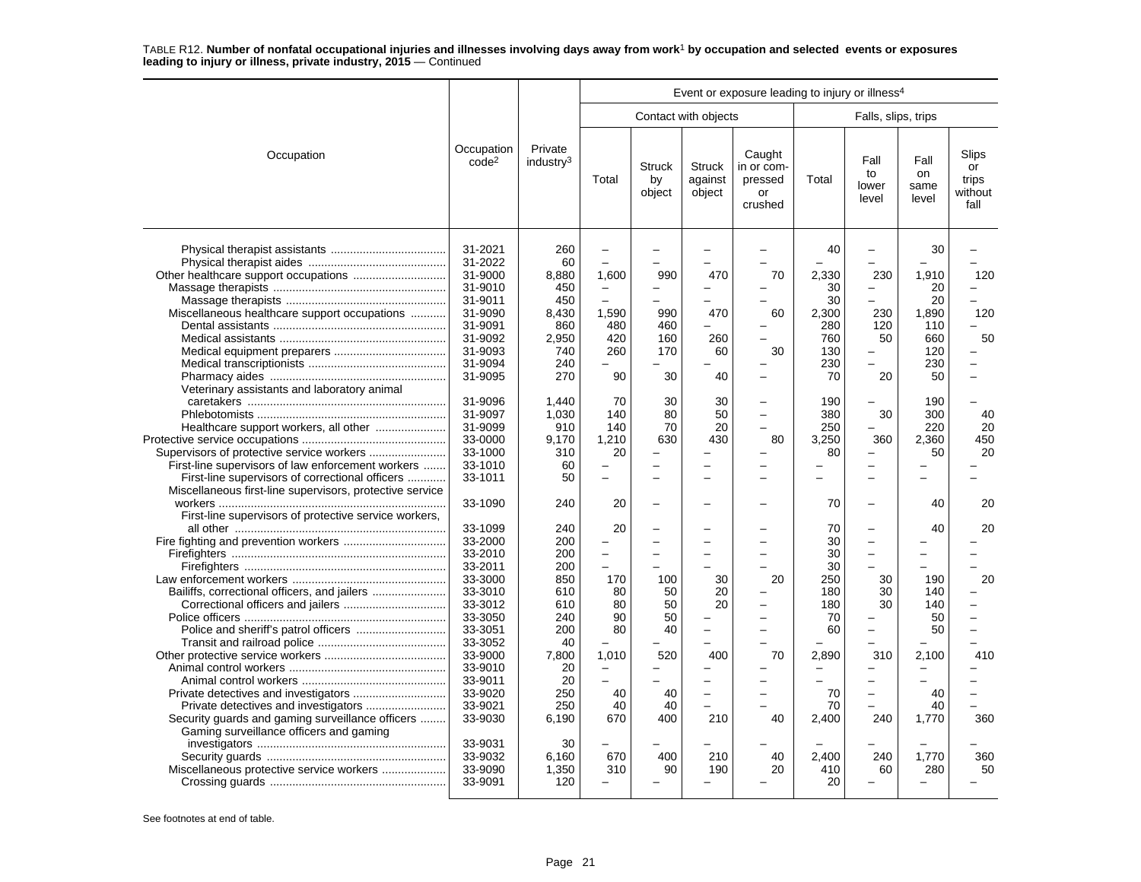|                                                                                                                                                                                                                                           |                                                                                                                                                                                         |                                                                                                                     |                                                                                                                     |                                                       |                                    | Event or exposure leading to injury or illness <sup>4</sup>                                        |                                                                                     |                                                                                                                             |                                                                    |                                         |
|-------------------------------------------------------------------------------------------------------------------------------------------------------------------------------------------------------------------------------------------|-----------------------------------------------------------------------------------------------------------------------------------------------------------------------------------------|---------------------------------------------------------------------------------------------------------------------|---------------------------------------------------------------------------------------------------------------------|-------------------------------------------------------|------------------------------------|----------------------------------------------------------------------------------------------------|-------------------------------------------------------------------------------------|-----------------------------------------------------------------------------------------------------------------------------|--------------------------------------------------------------------|-----------------------------------------|
|                                                                                                                                                                                                                                           |                                                                                                                                                                                         |                                                                                                                     |                                                                                                                     |                                                       | Contact with objects               |                                                                                                    |                                                                                     | Falls, slips, trips                                                                                                         |                                                                    |                                         |
| Occupation                                                                                                                                                                                                                                | Occupation<br>code <sup>2</sup>                                                                                                                                                         | Private<br>industry <sup>3</sup>                                                                                    | Total                                                                                                               | <b>Struck</b><br>by<br>object                         | <b>Struck</b><br>against<br>object | Caught<br>in or com-<br>pressed<br>or<br>crushed                                                   | Total                                                                               | Fall<br>to<br>lower<br>level                                                                                                | Fall<br>on<br>same<br>level                                        | Slips<br>or<br>trips<br>without<br>fall |
| Other healthcare support occupations<br>Miscellaneous healthcare support occupations                                                                                                                                                      | 31-2021<br>31-2022<br>31-9000<br>31-9010<br>31-9011<br>31-9090<br>31-9091<br>31-9092<br>31-9093<br>31-9094<br>31-9095                                                                   | 260<br>60<br>8,880<br>450<br>450<br>8,430<br>860<br>2,950<br>740<br>240<br>270                                      | $\equiv$<br>-<br>1,600<br>$\overline{\phantom{0}}$<br>$\overline{\phantom{0}}$<br>1,590<br>480<br>420<br>260<br>90  | 990<br>990<br>460<br>160<br>170<br>30                 | 470<br>470<br>260<br>60<br>40      | 70<br>60<br>30<br>-                                                                                | 40<br>2,330<br>30<br>30<br>2,300<br>280<br>760<br>130<br>230<br>70                  | 230<br>$\overline{\phantom{0}}$<br>-<br>230<br>120<br>50<br>-<br>20                                                         | 30<br>1,910<br>20<br>20<br>1,890<br>110<br>660<br>120<br>230<br>50 | 120<br>120<br>50                        |
| Veterinary assistants and laboratory animal<br>Healthcare support workers, all other<br>Supervisors of protective service workers<br>First-line supervisors of law enforcement workers<br>First-line supervisors of correctional officers | 31-9096<br>31-9097<br>31-9099<br>33-0000<br>33-1000<br>33-1010<br>33-1011                                                                                                               | 1.440<br>1,030<br>910<br>9,170<br>310<br>60<br>50                                                                   | 70<br>140<br>140<br>1.210<br>20<br>-                                                                                | 30<br>80<br>70<br>630                                 | 30<br>50<br>20<br>430              | ÷<br>80                                                                                            | 190<br>380<br>250<br>3.250<br>80<br>L,                                              | 30<br>360<br>÷<br>÷                                                                                                         | 190<br>300<br>220<br>2,360<br>50<br>÷                              | 40<br>20<br>450<br>20                   |
| Miscellaneous first-line supervisors, protective service<br>First-line supervisors of protective service workers,                                                                                                                         | 33-1090                                                                                                                                                                                 | 240                                                                                                                 | 20                                                                                                                  |                                                       |                                    |                                                                                                    | 70                                                                                  | $\overline{a}$                                                                                                              | 40                                                                 | 20                                      |
| Bailiffs, correctional officers, and jailers<br>Security guards and gaming surveillance officers<br>Gaming surveillance officers and gaming                                                                                               | 33-1099<br>33-2000<br>33-2010<br>33-2011<br>33-3000<br>33-3010<br>33-3012<br>33-3050<br>33-3051<br>33-3052<br>33-9000<br>33-9010<br>33-9011<br>33-9020<br>33-9021<br>33-9030<br>33-9031 | 240<br>200<br>200<br>200<br>850<br>610<br>610<br>240<br>200<br>40<br>7,800<br>20<br>20<br>250<br>250<br>6.190<br>30 | 20<br>÷<br>170<br>80<br>80<br>90<br>80<br>1,010<br>$\qquad \qquad -$<br>$\overline{\phantom{0}}$<br>40<br>40<br>670 | 100<br>50<br>50<br>50<br>40<br>520<br>40<br>40<br>400 | 30<br>20<br>20<br>400<br>210       | $\overline{\phantom{a}}$<br>20<br>$\overline{\phantom{a}}$<br>$\overline{\phantom{a}}$<br>70<br>40 | 70<br>30<br>30<br>30<br>250<br>180<br>180<br>70<br>60<br>2,890<br>70<br>70<br>2.400 | L.<br>$\overline{\phantom{0}}$<br>30<br>30<br>30<br>$\overline{\phantom{0}}$<br>310<br>-<br>$\overline{\phantom{0}}$<br>240 | 40<br>190<br>140<br>140<br>50<br>50<br>2,100<br>40<br>40<br>1.770  | 20<br>20<br>410<br>360                  |
| Miscellaneous protective service workers                                                                                                                                                                                                  | 33-9032<br>33-9090<br>33-9091                                                                                                                                                           | 6,160<br>1,350<br>120                                                                                               | 670<br>310                                                                                                          | 400<br>90                                             | 210<br>190                         | 40<br>20                                                                                           | 2,400<br>410<br>20                                                                  | 240<br>60                                                                                                                   | 1,770<br>280                                                       | 360<br>50                               |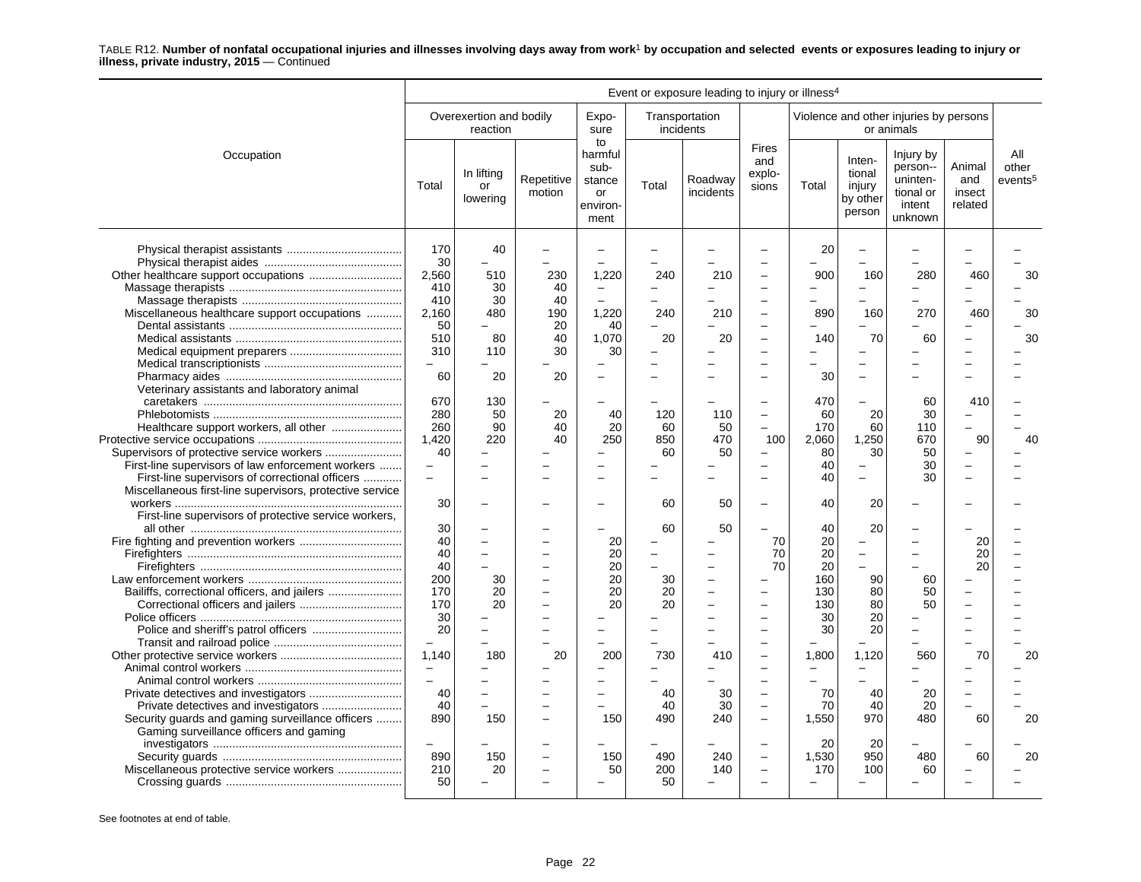|                                                                                                                                                                                                      |                                                                                                                           |                                           |                                          |                                                                        |                                                                                                    | Event or exposure leading to injury or illness <sup>4</sup> |                                                                                                                                          |                                                                                                 |                                                                                    |                                                                      |                                    |                                     |
|------------------------------------------------------------------------------------------------------------------------------------------------------------------------------------------------------|---------------------------------------------------------------------------------------------------------------------------|-------------------------------------------|------------------------------------------|------------------------------------------------------------------------|----------------------------------------------------------------------------------------------------|-------------------------------------------------------------|------------------------------------------------------------------------------------------------------------------------------------------|-------------------------------------------------------------------------------------------------|------------------------------------------------------------------------------------|----------------------------------------------------------------------|------------------------------------|-------------------------------------|
|                                                                                                                                                                                                      |                                                                                                                           | Overexertion and bodily<br>reaction       |                                          | Expo-<br>sure                                                          |                                                                                                    | Transportation<br>incidents                                 |                                                                                                                                          |                                                                                                 |                                                                                    | Violence and other injuries by persons<br>or animals                 |                                    |                                     |
| Occupation                                                                                                                                                                                           | Total                                                                                                                     | In lifting<br>or<br>lowering              | Repetitive<br>motion                     | to<br>harmful<br>sub-<br>stance<br>or<br>environ-<br>ment              | Total                                                                                              | Roadway<br>incidents                                        | <b>Fires</b><br>and<br>explo-<br>sions                                                                                                   | Total                                                                                           | Inten-<br>tional<br>injury<br>by other<br>person                                   | Injury by<br>person--<br>uninten-<br>tional or<br>intent<br>unknown  | Animal<br>and<br>insect<br>related | All<br>other<br>events <sup>5</sup> |
| Miscellaneous healthcare support occupations                                                                                                                                                         | 170<br>30<br>2,560<br>410<br>410<br>2,160<br>50<br>510<br>310                                                             | 40<br>510<br>30<br>30<br>480<br>80<br>110 | 230<br>40<br>40<br>190<br>20<br>40<br>30 | 1,220<br>$\equiv$<br>1,220<br>40<br>1,070<br>30                        | 240<br>$\overline{\phantom{0}}$<br>240<br>20                                                       | 210<br>210<br>20                                            | $\overline{\phantom{0}}$                                                                                                                 | 20<br>900<br>890<br>140                                                                         | 160<br>160<br>70                                                                   | 280<br>270<br>60                                                     | 460<br>460                         | 30<br>30<br>30                      |
| Veterinary assistants and laboratory animal                                                                                                                                                          | 60                                                                                                                        | 20                                        | 20                                       | $\overline{\phantom{0}}$                                               |                                                                                                    |                                                             |                                                                                                                                          | 30                                                                                              |                                                                                    |                                                                      |                                    |                                     |
| First-line supervisors of law enforcement workers<br>First-line supervisors of correctional officers                                                                                                 | 670<br>280<br>260<br>1,420<br>40<br>$\overline{\phantom{0}}$<br>$\overline{\phantom{0}}$                                  | 130<br>50<br>90<br>220                    | 20<br>40<br>40                           | 40<br>20<br>250<br>$\equiv$                                            | 120<br>60<br>850<br>60                                                                             | 110<br>50<br>470<br>50                                      | $\overline{\phantom{0}}$<br>100                                                                                                          | 470<br>60<br>170<br>2,060<br>80<br>40<br>40                                                     | 20<br>60<br>1,250<br>30                                                            | 60<br>30<br>110<br>670<br>50<br>30<br>30                             | 410<br>90                          | 40                                  |
| Miscellaneous first-line supervisors, protective service                                                                                                                                             | 30                                                                                                                        |                                           |                                          |                                                                        | 60                                                                                                 | 50                                                          |                                                                                                                                          | 40                                                                                              | 20                                                                                 |                                                                      |                                    |                                     |
| First-line supervisors of protective service workers,<br>Bailiffs, correctional officers, and jailers<br>Security guards and gaming surveillance officers<br>Gaming surveillance officers and gaming | 30<br>40<br>40<br>40<br>200<br>170<br>170<br>30<br>20<br>1.140<br>$\equiv$<br>$\overline{\phantom{0}}$<br>40<br>40<br>890 | 30<br>20<br>20<br>180<br>150              | 20                                       | 20<br>20<br>20<br>20<br>20<br>20<br>200<br>$\equiv$<br>$\equiv$<br>150 | 60<br>$\equiv$<br>30<br>20<br>20<br>$\overline{\phantom{0}}$<br>730<br>$\equiv$<br>40<br>40<br>490 | 50<br>$\equiv$<br>410<br>30<br>30<br>240                    | 70<br>70<br>70<br>$\overline{\phantom{0}}$<br>$\overline{\phantom{a}}$<br>÷<br>$\overline{\phantom{a}}$<br>$\overline{\phantom{0}}$<br>÷ | 40<br>20<br>20<br>20<br>160<br>130<br>130<br>30<br>30<br>1,800<br>$\equiv$<br>70<br>70<br>1.550 | 20<br>$\equiv$<br>90<br>80<br>80<br>20<br>20<br>1,120<br>$\sim$<br>40<br>40<br>970 | 60<br>50<br>50<br>$\overline{\phantom{0}}$<br>560<br>20<br>20<br>480 | 20<br>20<br>20<br>70<br>60         | 20<br>20                            |
| Miscellaneous protective service workers                                                                                                                                                             | 890<br>210<br>50                                                                                                          | 150<br>20                                 | L,                                       | 150<br>50                                                              | 490<br>200<br>50                                                                                   | 240<br>140                                                  |                                                                                                                                          | 20<br>1,530<br>170                                                                              | 20<br>950<br>100                                                                   | 480<br>60                                                            | 60                                 | 20                                  |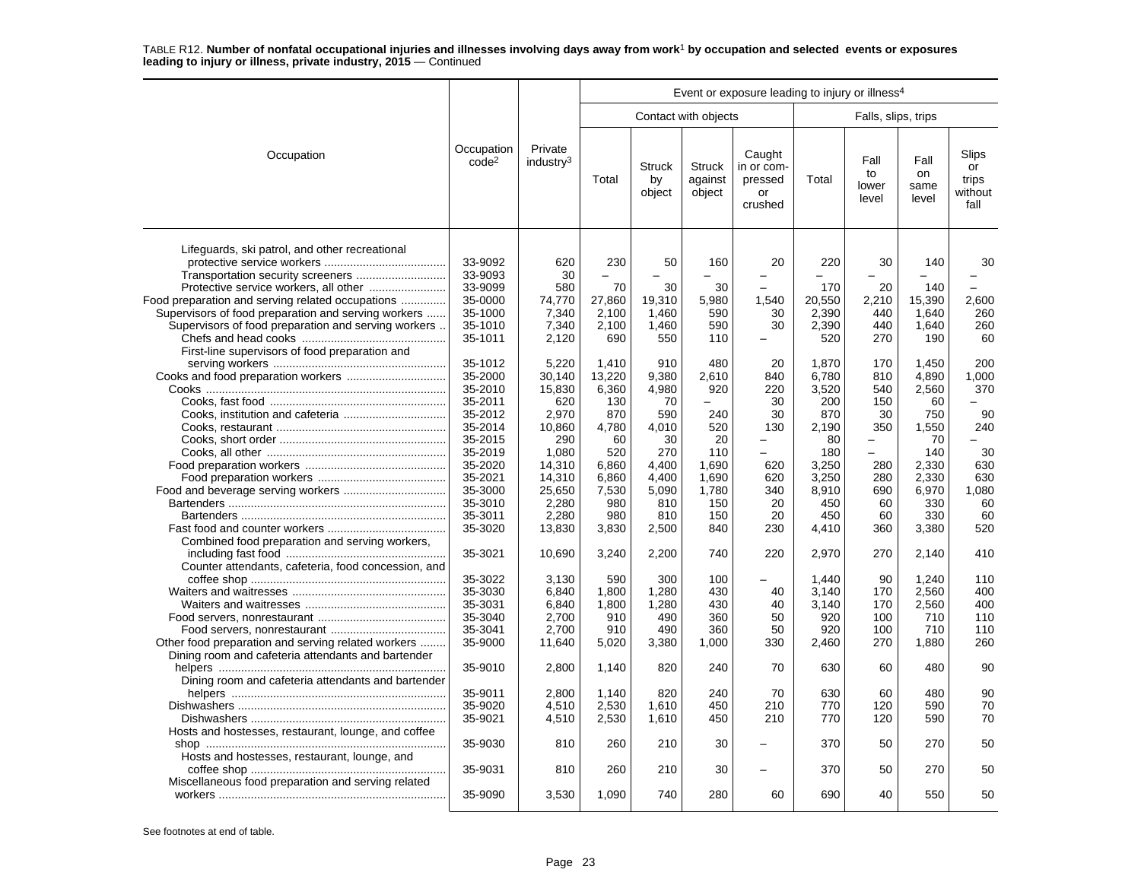|                                                     |                                 |                                  |        |                               |                                    | Event or exposure leading to injury or illness <sup>4</sup> |        |                              |                             |                                         |
|-----------------------------------------------------|---------------------------------|----------------------------------|--------|-------------------------------|------------------------------------|-------------------------------------------------------------|--------|------------------------------|-----------------------------|-----------------------------------------|
|                                                     |                                 |                                  |        |                               | Contact with objects               |                                                             |        | Falls, slips, trips          |                             |                                         |
| Occupation                                          | Occupation<br>code <sup>2</sup> | Private<br>industry <sup>3</sup> | Total  | <b>Struck</b><br>by<br>object | <b>Struck</b><br>against<br>object | Caught<br>in or com-<br>pressed<br>or<br>crushed            | Total  | Fall<br>to<br>lower<br>level | Fall<br>on<br>same<br>level | Slips<br>or<br>trips<br>without<br>fall |
| Lifeguards, ski patrol, and other recreational      |                                 |                                  |        |                               |                                    |                                                             |        |                              |                             |                                         |
|                                                     | 33-9092<br>33-9093              | 620<br>30                        | 230    | 50                            | 160                                | 20<br>÷                                                     | 220    | 30                           | 140                         | 30                                      |
| Protective service workers, all other               | 33-9099                         | 580                              | 70     | 30                            | 30                                 |                                                             | 170    | 20                           | 140                         |                                         |
| Food preparation and serving related occupations    | 35-0000                         | 74,770                           | 27,860 | 19,310                        |                                    | 1,540                                                       | 20,550 |                              | 15,390                      | 2,600                                   |
| Supervisors of food preparation and serving workers | 35-1000                         | 7,340                            | 2,100  | 1,460                         | 5,980<br>590                       | 30                                                          | 2,390  | 2,210<br>440                 | 1,640                       | 260                                     |
| Supervisors of food preparation and serving workers | 35-1010                         | 7,340                            | 2,100  | 1,460                         | 590                                | 30                                                          | 2,390  | 440                          | 1,640                       | 260                                     |
|                                                     | 35-1011                         | 2,120                            | 690    | 550                           | 110                                | L.                                                          | 520    | 270                          | 190                         | 60                                      |
|                                                     |                                 |                                  |        |                               |                                    |                                                             |        |                              |                             |                                         |
| First-line supervisors of food preparation and      |                                 |                                  |        | 910                           | 480                                |                                                             |        |                              |                             |                                         |
|                                                     | 35-1012                         | 5.220                            | 1.410  |                               |                                    | 20                                                          | 1.870  | 170                          | 1.450                       | 200                                     |
| Cooks and food preparation workers                  | 35-2000                         | 30,140                           | 13,220 | 9,380                         | 2,610                              | 840                                                         | 6,780  | 810                          | 4,890                       | 1,000                                   |
|                                                     | 35-2010                         | 15,830                           | 6,360  | 4,980                         | 920                                | 220                                                         | 3,520  | 540                          | 2,560                       | 370                                     |
|                                                     | 35-2011                         | 620                              | 130    | 70                            |                                    | 30                                                          | 200    | 150                          | 60                          | ÷                                       |
|                                                     | 35-2012                         | 2,970                            | 870    | 590                           | 240                                | 30                                                          | 870    | 30                           | 750                         | 90                                      |
|                                                     | 35-2014                         | 10.860                           | 4,780  | 4.010                         | 520                                | 130                                                         | 2.190  | 350                          | 1,550                       | 240                                     |
|                                                     | 35-2015                         | 290                              | 60     | 30                            | 20                                 |                                                             | 80     |                              | 70                          |                                         |
|                                                     | 35-2019                         | 1.080                            | 520    | 270                           | 110                                | ÷                                                           | 180    | L                            | 140                         | 30                                      |
|                                                     | 35-2020                         | 14,310                           | 6,860  | 4,400                         | 1,690                              | 620                                                         | 3,250  | 280                          | 2,330                       | 630                                     |
|                                                     | 35-2021                         | 14,310                           | 6,860  | 4,400                         | 1,690                              | 620                                                         | 3,250  | 280                          | 2,330                       | 630                                     |
|                                                     | 35-3000                         | 25,650                           | 7,530  | 5.090                         | 1,780                              | 340                                                         | 8.910  | 690                          | 6,970                       | 1,080                                   |
|                                                     | 35-3010                         | 2,280                            | 980    | 810                           | 150                                | 20                                                          | 450    | 60                           | 330                         | 60                                      |
|                                                     | 35-3011                         | 2,280                            | 980    | 810                           | 150                                | 20                                                          | 450    | 60                           | 330                         | 60                                      |
|                                                     | 35-3020                         | 13,830                           | 3,830  | 2,500                         | 840                                | 230                                                         | 4,410  | 360                          | 3,380                       | 520                                     |
| Combined food preparation and serving workers,      | 35-3021                         | 10,690                           | 3,240  | 2,200                         | 740                                | 220                                                         | 2,970  | 270                          | 2,140                       | 410                                     |
| Counter attendants, cafeteria, food concession, and |                                 |                                  |        |                               |                                    |                                                             |        |                              |                             |                                         |
|                                                     | 35-3022                         | 3,130                            | 590    | 300                           | 100                                |                                                             | 1,440  | 90                           | 1,240                       | 110                                     |
|                                                     | 35-3030                         | 6,840                            | 1,800  | 1,280                         | 430                                | 40                                                          | 3,140  | 170                          | 2,560                       | 400                                     |
|                                                     | 35-3031                         | 6,840                            | 1,800  | 1,280                         | 430                                | 40                                                          | 3,140  | 170                          | 2,560                       | 400                                     |
|                                                     | 35-3040                         | 2.700                            | 910    | 490                           | 360                                | 50                                                          | 920    | 100                          | 710                         | 110                                     |
|                                                     | 35-3041                         | 2,700                            | 910    | 490                           | 360                                | 50                                                          | 920    | 100                          | 710                         | 110                                     |
| Other food preparation and serving related workers  | 35-9000                         | 11,640                           | 5,020  | 3,380                         | 1,000                              | 330                                                         | 2,460  | 270                          | 1,880                       | 260                                     |
| Dining room and cafeteria attendants and bartender  |                                 |                                  |        |                               |                                    |                                                             |        |                              |                             |                                         |
|                                                     | 35-9010                         | 2,800                            | 1,140  | 820                           | 240                                | 70                                                          | 630    | 60                           | 480                         | 90                                      |
| Dining room and cafeteria attendants and bartender  |                                 |                                  |        |                               |                                    |                                                             |        |                              |                             |                                         |
|                                                     | 35-9011                         | 2,800                            | 1,140  | 820                           | 240                                | 70                                                          | 630    | 60                           | 480                         | 90                                      |
|                                                     | 35-9020                         | 4,510                            | 2,530  | 1.610                         | 450                                | 210                                                         | 770    | 120                          | 590                         | 70                                      |
|                                                     | 35-9021                         | 4,510                            | 2,530  | 1,610                         | 450                                | 210                                                         | 770    | 120                          | 590                         | 70                                      |
| Hosts and hostesses, restaurant, lounge, and coffee |                                 |                                  |        |                               |                                    |                                                             |        |                              |                             |                                         |
|                                                     | 35-9030                         | 810                              | 260    | 210                           | 30                                 |                                                             | 370    | 50                           | 270                         | 50                                      |
| Hosts and hostesses, restaurant, lounge, and        |                                 |                                  |        |                               |                                    |                                                             |        |                              |                             |                                         |
|                                                     | 35-9031                         | 810                              | 260    | 210                           | 30                                 | L.                                                          | 370    | 50                           | 270                         | 50                                      |
| Miscellaneous food preparation and serving related  |                                 |                                  |        |                               |                                    |                                                             |        |                              |                             |                                         |
|                                                     | 35-9090                         | 3,530                            | 1,090  | 740                           | 280                                | 60                                                          | 690    | 40                           | 550                         | 50                                      |
|                                                     |                                 |                                  |        |                               |                                    |                                                             |        |                              |                             |                                         |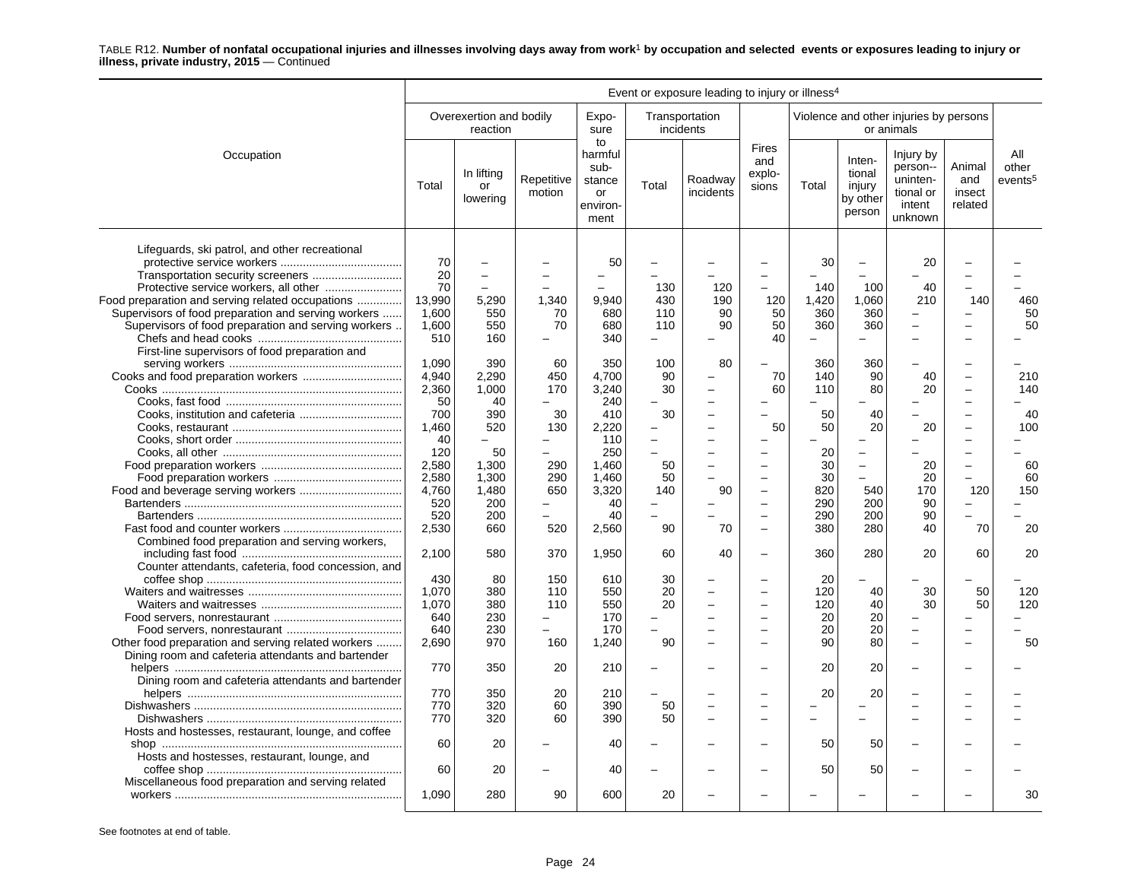|                                                                                                                                                              |                                       |                                     |                                                    |                                                           |                                        | Event or exposure leading to injury or illness <sup>4</sup> |                                                      |                              |                                                  |                                                                     |                                    |                                     |
|--------------------------------------------------------------------------------------------------------------------------------------------------------------|---------------------------------------|-------------------------------------|----------------------------------------------------|-----------------------------------------------------------|----------------------------------------|-------------------------------------------------------------|------------------------------------------------------|------------------------------|--------------------------------------------------|---------------------------------------------------------------------|------------------------------------|-------------------------------------|
|                                                                                                                                                              |                                       | Overexertion and bodily<br>reaction |                                                    | Expo-<br>sure                                             |                                        | Transportation<br>incidents                                 |                                                      |                              |                                                  | Violence and other injuries by persons<br>or animals                |                                    |                                     |
| Occupation                                                                                                                                                   | Total                                 | In lifting<br>or<br>lowering        | Repetitive<br>motion                               | to<br>harmful<br>sub-<br>stance<br>or<br>environ-<br>ment | Total                                  | Roadway<br>incidents                                        | <b>Fires</b><br>and<br>explo-<br>sions               | Total                        | Inten-<br>tional<br>injury<br>by other<br>person | Injury by<br>person--<br>uninten-<br>tional or<br>intent<br>unknown | Animal<br>and<br>insect<br>related | All<br>other<br>events <sup>5</sup> |
| Lifeguards, ski patrol, and other recreational<br>Food preparation and serving related occupations                                                           | 70<br>20<br>70<br>13.990              | $\overline{\phantom{0}}$<br>5.290   | 1.340                                              | 50<br>9.940                                               | 130<br>430                             | 120<br>190                                                  | 120                                                  | 30<br>140<br>1,420           | $\equiv$<br>100<br>1.060                         | 20<br>40<br>210                                                     | 140                                | 460                                 |
| Supervisors of food preparation and serving workers<br>Supervisors of food preparation and serving workers<br>First-line supervisors of food preparation and | 1,600<br>1,600<br>510                 | 550<br>550<br>160                   | 70<br>70<br>$\overline{\phantom{0}}$               | 680<br>680<br>340                                         | 110<br>110<br>$\overline{\phantom{0}}$ | 90<br>90<br>-                                               | 50<br>50<br>40                                       | 360<br>360<br>$\equiv$       | 360<br>360<br>÷                                  |                                                                     |                                    | 50<br>50                            |
|                                                                                                                                                              | 1,090<br>4,940<br>2,360<br>50         | 390<br>2,290<br>1,000<br>40         | 60<br>450<br>170                                   | 350<br>4,700<br>3,240<br>240                              | 100<br>90<br>30                        | 80                                                          | 70<br>60                                             | 360<br>140<br>110            | 360<br>90<br>80                                  | 40<br>20                                                            |                                    | 210<br>140                          |
|                                                                                                                                                              | 700<br>1,460<br>40<br>120             | 390<br>520                          | 30<br>130<br>L.                                    | 410<br>2.220<br>110                                       | 30<br>÷                                | -                                                           | 50                                                   | 50<br>50                     | 40<br>20                                         | 20                                                                  |                                    | 40<br>100                           |
|                                                                                                                                                              | 2,580<br>2,580<br>4,760               | 50<br>1,300<br>1,300<br>1,480       | 290<br>290<br>650                                  | 250<br>1,460<br>1.460<br>3,320                            | 50<br>50<br>140                        | 90                                                          |                                                      | 20<br>30<br>30<br>820        | $\overline{\phantom{0}}$<br>540                  | 20<br>20<br>170                                                     | $\overline{\phantom{0}}$<br>120    | 60<br>60<br>150                     |
| Combined food preparation and serving workers,                                                                                                               | 520<br>520<br>2,530                   | 200<br>200<br>660                   | -<br>520                                           | 40<br>40<br>2,560                                         | 90                                     | 70                                                          | $\overline{\phantom{0}}$<br>$\overline{\phantom{0}}$ | 290<br>290<br>380            | 200<br>200<br>280                                | 90<br>90<br>40                                                      | $\equiv$<br>70                     | 20                                  |
| Counter attendants, cafeteria, food concession, and                                                                                                          | 2,100<br>430                          | 580<br>80                           | 370<br>150                                         | 1,950<br>610                                              | 60<br>30                               | 40                                                          | $\overline{\phantom{0}}$                             | 360<br>20                    | 280                                              | 20                                                                  | 60                                 | 20                                  |
| Other food preparation and serving related workers                                                                                                           | 1,070<br>1,070<br>640<br>640<br>2,690 | 380<br>380<br>230<br>230<br>970     | 110<br>110<br>-<br>$\overline{\phantom{0}}$<br>160 | 550<br>550<br>170<br>170<br>1,240                         | 20<br>20<br>90                         |                                                             | $\overline{\phantom{0}}$                             | 120<br>120<br>20<br>20<br>90 | 40<br>40<br>20<br>20<br>80                       | 30<br>30<br>$\overline{a}$                                          | 50<br>50                           | 120<br>120<br>50                    |
| Dining room and cafeteria attendants and bartender<br>Dining room and cafeteria attendants and bartender                                                     | 770                                   | 350                                 | 20                                                 | 210                                                       |                                        |                                                             |                                                      | 20                           | 20                                               |                                                                     |                                    |                                     |
|                                                                                                                                                              | 770<br>770<br>770                     | 350<br>320<br>320                   | 20<br>60<br>60                                     | 210<br>390<br>390                                         | 50<br>50                               |                                                             |                                                      | 20                           | 20                                               |                                                                     |                                    |                                     |
| Hosts and hostesses, restaurant, lounge, and coffee<br>Hosts and hostesses, restaurant, lounge, and                                                          | 60                                    | 20                                  |                                                    | 40                                                        |                                        |                                                             |                                                      | 50                           | 50                                               |                                                                     |                                    |                                     |
| Miscellaneous food preparation and serving related                                                                                                           | 60<br>1,090                           | 20<br>280                           | 90                                                 | 40<br>600                                                 | 20                                     |                                                             |                                                      | 50                           | 50                                               |                                                                     |                                    | 30                                  |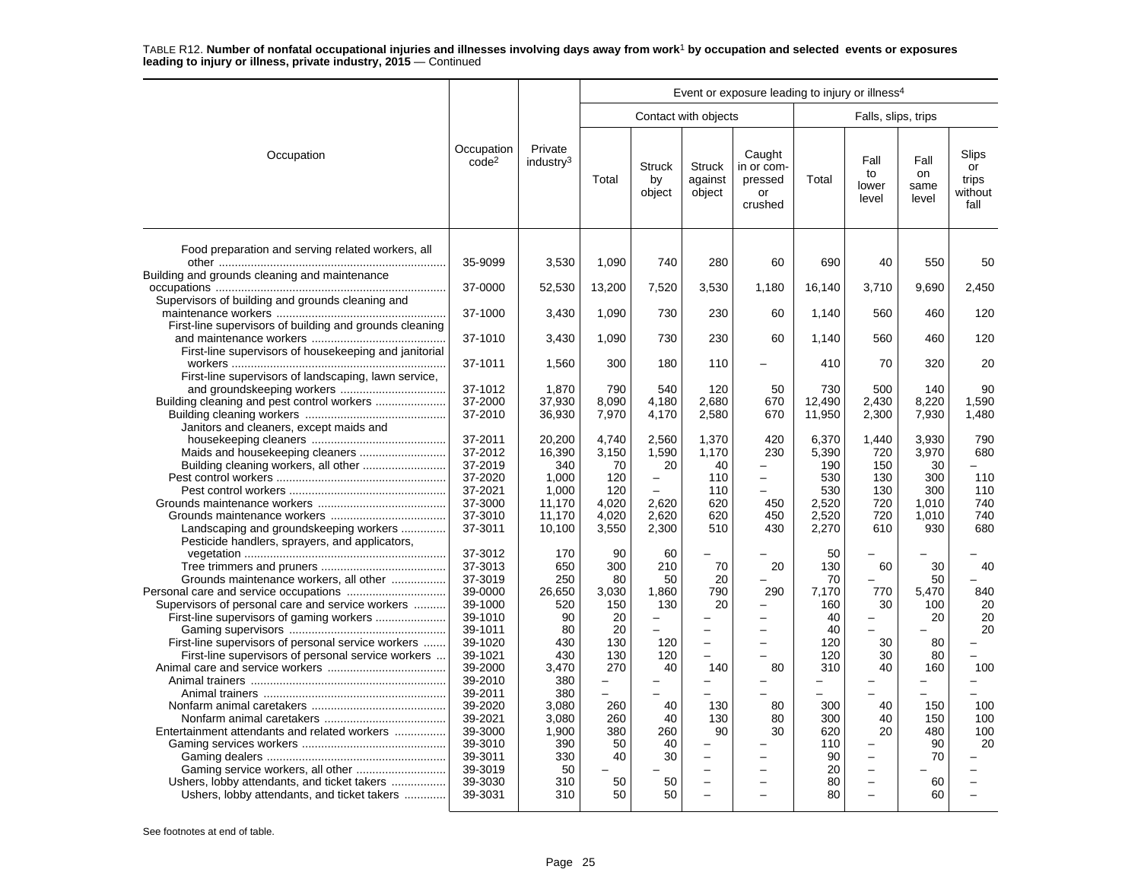|                                                                                                          |                                 |                                  |                          |                               |                                      | Event or exposure leading to injury or illness <sup>4</sup> |                          |                                                      |                             |                                         |
|----------------------------------------------------------------------------------------------------------|---------------------------------|----------------------------------|--------------------------|-------------------------------|--------------------------------------|-------------------------------------------------------------|--------------------------|------------------------------------------------------|-----------------------------|-----------------------------------------|
|                                                                                                          |                                 |                                  |                          |                               | Contact with objects                 |                                                             |                          | Falls, slips, trips                                  |                             |                                         |
| Occupation                                                                                               | Occupation<br>code <sup>2</sup> | Private<br>industry <sup>3</sup> | Total                    | <b>Struck</b><br>by<br>object | <b>Struck</b><br>against<br>object   | Caught<br>in or com-<br>pressed<br>or<br>crushed            | Total                    | Fall<br>to<br>lower<br>level                         | Fall<br>on<br>same<br>level | Slips<br>or<br>trips<br>without<br>fall |
| Food preparation and serving related workers, all                                                        | 35-9099                         | 3,530                            | 1.090                    | 740                           | 280                                  | 60                                                          | 690                      | 40                                                   | 550                         | 50                                      |
| Building and grounds cleaning and maintenance                                                            |                                 |                                  |                          |                               |                                      |                                                             |                          |                                                      |                             |                                         |
|                                                                                                          | 37-0000                         | 52,530                           | 13,200                   | 7,520                         | 3,530                                | 1,180                                                       | 16,140                   | 3,710                                                | 9,690                       | 2,450                                   |
| Supervisors of building and grounds cleaning and                                                         | 37-1000                         |                                  |                          |                               |                                      |                                                             |                          |                                                      |                             | 120                                     |
| First-line supervisors of building and grounds cleaning                                                  |                                 | 3,430                            | 1,090                    | 730                           | 230                                  | 60                                                          | 1,140                    | 560                                                  | 460                         |                                         |
|                                                                                                          | 37-1010                         | 3,430                            | 1.090                    | 730                           | 230                                  | 60                                                          | 1.140                    | 560                                                  | 460                         | 120                                     |
| First-line supervisors of housekeeping and janitorial                                                    | 37-1011                         | 1,560                            | 300                      | 180                           | 110                                  |                                                             | 410                      | 70                                                   | 320                         | 20                                      |
| First-line supervisors of landscaping, lawn service,                                                     |                                 |                                  |                          |                               |                                      |                                                             |                          |                                                      |                             |                                         |
|                                                                                                          | 37-1012                         | 1,870                            | 790                      | 540                           | 120                                  | 50                                                          | 730                      | 500                                                  | 140                         | 90                                      |
|                                                                                                          | 37-2000                         | 37,930                           | 8,090                    | 4.180                         | 2,680                                | 670                                                         | 12.490                   | 2.430                                                | 8,220                       | 1,590                                   |
|                                                                                                          | 37-2010                         | 36,930                           | 7,970                    | 4,170                         | 2,580                                | 670                                                         | 11,950                   | 2,300                                                | 7,930                       | 1,480                                   |
| Janitors and cleaners, except maids and                                                                  |                                 |                                  |                          |                               |                                      |                                                             |                          |                                                      |                             |                                         |
|                                                                                                          | 37-2011                         | 20,200                           | 4,740                    | 2,560                         | 1,370                                | 420                                                         | 6,370                    | 1,440                                                | 3,930                       | 790                                     |
|                                                                                                          | 37-2012<br>37-2019              | 16,390                           | 3,150<br>70              | 1,590<br>20                   | 1,170<br>40                          | 230                                                         | 5,390<br>190             | 720                                                  | 3,970<br>30                 | 680<br>- 1                              |
|                                                                                                          | 37-2020                         | 340<br>1.000                     | 120                      |                               | 110                                  |                                                             | 530                      | 150<br>130                                           | 300                         | 110                                     |
|                                                                                                          | 37-2021                         | 1,000                            | 120                      | $\overline{\phantom{0}}$      | 110                                  |                                                             | 530                      | 130                                                  | 300                         | 110                                     |
|                                                                                                          | 37-3000                         | 11,170                           | 4,020                    | 2,620                         | 620                                  | 450                                                         | 2,520                    | 720                                                  | 1,010                       | 740                                     |
|                                                                                                          | 37-3010                         | 11,170                           | 4,020                    | 2.620                         | 620                                  | 450                                                         | 2,520                    | 720                                                  | 1,010                       | 740                                     |
| Landscaping and groundskeeping workers                                                                   | 37-3011                         | 10,100                           | 3,550                    | 2,300                         | 510                                  | 430                                                         | 2,270                    | 610                                                  | 930                         | 680                                     |
| Pesticide handlers, sprayers, and applicators,                                                           |                                 |                                  |                          |                               |                                      |                                                             |                          |                                                      |                             |                                         |
|                                                                                                          | 37-3012                         | 170                              | 90                       | 60                            |                                      |                                                             | 50                       |                                                      |                             |                                         |
|                                                                                                          | 37-3013                         | 650                              | 300                      | 210                           | 70                                   | 20                                                          | 130                      | 60                                                   | 30                          | 40                                      |
| Grounds maintenance workers, all other                                                                   | 37-3019                         | 250                              | 80                       | 50                            | 20                                   |                                                             | 70                       |                                                      | 50                          |                                         |
|                                                                                                          | 39-0000                         | 26,650                           | 3,030                    | 1,860                         | 790                                  | 290                                                         | 7,170                    | 770                                                  | 5,470                       | 840                                     |
| Supervisors of personal care and service workers                                                         | 39-1000                         | 520                              | 150                      | 130                           | 20                                   |                                                             | 160                      | 30                                                   | 100                         | 20                                      |
| First-line supervisors of gaming workers                                                                 | 39-1010                         | 90                               | 20                       | —<br>$\overline{\phantom{0}}$ |                                      |                                                             | 40                       | $\overline{\phantom{0}}$                             | 20                          | 20                                      |
|                                                                                                          | 39-1011                         | 80                               | 20                       |                               | -<br>$\equiv$                        |                                                             | 40                       |                                                      |                             | 20                                      |
| First-line supervisors of personal service workers<br>First-line supervisors of personal service workers | 39-1020<br>39-1021              | 430<br>430                       | 130<br>130               | 120<br>120                    |                                      |                                                             | 120<br>120               | 30<br>30                                             | 80<br>80                    |                                         |
|                                                                                                          | 39-2000                         | 3.470                            | 270                      | 40                            | 140                                  | 80                                                          | 310                      | 40                                                   | 160                         | 100                                     |
|                                                                                                          | 39-2010                         | 380                              | $\overline{\phantom{0}}$ | $\overline{\phantom{0}}$      | $\overline{\phantom{0}}$             |                                                             | $\overline{\phantom{0}}$ | $\overline{\phantom{0}}$                             |                             | -                                       |
|                                                                                                          | 39-2011                         | 380                              |                          |                               |                                      |                                                             |                          |                                                      |                             |                                         |
|                                                                                                          | 39-2020                         | 3,080                            | 260                      | 40                            | 130                                  | 80                                                          | 300                      | 40                                                   | 150                         | 100                                     |
|                                                                                                          | 39-2021                         | 3,080                            | 260                      | 40                            | 130                                  | 80                                                          | 300                      | 40                                                   | 150                         | 100                                     |
| Entertainment attendants and related workers                                                             | 39-3000                         | 1,900                            | 380                      | 260                           | 90                                   | 30                                                          | 620                      | 20                                                   | 480                         | 100                                     |
|                                                                                                          | 39-3010                         | 390                              | 50                       | 40                            | $\overline{\phantom{0}}$             |                                                             | 110                      | ۰                                                    | 90                          | 20                                      |
|                                                                                                          | 39-3011                         | 330                              | 40                       | 30                            | $\overline{\phantom{0}}$<br>$\equiv$ |                                                             | 90                       | $\overline{\phantom{0}}$                             | 70                          |                                         |
| Ushers, lobby attendants, and ticket takers                                                              | 39-3019<br>39-3030              | 50<br>310                        | 50                       | 50                            | $\overline{\phantom{0}}$             |                                                             | 20<br>80                 | $\overline{\phantom{0}}$<br>$\overline{\phantom{0}}$ | 60                          |                                         |
| Ushers, lobby attendants, and ticket takers                                                              | 39-3031                         | 310                              | 50                       | 50                            |                                      |                                                             | 80                       | $\overline{a}$                                       | 60                          |                                         |
|                                                                                                          |                                 |                                  |                          |                               |                                      |                                                             |                          |                                                      |                             |                                         |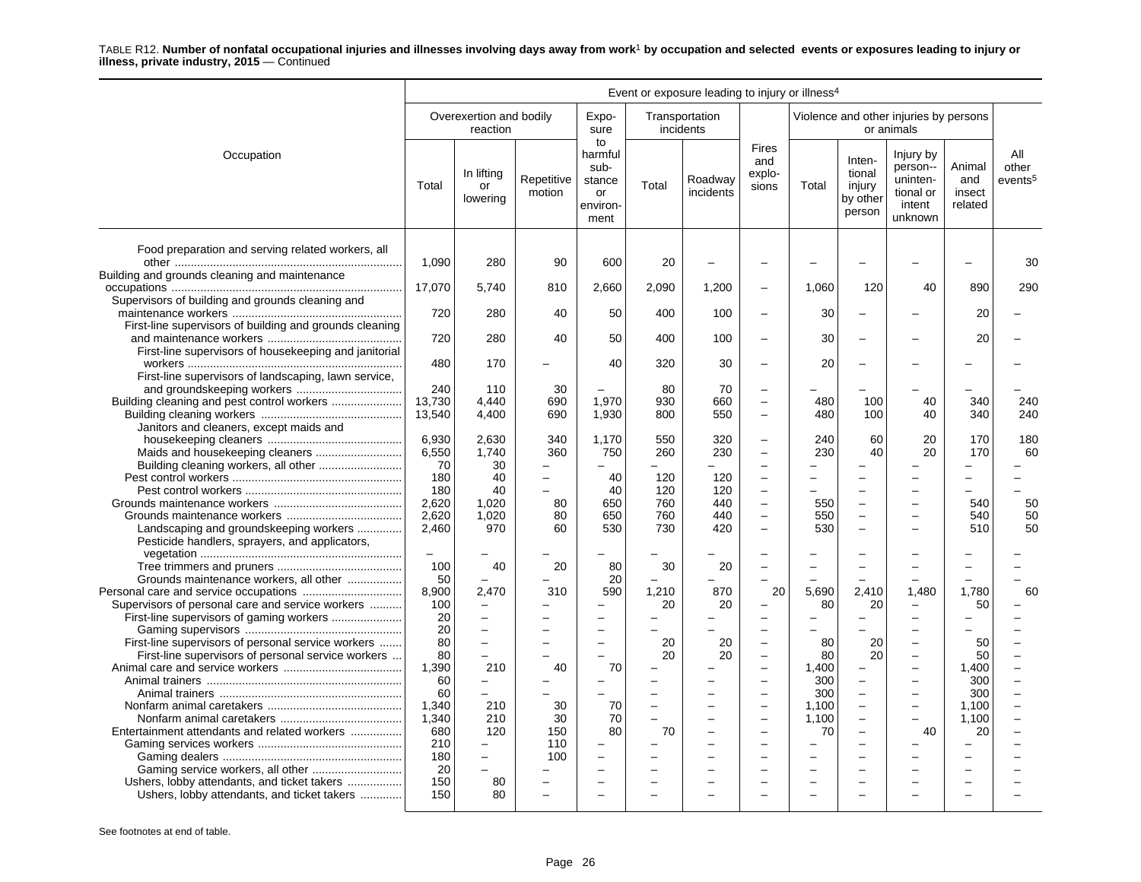|                                                                                              | Event or exposure leading to injury or illness <sup>4</sup> |                                                   |                      |                                                           |                          |                      |                                                                                  |                       |                                                  |                                                                        |                                    |                                     |
|----------------------------------------------------------------------------------------------|-------------------------------------------------------------|---------------------------------------------------|----------------------|-----------------------------------------------------------|--------------------------|----------------------|----------------------------------------------------------------------------------|-----------------------|--------------------------------------------------|------------------------------------------------------------------------|------------------------------------|-------------------------------------|
|                                                                                              |                                                             | Overexertion and bodily<br>reaction               |                      | Expo-<br>sure                                             | incidents                | Transportation       |                                                                                  |                       |                                                  | Violence and other injuries by persons<br>or animals                   |                                    |                                     |
| Occupation                                                                                   | Total                                                       | In lifting<br>or<br>lowering                      | Repetitive<br>motion | to<br>harmful<br>sub-<br>stance<br>or<br>environ-<br>ment | Total                    | Roadway<br>incidents | <b>Fires</b><br>and<br>explo-<br>sions                                           | Total                 | Inten-<br>tional<br>injury<br>by other<br>person | Injury by<br>person--<br>uninten-<br>tional or<br>intent<br>unknown    | Animal<br>and<br>insect<br>related | All<br>other<br>events <sup>5</sup> |
| Food preparation and serving related workers, all                                            | 1,090                                                       | 280                                               | 90                   | 600                                                       | 20                       |                      |                                                                                  |                       |                                                  |                                                                        |                                    | 30                                  |
| Building and grounds cleaning and maintenance                                                | 17,070                                                      | 5.740                                             | 810                  | 2,660                                                     | 2,090                    | 1,200                |                                                                                  | 1.060                 | 120                                              | 40                                                                     | 890                                | 290                                 |
| Supervisors of building and grounds cleaning and                                             | 720                                                         | 280                                               | 40                   | 50                                                        | 400                      | 100                  | $\overline{\phantom{0}}$                                                         | 30                    |                                                  |                                                                        | 20                                 |                                     |
| First-line supervisors of building and grounds cleaning                                      | 720                                                         | 280                                               | 40                   | 50                                                        | 400                      | 100                  | $\overline{\phantom{0}}$                                                         | 30                    | $\overline{\phantom{0}}$                         |                                                                        | 20                                 |                                     |
| First-line supervisors of housekeeping and janitorial                                        | 480                                                         | 170                                               |                      | 40                                                        | 320                      | 30                   |                                                                                  | 20                    |                                                  |                                                                        |                                    |                                     |
| First-line supervisors of landscaping, lawn service,                                         | 240                                                         | 110                                               | 30                   |                                                           | 80                       | 70                   | $\equiv$                                                                         |                       |                                                  |                                                                        |                                    |                                     |
|                                                                                              | 13.730<br>13,540                                            | 4.440<br>4,400                                    | 690<br>690           | 1.970<br>1,930                                            | 930<br>800               | 660<br>550           | $\sim$<br>$\overline{\phantom{0}}$                                               | 480<br>480            | 100<br>100                                       | 40<br>40                                                               | 340<br>340                         | 240<br>240                          |
| Janitors and cleaners, except maids and                                                      | 6,930<br>6,550                                              | 2.630<br>1,740                                    | 340<br>360           | 1,170<br>750                                              | 550<br>260               | 320<br>230           | $\overline{\phantom{m}}$                                                         | 240<br>230            | 60<br>40                                         | 20<br>20                                                               | 170<br>170                         | 180<br>60                           |
| Building cleaning workers, all other                                                         | 70<br>180                                                   | 30<br>40                                          | $\equiv$<br>-        | 40                                                        | L.<br>120                | 120                  | $\sim$                                                                           |                       |                                                  |                                                                        |                                    |                                     |
|                                                                                              | 180<br>2,620                                                | 40<br>1,020                                       | 80                   | 40<br>650                                                 | 120<br>760               | 120<br>440           | $\overline{\phantom{0}}$<br>$\overline{\phantom{0}}$                             | 550                   | $\equiv$<br>$\overline{\phantom{0}}$             | $\overline{\phantom{0}}$<br>$\overline{\phantom{0}}$                   | 540                                | 50                                  |
| Landscaping and groundskeeping workers<br>Pesticide handlers, sprayers, and applicators,     | 2,620<br>2,460                                              | 1,020<br>970                                      | 80<br>60             | 650<br>530                                                | 760<br>730               | 440<br>420           | $\equiv$<br>$\overline{\phantom{m}}$                                             | 550<br>530            | $\equiv$<br>$\overline{\phantom{0}}$             |                                                                        | 540<br>510                         | 50<br>50                            |
| Grounds maintenance workers, all other                                                       | $\overline{\phantom{m}}$<br>100<br>50                       | 40                                                | 20                   | 80<br>20                                                  | 30                       | 20                   |                                                                                  |                       |                                                  |                                                                        |                                    |                                     |
| Supervisors of personal care and service workers<br>First-line supervisors of gaming workers | 8,900<br>100<br>20                                          | 2,470<br>$\equiv$<br>$\overline{\phantom{0}}$     | 310                  | 590                                                       | 1,210<br>20              | 870<br>20            | 20                                                                               | 5,690<br>80           | 2,410<br>20                                      | 1,480                                                                  | 1,780<br>50                        | 60                                  |
| First-line supervisors of personal service workers                                           | 20<br>80                                                    | $\equiv$<br>$\overline{a}$                        |                      | ÷                                                         | 20                       | 20                   | $\equiv$                                                                         | 80                    | 20                                               | $\overline{\phantom{0}}$                                               | 50                                 |                                     |
| First-line supervisors of personal service workers                                           | 80<br>1,390<br>60                                           | $\overline{a}$<br>210<br>$\overline{\phantom{0}}$ | 40                   | 70                                                        | 20                       | 20                   | $\overline{\phantom{m}}$<br>$\overline{\phantom{0}}$<br>$\overline{\phantom{a}}$ | 80<br>1.400<br>300    | 20                                               | $\overline{\phantom{0}}$<br>$\overline{\phantom{0}}$<br>$\overline{a}$ | 50<br>1.400<br>300                 |                                     |
|                                                                                              | 60<br>1,340<br>1,340                                        | 210<br>210                                        | 30<br>30             | 70<br>70                                                  | $\overline{\phantom{0}}$ |                      | $\overline{\phantom{0}}$<br>$\overline{\phantom{0}}$                             | 300<br>1,100<br>1,100 | $\overline{\phantom{0}}$<br>$\equiv$             | $\overline{\phantom{0}}$<br>$\overline{a}$                             | 300<br>1.100<br>1,100              |                                     |
| Entertainment attendants and related workers                                                 | 680<br>210                                                  | 120                                               | 150<br>110           | 80                                                        | 70                       | -                    | $\overline{\phantom{a}}$                                                         | 70                    | $\overline{\phantom{0}}$                         | 40                                                                     | 20                                 |                                     |
| Gaming service workers, all other<br>Ushers, lobby attendants, and ticket takers             | 180<br>20<br>150                                            | $\equiv$<br>80                                    | 100                  | $\equiv$                                                  |                          |                      |                                                                                  |                       |                                                  |                                                                        |                                    |                                     |
| Ushers, lobby attendants, and ticket takers                                                  | 150                                                         | 80                                                |                      |                                                           |                          |                      |                                                                                  |                       |                                                  |                                                                        |                                    |                                     |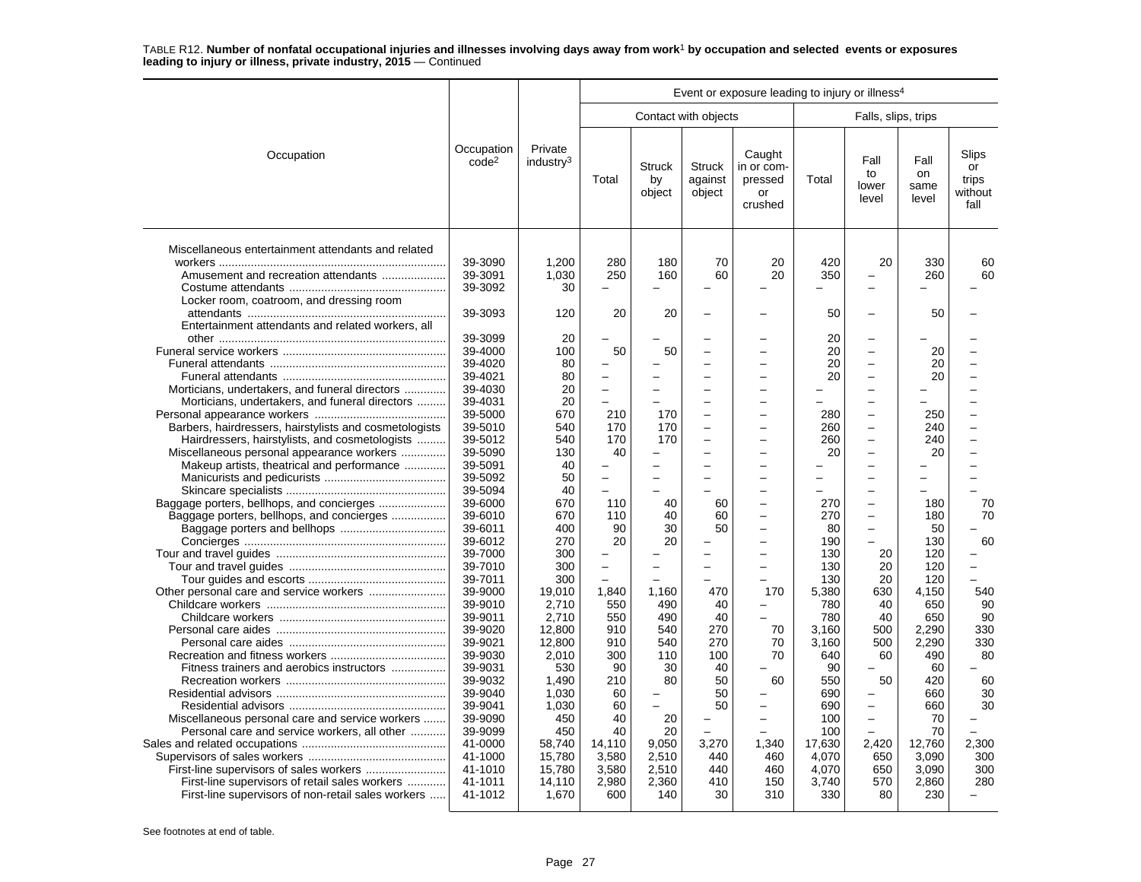|                                                                                                          |                                 |                                  |                            |                               |                                                      | Event or exposure leading to injury or illness <sup>4</sup> |                       |                                                                                  |                             |                                         |
|----------------------------------------------------------------------------------------------------------|---------------------------------|----------------------------------|----------------------------|-------------------------------|------------------------------------------------------|-------------------------------------------------------------|-----------------------|----------------------------------------------------------------------------------|-----------------------------|-----------------------------------------|
|                                                                                                          |                                 |                                  |                            |                               | Contact with objects                                 |                                                             |                       | Falls, slips, trips                                                              |                             |                                         |
| Occupation                                                                                               | Occupation<br>code <sup>2</sup> | Private<br>industry <sup>3</sup> | Total                      | <b>Struck</b><br>by<br>object | <b>Struck</b><br>against<br>object                   | Caught<br>in or com-<br>pressed<br>or<br>crushed            | Total                 | Fall<br>to<br>lower<br>level                                                     | Fall<br>on<br>same<br>level | Slips<br>or<br>trips<br>without<br>fall |
| Miscellaneous entertainment attendants and related<br>Amusement and recreation attendants                | 39-3090<br>39-3091              | 1,200<br>1.030                   | 280<br>250                 | 180<br>160                    | 70<br>60                                             | 20<br>20                                                    | 420<br>350            | 20<br>-<br>L                                                                     | 330<br>260                  | 60<br>60                                |
| Locker room, coatroom, and dressing room                                                                 | 39-3092<br>39-3093              | 30<br>120                        | 20                         | 20                            |                                                      |                                                             | 50                    | $\overline{\phantom{0}}$                                                         | 50                          |                                         |
| Entertainment attendants and related workers, all                                                        | 39-3099<br>39-4000              | 20<br>100                        | 50                         | 50                            |                                                      |                                                             | 20<br>20              | -<br>-                                                                           | 20                          |                                         |
|                                                                                                          | 39-4020<br>39-4021              | 80<br>80                         |                            |                               |                                                      | L<br>÷                                                      | 20<br>20              | L.<br>$\overline{\phantom{0}}$                                                   | 20<br>20                    |                                         |
| Morticians, undertakers, and funeral directors<br>Morticians, undertakers, and funeral directors         | 39-4030<br>39-4031<br>39-5000   | 20<br>20<br>670                  | 210                        | 170                           |                                                      | -                                                           | 280                   | -<br>-<br>$\overline{\phantom{0}}$                                               | 250                         |                                         |
| Barbers, hairdressers, hairstylists and cosmetologists<br>Hairdressers, hairstylists, and cosmetologists | 39-5010<br>39-5012              | 540<br>540                       | 170<br>170                 | 170<br>170                    | $\overline{\phantom{0}}$<br>$\overline{\phantom{0}}$ | $\overline{\phantom{0}}$                                    | 260<br>260            | $\overline{\phantom{0}}$<br>-                                                    | 240<br>240                  |                                         |
| Miscellaneous personal appearance workers<br>Makeup artists, theatrical and performance                  | 39-5090<br>39-5091<br>39-5092   | 130<br>40<br>50                  | 40                         |                               |                                                      | $\overline{a}$                                              | 20<br>-<br>L,         | -<br>-<br>$\overline{\phantom{0}}$                                               | 20                          |                                         |
| Baggage porters, bellhops, and concierges                                                                | 39-5094<br>39-6000<br>39-6010   | 40<br>670<br>670                 | 110<br>110                 | 40<br>40                      | 60<br>60                                             | L.<br>÷<br>÷                                                | L<br>270<br>270       | $\overline{\phantom{0}}$<br>$\overline{\phantom{0}}$<br>$\overline{\phantom{0}}$ | 180<br>180                  | 70<br>70                                |
|                                                                                                          | 39-6011<br>39-6012              | 400<br>270                       | 90<br>20                   | 30<br>20                      | 50                                                   | $\overline{a}$                                              | 80<br>190             | $\overline{\phantom{0}}$                                                         | 50<br>130                   | 60                                      |
|                                                                                                          | 39-7000<br>39-7010<br>39-7011   | 300<br>300<br>300                | $\equiv$<br>$\overline{a}$ |                               | $\equiv$                                             | $\equiv$<br>L.                                              | 130<br>130<br>130     | 20<br>20<br>20                                                                   | 120<br>120<br>120           |                                         |
|                                                                                                          | 39-9000<br>39-9010              | 19.010<br>2.710                  | 1.840<br>550               | 1.160<br>490                  | 470<br>40                                            | 170                                                         | 5.380<br>780          | 630<br>40                                                                        | 4.150<br>650                | 540<br>90                               |
|                                                                                                          | 39-9011<br>39-9020<br>39-9021   | 2,710<br>12,800<br>12.800        | 550<br>910<br>910          | 490<br>540<br>540             | 40<br>270<br>270                                     | 70<br>70                                                    | 780<br>3.160<br>3.160 | 40<br>500<br>500                                                                 | 650<br>2,290<br>2,290       | 90<br>330<br>330                        |
| Fitness trainers and aerobics instructors                                                                | 39-9030<br>39-9031<br>39-9032   | 2,010<br>530<br>1,490            | 300<br>90<br>210           | 110<br>30<br>80               | 100<br>40<br>50                                      | 70<br>60                                                    | 640<br>90<br>550      | 60<br>50                                                                         | 490<br>60<br>420            | 80<br>60                                |
|                                                                                                          | 39-9040<br>39-9041              | 1,030<br>1,030                   | 60<br>60                   | $\equiv$                      | 50<br>50                                             | L.                                                          | 690<br>690            | -<br>-                                                                           | 660<br>660                  | 30<br>30                                |
| Miscellaneous personal care and service workers<br>Personal care and service workers, all other          | 39-9090<br>39-9099<br>41-0000   | 450<br>450<br>58,740             | 40<br>40<br>14,110         | 20<br>20<br>9,050             | 3,270                                                | $\overline{\phantom{0}}$<br>1,340                           | 100<br>100<br>17,630  | -<br>2,420                                                                       | 70<br>70<br>12,760          | 2,300                                   |
|                                                                                                          | 41-1000<br>41-1010              | 15,780<br>15,780                 | 3,580<br>3,580             | 2.510<br>2,510                | 440<br>440                                           | 460<br>460                                                  | 4.070<br>4,070        | 650<br>650                                                                       | 3.090<br>3,090              | 300<br>300<br>280                       |
| First-line supervisors of retail sales workers<br>First-line supervisors of non-retail sales workers     | 41-1011<br>41-1012              | 14,110<br>1,670                  | 2,980<br>600               | 2,360<br>140                  | 410<br>30                                            | 150<br>310                                                  | 3,740<br>330          | 570<br>80                                                                        | 2,860<br>230                |                                         |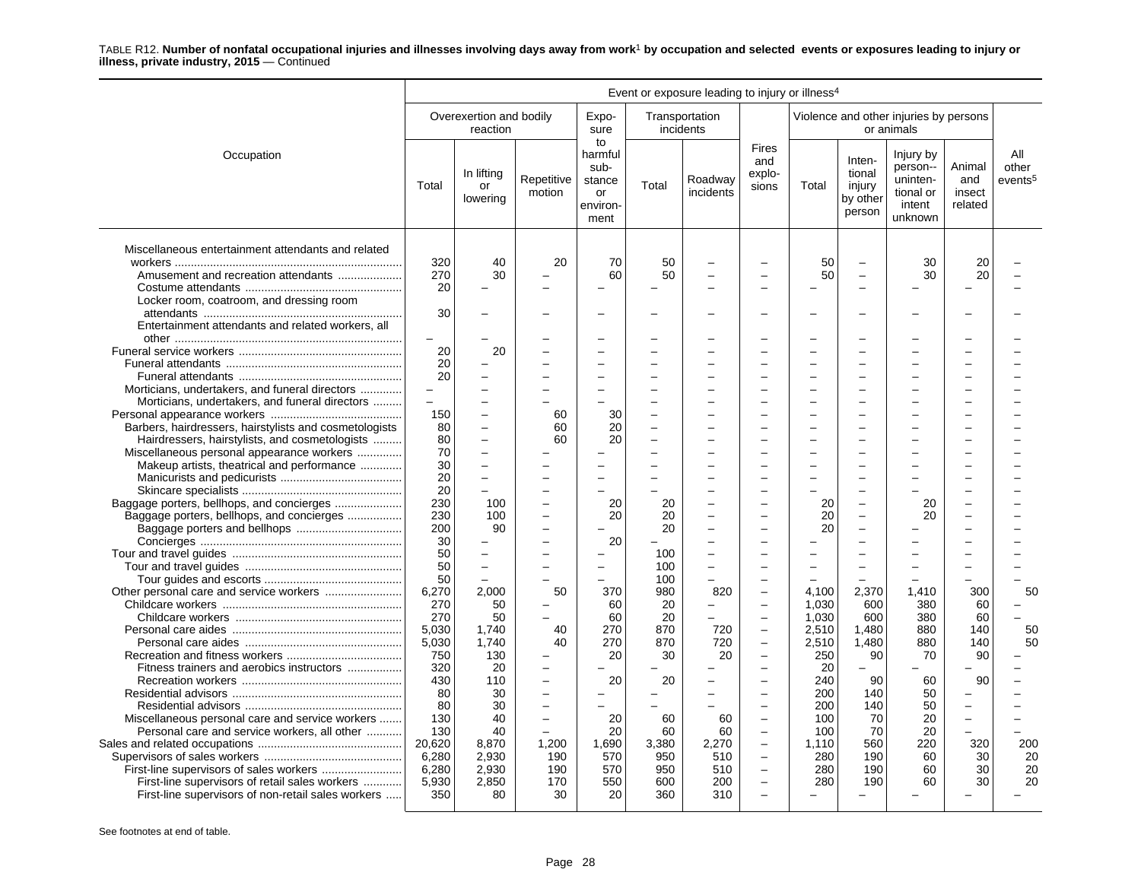|                                                                                                                                                                                            | Event or exposure leading to injury or illness <sup>4</sup> |                                                                        |                                                  |                                                           |                                   |                                   |                                                                                                                                                                      |                                         |                                                      |                                                                     |                                    |                                     |
|--------------------------------------------------------------------------------------------------------------------------------------------------------------------------------------------|-------------------------------------------------------------|------------------------------------------------------------------------|--------------------------------------------------|-----------------------------------------------------------|-----------------------------------|-----------------------------------|----------------------------------------------------------------------------------------------------------------------------------------------------------------------|-----------------------------------------|------------------------------------------------------|---------------------------------------------------------------------|------------------------------------|-------------------------------------|
|                                                                                                                                                                                            |                                                             | Overexertion and bodily<br>reaction                                    |                                                  | Expo-<br>sure                                             |                                   | Transportation<br>incidents       |                                                                                                                                                                      |                                         |                                                      | Violence and other injuries by persons<br>or animals                |                                    |                                     |
| Occupation                                                                                                                                                                                 | Total                                                       | In lifting<br>or<br>lowering                                           | Repetitive<br>motion                             | to<br>harmful<br>sub-<br>stance<br>or<br>environ-<br>ment | Total                             | Roadway<br>incidents              | <b>Fires</b><br>and<br>explo-<br>sions                                                                                                                               | Total                                   | Inten-<br>tional<br>injury<br>by other<br>person     | Injury by<br>person--<br>uninten-<br>tional or<br>intent<br>unknown | Animal<br>and<br>insect<br>related | All<br>other<br>events <sup>5</sup> |
| Miscellaneous entertainment attendants and related<br>Amusement and recreation attendants<br>Locker room, coatroom, and dressing room<br>Entertainment attendants and related workers, all | 320<br>270<br>20<br>30                                      | 40<br>30                                                               | 20                                               | 70<br>60                                                  | 50<br>50                          |                                   |                                                                                                                                                                      | 50<br>50                                | $\overline{\phantom{0}}$<br>$\overline{\phantom{0}}$ | 30<br>30                                                            | 20<br>20                           |                                     |
| Morticians, undertakers, and funeral directors                                                                                                                                             | 20<br>20<br>20                                              | 20<br>$\overline{a}$                                                   |                                                  |                                                           |                                   |                                   |                                                                                                                                                                      |                                         |                                                      |                                                                     |                                    |                                     |
| Morticians, undertakers, and funeral directors<br>Barbers, hairdressers, hairstylists and cosmetologists<br>Hairdressers, hairstylists, and cosmetologists                                 | $\overline{a}$<br>150<br>80<br>80                           | $\overline{a}$<br>$\overline{\phantom{0}}$<br>$\overline{\phantom{0}}$ | 60<br>60<br>60                                   | 30<br>20<br>20                                            |                                   |                                   | $\overline{\phantom{a}}$                                                                                                                                             |                                         |                                                      |                                                                     |                                    |                                     |
| Miscellaneous personal appearance workers<br>Makeup artists, theatrical and performance                                                                                                    | 70<br>30<br>20<br>20                                        | L.<br>$\overline{\phantom{0}}$                                         |                                                  |                                                           |                                   |                                   | $\overline{\phantom{a}}$                                                                                                                                             |                                         |                                                      |                                                                     |                                    |                                     |
| Baggage porters, bellhops, and concierges<br>Baggage porters, bellhops, and concierges                                                                                                     | 230<br>230<br>200<br>30                                     | 100<br>100<br>90                                                       | $\overline{\phantom{a}}$                         | 20<br>20<br>20                                            | 20<br>20<br>20                    |                                   | -<br>$\overline{\phantom{a}}$                                                                                                                                        | 20<br>20<br>20                          | $\equiv$<br>$\sim$                                   | 20<br>20                                                            |                                    |                                     |
|                                                                                                                                                                                            | 50<br>50<br>50<br>6,270                                     | $\overline{\phantom{0}}$<br>$\equiv$<br>2.000                          | 50                                               | $\equiv$<br>370                                           | 100<br>100<br>100<br>980          | $\equiv$<br>820                   | $\overline{\phantom{a}}$<br>$\overline{\phantom{0}}$                                                                                                                 | $\overline{\phantom{0}}$<br>4.100       | $\overline{\phantom{0}}$<br>2.370                    | 1.410                                                               | 300                                | 50                                  |
|                                                                                                                                                                                            | 270<br>270<br>5,030<br>5,030<br>750                         | 50<br>50<br>1,740<br>1.740<br>130                                      | 40<br>40                                         | 60<br>60<br>270<br>270<br>20                              | 20<br>20<br>870<br>870<br>30      | 720<br>720<br>20                  | $\overline{\phantom{0}}$<br>$\overline{\phantom{m}}$<br>$\equiv$<br>$\overline{\phantom{a}}$                                                                         | 1,030<br>1,030<br>2,510<br>2,510<br>250 | 600<br>600<br>1,480<br>1,480<br>90                   | 380<br>380<br>880<br>880<br>70                                      | 60<br>60<br>140<br>140<br>90       | 50<br>50                            |
| Fitness trainers and aerobics instructors<br>Miscellaneous personal care and service workers                                                                                               | 320<br>430<br>80<br>80<br>130<br>130                        | 20<br>110<br>30<br>30<br>40<br>40                                      | $\equiv$<br>$\overline{\phantom{a}}$<br>$\equiv$ | 20<br>20<br>20                                            | 20<br>60<br>60                    | 60<br>60                          | $\overline{\phantom{0}}$<br>$\overline{\phantom{a}}$<br>$\overline{\phantom{0}}$<br>$\overline{\phantom{0}}$<br>$\overline{\phantom{a}}$<br>$\overline{\phantom{m}}$ | 20<br>240<br>200<br>200<br>100<br>100   | 90<br>140<br>140<br>70<br>70                         | 60<br>50<br>50<br>20<br>20                                          | 90<br>-                            |                                     |
| Personal care and service workers, all other<br>First-line supervisors of retail sales workers<br>First-line supervisors of non-retail sales workers                                       | 20,620<br>6,280<br>6,280<br>5,930<br>350                    | 8,870<br>2,930<br>2,930<br>2,850<br>80                                 | 1,200<br>190<br>190<br>170<br>30                 | 1,690<br>570<br>570<br>550<br>20                          | 3,380<br>950<br>950<br>600<br>360 | 2,270<br>510<br>510<br>200<br>310 | $\overline{\phantom{0}}$<br>$\overline{\phantom{a}}$<br>$\overline{\phantom{0}}$<br>$\equiv$<br>$\equiv$                                                             | 1,110<br>280<br>280<br>280              | 560<br>190<br>190<br>190<br>$\equiv$                 | 220<br>60<br>60<br>60<br>$\equiv$                                   | 320<br>30<br>30<br>30              | 200<br>20<br>20<br>20               |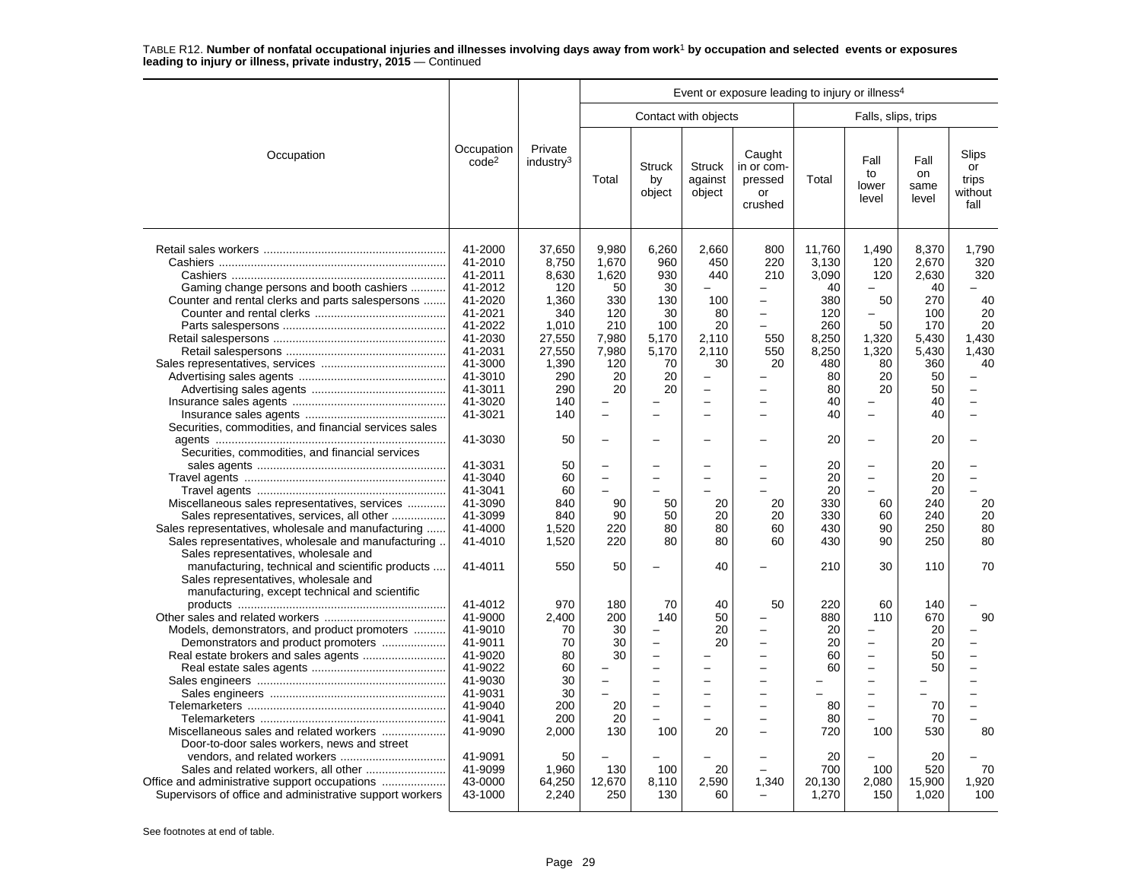|                                                                                                                                                                                                                                                            |                                                                                                                                             |                                                                                                            | Event or exposure leading to injury or illness <sup>4</sup>                                                               |                                                                                                                                                                                            |                                                                                                              |                                                                   |                                                                                                |                                                                                                                              |                                                                                               |                                                               |  |
|------------------------------------------------------------------------------------------------------------------------------------------------------------------------------------------------------------------------------------------------------------|---------------------------------------------------------------------------------------------------------------------------------------------|------------------------------------------------------------------------------------------------------------|---------------------------------------------------------------------------------------------------------------------------|--------------------------------------------------------------------------------------------------------------------------------------------------------------------------------------------|--------------------------------------------------------------------------------------------------------------|-------------------------------------------------------------------|------------------------------------------------------------------------------------------------|------------------------------------------------------------------------------------------------------------------------------|-----------------------------------------------------------------------------------------------|---------------------------------------------------------------|--|
|                                                                                                                                                                                                                                                            |                                                                                                                                             |                                                                                                            |                                                                                                                           |                                                                                                                                                                                            | Contact with objects                                                                                         |                                                                   |                                                                                                | Falls, slips, trips                                                                                                          |                                                                                               |                                                               |  |
| Occupation                                                                                                                                                                                                                                                 | Occupation<br>code <sup>2</sup>                                                                                                             | Private<br>industry <sup>3</sup>                                                                           | Total                                                                                                                     | <b>Struck</b><br>by<br>object                                                                                                                                                              | <b>Struck</b><br>against<br>object                                                                           | Caught<br>in or com-<br>pressed<br>or<br>crushed                  | Total                                                                                          | Fall<br>to<br>lower<br>level                                                                                                 | Fall<br>on<br>same<br>level                                                                   | Slips<br>or<br>trips<br>without<br>fall                       |  |
| Gaming change persons and booth cashiers<br>Counter and rental clerks and parts salespersons                                                                                                                                                               | 41-2000<br>41-2010<br>41-2011<br>41-2012<br>41-2020<br>41-2021<br>41-2022<br>41-2030<br>41-2031<br>41-3000<br>41-3010<br>41-3011<br>41-3020 | 37,650<br>8,750<br>8,630<br>120<br>1,360<br>340<br>1,010<br>27,550<br>27,550<br>1,390<br>290<br>290<br>140 | 9,980<br>1,670<br>1,620<br>50<br>330<br>120<br>210<br>7,980<br>7,980<br>120<br>20<br>20                                   | 6,260<br>960<br>930<br>30<br>130<br>30<br>100<br>5,170<br>5,170<br>70<br>20<br>20                                                                                                          | 2,660<br>450<br>440<br>100<br>80<br>20<br>2,110<br>2,110<br>30<br>$\overline{a}$<br>$\overline{\phantom{0}}$ | 800<br>220<br>210<br>$\overline{\phantom{0}}$<br>550<br>550<br>20 | 11,760<br>3,130<br>3,090<br>40<br>380<br>120<br>260<br>8,250<br>8,250<br>480<br>80<br>80<br>40 | 1,490<br>120<br>120<br>50<br>$\overline{\phantom{0}}$<br>50<br>1,320<br>1,320<br>80<br>20<br>20                              | 8,370<br>2,670<br>2,630<br>40<br>270<br>100<br>170<br>5,430<br>5,430<br>360<br>50<br>50<br>40 | 1,790<br>320<br>320<br>40<br>20<br>20<br>1,430<br>1,430<br>40 |  |
| Securities, commodities, and financial services sales                                                                                                                                                                                                      | 41-3021<br>41-3030                                                                                                                          | 140<br>50                                                                                                  | $\overline{\phantom{0}}$                                                                                                  | $\overline{\phantom{0}}$                                                                                                                                                                   | $\overline{\phantom{0}}$                                                                                     |                                                                   | 40<br>20                                                                                       | $\overline{\phantom{0}}$                                                                                                     | 40<br>20                                                                                      | $\overline{\phantom{0}}$                                      |  |
| Securities, commodities, and financial services<br>Miscellaneous sales representatives, services<br>Sales representatives, services, all other<br>Sales representatives, wholesale and manufacturing<br>Sales representatives, wholesale and manufacturing | 41-3031<br>41-3040<br>41-3041<br>41-3090<br>41-3099<br>41-4000<br>41-4010                                                                   | 50<br>60<br>60<br>840<br>840<br>1,520<br>1,520                                                             | L.<br>÷<br>90<br>90<br>220<br>220                                                                                         | $\overline{a}$<br>50<br>50<br>80<br>80                                                                                                                                                     | $\equiv$<br>20<br>20<br>80<br>80                                                                             | 20<br>20<br>60<br>60                                              | 20<br>20<br>20<br>330<br>330<br>430<br>430                                                     | $\equiv$<br>60<br>60<br>90<br>90                                                                                             | 20<br>20<br>20<br>240<br>240<br>250<br>250                                                    | 20<br>20<br>80<br>80                                          |  |
| Sales representatives, wholesale and<br>manufacturing, technical and scientific products<br>Sales representatives, wholesale and<br>manufacturing, except technical and scientific                                                                         | 41-4011                                                                                                                                     | 550                                                                                                        | 50                                                                                                                        |                                                                                                                                                                                            | 40                                                                                                           |                                                                   | 210                                                                                            | 30                                                                                                                           | 110                                                                                           | 70                                                            |  |
| Models, demonstrators, and product promoters<br>Demonstrators and product promoters<br>Door-to-door sales workers, news and street                                                                                                                         | 41-4012<br>41-9000<br>41-9010<br>41-9011<br>41-9020<br>41-9022<br>41-9030<br>41-9031<br>41-9040<br>41-9041<br>41-9090                       | 970<br>2.400<br>70<br>70<br>80<br>60<br>30<br>30<br>200<br>200<br>2,000                                    | 180<br>200<br>30<br>30<br>30<br>$\overline{\phantom{0}}$<br>$\overline{a}$<br>$\overline{\phantom{0}}$<br>20<br>20<br>130 | 70<br>140<br>$\overline{\phantom{0}}$<br>$\overline{\phantom{0}}$<br>$\overline{a}$<br>$\overline{\phantom{0}}$<br>$\equiv$<br>$\overline{\phantom{0}}$<br>$\overline{\phantom{0}}$<br>100 | 40<br>50<br>20<br>20<br>$\equiv$<br>20                                                                       | 50<br>L.<br>$\overline{\phantom{0}}$                              | 220<br>880<br>20<br>20<br>60<br>60<br>80<br>80<br>720                                          | 60<br>110<br>$\equiv$<br>$\overline{\phantom{0}}$<br>$\equiv$<br>$\overline{\phantom{0}}$<br>$\overline{\phantom{0}}$<br>100 | 140<br>670<br>20<br>20<br>50<br>50<br>70<br>70<br>530                                         | 90<br>80                                                      |  |
| Supervisors of office and administrative support workers                                                                                                                                                                                                   | 41-9091<br>41-9099<br>43-0000<br>43-1000                                                                                                    | 50<br>1,960<br>64,250<br>2,240                                                                             | 130<br>12,670<br>250                                                                                                      | 100<br>8.110<br>130                                                                                                                                                                        | 20<br>2.590<br>60                                                                                            | 1,340                                                             | 20<br>700<br>20,130<br>1,270                                                                   | 100<br>2.080<br>150                                                                                                          | 20<br>520<br>15.900<br>1,020                                                                  | 70<br>1,920<br>100                                            |  |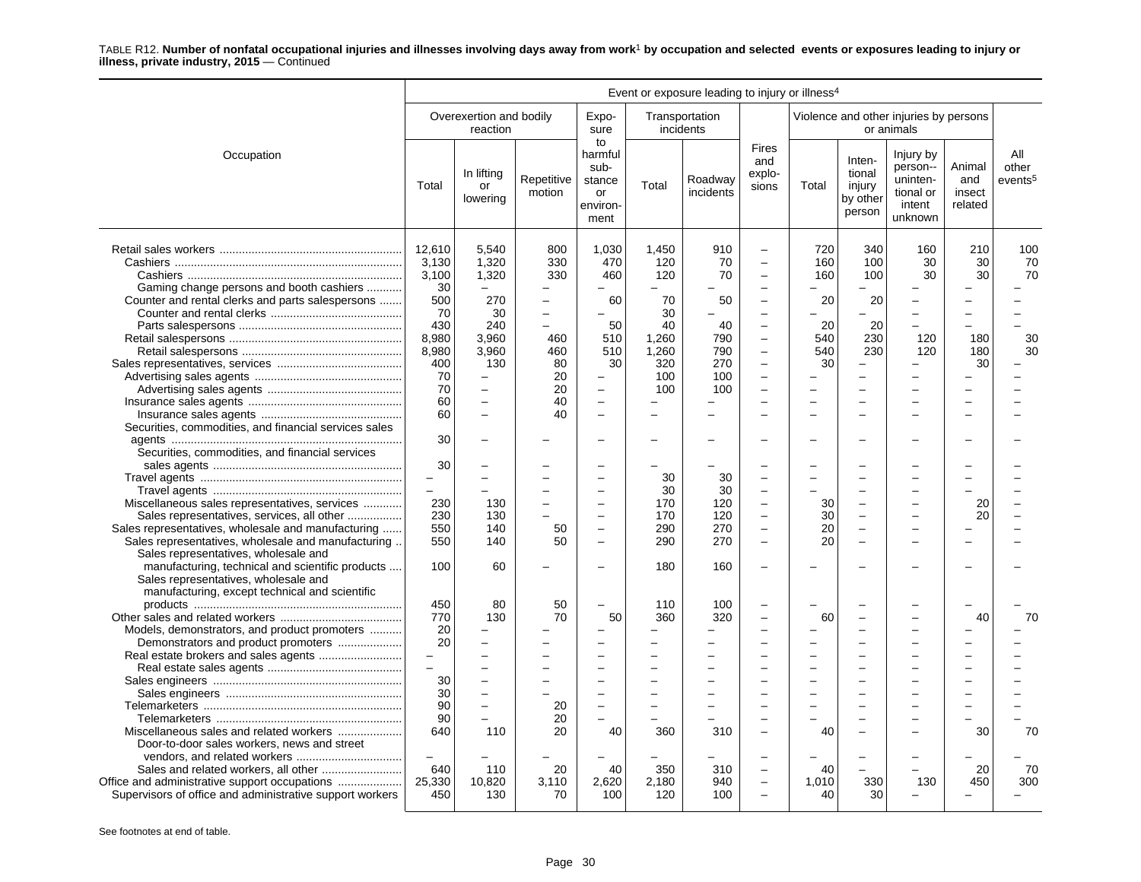|                                                                                                                                                                                                          | Event or exposure leading to injury or illness <sup>4</sup>       |                                                             |                                                           |                                                              |                                                    |                                       |                                                                                                          |                         |                                                                       |                                                                     |                                    |                                     |
|----------------------------------------------------------------------------------------------------------------------------------------------------------------------------------------------------------|-------------------------------------------------------------------|-------------------------------------------------------------|-----------------------------------------------------------|--------------------------------------------------------------|----------------------------------------------------|---------------------------------------|----------------------------------------------------------------------------------------------------------|-------------------------|-----------------------------------------------------------------------|---------------------------------------------------------------------|------------------------------------|-------------------------------------|
|                                                                                                                                                                                                          |                                                                   | Overexertion and bodily<br>reaction                         |                                                           | Expo-<br>sure                                                |                                                    | Transportation<br>incidents           |                                                                                                          |                         |                                                                       | Violence and other injuries by persons<br>or animals                |                                    |                                     |
| Occupation                                                                                                                                                                                               | Total                                                             | In lifting<br>or<br>lowering                                | Repetitive<br>motion                                      | to<br>harmful<br>sub-<br>stance<br>or<br>environ-<br>ment    | Total                                              | Roadway<br>incidents                  | <b>Fires</b><br>and<br>explo-<br>sions                                                                   | Total                   | Inten-<br>tional<br>injury<br>by other<br>person                      | Injury by<br>person--<br>uninten-<br>tional or<br>intent<br>unknown | Animal<br>and<br>insect<br>related | All<br>other<br>events <sup>5</sup> |
| Gaming change persons and booth cashiers<br>Counter and rental clerks and parts salespersons                                                                                                             | 12,610<br>3,130<br>3,100<br>30<br>500<br>70                       | 5,540<br>1,320<br>1,320<br>270<br>30                        | 800<br>330<br>330<br>$\overline{\phantom{0}}$<br>$\equiv$ | 1,030<br>470<br>460<br>60                                    | 1,450<br>120<br>120<br>70<br>30                    | 910<br>70<br>70<br>50                 | $\overline{\phantom{0}}$<br>$\equiv$<br>$\overline{\phantom{m}}$                                         | 720<br>160<br>160<br>20 | 340<br>100<br>100<br>20                                               | 160<br>30<br>30                                                     | 210<br>30<br>30                    | 100<br>70<br>70                     |
|                                                                                                                                                                                                          | 430<br>8,980<br>8,980<br>400<br>70<br>70                          | 240<br>3,960<br>3,960<br>130<br>$\qquad \qquad -$           | 460<br>460<br>80<br>20<br>20                              | 50<br>510<br>510<br>30<br>$\qquad \qquad -$                  | 40<br>1,260<br>1,260<br>320<br>100<br>100          | 40<br>790<br>790<br>270<br>100<br>100 | $\overline{\phantom{0}}$<br>$\equiv$<br>$\equiv$<br>$\sim$<br>$\overline{a}$                             | 20<br>540<br>540<br>30  | 20<br>230<br>230<br>$\equiv$                                          | 120<br>120                                                          | 180<br>180<br>30                   | 30<br>30                            |
| Securities, commodities, and financial services sales<br>Securities, commodities, and financial services                                                                                                 | 60<br>60<br>30<br>30                                              | $\qquad \qquad -$<br>$\overline{\phantom{a}}$               | 40<br>40                                                  | $\overline{\phantom{0}}$                                     |                                                    |                                       |                                                                                                          |                         |                                                                       |                                                                     |                                    |                                     |
| Miscellaneous sales representatives, services<br>Sales representatives, services, all other<br>Sales representatives, wholesale and manufacturing<br>Sales representatives, wholesale and manufacturing. | 230<br>230<br>550<br>550                                          | 130<br>130<br>140<br>140                                    | 50<br>50                                                  | $\equiv$<br>$\overline{\phantom{0}}$<br>$\equiv$<br>$\equiv$ | 30<br>30<br>170<br>170<br>290<br>290               | 30<br>30<br>120<br>120<br>270<br>270  | $\equiv$<br>$\equiv$<br>$\overline{\phantom{a}}$<br>$\overline{\phantom{0}}$<br>$\overline{\phantom{0}}$ | 30<br>30<br>20<br>20    | $\overline{\phantom{0}}$<br>÷<br>$\equiv$<br>$\overline{\phantom{0}}$ |                                                                     | 20<br>20                           |                                     |
| Sales representatives, wholesale and<br>manufacturing, technical and scientific products<br>Sales representatives, wholesale and                                                                         | 100                                                               | 60                                                          |                                                           |                                                              | 180                                                | 160                                   |                                                                                                          |                         |                                                                       |                                                                     |                                    |                                     |
| manufacturing, except technical and scientific<br>Models, demonstrators, and product promoters<br>Demonstrators and product promoters<br>Real estate brokers and sales agents                            | 450<br>770<br>20<br>20<br>$-$<br>$\equiv$<br>30<br>30<br>90<br>90 | 80<br>130<br>$\overline{\phantom{0}}$<br>$\sim$<br>$\equiv$ | 50<br>70<br>20<br>20                                      | 50<br>-<br>$\equiv$<br>$\overline{\phantom{0}}$              | 110<br>360<br>$\equiv$<br>$\overline{\phantom{0}}$ | 100<br>320                            | $\overline{\phantom{0}}$                                                                                 | 60                      |                                                                       | ÷                                                                   | 40                                 | 70                                  |
| Door-to-door sales workers, news and street<br>Office and administrative support occupations<br>Supervisors of office and administrative support workers                                                 | 640<br>640<br>25.330<br>450                                       | 110<br>110<br>10,820<br>130                                 | 20<br>20<br>3,110<br>70                                   | 40<br>40<br>2.620<br>100                                     | 360<br>350<br>2.180<br>120                         | 310<br>310<br>940<br>100              | $\overline{\phantom{0}}$<br>$\overline{\phantom{0}}$                                                     | 40<br>40<br>1.010<br>40 | 330<br>30                                                             | 130                                                                 | 30<br>20<br>450                    | 70<br>70<br>300                     |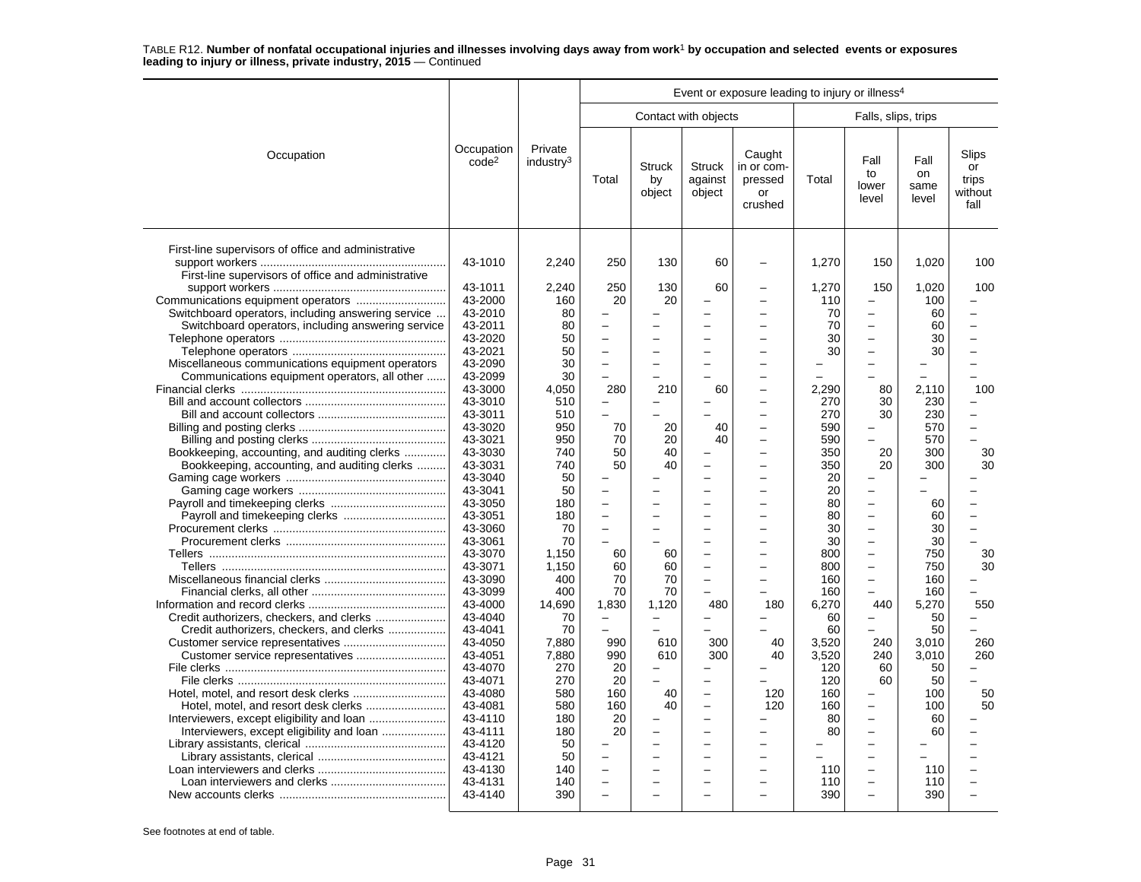|                                                                                                            |                                 |                                  | Event or exposure leading to injury or illness <sup>4</sup> |                               |                                    |                                                  |          |                                                      |                             |                                         |  |  |
|------------------------------------------------------------------------------------------------------------|---------------------------------|----------------------------------|-------------------------------------------------------------|-------------------------------|------------------------------------|--------------------------------------------------|----------|------------------------------------------------------|-----------------------------|-----------------------------------------|--|--|
|                                                                                                            |                                 |                                  |                                                             |                               | Contact with objects               |                                                  |          | Falls, slips, trips                                  |                             |                                         |  |  |
| Occupation                                                                                                 | Occupation<br>code <sup>2</sup> | Private<br>industry <sup>3</sup> | Total                                                       | <b>Struck</b><br>by<br>object | <b>Struck</b><br>against<br>object | Caught<br>in or com-<br>pressed<br>or<br>crushed | Total    | Fall<br>to<br>lower<br>level                         | Fall<br>on<br>same<br>level | Slips<br>or<br>trips<br>without<br>fall |  |  |
| First-line supervisors of office and administrative<br>First-line supervisors of office and administrative | 43-1010                         | 2,240                            | 250                                                         | 130                           | 60                                 |                                                  | 1,270    | 150                                                  | 1,020                       | 100                                     |  |  |
|                                                                                                            | 43-1011                         | 2,240                            | 250                                                         | 130                           | 60                                 |                                                  | 1,270    | 150                                                  | 1,020                       | 100                                     |  |  |
|                                                                                                            | 43-2000                         | 160                              | 20                                                          | 20                            |                                    |                                                  | 110      |                                                      | 100                         |                                         |  |  |
| Switchboard operators, including answering service                                                         | 43-2010                         | 80                               |                                                             |                               |                                    |                                                  | 70       | $\overline{\phantom{0}}$                             | 60                          |                                         |  |  |
| Switchboard operators, including answering service                                                         | 43-2011                         | 80                               | $\equiv$                                                    |                               | -                                  |                                                  | 70       | $\overline{\phantom{0}}$                             | 60                          |                                         |  |  |
|                                                                                                            | 43-2020                         | 50                               | $\equiv$                                                    | $\equiv$                      | $\equiv$                           |                                                  | 30       | $\overline{\phantom{0}}$                             | 30                          |                                         |  |  |
|                                                                                                            | 43-2021                         | 50                               | $\overline{\phantom{0}}$                                    |                               | -                                  |                                                  | 30       | $\overline{\phantom{0}}$                             | 30                          |                                         |  |  |
| Miscellaneous communications equipment operators                                                           | 43-2090                         | 30                               | $\overline{\phantom{0}}$                                    |                               |                                    |                                                  |          | $\overline{\phantom{0}}$                             |                             |                                         |  |  |
| Communications equipment operators, all other                                                              | 43-2099                         | 30                               |                                                             |                               |                                    |                                                  |          |                                                      |                             |                                         |  |  |
|                                                                                                            | 43-3000                         | 4,050                            | 280                                                         | 210                           | 60                                 |                                                  | 2.290    | 80                                                   | 2.110                       | 100                                     |  |  |
|                                                                                                            | 43-3010                         | 510                              |                                                             | $\overline{\phantom{0}}$      |                                    |                                                  | 270      | 30                                                   | 230                         |                                         |  |  |
|                                                                                                            | 43-3011                         | 510                              | L.                                                          | $\equiv$                      |                                    |                                                  | 270      | 30                                                   | 230                         |                                         |  |  |
|                                                                                                            | 43-3020                         | 950                              | 70                                                          | 20                            | 40                                 |                                                  | 590      | -                                                    | 570                         |                                         |  |  |
|                                                                                                            | 43-3021                         | 950                              | 70                                                          | 20                            | 40                                 |                                                  | 590      |                                                      | 570                         |                                         |  |  |
| Bookkeeping, accounting, and auditing clerks                                                               | 43-3030                         | 740                              | 50<br>50                                                    | 40                            |                                    |                                                  | 350      | 20<br>20                                             | 300                         | 30<br>30                                |  |  |
| Bookkeeping, accounting, and auditing clerks                                                               | 43-3031                         | 740                              |                                                             | 40                            | ÷                                  |                                                  | 350      | L                                                    | 300                         |                                         |  |  |
|                                                                                                            | 43-3040<br>43-3041              | 50<br>50                         | $\overline{\phantom{0}}$                                    |                               |                                    |                                                  | 20<br>20 | $\overline{\phantom{0}}$                             |                             |                                         |  |  |
|                                                                                                            | 43-3050                         | 180                              | $\overline{a}$                                              | $=$                           | $\equiv$                           |                                                  | 80       | $\overline{\phantom{0}}$                             | 60                          |                                         |  |  |
|                                                                                                            | 43-3051                         | 180                              | $\overline{\phantom{0}}$                                    |                               | $\equiv$                           |                                                  | 80       | $\overline{\phantom{0}}$                             | 60                          |                                         |  |  |
|                                                                                                            | 43-3060                         | 70                               | ÷                                                           |                               |                                    |                                                  | 30       | $\overline{\phantom{0}}$                             | 30                          |                                         |  |  |
|                                                                                                            | 43-3061                         | 70                               |                                                             |                               |                                    |                                                  | 30       | $\overline{\phantom{0}}$                             | 30                          |                                         |  |  |
|                                                                                                            | 43-3070                         | 1.150                            | 60                                                          | 60                            |                                    |                                                  | 800      | $\overline{\phantom{m}}$                             | 750                         | 30                                      |  |  |
|                                                                                                            | 43-3071                         | 1.150                            | 60                                                          | 60                            | $\overline{\phantom{0}}$           |                                                  | 800      | $\overline{\phantom{0}}$                             | 750                         | 30                                      |  |  |
|                                                                                                            | 43-3090                         | 400                              | 70                                                          | 70                            |                                    |                                                  | 160      | $\overline{\phantom{0}}$                             | 160                         |                                         |  |  |
|                                                                                                            | 43-3099                         | 400                              | 70                                                          | 70                            |                                    | $\equiv$                                         | 160      | $\sim$                                               | 160                         | L.                                      |  |  |
|                                                                                                            | 43-4000                         | 14,690                           | 1,830                                                       | 1,120                         | 480                                | 180                                              | 6,270    | 440                                                  | 5,270                       | 550                                     |  |  |
|                                                                                                            | 43-4040                         | 70                               |                                                             |                               |                                    |                                                  | 60       | $\overline{\phantom{0}}$                             | 50                          |                                         |  |  |
| Credit authorizers, checkers, and clerks                                                                   | 43-4041                         | 70                               | $\equiv$                                                    | $\equiv$                      |                                    |                                                  | 60       | L.                                                   | 50                          | L.                                      |  |  |
|                                                                                                            | 43-4050                         | 7,880                            | 990                                                         | 610                           | 300                                | 40                                               | 3,520    | 240                                                  | 3,010                       | 260                                     |  |  |
| Customer service representatives                                                                           | 43-4051                         | 7,880                            | 990                                                         | 610                           | 300                                | 40                                               | 3,520    | 240                                                  | 3,010                       | 260                                     |  |  |
|                                                                                                            | 43-4070                         | 270                              | 20                                                          | $\equiv$                      | $\overline{\phantom{0}}$           |                                                  | 120      | 60                                                   | 50                          |                                         |  |  |
|                                                                                                            | 43-4071                         | 270                              | 20                                                          | $\equiv$                      | L.                                 |                                                  | 120      | 60                                                   | 50                          |                                         |  |  |
|                                                                                                            | 43-4080                         | 580                              | 160                                                         | 40                            | $\equiv$                           | 120                                              | 160      | $\overline{\phantom{0}}$                             | 100                         | 50                                      |  |  |
|                                                                                                            | 43-4081                         | 580                              | 160                                                         | 40                            | -                                  | 120                                              | 160      | $\overline{\phantom{0}}$                             | 100                         | 50                                      |  |  |
|                                                                                                            | 43-4110                         | 180                              | 20                                                          | $\overline{\phantom{0}}$      | -                                  |                                                  | 80       | $\overline{\phantom{0}}$                             | 60                          |                                         |  |  |
| Interviewers, except eligibility and loan                                                                  | 43-4111                         | 180                              | 20                                                          |                               |                                    |                                                  | 80       |                                                      | 60                          |                                         |  |  |
|                                                                                                            | 43-4120                         | 50                               |                                                             |                               |                                    |                                                  |          | $\overline{\phantom{0}}$                             |                             |                                         |  |  |
|                                                                                                            | 43-4121                         | 50                               |                                                             |                               |                                    |                                                  |          | $\overline{\phantom{0}}$                             |                             |                                         |  |  |
|                                                                                                            | 43-4130                         | 140                              | $\overline{a}$                                              |                               |                                    |                                                  | 110      | $\overline{\phantom{0}}$                             | 110                         |                                         |  |  |
|                                                                                                            | 43-4131                         | 140                              | ÷                                                           |                               |                                    |                                                  | 110      | $\overline{\phantom{0}}$<br>$\overline{\phantom{0}}$ | 110                         |                                         |  |  |
|                                                                                                            | 43-4140                         | 390                              |                                                             |                               |                                    |                                                  | 390      |                                                      | 390                         |                                         |  |  |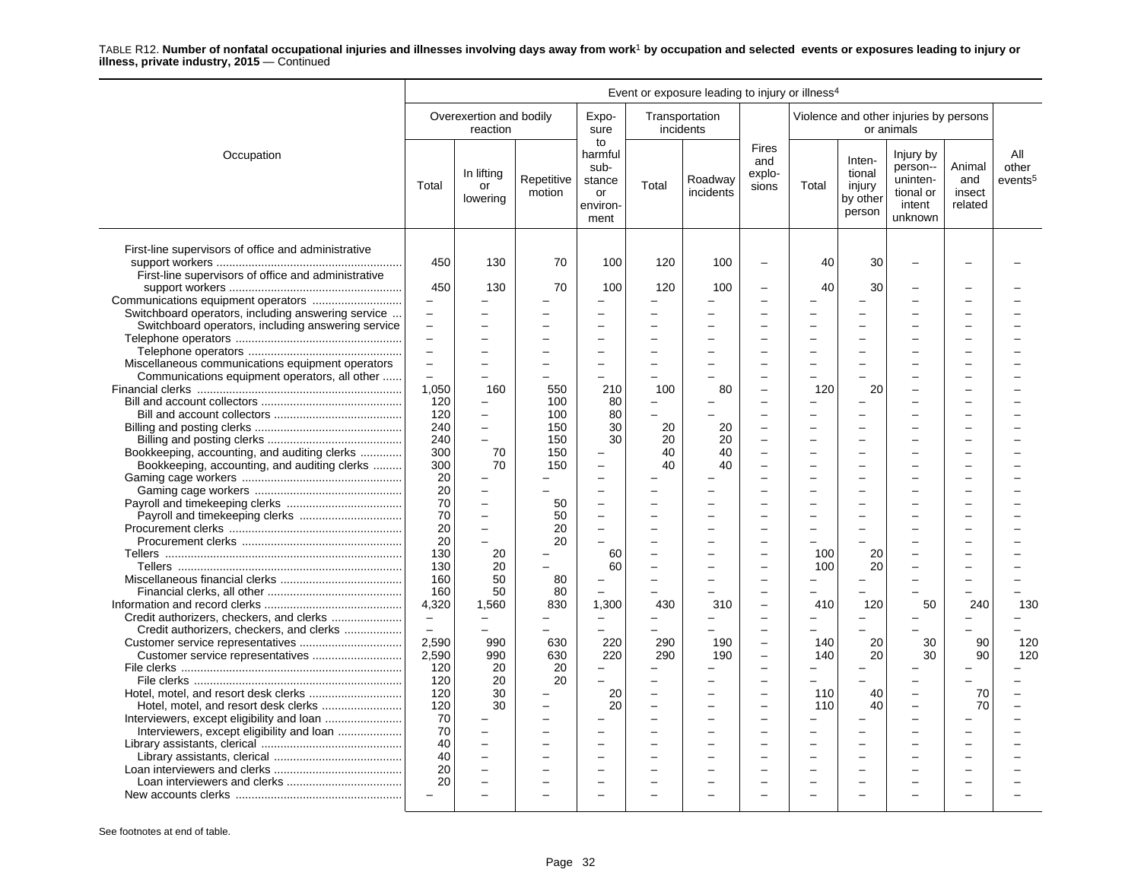|                                                                                        | Event or exposure leading to injury or illness <sup>4</sup> |                                     |                      |                                                           |                               |                             |                                 |                          |                                                  |                                                                     |                                    |                                     |
|----------------------------------------------------------------------------------------|-------------------------------------------------------------|-------------------------------------|----------------------|-----------------------------------------------------------|-------------------------------|-----------------------------|---------------------------------|--------------------------|--------------------------------------------------|---------------------------------------------------------------------|------------------------------------|-------------------------------------|
|                                                                                        |                                                             | Overexertion and bodily<br>reaction |                      | Expo-<br>sure                                             |                               | Transportation<br>incidents |                                 |                          |                                                  | Violence and other injuries by persons<br>or animals                |                                    |                                     |
| Occupation                                                                             | Total                                                       | In lifting<br>or<br>lowering        | Repetitive<br>motion | to<br>harmful<br>sub-<br>stance<br>or<br>environ-<br>ment | Total                         | Roadway<br>incidents        | Fires<br>and<br>explo-<br>sions | Total                    | Inten-<br>tional<br>injury<br>by other<br>person | Injury by<br>person--<br>uninten-<br>tional or<br>intent<br>unknown | Animal<br>and<br>insect<br>related | All<br>other<br>events <sup>5</sup> |
| First-line supervisors of office and administrative                                    | 450                                                         | 130                                 | 70                   | 100                                                       | 120                           | 100                         | $\overline{a}$                  | 40                       | 30                                               |                                                                     |                                    |                                     |
| First-line supervisors of office and administrative                                    |                                                             |                                     |                      |                                                           |                               |                             |                                 |                          |                                                  |                                                                     |                                    |                                     |
|                                                                                        | 450                                                         | 130                                 | 70                   | 100                                                       | 120                           | 100                         |                                 | 40                       | 30                                               |                                                                     |                                    |                                     |
|                                                                                        | $\overline{\phantom{0}}$                                    |                                     |                      | ÷                                                         | <u>.</u>                      |                             |                                 |                          |                                                  |                                                                     |                                    |                                     |
| Switchboard operators, including answering service                                     |                                                             |                                     |                      |                                                           |                               |                             |                                 |                          |                                                  |                                                                     |                                    |                                     |
| Switchboard operators, including answering service                                     | $\equiv$                                                    |                                     |                      | $\overline{\phantom{0}}$                                  |                               |                             |                                 |                          | $\overline{\phantom{0}}$                         |                                                                     |                                    |                                     |
|                                                                                        | $\overline{a}$<br>L.                                        |                                     |                      | $\overline{\phantom{a}}$<br>$\overline{\phantom{a}}$      | $\overline{\phantom{0}}$      |                             |                                 |                          | $\overline{\phantom{0}}$                         |                                                                     |                                    |                                     |
| Miscellaneous communications equipment operators                                       | $\equiv$                                                    |                                     |                      | $\overline{\phantom{0}}$                                  | L.                            |                             |                                 |                          | L                                                |                                                                     |                                    |                                     |
| Communications equipment operators, all other                                          |                                                             |                                     |                      |                                                           |                               |                             |                                 |                          |                                                  |                                                                     |                                    |                                     |
|                                                                                        | 1,050                                                       | 160                                 | 550                  | 210                                                       | 100                           | 80                          |                                 | 120                      | 20                                               |                                                                     |                                    |                                     |
|                                                                                        | 120                                                         |                                     | 100                  | 80                                                        | $\overline{\phantom{0}}$      |                             |                                 |                          |                                                  |                                                                     |                                    |                                     |
|                                                                                        | 120                                                         | $\equiv$                            | 100                  | 80                                                        |                               |                             |                                 |                          |                                                  |                                                                     |                                    |                                     |
|                                                                                        | 240                                                         | $\overline{\phantom{0}}$            | 150                  | 30                                                        | 20                            | 20                          |                                 |                          |                                                  |                                                                     |                                    |                                     |
|                                                                                        | 240                                                         |                                     | 150                  | 30                                                        | 20                            | 20                          |                                 |                          |                                                  |                                                                     |                                    |                                     |
| Bookkeeping, accounting, and auditing clerks                                           | 300                                                         | 70                                  | 150                  |                                                           | 40                            | 40                          |                                 | $\equiv$                 | L.                                               |                                                                     |                                    |                                     |
| Bookkeeping, accounting, and auditing clerks                                           | 300                                                         | 70                                  | 150                  | $\overline{\phantom{0}}$                                  | 40                            | 40                          |                                 |                          | $\overline{\phantom{0}}$                         |                                                                     |                                    |                                     |
|                                                                                        | 20                                                          |                                     |                      | L.                                                        |                               |                             |                                 |                          |                                                  |                                                                     |                                    |                                     |
|                                                                                        | 20                                                          |                                     |                      | $\overline{\phantom{a}}$                                  |                               |                             |                                 | ÷                        | $\overline{\phantom{0}}$                         |                                                                     |                                    |                                     |
|                                                                                        | 70                                                          | $\equiv$                            | 50                   | $\overline{\phantom{0}}$                                  |                               |                             |                                 |                          |                                                  |                                                                     |                                    |                                     |
|                                                                                        | 70                                                          |                                     | 50                   | L.                                                        |                               |                             |                                 |                          |                                                  |                                                                     |                                    |                                     |
|                                                                                        | 20                                                          | $\equiv$                            | 20                   | $\overline{\phantom{0}}$                                  |                               |                             |                                 |                          |                                                  |                                                                     |                                    |                                     |
|                                                                                        | 20                                                          |                                     | 20                   | $\overline{\phantom{a}}$                                  |                               |                             |                                 |                          |                                                  |                                                                     |                                    |                                     |
|                                                                                        | 130                                                         | 20                                  |                      | 60                                                        |                               |                             |                                 | 100                      | 20                                               |                                                                     |                                    |                                     |
|                                                                                        | 130                                                         | 20                                  |                      | 60                                                        |                               |                             |                                 | 100                      | 20                                               |                                                                     |                                    |                                     |
|                                                                                        | 160                                                         | 50                                  | 80                   | $\overline{\phantom{0}}$                                  | -                             |                             |                                 |                          |                                                  |                                                                     |                                    |                                     |
|                                                                                        | 160                                                         | 50                                  | 80                   |                                                           |                               |                             | ÷                               |                          | -                                                |                                                                     |                                    |                                     |
|                                                                                        | 4,320                                                       | 1.560                               | 830                  | 1.300                                                     | 430                           | 310                         | ÷                               | 410                      | 120                                              | 50                                                                  | 240                                | 130                                 |
| Credit authorizers, checkers, and clerks                                               | $\overline{\phantom{m}}$                                    |                                     |                      | $\overline{\phantom{m}}$                                  | -                             |                             |                                 |                          |                                                  |                                                                     |                                    |                                     |
| Credit authorizers, checkers, and clerks                                               | $\overline{a}$                                              |                                     |                      |                                                           |                               |                             |                                 |                          |                                                  |                                                                     |                                    |                                     |
|                                                                                        | 2.590                                                       | 990                                 | 630                  | 220                                                       | 290                           | 190                         | ÷                               | 140                      | 20                                               | 30                                                                  | 90                                 | 120                                 |
|                                                                                        | 2,590                                                       | 990                                 | 630                  | 220                                                       | 290                           | 190                         | ÷                               | 140                      | 20                                               | 30                                                                  | 90                                 | 120                                 |
|                                                                                        | 120                                                         | 20                                  | 20                   | $\qquad \qquad -$                                         | $\equiv$                      |                             |                                 |                          |                                                  |                                                                     |                                    |                                     |
|                                                                                        | 120                                                         | 20                                  | 20                   |                                                           |                               |                             |                                 |                          |                                                  |                                                                     |                                    |                                     |
|                                                                                        | 120                                                         | 30<br>30                            |                      | 20                                                        | -<br>$\overline{\phantom{0}}$ |                             | L.                              | 110                      | 40                                               | $\overline{\phantom{0}}$                                            | 70<br>70                           |                                     |
|                                                                                        | 120<br>70                                                   |                                     |                      | 20                                                        |                               |                             |                                 | 110                      | 40                                               |                                                                     |                                    |                                     |
| Interviewers, except eligibility and loan<br>Interviewers, except eligibility and loan | 70                                                          | $\equiv$                            |                      | L.                                                        |                               |                             |                                 | $=$                      | L.                                               |                                                                     |                                    |                                     |
|                                                                                        | 40                                                          | $\equiv$                            |                      | $\overline{\phantom{a}}$                                  | <u>.</u>                      |                             |                                 | $\overline{\phantom{0}}$ | $\overline{a}$                                   |                                                                     |                                    |                                     |
|                                                                                        | 40                                                          |                                     |                      | $\overline{\phantom{a}}$                                  |                               |                             |                                 |                          |                                                  |                                                                     |                                    |                                     |
|                                                                                        | 20                                                          |                                     |                      | $\overline{a}$                                            |                               |                             |                                 |                          | $\overline{a}$                                   |                                                                     |                                    |                                     |
|                                                                                        | 20                                                          |                                     |                      | $\overline{\phantom{0}}$                                  | -                             |                             |                                 |                          | $\overline{\phantom{0}}$                         |                                                                     |                                    |                                     |
|                                                                                        | $\equiv$                                                    |                                     |                      |                                                           |                               |                             |                                 |                          |                                                  |                                                                     |                                    |                                     |
|                                                                                        |                                                             |                                     |                      |                                                           |                               |                             |                                 |                          |                                                  |                                                                     |                                    |                                     |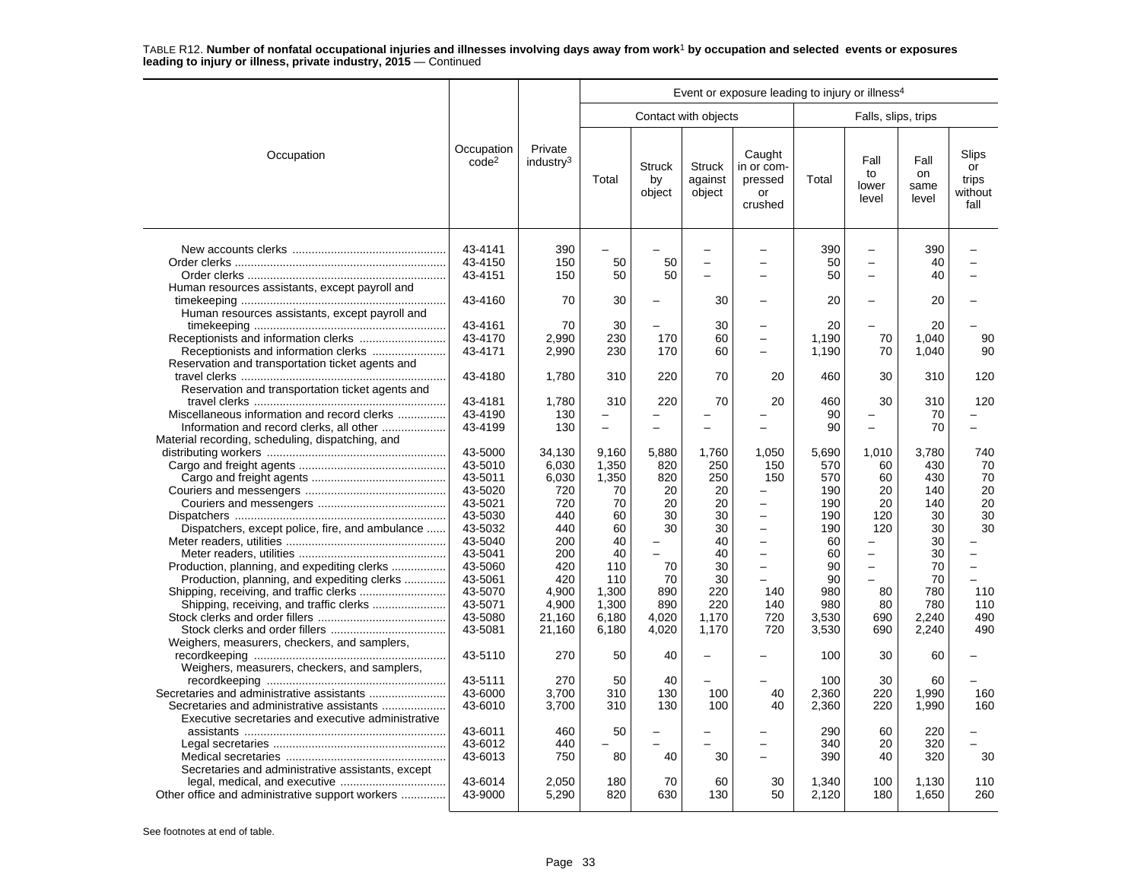|                                                                                                      |                                          |                                  | Event or exposure leading to injury or illness <sup>4</sup> |                                                            |                                    |                                                                                  |                           |                                                                  |                             |                                         |  |  |
|------------------------------------------------------------------------------------------------------|------------------------------------------|----------------------------------|-------------------------------------------------------------|------------------------------------------------------------|------------------------------------|----------------------------------------------------------------------------------|---------------------------|------------------------------------------------------------------|-----------------------------|-----------------------------------------|--|--|
|                                                                                                      |                                          |                                  |                                                             |                                                            | Contact with objects               |                                                                                  |                           | Falls, slips, trips                                              |                             |                                         |  |  |
| Occupation                                                                                           | Occupation<br>code <sup>2</sup>          | Private<br>industry <sup>3</sup> | Total                                                       | <b>Struck</b><br>by<br>object                              | <b>Struck</b><br>against<br>object | Caught<br>in or com-<br>pressed<br>or<br>crushed                                 | Total                     | Fall<br>to<br>lower<br>level                                     | Fall<br>on<br>same<br>level | Slips<br>or<br>trips<br>without<br>fall |  |  |
|                                                                                                      | 43-4141<br>43-4150<br>43-4151            | 390<br>150<br>150                | 50<br>50                                                    | 50<br>50                                                   | $\equiv$                           |                                                                                  | 390<br>50<br>50           | $\overline{\phantom{0}}$<br>$\equiv$<br>$\overline{\phantom{0}}$ | 390<br>40<br>40             |                                         |  |  |
| Human resources assistants, except payroll and                                                       | 43-4160                                  | 70                               | 30                                                          |                                                            | 30                                 |                                                                                  | 20                        |                                                                  | 20                          |                                         |  |  |
| Human resources assistants, except payroll and<br>Receptionists and information clerks               | 43-4161<br>43-4170<br>43-4171            | 70<br>2,990<br>2,990             | 30<br>230<br>230                                            | 170<br>170                                                 | 30<br>60<br>60                     | $\overline{\phantom{0}}$                                                         | 20<br>1,190<br>1,190      | 70<br>70                                                         | 20<br>1,040<br>1,040        | 90<br>90                                |  |  |
| Reservation and transportation ticket agents and<br>Reservation and transportation ticket agents and | 43-4180                                  | 1.780                            | 310                                                         | 220                                                        | 70                                 | 20                                                                               | 460                       | 30                                                               | 310                         | 120                                     |  |  |
| Miscellaneous information and record clerks<br>Information and record clerks, all other              | 43-4181<br>43-4190<br>43-4199            | 1,780<br>130<br>130              | 310<br>$\overline{\phantom{0}}$                             | 220                                                        | 70                                 | 20                                                                               | 460<br>90<br>90           | 30<br>$\sim$                                                     | 310<br>70<br>70             | 120                                     |  |  |
| Material recording, scheduling, dispatching, and                                                     | 43-5000<br>43-5010<br>43-5011            | 34,130<br>6,030<br>6,030         | 9,160<br>1,350<br>1,350                                     | 5.880<br>820<br>820                                        | 1,760<br>250<br>250                | 1.050<br>150<br>150                                                              | 5,690<br>570<br>570       | 1,010<br>60<br>60                                                | 3.780<br>430<br>430         | 740<br>70<br>70                         |  |  |
| Dispatchers, except police, fire, and ambulance                                                      | 43-5020<br>43-5021<br>43-5030<br>43-5032 | 720<br>720<br>440<br>440         | 70<br>70<br>60<br>60                                        | 20<br>20<br>30<br>30                                       | 20<br>20<br>30<br>30               | $\overline{\phantom{0}}$<br>$\overline{\phantom{0}}$<br>$\overline{\phantom{0}}$ | 190<br>190<br>190<br>190  | 20<br>20<br>120<br>120                                           | 140<br>140<br>30<br>30      | 20<br>20<br>30<br>30                    |  |  |
| Production, planning, and expediting clerks                                                          | 43-5040<br>43-5041<br>43-5060            | 200<br>200<br>420                | 40<br>40<br>110                                             | $\overline{\phantom{0}}$<br>$\overline{\phantom{0}}$<br>70 | 40<br>40<br>30                     | $\overline{\phantom{0}}$                                                         | 60<br>60<br>90            | $\overline{\phantom{0}}$<br>$\overline{\phantom{0}}$<br>$\equiv$ | 30<br>30<br>70              | $\overline{\phantom{0}}$                |  |  |
| Production, planning, and expediting clerks<br>Shipping, receiving, and traffic clerks               | 43-5061<br>43-5070<br>43-5071<br>43-5080 | 420<br>4,900<br>4,900<br>21.160  | 110<br>1,300<br>1,300<br>6.180                              | 70<br>890<br>890<br>4.020                                  | 30<br>220<br>220<br>1.170          | 140<br>140<br>720                                                                | 90<br>980<br>980<br>3.530 | 80<br>80<br>690                                                  | 70<br>780<br>780<br>2.240   | 110<br>110<br>490                       |  |  |
| Weighers, measurers, checkers, and samplers,                                                         | 43-5081                                  | 21,160                           | 6,180                                                       | 4,020                                                      | 1,170                              | 720                                                                              | 3,530                     | 690                                                              | 2,240                       | 490                                     |  |  |
| Weighers, measurers, checkers, and samplers,                                                         | 43-5110                                  | 270                              | 50                                                          | 40                                                         | $\overline{\phantom{0}}$           |                                                                                  | 100                       | 30                                                               | 60                          |                                         |  |  |
| Secretaries and administrative assistants                                                            | 43-5111<br>43-6000<br>43-6010            | 270<br>3,700<br>3,700            | 50<br>310<br>310                                            | 40<br>130<br>130                                           | 100<br>100                         | 40<br>40                                                                         | 100<br>2,360<br>2,360     | 30<br>220<br>220                                                 | 60<br>1,990<br>1,990        | 160<br>160                              |  |  |
| Executive secretaries and executive administrative                                                   | 43-6011<br>43-6012                       | 460<br>440                       | 50                                                          |                                                            |                                    |                                                                                  | 290<br>340                | 60<br>20                                                         | 220<br>320                  |                                         |  |  |
| Secretaries and administrative assistants, except                                                    | 43-6013                                  | 750                              | 80                                                          | 40                                                         | 30                                 |                                                                                  | 390                       | 40                                                               | 320                         | 30                                      |  |  |
| Other office and administrative support workers                                                      | 43-6014<br>43-9000                       | 2,050<br>5,290                   | 180<br>820                                                  | 70<br>630                                                  | 60<br>130                          | 30<br>50                                                                         | 1,340<br>2,120            | 100<br>180                                                       | 1,130<br>1,650              | 110<br>260                              |  |  |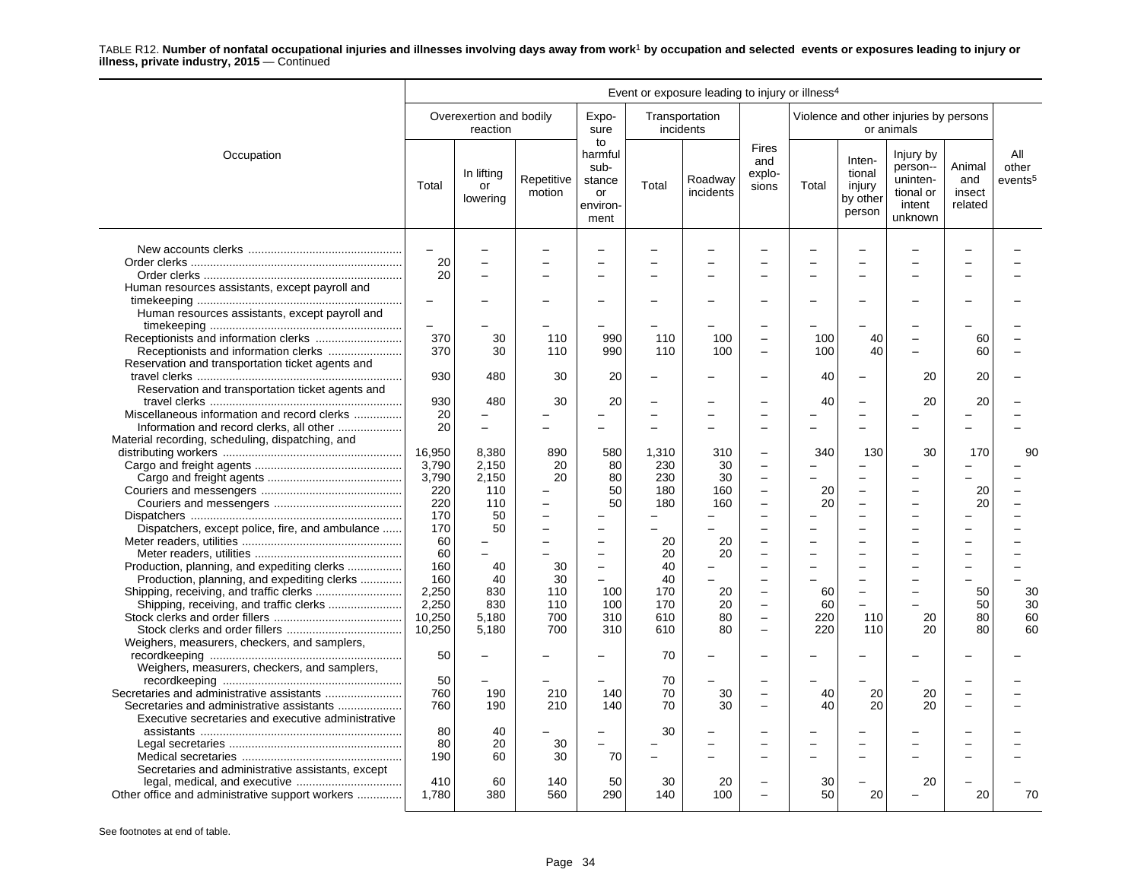|                                                    | Event or exposure leading to injury or illness <sup>4</sup> |                                     |                      |                                                           |                          |                             |                                        |       |                                                  |                                                                     |                                    |                                     |  |
|----------------------------------------------------|-------------------------------------------------------------|-------------------------------------|----------------------|-----------------------------------------------------------|--------------------------|-----------------------------|----------------------------------------|-------|--------------------------------------------------|---------------------------------------------------------------------|------------------------------------|-------------------------------------|--|
|                                                    |                                                             | Overexertion and bodily<br>reaction |                      | Expo-<br>sure                                             |                          | Transportation<br>incidents |                                        |       |                                                  | Violence and other injuries by persons<br>or animals                |                                    |                                     |  |
| Occupation                                         | Total                                                       | In lifting<br>or<br>lowering        | Repetitive<br>motion | to<br>harmful<br>sub-<br>stance<br>or<br>environ-<br>ment | Total                    | Roadway<br>incidents        | <b>Fires</b><br>and<br>explo-<br>sions | Total | Inten-<br>tional<br>injury<br>by other<br>person | Injury by<br>person--<br>uninten-<br>tional or<br>intent<br>unknown | Animal<br>and<br>insect<br>related | All<br>other<br>events <sup>5</sup> |  |
|                                                    | $\overline{a}$                                              |                                     |                      | $\overline{\phantom{0}}$                                  |                          |                             |                                        |       |                                                  |                                                                     |                                    |                                     |  |
|                                                    | 20                                                          |                                     |                      | L.                                                        |                          |                             |                                        |       |                                                  |                                                                     |                                    |                                     |  |
|                                                    | 20                                                          |                                     |                      | $\overline{\phantom{0}}$                                  |                          |                             |                                        |       |                                                  |                                                                     |                                    |                                     |  |
|                                                    |                                                             |                                     |                      |                                                           |                          |                             |                                        |       |                                                  |                                                                     |                                    |                                     |  |
| Human resources assistants, except payroll and     |                                                             |                                     |                      |                                                           |                          |                             |                                        |       |                                                  |                                                                     |                                    |                                     |  |
|                                                    | $\overline{\phantom{0}}$                                    |                                     |                      | $\overline{\phantom{0}}$                                  |                          |                             |                                        |       |                                                  |                                                                     |                                    |                                     |  |
| Human resources assistants, except payroll and     |                                                             |                                     |                      |                                                           |                          |                             |                                        |       |                                                  |                                                                     |                                    |                                     |  |
|                                                    |                                                             |                                     |                      |                                                           |                          |                             |                                        |       |                                                  |                                                                     |                                    |                                     |  |
|                                                    | 370                                                         | 30                                  | 110                  | 990                                                       | 110                      | 100                         | $\overline{a}$                         | 100   | 40                                               |                                                                     | 60                                 |                                     |  |
| Receptionists and information clerks               | 370                                                         | 30                                  | 110                  | 990                                                       | 110                      | 100                         | ÷                                      | 100   | 40                                               |                                                                     | 60                                 |                                     |  |
| Reservation and transportation ticket agents and   |                                                             |                                     |                      |                                                           |                          |                             |                                        |       |                                                  |                                                                     |                                    |                                     |  |
|                                                    | 930                                                         | 480                                 | 30                   | 20                                                        |                          |                             |                                        | 40    | $\overline{\phantom{0}}$                         | 20                                                                  | 20                                 |                                     |  |
| Reservation and transportation ticket agents and   |                                                             |                                     |                      |                                                           |                          |                             |                                        |       |                                                  |                                                                     |                                    |                                     |  |
|                                                    | 930                                                         | 480                                 | 30                   | 20                                                        |                          |                             |                                        | 40    |                                                  | 20                                                                  | 20                                 |                                     |  |
|                                                    |                                                             |                                     |                      | ÷                                                         | $\overline{\phantom{0}}$ |                             |                                        |       |                                                  |                                                                     |                                    |                                     |  |
| Miscellaneous information and record clerks        | 20                                                          |                                     |                      |                                                           |                          |                             |                                        |       |                                                  |                                                                     |                                    |                                     |  |
| Information and record clerks, all other           | 20                                                          |                                     |                      | $\qquad \qquad -$                                         |                          |                             |                                        |       |                                                  |                                                                     |                                    |                                     |  |
| Material recording, scheduling, dispatching, and   |                                                             |                                     |                      |                                                           |                          |                             |                                        |       |                                                  |                                                                     |                                    |                                     |  |
|                                                    | 16,950                                                      | 8.380                               | 890                  | 580                                                       | 1,310                    | 310                         | ÷                                      | 340   | 130                                              | 30                                                                  | 170                                | 90                                  |  |
|                                                    | 3,790                                                       | 2,150                               | 20                   | 80                                                        | 230                      | 30                          | $\overline{a}$                         |       |                                                  |                                                                     |                                    |                                     |  |
|                                                    | 3,790                                                       | 2,150                               | 20                   | 80                                                        | 230                      | 30                          | ÷                                      |       | $\equiv$                                         | -                                                                   |                                    |                                     |  |
|                                                    | 220                                                         | 110                                 |                      | 50                                                        | 180                      | 160                         | ÷                                      | 20    |                                                  |                                                                     | 20                                 |                                     |  |
|                                                    | 220                                                         | 110                                 |                      | 50                                                        | 180                      | 160                         | $\overline{a}$                         | 20    |                                                  |                                                                     | 20                                 |                                     |  |
|                                                    | 170                                                         | 50                                  |                      | L,                                                        |                          |                             |                                        |       |                                                  |                                                                     |                                    |                                     |  |
| Dispatchers, except police, fire, and ambulance    | 170                                                         | 50                                  |                      | $\overline{\phantom{0}}$                                  |                          |                             |                                        |       |                                                  |                                                                     |                                    |                                     |  |
|                                                    |                                                             |                                     | $\equiv$             |                                                           |                          |                             |                                        |       |                                                  |                                                                     |                                    |                                     |  |
|                                                    | 60                                                          |                                     |                      | ۰                                                         | 20                       | 20                          | ÷                                      |       |                                                  |                                                                     |                                    |                                     |  |
|                                                    | 60                                                          | $\equiv$                            |                      | $\overline{\phantom{0}}$                                  | 20                       | 20                          | L.                                     |       |                                                  |                                                                     |                                    |                                     |  |
| Production, planning, and expediting clerks        | 160                                                         | 40                                  | 30                   | $\overline{\phantom{a}}$                                  | 40                       |                             |                                        |       |                                                  |                                                                     |                                    |                                     |  |
| Production, planning, and expediting clerks        | 160                                                         | 40                                  | 30                   |                                                           | 40                       |                             | $\overline{\phantom{0}}$               |       |                                                  |                                                                     |                                    |                                     |  |
|                                                    | 2,250                                                       | 830                                 | 110                  | 100                                                       | 170                      | 20                          | $\overline{a}$                         | 60    |                                                  |                                                                     | 50                                 | 30                                  |  |
|                                                    | 2,250                                                       | 830                                 | 110                  | 100                                                       | 170                      | 20                          | L.                                     | 60    | $\overline{\phantom{0}}$                         |                                                                     | 50                                 | 30                                  |  |
|                                                    | 10.250                                                      | 5.180                               | 700                  | 310                                                       | 610                      | 80                          | ÷                                      | 220   | 110                                              | 20                                                                  | 80                                 | 60                                  |  |
|                                                    | 10,250                                                      | 5,180                               | 700                  | 310                                                       | 610                      | 80                          | $\overline{a}$                         | 220   | 110                                              | 20                                                                  | 80                                 | 60                                  |  |
| Weighers, measurers, checkers, and samplers,       |                                                             |                                     |                      |                                                           |                          |                             |                                        |       |                                                  |                                                                     |                                    |                                     |  |
|                                                    | 50                                                          |                                     |                      |                                                           | 70                       |                             |                                        |       |                                                  |                                                                     |                                    |                                     |  |
| Weighers, measurers, checkers, and samplers,       |                                                             |                                     |                      |                                                           |                          |                             |                                        |       |                                                  |                                                                     |                                    |                                     |  |
|                                                    |                                                             |                                     |                      |                                                           |                          |                             |                                        |       |                                                  |                                                                     |                                    |                                     |  |
|                                                    | 50                                                          |                                     |                      |                                                           | 70                       |                             |                                        |       |                                                  |                                                                     |                                    |                                     |  |
|                                                    | 760                                                         | 190                                 | 210                  | 140                                                       | 70                       | 30                          |                                        | 40    | 20                                               | 20                                                                  |                                    |                                     |  |
| Secretaries and administrative assistants          | 760                                                         | 190                                 | 210                  | 140                                                       | 70                       | 30                          |                                        | 40    | 20                                               | 20                                                                  |                                    |                                     |  |
| Executive secretaries and executive administrative |                                                             |                                     |                      |                                                           |                          |                             |                                        |       |                                                  |                                                                     |                                    |                                     |  |
|                                                    | 80                                                          | 40                                  |                      | $\overline{\phantom{0}}$                                  | 30                       |                             |                                        |       |                                                  |                                                                     |                                    |                                     |  |
|                                                    | 80                                                          | 20                                  | 30                   |                                                           |                          |                             |                                        |       |                                                  |                                                                     |                                    |                                     |  |
|                                                    | 190                                                         | 60                                  | 30                   | 70                                                        | ÷                        |                             |                                        |       |                                                  |                                                                     |                                    |                                     |  |
| Secretaries and administrative assistants, except  |                                                             |                                     |                      |                                                           |                          |                             |                                        |       |                                                  |                                                                     |                                    |                                     |  |
|                                                    | 410                                                         | 60                                  | 140                  | 50                                                        | 30                       | 20                          |                                        | 30    |                                                  | 20                                                                  |                                    |                                     |  |
| Other office and administrative support workers    | 1,780                                                       | 380                                 | 560                  | 290                                                       | 140                      | 100                         | L.                                     | 50    | 20                                               |                                                                     | 20                                 | 70                                  |  |
|                                                    |                                                             |                                     |                      |                                                           |                          |                             |                                        |       |                                                  |                                                                     |                                    |                                     |  |
|                                                    |                                                             |                                     |                      |                                                           |                          |                             |                                        |       |                                                  |                                                                     |                                    |                                     |  |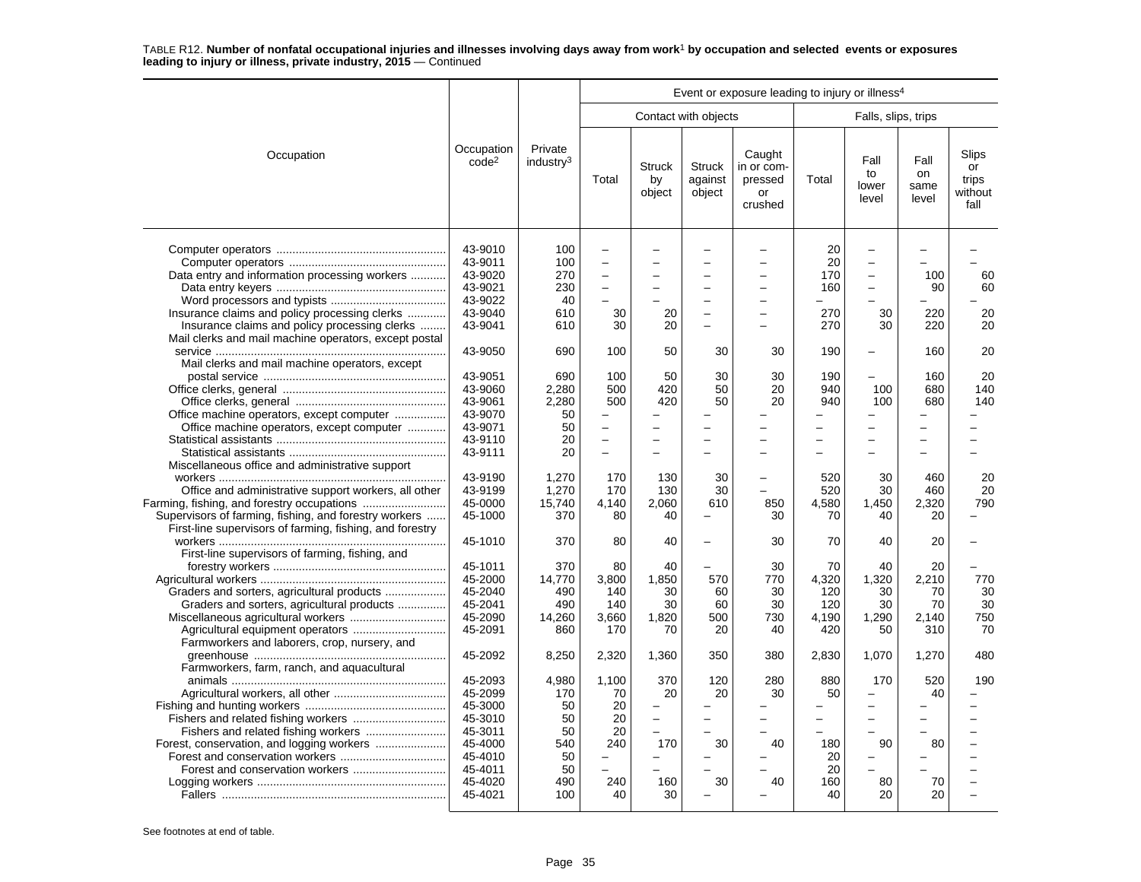|                                                                                                                                                                                                                              |                                                                                                            |                                                                 | Event or exposure leading to injury or illness <sup>4</sup>      |                                                                |                                    |                                                       |                                               |                                                                                                                                                      |                                         |                                         |  |
|------------------------------------------------------------------------------------------------------------------------------------------------------------------------------------------------------------------------------|------------------------------------------------------------------------------------------------------------|-----------------------------------------------------------------|------------------------------------------------------------------|----------------------------------------------------------------|------------------------------------|-------------------------------------------------------|-----------------------------------------------|------------------------------------------------------------------------------------------------------------------------------------------------------|-----------------------------------------|-----------------------------------------|--|
|                                                                                                                                                                                                                              |                                                                                                            |                                                                 |                                                                  |                                                                | Contact with objects               |                                                       |                                               | Falls, slips, trips                                                                                                                                  |                                         |                                         |  |
| Occupation                                                                                                                                                                                                                   | Occupation<br>code <sup>2</sup>                                                                            | Private<br>industry <sup>3</sup>                                | Total                                                            | <b>Struck</b><br>by<br>object                                  | <b>Struck</b><br>against<br>object | Caught<br>in or com-<br>pressed<br>or<br>crushed      | Total                                         | Fall<br>to<br>lower<br>level                                                                                                                         | Fall<br>on<br>same<br>level             | Slips<br>or<br>trips<br>without<br>fall |  |
| Data entry and information processing workers<br>Insurance claims and policy processing clerks<br>Insurance claims and policy processing clerks                                                                              | 43-9010<br>43-9011<br>43-9020<br>43-9021<br>43-9022<br>43-9040<br>43-9041                                  | 100<br>100<br>270<br>230<br>40<br>610<br>610                    | $\overline{\phantom{0}}$<br>L.<br>÷<br>$\equiv$<br>÷<br>30<br>30 | 20<br>20                                                       |                                    | ÷<br>L.<br>$\overline{a}$<br>$\overline{\phantom{a}}$ | 20<br>20<br>170<br>160<br>-<br>270<br>270     | $\overline{\phantom{0}}$<br>$\overline{\phantom{0}}$<br>$\overline{\phantom{0}}$<br>$\overline{\phantom{0}}$<br>$\overline{\phantom{0}}$<br>30<br>30 | 100<br>90<br>220<br>220                 | 60<br>60<br>20<br>20                    |  |
| Mail clerks and mail machine operators, except postal                                                                                                                                                                        | 43-9050                                                                                                    | 690                                                             | 100                                                              | 50                                                             | 30                                 | 30                                                    | 190                                           | ÷                                                                                                                                                    | 160                                     | 20                                      |  |
| Mail clerks and mail machine operators, except<br>Office machine operators, except computer                                                                                                                                  | 43-9051<br>43-9060<br>43-9061<br>43-9070<br>43-9071                                                        | 690<br>2.280<br>2,280<br>50<br>50                               | 100<br>500<br>500<br>$\overline{a}$                              | 50<br>420<br>420                                               | 30<br>50<br>50                     | 30<br>20<br>20                                        | 190<br>940<br>940<br>$\overline{\phantom{0}}$ | 100<br>100<br>$\overline{a}$                                                                                                                         | 160<br>680<br>680                       | 20<br>140<br>140                        |  |
| Office machine operators, except computer                                                                                                                                                                                    | 43-9110<br>43-9111                                                                                         | 20<br>20                                                        | $\overline{\phantom{0}}$<br>$\overline{\phantom{0}}$             |                                                                |                                    |                                                       |                                               | Ē,                                                                                                                                                   |                                         |                                         |  |
| Miscellaneous office and administrative support<br>Office and administrative support workers, all other<br>Supervisors of farming, fishing, and forestry workers<br>First-line supervisors of farming, fishing, and forestry | 43-9190<br>43-9199<br>45-0000<br>45-1000                                                                   | 1,270<br>1.270<br>15.740<br>370                                 | 170<br>170<br>4,140<br>80                                        | 130<br>130<br>2.060<br>40                                      | 30<br>30<br>610                    | 850<br>30                                             | 520<br>520<br>4.580<br>70                     | 30<br>30<br>1,450<br>40                                                                                                                              | 460<br>460<br>2.320<br>20               | 20<br>20<br>790                         |  |
| First-line supervisors of farming, fishing, and                                                                                                                                                                              | 45-1010                                                                                                    | 370                                                             | 80                                                               | 40                                                             |                                    | 30                                                    | 70                                            | 40                                                                                                                                                   | 20                                      |                                         |  |
| Graders and sorters, agricultural products<br>Graders and sorters, agricultural products<br>Farmworkers and laborers, crop, nursery, and                                                                                     | 45-1011<br>45-2000<br>45-2040<br>45-2041<br>45-2090<br>45-2091                                             | 370<br>14.770<br>490<br>490<br>14,260<br>860                    | 80<br>3.800<br>140<br>140<br>3,660<br>170                        | 40<br>1.850<br>30<br>30<br>1,820<br>70                         | 570<br>60<br>60<br>500<br>20       | 30<br>770<br>30<br>30<br>730<br>40                    | 70<br>4.320<br>120<br>120<br>4,190<br>420     | 40<br>1,320<br>30<br>30<br>1,290<br>50                                                                                                               | 20<br>2.210<br>70<br>70<br>2,140<br>310 | 770<br>30<br>30<br>750<br>70            |  |
| Farmworkers, farm, ranch, and aquacultural                                                                                                                                                                                   | 45-2092                                                                                                    | 8,250                                                           | 2,320                                                            | 1,360                                                          | 350                                | 380                                                   | 2,830                                         | 1,070                                                                                                                                                | 1,270                                   | 480                                     |  |
| Fishers and related fishing workers                                                                                                                                                                                          | 45-2093<br>45-2099<br>45-3000<br>45-3010<br>45-3011<br>45-4000<br>45-4010<br>45-4011<br>45-4020<br>45-4021 | 4.980<br>170<br>50<br>50<br>50<br>540<br>50<br>50<br>490<br>100 | 1,100<br>70<br>20<br>20<br>20<br>240<br>240<br>40                | 370<br>20<br>$\qquad \qquad -$<br>170<br>$\equiv$<br>160<br>30 | 120<br>20<br>30<br>30              | 280<br>30<br>40<br>40                                 | 880<br>50<br>180<br>20<br>20<br>160<br>40     | 170<br>÷<br>$\overline{\phantom{0}}$<br>90<br>Ē,<br>80<br>20                                                                                         | 520<br>40<br>80<br>70<br>20             | 190                                     |  |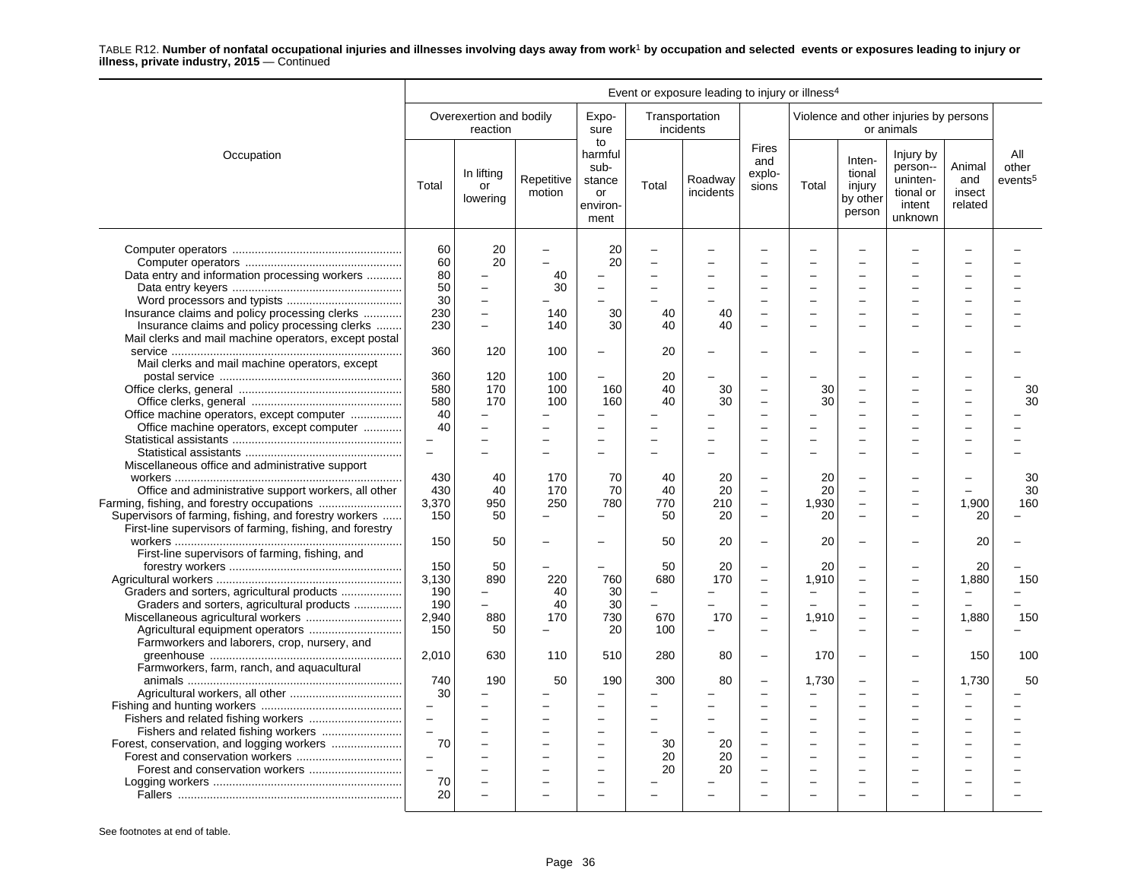|                                                                                                                   | Event or exposure leading to injury or illness <sup>4</sup> |                                      |                      |                                                                  |          |                             |                                        |       |                                                  |                                                                     |                                    |                                     |
|-------------------------------------------------------------------------------------------------------------------|-------------------------------------------------------------|--------------------------------------|----------------------|------------------------------------------------------------------|----------|-----------------------------|----------------------------------------|-------|--------------------------------------------------|---------------------------------------------------------------------|------------------------------------|-------------------------------------|
|                                                                                                                   |                                                             | Overexertion and bodily<br>reaction  |                      | Expo-<br>sure                                                    |          | Transportation<br>incidents |                                        |       |                                                  | Violence and other injuries by persons<br>or animals                |                                    |                                     |
| Occupation                                                                                                        | Total                                                       | In lifting<br>or<br>lowering         | Repetitive<br>motion | to<br>harmful<br>sub-<br>stance<br><b>or</b><br>environ-<br>ment | Total    | Roadway<br>incidents        | <b>Fires</b><br>and<br>explo-<br>sions | Total | Inten-<br>tional<br>injury<br>by other<br>person | Injury by<br>person--<br>uninten-<br>tional or<br>intent<br>unknown | Animal<br>and<br>insect<br>related | All<br>other<br>events <sup>5</sup> |
| Data entry and information processing workers                                                                     | 60<br>60<br>80                                              | 20<br>20<br>$\overline{\phantom{0}}$ | ÷<br>40              | 20<br>20                                                         |          |                             |                                        |       |                                                  |                                                                     |                                    |                                     |
|                                                                                                                   | 50                                                          | $\overline{a}$                       | 30                   | $\equiv$                                                         |          |                             |                                        |       | ÷                                                |                                                                     |                                    |                                     |
|                                                                                                                   | 30                                                          | $\equiv$                             |                      |                                                                  | $\equiv$ |                             |                                        |       | $\equiv$                                         | $\overline{a}$                                                      |                                    |                                     |
| Insurance claims and policy processing clerks                                                                     | 230                                                         | $\equiv$                             | 140                  | 30                                                               | 40       | 40                          |                                        |       |                                                  |                                                                     |                                    |                                     |
| Insurance claims and policy processing clerks                                                                     | 230                                                         | $\overline{a}$                       | 140                  | 30                                                               | 40       | 40                          | $\overline{\phantom{a}}$               |       |                                                  |                                                                     |                                    |                                     |
| Mail clerks and mail machine operators, except postal                                                             |                                                             |                                      |                      |                                                                  |          |                             |                                        |       |                                                  |                                                                     |                                    |                                     |
|                                                                                                                   | 360                                                         | 120                                  | 100                  |                                                                  | 20       |                             |                                        |       |                                                  |                                                                     |                                    |                                     |
| Mail clerks and mail machine operators, except                                                                    |                                                             |                                      |                      |                                                                  |          |                             |                                        |       |                                                  |                                                                     |                                    |                                     |
|                                                                                                                   | 360                                                         | 120                                  | 100                  |                                                                  | 20       |                             |                                        |       |                                                  |                                                                     |                                    |                                     |
|                                                                                                                   | 580                                                         | 170                                  | 100                  | 160                                                              | 40       | 30                          | $\overline{\phantom{0}}$               | 30    |                                                  |                                                                     |                                    | 30                                  |
|                                                                                                                   | 580                                                         | 170                                  | 100                  | 160                                                              | 40       | 30                          |                                        | 30    |                                                  |                                                                     |                                    | 30                                  |
| Office machine operators, except computer                                                                         | 40                                                          |                                      |                      |                                                                  |          |                             |                                        |       |                                                  |                                                                     |                                    |                                     |
| Office machine operators, except computer                                                                         | 40                                                          |                                      |                      |                                                                  |          |                             |                                        |       |                                                  |                                                                     |                                    |                                     |
|                                                                                                                   |                                                             |                                      |                      |                                                                  |          |                             |                                        |       |                                                  |                                                                     |                                    |                                     |
|                                                                                                                   | $\equiv$                                                    |                                      |                      |                                                                  | -        |                             |                                        |       |                                                  |                                                                     |                                    |                                     |
| Miscellaneous office and administrative support                                                                   |                                                             |                                      |                      |                                                                  |          |                             |                                        |       |                                                  |                                                                     |                                    |                                     |
|                                                                                                                   | 430                                                         | 40                                   | 170                  | 70                                                               | 40       | 20                          |                                        | 20    |                                                  |                                                                     |                                    | 30                                  |
| Office and administrative support workers, all other                                                              | 430                                                         | 40                                   | 170                  | 70                                                               | 40       | 20                          | $\overline{\phantom{0}}$               | 20    | $\equiv$                                         |                                                                     |                                    | 30                                  |
| Farming, fishing, and forestry occupations                                                                        | 3,370                                                       | 950                                  | 250                  | 780                                                              | 770      | 210                         | $\equiv$                               | 1,930 | $\overline{\phantom{0}}$                         | ÷                                                                   | 1,900                              | 160                                 |
| Supervisors of farming, fishing, and forestry workers<br>First-line supervisors of farming, fishing, and forestry | 150                                                         | 50                                   |                      |                                                                  | 50       | 20                          | $\overline{\phantom{0}}$               | 20    |                                                  |                                                                     | 20                                 |                                     |
| First-line supervisors of farming, fishing, and                                                                   | 150                                                         | 50                                   |                      |                                                                  | 50       | 20                          |                                        | 20    |                                                  |                                                                     | 20                                 |                                     |
|                                                                                                                   | 150                                                         | 50                                   |                      |                                                                  | 50       | 20                          |                                        | 20    |                                                  |                                                                     | 20                                 |                                     |
|                                                                                                                   | 3,130                                                       | 890                                  | 220                  | 760                                                              | 680      | 170                         | $\overline{\phantom{0}}$               | 1,910 |                                                  |                                                                     | 1,880                              | 150                                 |
|                                                                                                                   | 190                                                         | $\overline{\phantom{0}}$             | 40                   | 30                                                               | $\equiv$ |                             |                                        |       |                                                  |                                                                     |                                    |                                     |
| Graders and sorters, agricultural products                                                                        | 190                                                         |                                      | 40                   | 30                                                               | ÷        |                             | $\sim$                                 |       |                                                  | ÷                                                                   |                                    |                                     |
|                                                                                                                   | 2,940                                                       | 880                                  | 170                  | 730                                                              | 670      | 170                         | $\overline{\phantom{0}}$               | 1,910 |                                                  |                                                                     | 1,880                              | 150                                 |
|                                                                                                                   | 150                                                         | 50                                   |                      | 20                                                               | 100      |                             |                                        |       |                                                  |                                                                     |                                    |                                     |
| Farmworkers and laborers, crop, nursery, and                                                                      |                                                             |                                      |                      |                                                                  |          |                             |                                        |       |                                                  |                                                                     |                                    |                                     |
|                                                                                                                   | 2,010                                                       | 630                                  | 110                  | 510                                                              | 280      | 80                          | $\overline{\phantom{0}}$               | 170   |                                                  |                                                                     | 150                                | 100                                 |
| Farmworkers, farm, ranch, and aquacultural                                                                        |                                                             |                                      |                      |                                                                  |          |                             |                                        |       |                                                  |                                                                     |                                    |                                     |
|                                                                                                                   | 740                                                         | 190                                  | 50                   | 190                                                              | 300      | 80                          |                                        | 1.730 | ÷                                                |                                                                     | 1,730                              | 50                                  |
|                                                                                                                   | 30                                                          |                                      |                      |                                                                  |          |                             |                                        |       |                                                  |                                                                     |                                    |                                     |
|                                                                                                                   | $\qquad \qquad -$                                           |                                      |                      |                                                                  | -        |                             |                                        |       |                                                  |                                                                     |                                    |                                     |
|                                                                                                                   | $\equiv$                                                    |                                      |                      |                                                                  |          |                             |                                        |       |                                                  |                                                                     |                                    |                                     |
|                                                                                                                   | $\overline{\phantom{a}}$                                    |                                      | $\equiv$             | $\equiv$                                                         | $\equiv$ |                             |                                        |       | $\overline{\phantom{0}}$                         |                                                                     |                                    |                                     |
| Forest, conservation, and logging workers                                                                         | 70                                                          |                                      |                      | $\overline{\phantom{0}}$                                         | 30       | 20                          |                                        |       |                                                  |                                                                     |                                    |                                     |
|                                                                                                                   | $\overline{\phantom{a}}$                                    |                                      |                      |                                                                  | 20       | 20                          |                                        |       |                                                  |                                                                     |                                    |                                     |
|                                                                                                                   | $\overline{a}$                                              |                                      |                      |                                                                  | 20       | 20                          |                                        |       |                                                  |                                                                     |                                    |                                     |
|                                                                                                                   | 70                                                          |                                      |                      | $\equiv$                                                         |          |                             |                                        |       |                                                  |                                                                     |                                    |                                     |
|                                                                                                                   | 20                                                          |                                      |                      |                                                                  |          |                             |                                        |       |                                                  |                                                                     |                                    |                                     |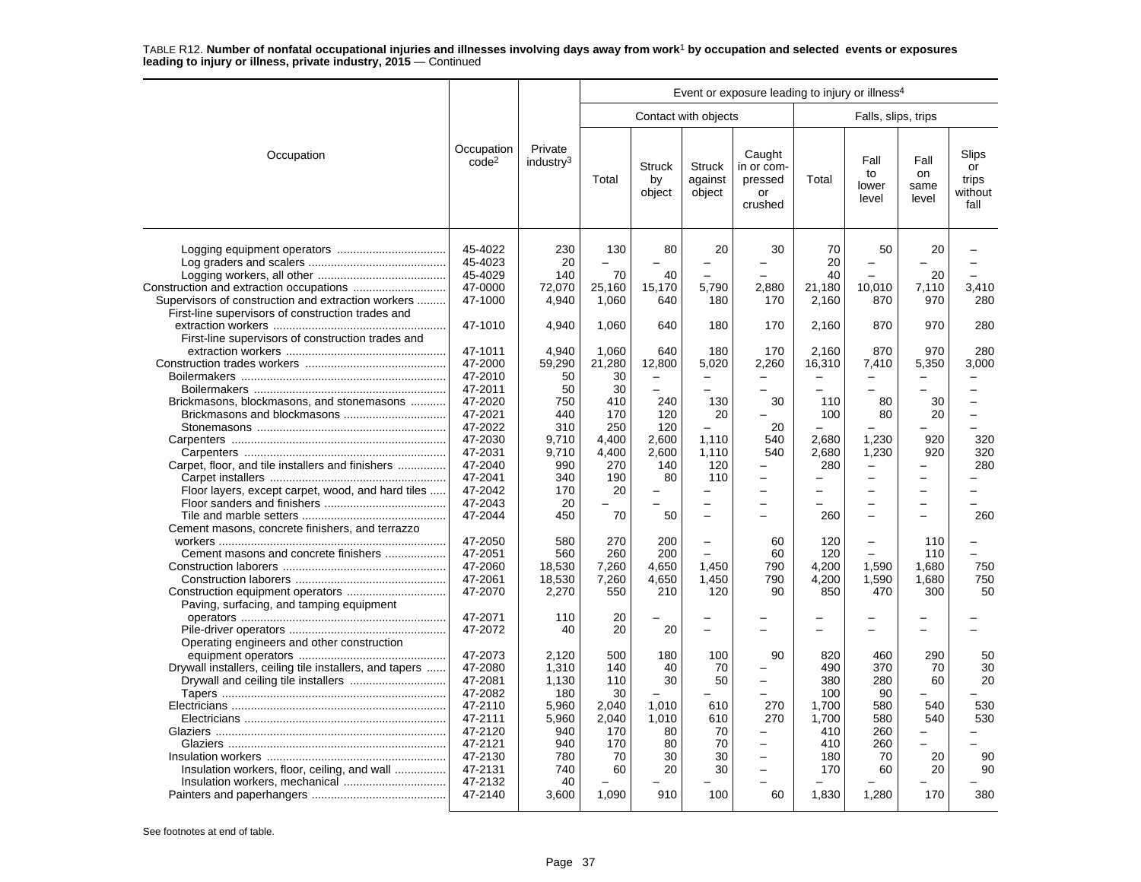|                                                                                                         |                                                                                                 |                                                                       | Event or exposure leading to injury or illness <sup>4</sup>   |                                                         |                                                                   |                                                                                                        |                                                                 |                                                                        |                                                                  |                                                                              |  |  |
|---------------------------------------------------------------------------------------------------------|-------------------------------------------------------------------------------------------------|-----------------------------------------------------------------------|---------------------------------------------------------------|---------------------------------------------------------|-------------------------------------------------------------------|--------------------------------------------------------------------------------------------------------|-----------------------------------------------------------------|------------------------------------------------------------------------|------------------------------------------------------------------|------------------------------------------------------------------------------|--|--|
|                                                                                                         |                                                                                                 |                                                                       |                                                               |                                                         | Contact with objects                                              |                                                                                                        |                                                                 | Falls, slips, trips                                                    |                                                                  |                                                                              |  |  |
| Occupation                                                                                              | Occupation<br>code <sup>2</sup>                                                                 | Private<br>industry <sup>3</sup>                                      | Total                                                         | <b>Struck</b><br>by<br>object                           | Struck<br>against<br>object                                       | Caught<br>in or com-<br>pressed<br>or<br>crushed                                                       | Total                                                           | Fall<br>to<br>lower<br>level                                           | Fall<br>on<br>same<br>level                                      | Slips<br>or<br>trips<br>without<br>fall                                      |  |  |
| Supervisors of construction and extraction workers<br>First-line supervisors of construction trades and | 45-4022<br>45-4023<br>45-4029<br>47-0000<br>47-1000                                             | 230<br>20<br>140<br>72,070<br>4,940                                   | 130<br>70<br>25,160<br>1,060                                  | 80<br>40<br>15,170<br>640                               | 20<br>5,790<br>180                                                | 30<br>2,880<br>170                                                                                     | 70<br>20<br>40<br>21,180<br>2,160                               | 50<br>L,<br>10,010<br>870                                              | 20<br>20<br>7,110<br>970                                         | 3,410<br>280                                                                 |  |  |
| First-line supervisors of construction trades and                                                       | 47-1010                                                                                         | 4,940                                                                 | 1,060                                                         | 640                                                     | 180                                                               | 170                                                                                                    | 2,160                                                           | 870                                                                    | 970                                                              | 280                                                                          |  |  |
| Brickmasons, blockmasons, and stonemasons                                                               | 47-1011<br>47-2000<br>47-2010<br>47-2011<br>47-2020<br>47-2021                                  | 4.940<br>59,290<br>50<br>50<br>750<br>440                             | 1,060<br>21,280<br>30<br>30<br>410<br>170                     | 640<br>12,800<br>$\overline{\phantom{0}}$<br>240<br>120 | 180<br>5,020<br>$\equiv$<br>$\overline{\phantom{0}}$<br>130<br>20 | 170<br>2,260<br>$\overline{\phantom{0}}$<br>$\overline{\phantom{0}}$<br>30<br>$\overline{\phantom{0}}$ | 2.160<br>16,310<br>$\overline{\phantom{0}}$<br>110<br>100       | 870<br>7,410<br>$\equiv$<br>$\overline{\phantom{0}}$<br>80<br>80       | 970<br>5,350<br>$\equiv$<br>$\overline{\phantom{0}}$<br>30<br>20 | 280<br>3,000<br>$\overline{\phantom{0}}$<br>$\overline{a}$<br>$\overline{a}$ |  |  |
| Carpet, floor, and tile installers and finishers                                                        | 47-2022<br>47-2030<br>47-2031<br>47-2040<br>47-2041                                             | 310<br>9,710<br>9,710<br>990<br>340                                   | 250<br>4,400<br>4,400<br>270<br>190                           | 120<br>2,600<br>2,600<br>140<br>80                      | $\equiv$<br>1,110<br>1,110<br>120<br>110                          | 20<br>540<br>540<br>-<br>-                                                                             | 2,680<br>2,680<br>280                                           | 1,230<br>1,230<br>$\overline{\phantom{0}}$<br>$\overline{\phantom{0}}$ | 920<br>920<br>$\equiv$                                           | L.<br>320<br>320<br>280                                                      |  |  |
| Floor layers, except carpet, wood, and hard tiles                                                       | 47-2042<br>47-2043<br>47-2044                                                                   | 170<br>20<br>450                                                      | 20<br>70                                                      | 50                                                      | $\overline{\phantom{0}}$<br>$\overline{\phantom{0}}$              | $\overline{\phantom{0}}$<br><u>.</u><br>L                                                              | $\overline{a}$<br>260                                           | $\overline{a}$<br>$\overline{\phantom{0}}$<br>$\equiv$                 | $\overline{\phantom{0}}$<br>$\overline{\phantom{0}}$<br>L        | 260                                                                          |  |  |
| Cement masons, concrete finishers, and terrazzo<br>Cement masons and concrete finishers                 | 47-2050<br>47-2051<br>47-2060<br>47-2061<br>47-2070                                             | 580<br>560<br>18,530<br>18,530<br>2,270                               | 270<br>260<br>7,260<br>7,260<br>550                           | 200<br>200<br>4,650<br>4,650<br>210                     | $\equiv$<br>1.450<br>1,450<br>120                                 | 60<br>60<br>790<br>790<br>90                                                                           | 120<br>120<br>4,200<br>4,200<br>850                             | $\overline{\phantom{0}}$<br>1,590<br>1,590<br>470                      | 110<br>110<br>1.680<br>1,680<br>300                              | $\overline{\phantom{0}}$<br>750<br>750<br>50                                 |  |  |
| Paving, surfacing, and tamping equipment                                                                | 47-2071<br>47-2072                                                                              | 110<br>40                                                             | 20<br>20                                                      | 20                                                      |                                                                   |                                                                                                        |                                                                 |                                                                        |                                                                  |                                                                              |  |  |
| Operating engineers and other construction<br>Drywall installers, ceiling tile installers, and tapers   | 47-2073<br>47-2080<br>47-2081<br>47-2082<br>47-2110<br>47-2111<br>47-2120<br>47-2121<br>47-2130 | 2,120<br>1,310<br>1,130<br>180<br>5,960<br>5,960<br>940<br>940<br>780 | 500<br>140<br>110<br>30<br>2.040<br>2,040<br>170<br>170<br>70 | 180<br>40<br>30<br>1,010<br>1,010<br>80<br>80<br>30     | 100<br>70<br>50<br>610<br>610<br>70<br>70<br>30                   | 90<br>-<br>270<br>270<br>-<br>$\overline{\phantom{0}}$                                                 | 820<br>490<br>380<br>100<br>1,700<br>1,700<br>410<br>410<br>180 | 460<br>370<br>280<br>90<br>580<br>580<br>260<br>260<br>70              | 290<br>70<br>60<br>540<br>540<br>-<br>20                         | 50<br>30<br>20<br>530<br>530<br>90                                           |  |  |
| Insulation workers, floor, ceiling, and wall                                                            | 47-2131<br>47-2132<br>47-2140                                                                   | 740<br>40<br>3,600                                                    | 60<br>1,090                                                   | 20<br>910                                               | 30<br>100                                                         | $\overline{\phantom{0}}$<br><u>.</u><br>60                                                             | 170<br>1,830                                                    | 60<br>1,280                                                            | 20<br>170                                                        | 90<br>380                                                                    |  |  |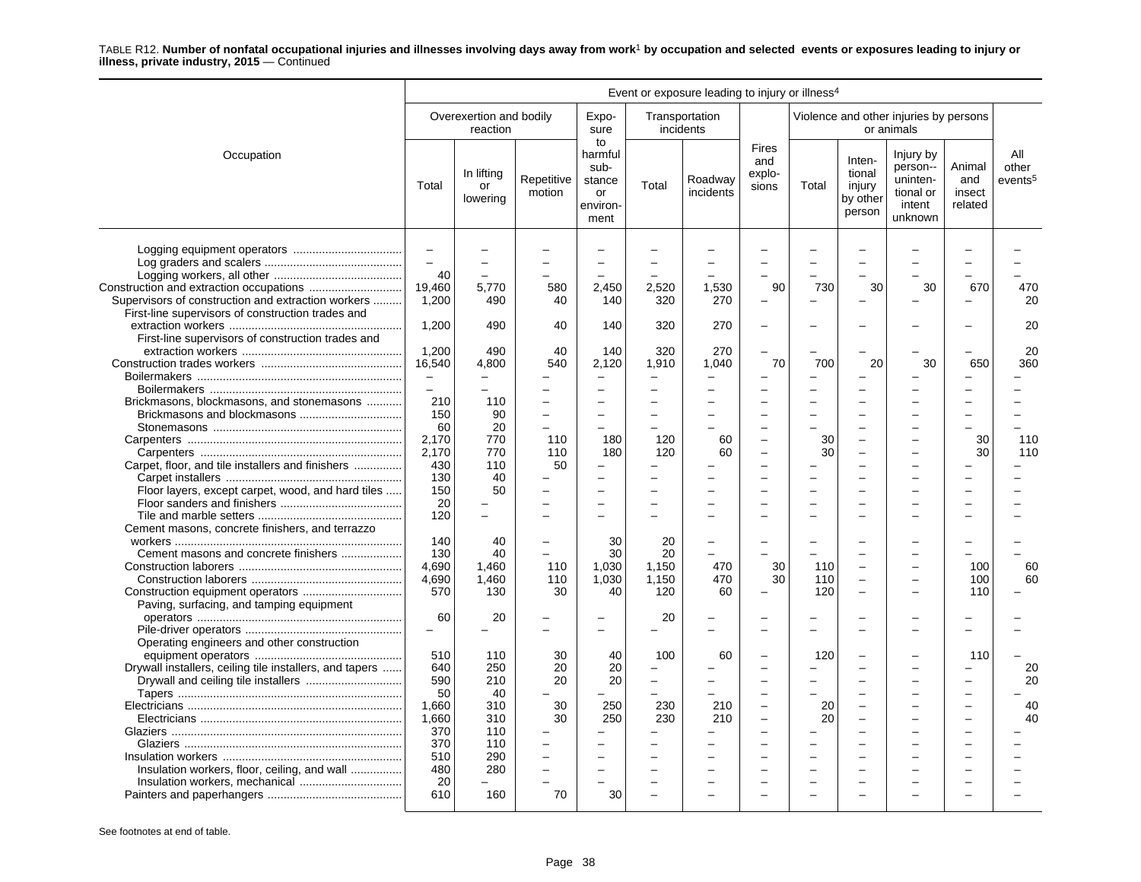|                                                         | Event or exposure leading to injury or illness <sup>4</sup> |                                     |                      |                                                           |                          |                             |                                                      |          |                                                  |                                                                     |                                    |                                     |
|---------------------------------------------------------|-------------------------------------------------------------|-------------------------------------|----------------------|-----------------------------------------------------------|--------------------------|-----------------------------|------------------------------------------------------|----------|--------------------------------------------------|---------------------------------------------------------------------|------------------------------------|-------------------------------------|
|                                                         |                                                             | Overexertion and bodily<br>reaction |                      | Expo-<br>sure                                             |                          | Transportation<br>incidents |                                                      |          |                                                  | Violence and other injuries by persons<br>or animals                |                                    |                                     |
| Occupation                                              | Total                                                       | In lifting<br>or<br>lowering        | Repetitive<br>motion | to<br>harmful<br>sub-<br>stance<br>or<br>environ-<br>ment | Total                    | Roadway<br>incidents        | <b>Fires</b><br>and<br>explo-<br>sions               | Total    | Inten-<br>tional<br>injury<br>by other<br>person | Injury by<br>person--<br>uninten-<br>tional or<br>intent<br>unknown | Animal<br>and<br>insect<br>related | All<br>other<br>events <sup>5</sup> |
|                                                         | $\overline{\phantom{m}}$<br>$\overline{a}$<br>40            |                                     |                      |                                                           |                          |                             |                                                      |          |                                                  |                                                                     |                                    |                                     |
|                                                         | 19.460                                                      | 5,770                               | 580                  | 2,450                                                     | 2,520                    | 1,530                       | 90                                                   | 730      | 30                                               | 30                                                                  | 670                                | 470                                 |
| Supervisors of construction and extraction workers      | 1.200                                                       | 490                                 | 40                   | 140                                                       | 320                      | 270                         |                                                      |          |                                                  |                                                                     |                                    | 20                                  |
| First-line supervisors of construction trades and       |                                                             |                                     |                      |                                                           |                          |                             |                                                      |          |                                                  |                                                                     |                                    |                                     |
|                                                         | 1,200                                                       | 490                                 | 40                   | 140                                                       | 320                      | 270                         | $\overline{\phantom{0}}$                             |          |                                                  |                                                                     |                                    | 20                                  |
| First-line supervisors of construction trades and       |                                                             |                                     |                      |                                                           |                          |                             |                                                      |          |                                                  |                                                                     |                                    |                                     |
|                                                         | 1.200                                                       | 490                                 | 40                   | 140                                                       | 320                      | 270                         |                                                      |          |                                                  |                                                                     |                                    | 20                                  |
|                                                         | 16,540                                                      | 4,800                               | 540                  | 2,120                                                     | 1,910                    | 1,040                       | 70                                                   | 700      | 20                                               | 30                                                                  | 650                                | 360                                 |
|                                                         | $\equiv$                                                    | $\equiv$                            |                      |                                                           |                          |                             |                                                      |          |                                                  |                                                                     |                                    |                                     |
|                                                         | $\overline{\phantom{m}}$                                    | $\overline{\phantom{0}}$            |                      |                                                           |                          |                             |                                                      |          |                                                  |                                                                     |                                    |                                     |
| Brickmasons, blockmasons, and stonemasons               | 210                                                         | 110                                 |                      |                                                           |                          |                             |                                                      |          |                                                  |                                                                     |                                    |                                     |
|                                                         | 150                                                         | 90                                  | $\sim$               | $\sim$                                                    | $\equiv$                 |                             | $\overline{\phantom{a}}$                             | $\equiv$ | ÷                                                |                                                                     | $\equiv$                           |                                     |
|                                                         | 60                                                          | 20                                  |                      |                                                           |                          |                             |                                                      |          |                                                  |                                                                     |                                    |                                     |
|                                                         | 2,170                                                       | 770                                 | 110                  | 180                                                       | 120                      | 60                          | $\overline{\phantom{0}}$                             | 30       |                                                  |                                                                     | 30                                 | 110                                 |
|                                                         | 2,170                                                       | 770                                 | 110                  | 180                                                       | 120                      | 60                          | ÷                                                    | 30       | $\overline{\phantom{0}}$                         |                                                                     | 30                                 | 110                                 |
| Carpet, floor, and tile installers and finishers        | 430                                                         | 110                                 | 50                   | $\overline{\phantom{m}}$                                  |                          |                             |                                                      |          |                                                  |                                                                     |                                    |                                     |
|                                                         | 130                                                         | 40                                  |                      |                                                           |                          |                             |                                                      |          |                                                  |                                                                     |                                    |                                     |
| Floor layers, except carpet, wood, and hard tiles       | 150                                                         | 50                                  |                      |                                                           |                          |                             |                                                      |          |                                                  |                                                                     |                                    |                                     |
|                                                         | 20                                                          |                                     |                      | $\overline{\phantom{0}}$                                  | $\overline{\phantom{0}}$ |                             | ÷                                                    |          |                                                  |                                                                     |                                    |                                     |
|                                                         | 120                                                         | $\overline{a}$                      |                      |                                                           |                          |                             |                                                      |          |                                                  |                                                                     |                                    |                                     |
| Cement masons, concrete finishers, and terrazzo         |                                                             |                                     |                      |                                                           |                          |                             |                                                      |          |                                                  |                                                                     |                                    |                                     |
|                                                         | 140                                                         | 40                                  |                      | 30                                                        | 20                       |                             |                                                      |          |                                                  |                                                                     |                                    |                                     |
| Cement masons and concrete finishers                    | 130                                                         | 40                                  |                      | 30                                                        | 20                       |                             |                                                      |          |                                                  |                                                                     |                                    |                                     |
|                                                         | 4,690                                                       | 1,460                               | 110                  | 1,030                                                     | 1.150                    | 470                         | 30                                                   | 110      |                                                  |                                                                     | 100                                | 60                                  |
|                                                         | 4,690                                                       | 1,460                               | 110                  | 1,030                                                     | 1.150                    | 470                         | 30                                                   | 110      | $\overline{\phantom{0}}$                         |                                                                     | 100                                | 60                                  |
| Paving, surfacing, and tamping equipment                | 570                                                         | 130                                 | 30                   | 40                                                        | 120                      | 60                          | $\overline{\phantom{0}}$                             | 120      | $\overline{\phantom{0}}$                         |                                                                     | 110                                |                                     |
|                                                         | 60                                                          | 20                                  |                      |                                                           | 20                       |                             |                                                      |          |                                                  |                                                                     |                                    |                                     |
|                                                         |                                                             |                                     |                      |                                                           |                          |                             |                                                      |          |                                                  |                                                                     |                                    |                                     |
| Operating engineers and other construction              | 510                                                         | 110                                 | 30                   | 40                                                        | 100                      | 60                          |                                                      | 120      |                                                  |                                                                     | 110                                |                                     |
| Drywall installers, ceiling tile installers, and tapers | 640                                                         | 250                                 | 20                   | 20                                                        | $\overline{\phantom{0}}$ |                             | L.                                                   |          | ÷                                                |                                                                     | $\overline{\phantom{0}}$           | 20                                  |
|                                                         | 590                                                         | 210                                 | 20                   | 20                                                        | $\overline{\phantom{0}}$ |                             |                                                      |          |                                                  |                                                                     |                                    | 20                                  |
|                                                         | 50                                                          | 40                                  |                      |                                                           |                          |                             |                                                      |          |                                                  |                                                                     |                                    |                                     |
|                                                         | 1,660<br>1,660                                              | 310<br>310                          | 30<br>30             | 250<br>250                                                | 230<br>230               | 210<br>210                  | $\overline{\phantom{0}}$<br>$\overline{\phantom{0}}$ | 20<br>20 | $\overline{\phantom{0}}$                         |                                                                     | $\overline{\phantom{0}}$           | 40<br>40                            |
|                                                         | 370                                                         | 110                                 |                      |                                                           |                          |                             | $\overline{\phantom{a}}$                             |          | $\overline{\phantom{0}}$                         |                                                                     |                                    |                                     |
|                                                         | 370                                                         | 110                                 |                      |                                                           |                          |                             |                                                      |          |                                                  |                                                                     |                                    |                                     |
|                                                         | 510                                                         | 290                                 |                      |                                                           |                          |                             | $\overline{\phantom{0}}$                             |          |                                                  |                                                                     |                                    |                                     |
| Insulation workers, floor, ceiling, and wall            | 480                                                         | 280                                 | $\overline{a}$       |                                                           |                          |                             |                                                      |          |                                                  |                                                                     |                                    |                                     |
|                                                         | 20                                                          |                                     |                      |                                                           |                          |                             | ÷                                                    |          |                                                  |                                                                     |                                    |                                     |
|                                                         | 610                                                         | 160                                 | 70                   | 30                                                        |                          |                             |                                                      |          |                                                  |                                                                     |                                    |                                     |
|                                                         |                                                             |                                     |                      |                                                           |                          |                             |                                                      |          |                                                  |                                                                     |                                    |                                     |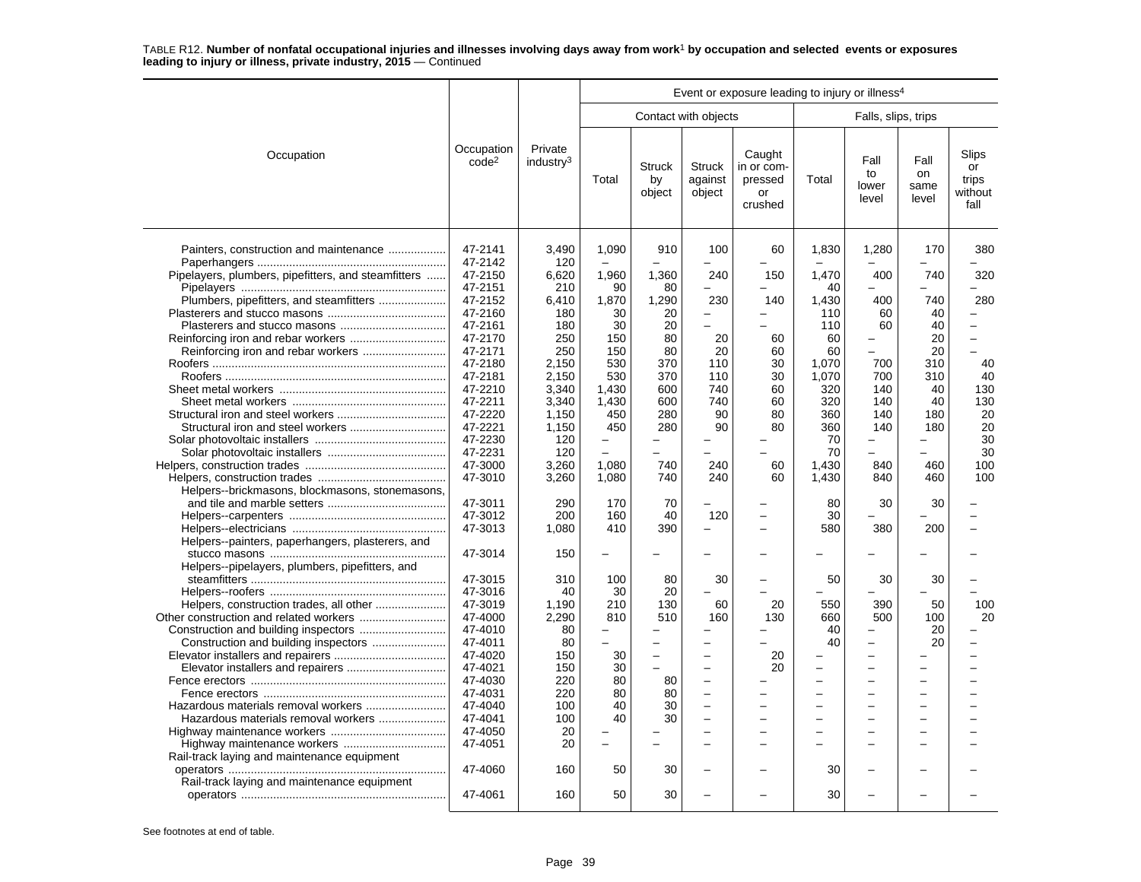|                                                     |                                 |                                  |             |                               |                                    | Event or exposure leading to injury or illness <sup>4</sup> |                          |                                            |                             |                                         |
|-----------------------------------------------------|---------------------------------|----------------------------------|-------------|-------------------------------|------------------------------------|-------------------------------------------------------------|--------------------------|--------------------------------------------|-----------------------------|-----------------------------------------|
|                                                     |                                 |                                  |             |                               | Contact with objects               |                                                             |                          | Falls, slips, trips                        |                             |                                         |
| Occupation                                          | Occupation<br>code <sup>2</sup> | Private<br>industry <sup>3</sup> | Total       | <b>Struck</b><br>by<br>object | <b>Struck</b><br>against<br>object | Caught<br>in or com-<br>pressed<br>or<br>crushed            | Total                    | Fall<br>to<br>lower<br>level               | Fall<br>on<br>same<br>level | Slips<br>or<br>trips<br>without<br>fall |
| Painters, construction and maintenance              | 47-2141<br>47-2142<br>47-2150   | 3.490<br>120                     | 1,090       | 910                           | 100                                | 60                                                          | 1,830<br>1.470           | 1,280<br>400                               | 170                         | 380                                     |
| Pipelayers, plumbers, pipefitters, and steamfitters | 47-2151                         | 6.620<br>210                     | 1,960<br>90 | 1,360<br>80                   | 240<br>$\equiv$                    | 150                                                         | 40                       |                                            | 740                         | 320                                     |
|                                                     | 47-2152                         | 6,410                            | 1,870       | 1,290                         | 230                                | 140                                                         | 1,430                    | 400                                        | 740                         | 280                                     |
|                                                     | 47-2160                         | 180                              | 30          | 20                            | $\overline{\phantom{0}}$           | -                                                           | 110                      | 60                                         | 40                          |                                         |
|                                                     | 47-2161                         | 180                              | 30          | 20                            | $\sim$                             |                                                             | 110                      | 60                                         | 40                          |                                         |
|                                                     | 47-2170                         | 250                              | 150         | 80                            | 20                                 | 60                                                          | 60                       | -                                          | 20                          |                                         |
| Reinforcing iron and rebar workers                  | 47-2171                         | 250                              | 150         | 80                            | 20                                 | 60                                                          | 60                       |                                            | 20                          |                                         |
|                                                     | 47-2180                         | 2,150                            | 530         | 370                           | 110                                | 30                                                          | 1.070                    | 700                                        | 310                         | 40                                      |
|                                                     | 47-2181                         | 2,150                            | 530         | 370                           | 110                                | 30                                                          | 1,070                    | 700                                        | 310                         | 40                                      |
|                                                     | 47-2210                         | 3,340                            | 1,430       | 600                           | 740                                | 60                                                          | 320                      | 140                                        | 40                          | 130                                     |
|                                                     | 47-2211                         | 3.340                            | 1.430       | 600                           | 740                                | 60                                                          | 320                      | 140                                        | 40                          | 130                                     |
|                                                     | 47-2220                         | 1,150                            | 450         | 280                           | 90                                 | 80                                                          | 360                      | 140                                        | 180                         | 20                                      |
|                                                     | 47-2221                         | 1,150                            | 450         | 280                           | 90                                 | 80                                                          | 360                      | 140                                        | 180                         | 20                                      |
|                                                     | 47-2230                         | 120                              |             |                               |                                    |                                                             | 70                       |                                            |                             | 30                                      |
|                                                     | 47-2231                         | 120                              | $\sim$      |                               |                                    |                                                             | 70                       |                                            |                             | 30                                      |
|                                                     | 47-3000                         | 3.260                            | 1.080       | 740                           | 240                                | 60                                                          | 1.430                    | 840                                        | 460                         | 100                                     |
|                                                     | 47-3010                         | 3,260                            | 1.080       | 740                           | 240                                | 60                                                          | 1,430                    | 840                                        | 460                         | 100                                     |
| Helpers--brickmasons, blockmasons, stonemasons,     |                                 |                                  |             |                               |                                    |                                                             |                          |                                            |                             |                                         |
|                                                     | 47-3011                         | 290                              | 170         | 70                            |                                    |                                                             | 80                       | 30                                         | 30                          |                                         |
|                                                     | 47-3012                         | 200                              | 160         | 40                            | 120                                | L.                                                          | 30                       |                                            |                             |                                         |
|                                                     | 47-3013                         | 1,080                            | 410         | 390                           |                                    | ÷                                                           | 580                      | 380                                        | 200                         |                                         |
| Helpers--painters, paperhangers, plasterers, and    |                                 |                                  |             |                               |                                    |                                                             |                          |                                            |                             |                                         |
|                                                     | 47-3014                         | 150                              | -           |                               |                                    |                                                             |                          |                                            |                             |                                         |
| Helpers--pipelayers, plumbers, pipefitters, and     |                                 |                                  |             |                               |                                    |                                                             |                          |                                            |                             |                                         |
|                                                     | 47-3015                         | 310                              | 100         | 80                            | 30                                 |                                                             | 50                       | 30                                         | 30                          |                                         |
|                                                     | 47-3016                         | 40                               | 30          | 20                            |                                    |                                                             |                          |                                            |                             |                                         |
| Helpers, construction trades, all other             | 47-3019                         | 1,190                            | 210         | 130                           | 60                                 | 20                                                          | 550                      | 390                                        | 50                          | 100                                     |
|                                                     | 47-4000                         | 2.290                            | 810         | 510                           | 160                                | 130                                                         | 660                      | 500                                        | 100                         | 20                                      |
|                                                     | 47-4010                         | 80                               |             |                               |                                    |                                                             | 40                       |                                            | 20                          |                                         |
|                                                     | 47-4011                         | 80                               |             |                               | $\equiv$                           |                                                             | 40                       | $\overline{a}$                             | 20                          |                                         |
|                                                     | 47-4020<br>47-4021              | 150                              | 30<br>30    | $\overline{\phantom{0}}$      | $\overline{\phantom{0}}$           | 20                                                          | $\overline{\phantom{0}}$ | $\overline{\phantom{0}}$<br>$\overline{a}$ |                             |                                         |
|                                                     | 47-4030                         | 150<br>220                       | 80          | 80                            | $\equiv$                           | 20                                                          | $\overline{\phantom{0}}$ | $\overline{a}$                             |                             |                                         |
|                                                     | 47-4031                         | 220                              | 80          | 80                            |                                    |                                                             |                          |                                            |                             |                                         |
|                                                     | 47-4040                         | 100                              | 40          | 30                            | $\overline{\phantom{a}}$           | $\overline{a}$                                              | $\overline{\phantom{0}}$ | $\overline{a}$                             |                             |                                         |
| Hazardous materials removal workers                 | 47-4041                         | 100                              | 40          | 30                            | $\equiv$                           | ÷                                                           | L,                       |                                            |                             |                                         |
|                                                     | 47-4050                         | 20                               |             |                               | $\sim$                             | $\overline{\phantom{0}}$                                    | ÷                        | $\overline{\phantom{0}}$                   |                             |                                         |
|                                                     | 47-4051                         | 20                               |             |                               |                                    | ÷                                                           | ÷                        | ۳                                          |                             |                                         |
| Rail-track laying and maintenance equipment         |                                 |                                  |             |                               |                                    |                                                             |                          |                                            |                             |                                         |
|                                                     | 47-4060                         | 160                              | 50          | 30                            |                                    |                                                             | 30                       |                                            |                             |                                         |
| Rail-track laying and maintenance equipment         |                                 |                                  |             |                               |                                    |                                                             |                          |                                            |                             |                                         |
|                                                     | 47-4061                         | 160                              | 50          | 30                            |                                    |                                                             | 30                       |                                            |                             |                                         |
|                                                     |                                 |                                  |             |                               |                                    |                                                             |                          |                                            |                             |                                         |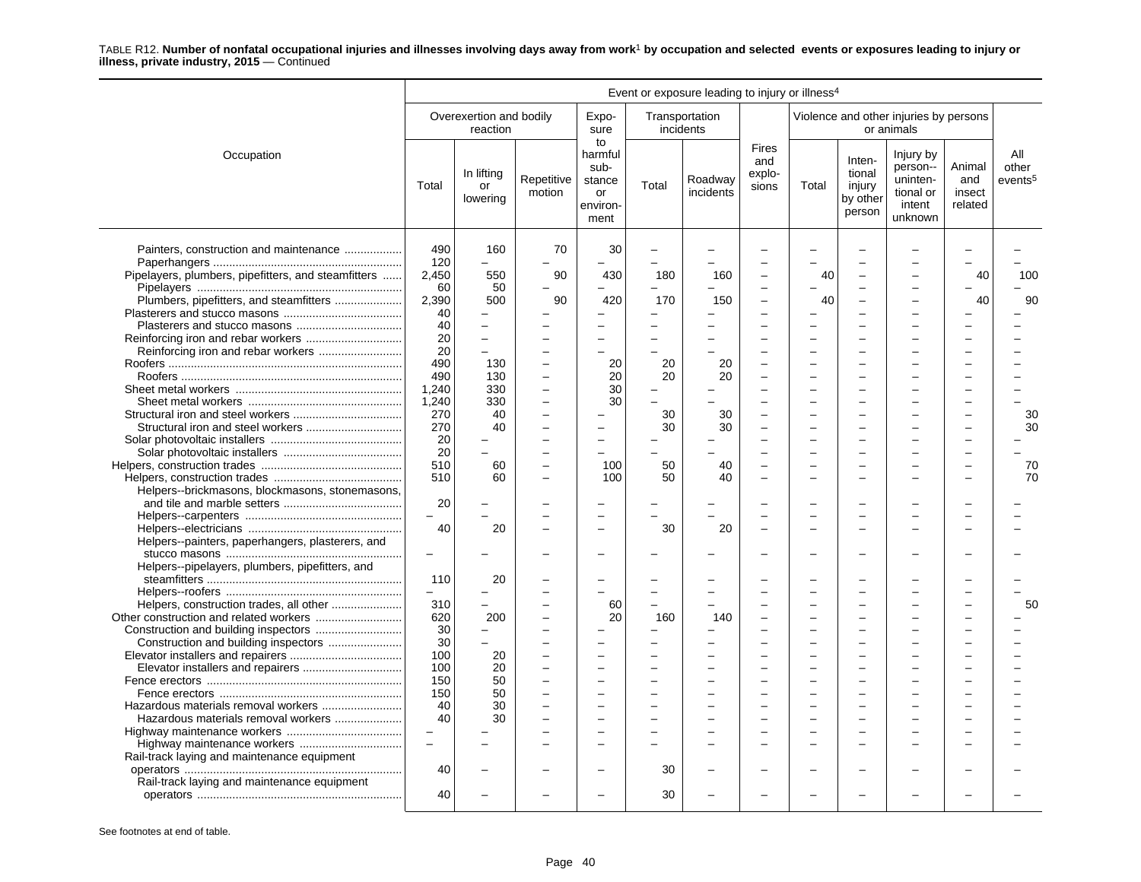|                                                     | Event or exposure leading to injury or illness <sup>4</sup> |                                     |                      |                                                           |       |                             |                                 |          |                                                  |                                                                     |                                    |                                     |  |
|-----------------------------------------------------|-------------------------------------------------------------|-------------------------------------|----------------------|-----------------------------------------------------------|-------|-----------------------------|---------------------------------|----------|--------------------------------------------------|---------------------------------------------------------------------|------------------------------------|-------------------------------------|--|
|                                                     |                                                             | Overexertion and bodily<br>reaction |                      | Expo-<br>sure                                             |       | Transportation<br>incidents |                                 |          |                                                  | Violence and other injuries by persons<br>or animals                |                                    |                                     |  |
| Occupation                                          | Total                                                       | In lifting<br>or<br>lowering        | Repetitive<br>motion | to<br>harmful<br>sub-<br>stance<br>or<br>environ-<br>ment | Total | Roadway<br>incidents        | Fires<br>and<br>explo-<br>sions | Total    | Inten-<br>tional<br>injury<br>by other<br>person | Injury by<br>person--<br>uninten-<br>tional or<br>intent<br>unknown | Animal<br>and<br>insect<br>related | All<br>other<br>events <sup>5</sup> |  |
| Painters, construction and maintenance              | 490<br>120                                                  | 160<br>L.                           | 70                   | 30                                                        |       |                             |                                 |          |                                                  |                                                                     |                                    |                                     |  |
| Pipelayers, plumbers, pipefitters, and steamfitters | 2,450                                                       | 550                                 | 90                   | 430                                                       | 180   | 160                         |                                 | 40       | ÷                                                |                                                                     | 40                                 | 100                                 |  |
|                                                     | 60                                                          | 50                                  |                      |                                                           |       |                             |                                 |          |                                                  |                                                                     |                                    |                                     |  |
|                                                     | 2,390                                                       | 500                                 | 90                   | 420                                                       | 170   | 150                         |                                 | 40       |                                                  |                                                                     | 40                                 | 90                                  |  |
|                                                     | 40                                                          |                                     |                      |                                                           | ÷     |                             |                                 |          |                                                  |                                                                     |                                    |                                     |  |
|                                                     | 40                                                          |                                     |                      | $\equiv$                                                  | ÷     |                             |                                 |          |                                                  |                                                                     |                                    |                                     |  |
|                                                     | 20                                                          |                                     |                      | $\overline{\phantom{0}}$                                  |       |                             |                                 |          | $\overline{\phantom{a}}$                         |                                                                     |                                    |                                     |  |
| Reinforcing iron and rebar workers                  | 20                                                          |                                     |                      |                                                           |       |                             |                                 |          |                                                  |                                                                     |                                    |                                     |  |
|                                                     | 490                                                         | 130                                 |                      | 20                                                        | 20    | 20                          |                                 |          |                                                  |                                                                     |                                    |                                     |  |
|                                                     | 490                                                         | 130                                 |                      | 20                                                        | 20    | 20                          |                                 |          |                                                  |                                                                     |                                    |                                     |  |
|                                                     | 1,240                                                       | 330                                 |                      | 30                                                        |       |                             |                                 |          | ÷                                                |                                                                     |                                    |                                     |  |
|                                                     | 1.240                                                       | 330                                 |                      | 30                                                        |       |                             |                                 |          |                                                  |                                                                     |                                    |                                     |  |
|                                                     | 270                                                         | 40                                  |                      |                                                           | 30    | 30                          |                                 |          |                                                  |                                                                     |                                    | 30                                  |  |
|                                                     | 270                                                         | 40                                  |                      |                                                           | 30    | 30                          |                                 |          |                                                  |                                                                     |                                    | 30                                  |  |
|                                                     | 20                                                          |                                     |                      | $\overline{\phantom{0}}$                                  |       |                             |                                 |          | ÷                                                |                                                                     |                                    |                                     |  |
|                                                     | 20                                                          |                                     |                      |                                                           |       |                             |                                 |          |                                                  |                                                                     |                                    |                                     |  |
|                                                     | 510                                                         | 60                                  |                      | 100                                                       | 50    | 40                          |                                 |          | ÷                                                |                                                                     |                                    | 70                                  |  |
| Helpers--brickmasons, blockmasons, stonemasons,     | 510                                                         | 60                                  |                      | 100                                                       | 50    | 40                          |                                 |          |                                                  |                                                                     |                                    | 70                                  |  |
|                                                     | 20                                                          |                                     |                      |                                                           |       |                             |                                 |          | ÷                                                |                                                                     |                                    |                                     |  |
|                                                     | $\overline{\phantom{0}}$                                    |                                     |                      |                                                           |       |                             |                                 |          |                                                  |                                                                     |                                    |                                     |  |
|                                                     | 40                                                          | 20                                  |                      |                                                           | 30    | 20                          |                                 |          |                                                  |                                                                     |                                    |                                     |  |
|                                                     |                                                             |                                     |                      |                                                           |       |                             |                                 |          |                                                  |                                                                     |                                    |                                     |  |
| Helpers--painters, paperhangers, plasterers, and    | $\overline{\phantom{0}}$                                    |                                     |                      |                                                           |       |                             |                                 | ÷        | ÷                                                |                                                                     |                                    |                                     |  |
| Helpers--pipelayers, plumbers, pipefitters, and     |                                                             |                                     |                      |                                                           |       |                             |                                 |          |                                                  |                                                                     |                                    |                                     |  |
|                                                     | 110                                                         | 20                                  |                      |                                                           |       |                             |                                 |          |                                                  |                                                                     |                                    |                                     |  |
|                                                     | $\overline{\phantom{0}}$                                    |                                     |                      |                                                           |       |                             |                                 |          |                                                  |                                                                     |                                    |                                     |  |
| Helpers, construction trades, all other             | 310                                                         |                                     |                      | 60                                                        |       |                             |                                 |          |                                                  |                                                                     |                                    | 50                                  |  |
|                                                     | 620                                                         | 200                                 |                      | 20                                                        | 160   | 140                         |                                 |          | $\equiv$                                         |                                                                     |                                    |                                     |  |
|                                                     | 30                                                          |                                     |                      |                                                           |       |                             |                                 |          |                                                  |                                                                     |                                    |                                     |  |
| Construction and building inspectors                | 30                                                          |                                     |                      |                                                           |       |                             |                                 |          |                                                  |                                                                     |                                    |                                     |  |
|                                                     | 100                                                         | 20                                  |                      |                                                           |       |                             |                                 |          |                                                  |                                                                     |                                    |                                     |  |
| Elevator installers and repairers                   | 100                                                         | 20                                  |                      | $\overline{\phantom{a}}$                                  |       |                             |                                 |          |                                                  |                                                                     |                                    |                                     |  |
|                                                     | 150                                                         | 50                                  |                      | $\overline{\phantom{0}}$                                  |       |                             |                                 |          | L.                                               |                                                                     |                                    |                                     |  |
|                                                     | 150                                                         | 50                                  |                      | $\overline{\phantom{0}}$                                  |       |                             |                                 |          | ÷                                                |                                                                     |                                    |                                     |  |
| Hazardous materials removal workers                 | 40                                                          | 30                                  |                      | L.                                                        |       |                             |                                 |          | L.                                               |                                                                     |                                    |                                     |  |
| Hazardous materials removal workers                 | 40                                                          | 30                                  |                      | $\overline{\phantom{0}}$                                  |       |                             | L.                              | $\equiv$ | $\overline{\phantom{0}}$                         |                                                                     |                                    |                                     |  |
|                                                     | $\overline{a}$                                              |                                     |                      |                                                           |       |                             |                                 |          |                                                  |                                                                     |                                    |                                     |  |
|                                                     | $\overline{a}$                                              |                                     |                      | $\overline{\phantom{a}}$                                  |       |                             |                                 |          |                                                  |                                                                     |                                    |                                     |  |
| Rail-track laying and maintenance equipment         |                                                             |                                     |                      |                                                           |       |                             |                                 |          |                                                  |                                                                     |                                    |                                     |  |
|                                                     | 40                                                          |                                     |                      |                                                           | 30    |                             |                                 |          |                                                  |                                                                     |                                    |                                     |  |
| Rail-track laying and maintenance equipment         | 40                                                          |                                     |                      |                                                           | 30    |                             |                                 |          |                                                  |                                                                     |                                    |                                     |  |
|                                                     |                                                             |                                     |                      |                                                           |       |                             |                                 |          |                                                  |                                                                     |                                    |                                     |  |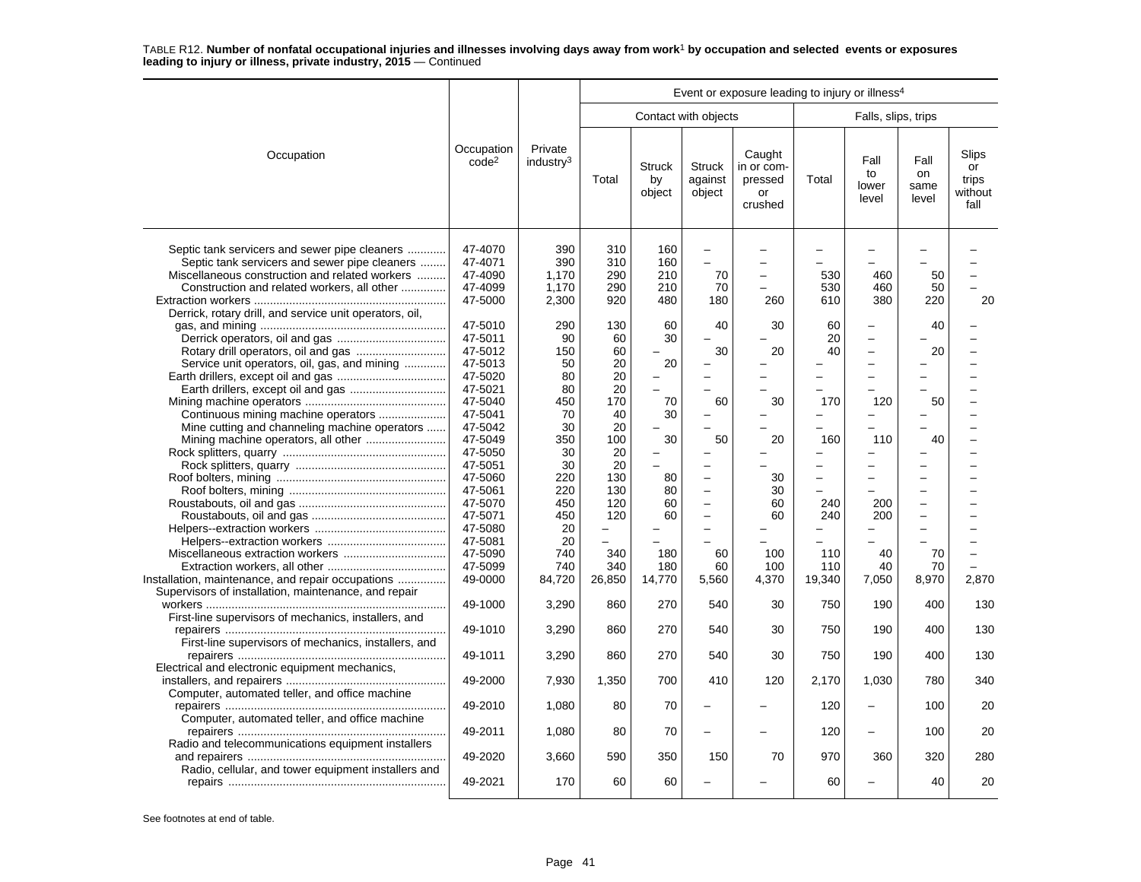|                                                                                                                                                                                                                                        |                                                                                                                                                        |                                                                                        |                                                                                       |                                              |                                                                   | Event or exposure leading to injury or illness <sup>4</sup> |                                                               |                                                                                                                                                        |                             |                                         |
|----------------------------------------------------------------------------------------------------------------------------------------------------------------------------------------------------------------------------------------|--------------------------------------------------------------------------------------------------------------------------------------------------------|----------------------------------------------------------------------------------------|---------------------------------------------------------------------------------------|----------------------------------------------|-------------------------------------------------------------------|-------------------------------------------------------------|---------------------------------------------------------------|--------------------------------------------------------------------------------------------------------------------------------------------------------|-----------------------------|-----------------------------------------|
|                                                                                                                                                                                                                                        |                                                                                                                                                        |                                                                                        |                                                                                       |                                              | Contact with objects                                              |                                                             |                                                               | Falls, slips, trips                                                                                                                                    |                             |                                         |
| Occupation                                                                                                                                                                                                                             | Occupation<br>code <sup>2</sup>                                                                                                                        | Private<br>industry <sup>3</sup>                                                       | Total                                                                                 | <b>Struck</b><br>by<br>object                | <b>Struck</b><br>against<br>object                                | Caught<br>in or com-<br>pressed<br>or<br>crushed            | Total                                                         | Fall<br>to<br>lower<br>level                                                                                                                           | Fall<br>on<br>same<br>level | Slips<br>or<br>trips<br>without<br>fall |
| Septic tank servicers and sewer pipe cleaners<br>Septic tank servicers and sewer pipe cleaners<br>Miscellaneous construction and related workers<br>Construction and related workers, all other                                        | 47-4070<br>47-4071<br>47-4090<br>47-4099<br>47-5000                                                                                                    | 390<br>390<br>1,170<br>1.170<br>2,300                                                  | 310<br>310<br>290<br>290<br>920                                                       | 160<br>160<br>210<br>210<br>480              | $\sim$<br>70<br>70<br>180                                         | $\overline{a}$<br>260                                       | 530<br>530<br>610                                             | 460<br>460<br>380                                                                                                                                      | 50<br>50<br>220             | 20                                      |
| Derrick, rotary drill, and service unit operators, oil,<br>Service unit operators, oil, gas, and mining<br>Continuous mining machine operators<br>Mine cutting and channeling machine operators<br>Mining machine operators, all other | 47-5010<br>47-5011<br>47-5012<br>47-5013<br>47-5020<br>47-5021<br>47-5040<br>47-5041<br>47-5042<br>47-5049<br>47-5050<br>47-5051<br>47-5060<br>47-5061 | 290<br>90<br>150<br>50<br>80<br>80<br>450<br>70<br>30<br>350<br>30<br>30<br>220<br>220 | 130<br>60<br>60<br>20<br>20<br>20<br>170<br>40<br>20<br>100<br>20<br>20<br>130<br>130 | 60<br>30<br>20<br>70<br>30<br>30<br>80<br>80 | 40<br>30<br>60<br>50                                              | 30<br>20<br>30<br>20<br>30<br>30                            | 60<br>20<br>40<br>170<br>160<br>-<br>$\overline{\phantom{0}}$ | $\overline{\phantom{0}}$<br>$\overline{\phantom{0}}$<br>$\overline{a}$<br>۳<br>÷<br>120<br>110<br>$\overline{\phantom{0}}$<br>$\overline{\phantom{0}}$ | 40<br>20<br>50<br>40        |                                         |
| Installation, maintenance, and repair occupations                                                                                                                                                                                      | 47-5070<br>47-5071<br>47-5080<br>47-5081<br>47-5090<br>47-5099<br>49-0000                                                                              | 450<br>450<br>20<br>20<br>740<br>740<br>84,720                                         | 120<br>120<br>340<br>340<br>26,850                                                    | 60<br>60<br>180<br>180<br>14,770             | $\overline{\phantom{0}}$<br>$\sim$<br>$\sim$<br>60<br>60<br>5,560 | 60<br>60<br>100<br>100<br>4,370                             | 240<br>240<br>110<br>110<br>19,340                            | 200<br>200<br>40<br>40<br>7,050                                                                                                                        | 70<br>70<br>8,970           | 2,870                                   |
| Supervisors of installation, maintenance, and repair<br>First-line supervisors of mechanics, installers, and<br>First-line supervisors of mechanics, installers, and                                                                   | 49-1000<br>49-1010                                                                                                                                     | 3,290<br>3,290                                                                         | 860<br>860                                                                            | 270<br>270                                   | 540<br>540                                                        | 30<br>30                                                    | 750<br>750                                                    | 190<br>190                                                                                                                                             | 400<br>400                  | 130<br>130                              |
| Electrical and electronic equipment mechanics,                                                                                                                                                                                         | 49-1011<br>49-2000                                                                                                                                     | 3,290<br>7,930                                                                         | 860<br>1,350                                                                          | 270<br>700                                   | 540<br>410                                                        | 30<br>120                                                   | 750<br>2,170                                                  | 190<br>1,030                                                                                                                                           | 400<br>780                  | 130<br>340                              |
| Computer, automated teller, and office machine<br>Computer, automated teller, and office machine                                                                                                                                       | 49-2010                                                                                                                                                | 1,080                                                                                  | 80                                                                                    | 70                                           |                                                                   |                                                             | 120                                                           | ÷                                                                                                                                                      | 100                         | 20                                      |
| Radio and telecommunications equipment installers                                                                                                                                                                                      | 49-2011                                                                                                                                                | 1,080                                                                                  | 80                                                                                    | 70                                           |                                                                   |                                                             | 120                                                           | -                                                                                                                                                      | 100                         | 20                                      |
| Radio, cellular, and tower equipment installers and                                                                                                                                                                                    | 49-2020<br>49-2021                                                                                                                                     | 3,660<br>170                                                                           | 590<br>60                                                                             | 350<br>60                                    | 150                                                               | 70                                                          | 970<br>60                                                     | 360                                                                                                                                                    | 320<br>40                   | 280<br>20                               |
|                                                                                                                                                                                                                                        |                                                                                                                                                        |                                                                                        |                                                                                       |                                              |                                                                   |                                                             |                                                               |                                                                                                                                                        |                             |                                         |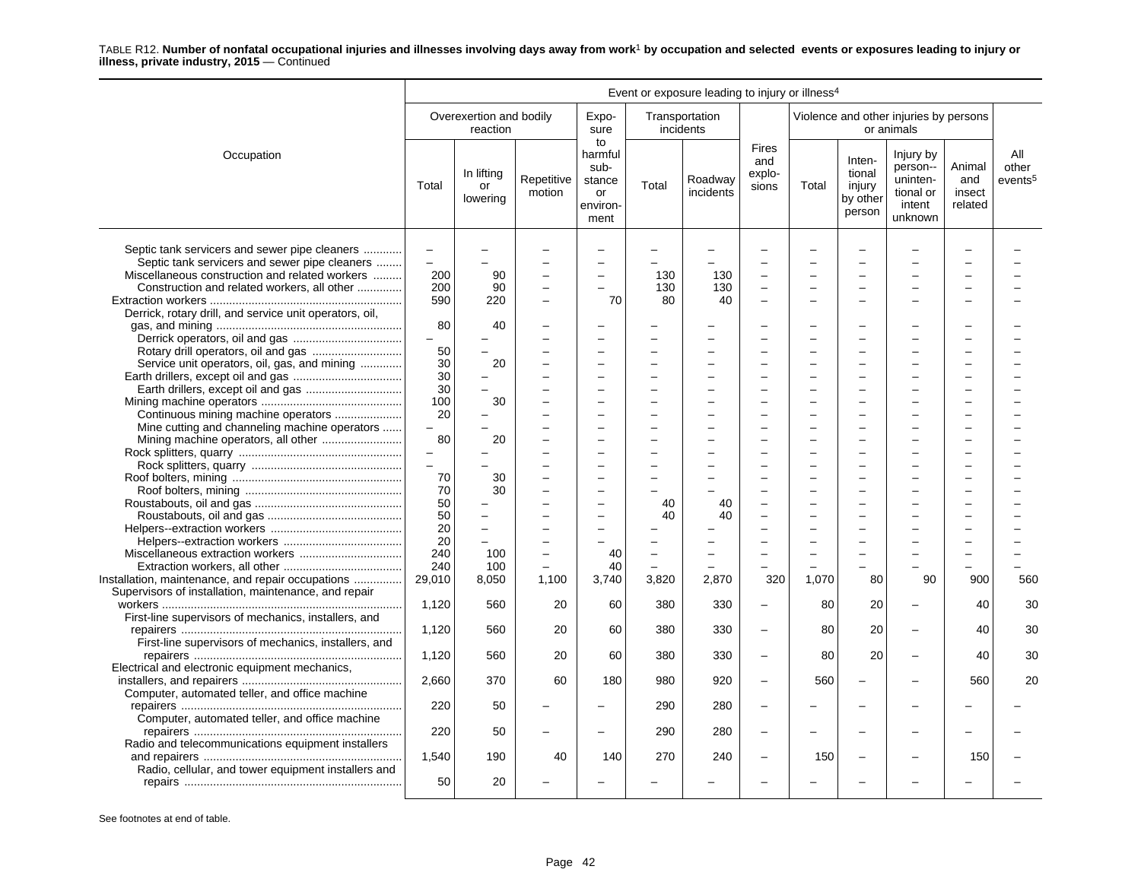|                                                                                                                                                                                                 | Event or exposure leading to injury or illness <sup>4</sup> |                                     |                      |                                                           |            |                             |                                                      |           |                                                  |                                                                     |                                    |                                     |
|-------------------------------------------------------------------------------------------------------------------------------------------------------------------------------------------------|-------------------------------------------------------------|-------------------------------------|----------------------|-----------------------------------------------------------|------------|-----------------------------|------------------------------------------------------|-----------|--------------------------------------------------|---------------------------------------------------------------------|------------------------------------|-------------------------------------|
|                                                                                                                                                                                                 |                                                             | Overexertion and bodily<br>reaction |                      | Expo-<br>sure                                             |            | Transportation<br>incidents |                                                      |           |                                                  | Violence and other injuries by persons<br>or animals                |                                    |                                     |
| Occupation                                                                                                                                                                                      | Total                                                       | In lifting<br>or<br>lowering        | Repetitive<br>motion | to<br>harmful<br>sub-<br>stance<br>or<br>environ-<br>ment | Total      | Roadway<br>incidents        | <b>Fires</b><br>and<br>explo-<br>sions               | Total     | Inten-<br>tional<br>injury<br>by other<br>person | Injury by<br>person--<br>uninten-<br>tional or<br>intent<br>unknown | Animal<br>and<br>insect<br>related | All<br>other<br>events <sup>5</sup> |
| Septic tank servicers and sewer pipe cleaners<br>Septic tank servicers and sewer pipe cleaners<br>Miscellaneous construction and related workers<br>Construction and related workers, all other | $\qquad \qquad -$<br>$\overline{\phantom{0}}$<br>200<br>200 | 90<br>90                            |                      | $\overline{\phantom{0}}$<br>$\overline{\phantom{m}}$      | 130<br>130 | 130<br>130                  | $\overline{a}$<br>$\overline{a}$                     |           |                                                  |                                                                     |                                    |                                     |
| Derrick, rotary drill, and service unit operators, oil,                                                                                                                                         | 590                                                         | 220                                 |                      | 70                                                        | 80         | 40                          | $\overline{\phantom{0}}$                             |           |                                                  |                                                                     |                                    |                                     |
|                                                                                                                                                                                                 | 80<br>$\overline{\phantom{0}}$                              | 40                                  |                      |                                                           |            |                             |                                                      |           |                                                  |                                                                     |                                    |                                     |
| Service unit operators, oil, gas, and mining                                                                                                                                                    | 50<br>30<br>30                                              | 20                                  |                      | $\sim$                                                    |            |                             | L.                                                   |           | ÷                                                |                                                                     |                                    |                                     |
| Earth drillers, except oil and gas                                                                                                                                                              | 30<br>100                                                   | 30                                  |                      |                                                           |            |                             |                                                      |           |                                                  |                                                                     |                                    |                                     |
| Continuous mining machine operators<br>Mine cutting and channeling machine operators                                                                                                            | 20<br>$\overline{\phantom{0}}$<br>80                        | 20                                  |                      | $\sim$                                                    |            |                             | $\overline{\phantom{a}}$                             | $\equiv$  | ÷                                                |                                                                     |                                    |                                     |
|                                                                                                                                                                                                 | $\qquad \qquad -$<br>$\overline{\phantom{0}}$               |                                     |                      |                                                           |            |                             |                                                      |           |                                                  |                                                                     |                                    |                                     |
|                                                                                                                                                                                                 | 70<br>70                                                    | 30<br>30                            |                      | $\sim$<br>$\overline{\phantom{0}}$                        |            |                             |                                                      |           |                                                  |                                                                     |                                    |                                     |
|                                                                                                                                                                                                 | 50<br>50<br>20                                              |                                     |                      |                                                           | 40<br>40   | 40<br>40                    |                                                      |           |                                                  |                                                                     |                                    |                                     |
|                                                                                                                                                                                                 | 20<br>240                                                   | $\overline{\phantom{0}}$<br>100     |                      | 40                                                        |            |                             |                                                      |           |                                                  |                                                                     |                                    |                                     |
| Installation, maintenance, and repair occupations<br>Supervisors of installation, maintenance, and repair                                                                                       | 240<br>29,010                                               | 100<br>8,050                        | 1,100                | 40<br>3,740                                               | 3,820      | 2,870                       | 320                                                  | 1,070     | 80                                               | 90                                                                  | 900                                | 560                                 |
| First-line supervisors of mechanics, installers, and                                                                                                                                            | 1,120                                                       | 560                                 | 20                   | 60                                                        | 380        | 330                         | $\overline{\phantom{0}}$                             | 80        | 20                                               |                                                                     | 40                                 | 30                                  |
| First-line supervisors of mechanics, installers, and                                                                                                                                            | 1,120                                                       | 560                                 | 20                   | 60                                                        | 380        | 330                         | $\overline{\phantom{0}}$                             | 80        | 20                                               | -                                                                   | 40                                 | 30                                  |
| Electrical and electronic equipment mechanics,                                                                                                                                                  | 1,120<br>2,660                                              | 560<br>370                          | 20<br>60             | 60<br>180                                                 | 380<br>980 | 330<br>920                  | $\overline{\phantom{0}}$<br>$\overline{\phantom{0}}$ | 80<br>560 | 20<br>$\overline{\phantom{0}}$                   | $\overline{\phantom{0}}$                                            | 40<br>560                          | 30<br>20                            |
| Computer, automated teller, and office machine                                                                                                                                                  | 220                                                         | 50                                  |                      |                                                           | 290        | 280                         | $\overline{\phantom{0}}$                             |           |                                                  |                                                                     |                                    |                                     |
| Computer, automated teller, and office machine                                                                                                                                                  | 220                                                         | 50                                  |                      |                                                           | 290        | 280                         | $\overline{\phantom{0}}$                             |           |                                                  |                                                                     |                                    |                                     |
| Radio and telecommunications equipment installers<br>Radio, cellular, and tower equipment installers and                                                                                        | 1,540                                                       | 190                                 | 40                   | 140                                                       | 270        | 240                         | $\overline{\phantom{0}}$                             | 150       |                                                  |                                                                     | 150                                |                                     |
|                                                                                                                                                                                                 | 50                                                          | 20                                  |                      |                                                           |            |                             |                                                      |           |                                                  |                                                                     |                                    |                                     |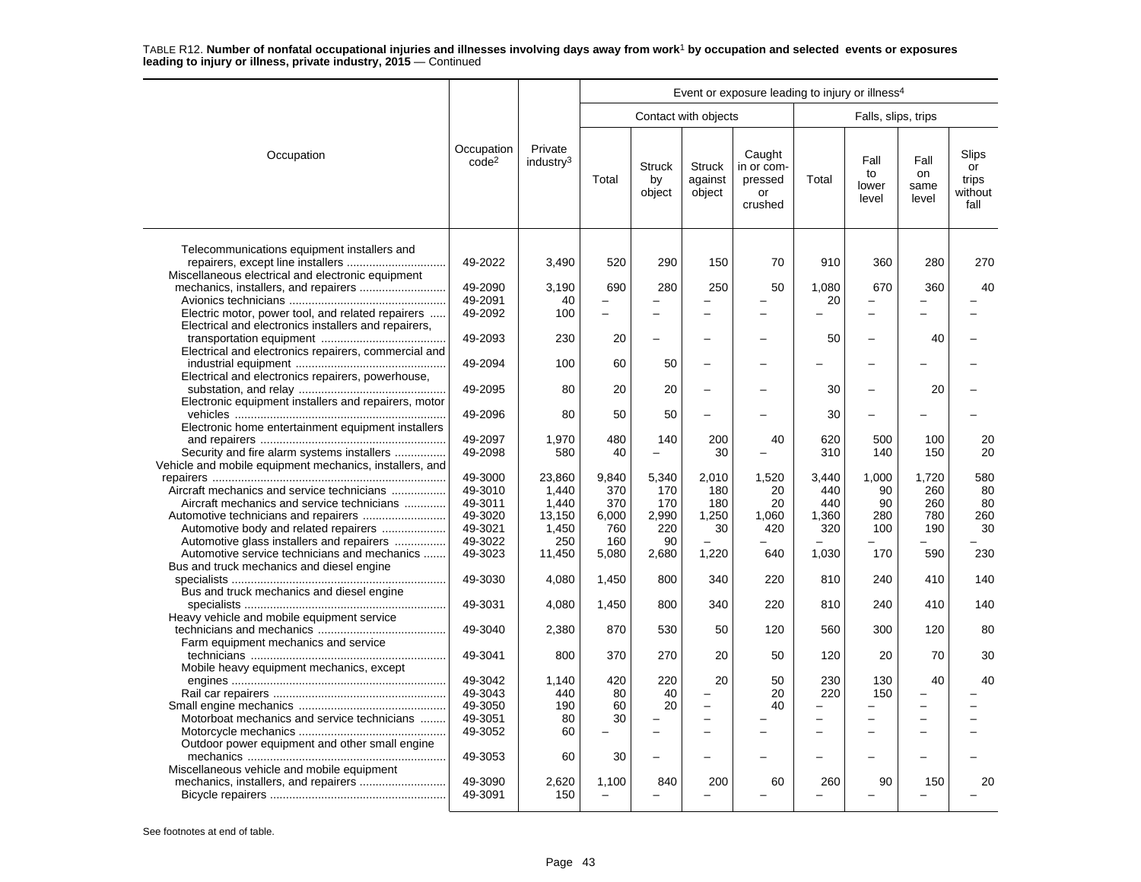|                                                                                                       |                                 |                                  |           |                               |                                    | Event or exposure leading to injury or illness <sup>4</sup> |                          |                              |                             |                                         |
|-------------------------------------------------------------------------------------------------------|---------------------------------|----------------------------------|-----------|-------------------------------|------------------------------------|-------------------------------------------------------------|--------------------------|------------------------------|-----------------------------|-----------------------------------------|
|                                                                                                       |                                 |                                  |           |                               | Contact with objects               |                                                             |                          | Falls, slips, trips          |                             |                                         |
| Occupation                                                                                            | Occupation<br>code <sup>2</sup> | Private<br>industry <sup>3</sup> | Total     | <b>Struck</b><br>by<br>object | <b>Struck</b><br>against<br>object | Caught<br>in or com-<br>pressed<br>or<br>crushed            | Total                    | Fall<br>to<br>lower<br>level | Fall<br>on<br>same<br>level | Slips<br>or<br>trips<br>without<br>fall |
| Telecommunications equipment installers and<br>repairers, except line installers                      | 49-2022                         | 3,490                            | 520       | 290                           | 150                                | 70                                                          | 910                      | 360                          | 280                         | 270                                     |
| Miscellaneous electrical and electronic equipment<br>mechanics, installers, and repairers             | 49-2090                         | 3,190                            | 690       | 280                           | 250                                | 50                                                          | 1,080                    | 670                          | 360                         | 40                                      |
|                                                                                                       | 49-2091                         | 40                               |           |                               |                                    |                                                             | 20                       |                              |                             |                                         |
| Electric motor, power tool, and related repairers                                                     | 49-2092                         | 100                              |           |                               | $\equiv$                           |                                                             |                          | $\overline{\phantom{0}}$     |                             |                                         |
| Electrical and electronics installers and repairers,                                                  | 49-2093                         | 230                              | 20        |                               |                                    |                                                             | 50                       | -                            | 40                          |                                         |
| Electrical and electronics repairers, commercial and                                                  |                                 |                                  |           |                               |                                    |                                                             |                          |                              |                             |                                         |
| Electrical and electronics repairers, powerhouse,                                                     | 49-2094                         | 100                              | 60        | 50                            |                                    |                                                             |                          |                              |                             |                                         |
|                                                                                                       | 49-2095                         | 80                               | 20        | 20                            |                                    |                                                             | 30                       | -                            | 20                          |                                         |
| Electronic equipment installers and repairers, motor                                                  | 49-2096                         | 80                               | 50        | 50                            |                                    |                                                             | 30                       |                              |                             |                                         |
| Electronic home entertainment equipment installers                                                    |                                 |                                  |           | 140                           |                                    |                                                             |                          |                              |                             |                                         |
|                                                                                                       | 49-2097<br>49-2098              | 1,970<br>580                     | 480<br>40 | $\equiv$                      | 200                                | 40                                                          | 620<br>310               | 500<br>140                   | 100<br>150                  | 20<br>20                                |
| Security and fire alarm systems installers<br>Vehicle and mobile equipment mechanics, installers, and |                                 |                                  |           |                               | 30                                 |                                                             |                          |                              |                             |                                         |
|                                                                                                       | 49-3000                         | 23,860                           | 9,840     | 5,340                         | 2,010                              | 1,520                                                       | 3,440                    | 1,000                        | 1,720                       | 580                                     |
| Aircraft mechanics and service technicians                                                            | 49-3010                         | 1,440                            | 370       | 170                           | 180                                | 20                                                          | 440                      | 90                           | 260                         | 80                                      |
| Aircraft mechanics and service technicians                                                            | 49-3011                         | 1,440                            | 370       | 170                           | 180                                | 20                                                          | 440                      | 90                           | 260                         | 80                                      |
|                                                                                                       | 49-3020                         | 13.150                           | 6.000     | 2,990                         | 1,250                              | 1.060                                                       | 1.360                    | 280                          | 780                         | 260                                     |
| Automotive body and related repairers                                                                 | 49-3021                         | 1,450                            | 760       | 220                           | 30                                 | 420                                                         | 320                      | 100                          | 190                         | 30                                      |
| Automotive glass installers and repairers                                                             | 49-3022                         | 250                              | 160       | 90                            |                                    |                                                             |                          |                              |                             |                                         |
| Automotive service technicians and mechanics                                                          | 49-3023                         | 11,450                           | 5,080     | 2,680                         | 1,220                              | 640                                                         | 1,030                    | 170                          | 590                         | 230                                     |
| Bus and truck mechanics and diesel engine                                                             | 49-3030                         | 4,080                            | 1,450     | 800                           | 340                                | 220                                                         | 810                      | 240                          | 410                         | 140                                     |
| Bus and truck mechanics and diesel engine                                                             |                                 |                                  |           |                               |                                    |                                                             |                          |                              |                             |                                         |
|                                                                                                       | 49-3031                         | 4,080                            | 1,450     | 800                           | 340                                | 220                                                         | 810                      | 240                          | 410                         | 140                                     |
| Heavy vehicle and mobile equipment service                                                            | 49-3040                         | 2,380                            | 870       | 530                           | 50                                 | 120                                                         | 560                      | 300                          | 120                         | 80                                      |
| Farm equipment mechanics and service                                                                  | 49-3041                         | 800                              | 370       | 270                           | 20                                 | 50                                                          | 120                      | 20                           | 70                          | 30                                      |
| Mobile heavy equipment mechanics, except                                                              | 49-3042                         | 1,140                            | 420       | 220                           | 20                                 | 50                                                          | 230                      | 130                          | 40                          | 40                                      |
|                                                                                                       |                                 |                                  |           |                               |                                    |                                                             |                          |                              |                             |                                         |
|                                                                                                       | 49-3043                         | 440                              | 80        | 40                            |                                    | 20                                                          | 220                      | 150                          |                             |                                         |
|                                                                                                       | 49-3050                         | 190                              | 60        | 20                            | $\overline{\phantom{0}}$           | 40                                                          | $\overline{\phantom{0}}$ |                              |                             |                                         |
| Motorboat mechanics and service technicians                                                           | 49-3051                         | 80                               | 30        |                               |                                    |                                                             | ÷                        | -                            |                             |                                         |
|                                                                                                       | 49-3052                         | 60                               |           |                               |                                    |                                                             |                          | $\overline{\phantom{0}}$     |                             |                                         |
| Outdoor power equipment and other small engine                                                        |                                 |                                  |           |                               |                                    |                                                             |                          |                              |                             |                                         |
|                                                                                                       | 49-3053                         | 60                               | 30        |                               |                                    |                                                             |                          |                              |                             |                                         |
| Miscellaneous vehicle and mobile equipment                                                            |                                 |                                  |           |                               |                                    |                                                             |                          |                              |                             | 20                                      |
|                                                                                                       | 49-3090<br>49-3091              | 2,620<br>150                     | 1,100     | 840                           | 200                                | 60                                                          | 260                      | 90                           | 150                         |                                         |
|                                                                                                       |                                 |                                  |           |                               |                                    |                                                             |                          |                              |                             |                                         |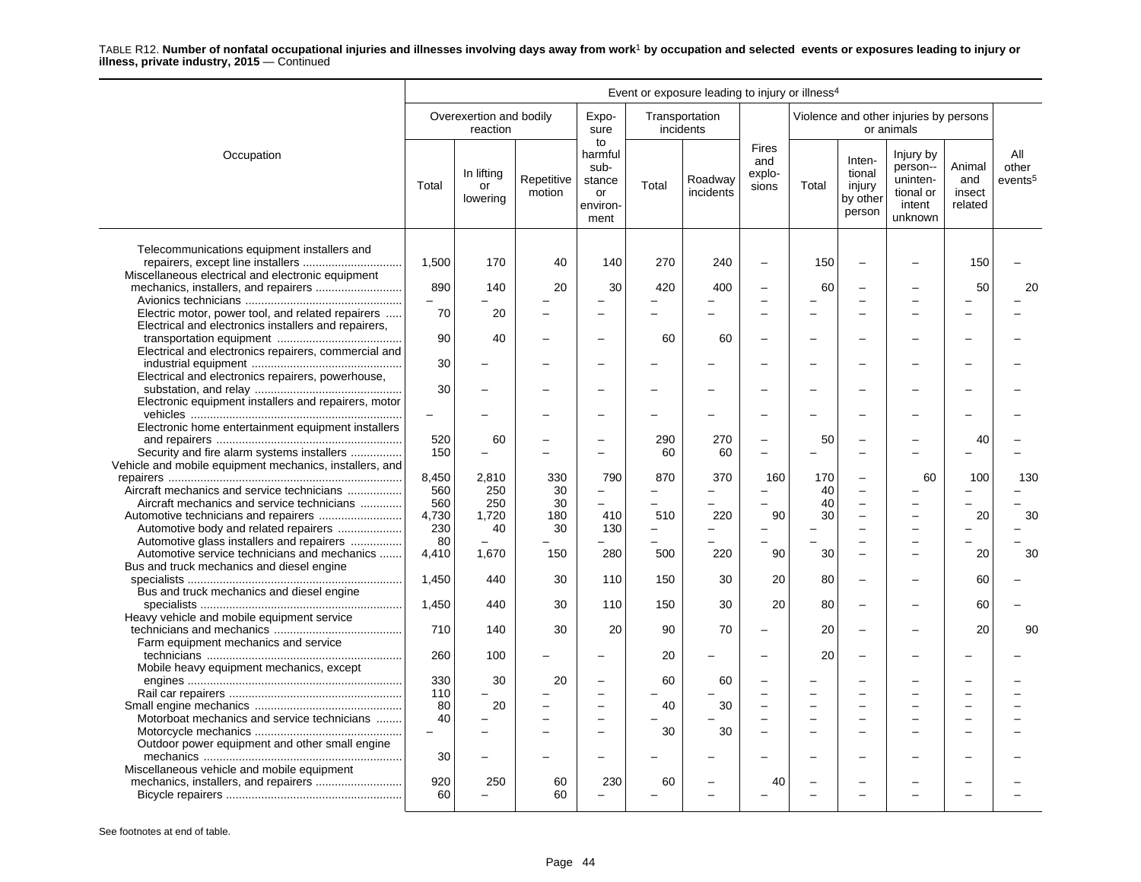|                                                                                                                                        | Event or exposure leading to injury or illness <sup>4</sup> |                                     |                      |                                                           |                                 |                             |                                        |                 |                                                  |                                                                     |                                    |                                     |
|----------------------------------------------------------------------------------------------------------------------------------------|-------------------------------------------------------------|-------------------------------------|----------------------|-----------------------------------------------------------|---------------------------------|-----------------------------|----------------------------------------|-----------------|--------------------------------------------------|---------------------------------------------------------------------|------------------------------------|-------------------------------------|
|                                                                                                                                        |                                                             | Overexertion and bodily<br>reaction |                      | Expo-<br>sure                                             |                                 | Transportation<br>incidents |                                        |                 |                                                  | Violence and other injuries by persons<br>or animals                |                                    |                                     |
| Occupation                                                                                                                             | Total                                                       | In lifting<br>or<br>lowering        | Repetitive<br>motion | to<br>harmful<br>sub-<br>stance<br>or<br>environ-<br>ment | Total                           | Roadway<br>incidents        | <b>Fires</b><br>and<br>explo-<br>sions | Total           | Inten-<br>tional<br>injury<br>by other<br>person | Injury by<br>person--<br>uninten-<br>tional or<br>intent<br>unknown | Animal<br>and<br>insect<br>related | All<br>other<br>events <sup>5</sup> |
| Telecommunications equipment installers and<br>repairers, except line installers<br>Miscellaneous electrical and electronic equipment  | 1,500                                                       | 170                                 | 40                   | 140                                                       | 270                             | 240                         | $\sim$                                 | 150             | $\equiv$                                         |                                                                     | 150                                |                                     |
|                                                                                                                                        | 890                                                         | 140                                 | 20                   | 30                                                        | 420                             | 400                         |                                        | 60              |                                                  |                                                                     | 50                                 | 20                                  |
| Electric motor, power tool, and related repairers<br>Electrical and electronics installers and repairers,                              | 70                                                          | 20                                  | -                    |                                                           |                                 |                             |                                        |                 |                                                  |                                                                     |                                    |                                     |
| Electrical and electronics repairers, commercial and                                                                                   | 90                                                          | 40                                  | -                    | $\overline{\phantom{0}}$                                  | 60                              | 60                          |                                        |                 | $\overline{\phantom{0}}$                         |                                                                     |                                    |                                     |
| Electrical and electronics repairers, powerhouse,                                                                                      | 30                                                          |                                     |                      |                                                           |                                 |                             |                                        |                 |                                                  |                                                                     |                                    |                                     |
| Electronic equipment installers and repairers, motor                                                                                   | 30                                                          |                                     |                      |                                                           |                                 |                             |                                        |                 |                                                  |                                                                     |                                    |                                     |
| Electronic home entertainment equipment installers                                                                                     | $\qquad \qquad -$                                           |                                     |                      |                                                           |                                 |                             |                                        |                 |                                                  |                                                                     |                                    |                                     |
| Security and fire alarm systems installers<br>Vehicle and mobile equipment mechanics, installers, and                                  | 520<br>150                                                  | 60<br>$\overline{\phantom{0}}$      | -                    | $\equiv$                                                  | 290<br>60                       | 270<br>60                   | $\sim$                                 | 50              | $\equiv$                                         |                                                                     | 40                                 |                                     |
| Aircraft mechanics and service technicians<br>Aircraft mechanics and service technicians                                               | 8,450<br>560<br>560                                         | 2,810<br>250<br>250                 | 330<br>30<br>30      | 790<br>$\equiv$                                           | 870<br>$\overline{a}$           | 370                         | 160                                    | 170<br>40<br>40 |                                                  | 60                                                                  | 100                                | 130                                 |
| Automotive body and related repairers                                                                                                  | 4,730<br>230                                                | 1,720<br>40                         | 180<br>30            | 410<br>130                                                | 510<br>$\overline{\phantom{0}}$ | 220                         | 90                                     | 30              | -                                                |                                                                     | 20                                 | 30                                  |
| Automotive glass installers and repairers<br>Automotive service technicians and mechanics<br>Bus and truck mechanics and diesel engine | 80<br>4,410                                                 | 1,670                               | 150                  | 280                                                       | 500                             | 220                         | 90                                     | 30              | $\overline{\phantom{0}}$                         |                                                                     | 20                                 | 30                                  |
| Bus and truck mechanics and diesel engine                                                                                              | 1,450                                                       | 440                                 | 30                   | 110                                                       | 150                             | 30                          | 20                                     | 80              | $\equiv$                                         |                                                                     | 60                                 |                                     |
| Heavy vehicle and mobile equipment service                                                                                             | 1,450                                                       | 440                                 | 30                   | 110                                                       | 150                             | 30                          | 20                                     | 80              | $\overline{\phantom{0}}$                         |                                                                     | 60                                 |                                     |
| Farm equipment mechanics and service                                                                                                   | 710                                                         | 140                                 | 30                   | 20                                                        | 90                              | 70                          | $\overline{\phantom{m}}$               | 20              | $\overline{\phantom{0}}$                         |                                                                     | 20                                 | 90                                  |
| Mobile heavy equipment mechanics, except                                                                                               | 260                                                         | 100                                 |                      |                                                           | 20                              | -                           |                                        | 20              | $\equiv$                                         |                                                                     |                                    |                                     |
|                                                                                                                                        | 330<br>110                                                  | 30                                  | 20                   |                                                           | 60                              | 60                          |                                        |                 |                                                  |                                                                     |                                    |                                     |
| Motorboat mechanics and service technicians                                                                                            | 80<br>40                                                    | 20                                  |                      | $\overline{\phantom{0}}$                                  | 40                              | 30                          |                                        |                 | $\equiv$                                         |                                                                     |                                    |                                     |
| Outdoor power equipment and other small engine                                                                                         | $\sim$                                                      |                                     |                      |                                                           | 30                              | 30                          |                                        |                 |                                                  |                                                                     |                                    |                                     |
| Miscellaneous vehicle and mobile equipment                                                                                             | 30                                                          | $\overline{\phantom{0}}$            |                      |                                                           |                                 |                             |                                        |                 |                                                  |                                                                     |                                    |                                     |
|                                                                                                                                        | 920<br>60                                                   | 250<br>$\overline{\phantom{0}}$     | 60<br>60             | 230<br>-                                                  | 60                              |                             | 40                                     |                 |                                                  |                                                                     |                                    |                                     |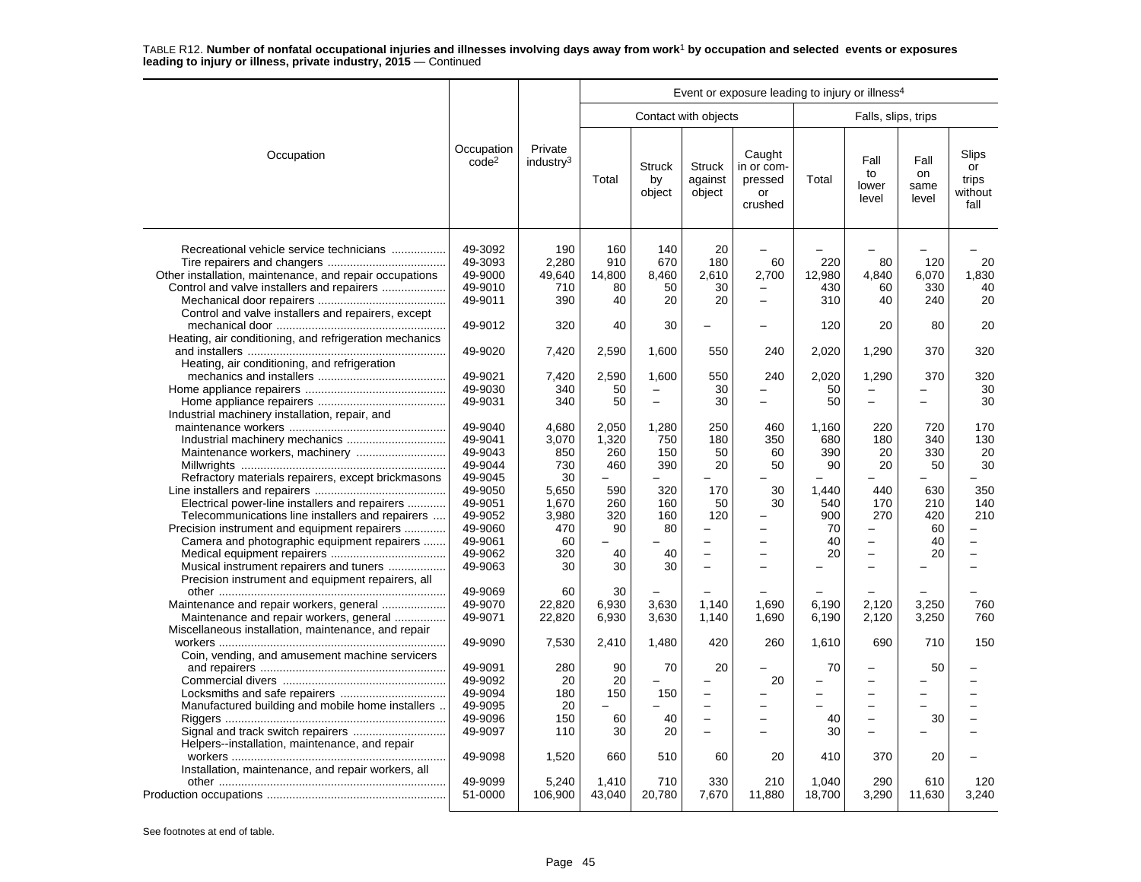|                                                                                                                                                                                                         |                                                                |                                      | Event or exposure leading to injury or illness <sup>4</sup> |                                     |                                                            |                                                  |                             |                                                                                  |                             |                                         |  |  |
|---------------------------------------------------------------------------------------------------------------------------------------------------------------------------------------------------------|----------------------------------------------------------------|--------------------------------------|-------------------------------------------------------------|-------------------------------------|------------------------------------------------------------|--------------------------------------------------|-----------------------------|----------------------------------------------------------------------------------|-----------------------------|-----------------------------------------|--|--|
|                                                                                                                                                                                                         |                                                                |                                      |                                                             |                                     | Contact with objects                                       |                                                  |                             | Falls, slips, trips                                                              |                             |                                         |  |  |
| Occupation                                                                                                                                                                                              | Occupation<br>code <sup>2</sup>                                | Private<br>industry <sup>3</sup>     | Total                                                       | <b>Struck</b><br>by<br>object       | <b>Struck</b><br>against<br>object                         | Caught<br>in or com-<br>pressed<br>or<br>crushed | Total                       | Fall<br>to<br>lower<br>level                                                     | Fall<br>on<br>same<br>level | Slips<br>or<br>trips<br>without<br>fall |  |  |
| Recreational vehicle service technicians<br>Other installation, maintenance, and repair occupations<br>Control and valve installers and repairers<br>Control and valve installers and repairers, except | 49-3092<br>49-3093<br>49-9000<br>49-9010<br>49-9011            | 190<br>2,280<br>49,640<br>710<br>390 | 160<br>910<br>14,800<br>80<br>40                            | 140<br>670<br>8,460<br>50<br>20     | 20<br>180<br>2,610<br>30<br>20                             | 60<br>2,700<br>$\overline{a}$                    | 220<br>12,980<br>430<br>310 | 80<br>4.840<br>60<br>40                                                          | 120<br>6.070<br>330<br>240  | 20<br>1,830<br>40<br>20                 |  |  |
| Heating, air conditioning, and refrigeration mechanics                                                                                                                                                  | 49-9012                                                        | 320                                  | 40                                                          | 30                                  |                                                            |                                                  | 120                         | 20                                                                               | 80                          | 20                                      |  |  |
| Heating, air conditioning, and refrigeration                                                                                                                                                            | 49-9020                                                        | 7,420                                | 2,590                                                       | 1,600                               | 550                                                        | 240                                              | 2,020                       | 1,290                                                                            | 370                         | 320                                     |  |  |
|                                                                                                                                                                                                         | 49-9021<br>49-9030<br>49-9031                                  | 7,420<br>340<br>340                  | 2,590<br>50<br>50                                           | 1,600<br>$\equiv$<br>$\overline{a}$ | 550<br>30<br>30                                            | 240                                              | 2,020<br>50<br>50           | 1,290<br>$\equiv$                                                                | 370                         | 320<br>30<br>30                         |  |  |
| Industrial machinery installation, repair, and                                                                                                                                                          | 49-9040<br>49-9041<br>49-9043<br>49-9044                       | 4.680<br>3,070<br>850<br>730         | 2.050<br>1,320<br>260<br>460                                | 1.280<br>750<br>150<br>390          | 250<br>180<br>50<br>20                                     | 460<br>350<br>60<br>50                           | 1.160<br>680<br>390<br>90   | 220<br>180<br>20<br>20                                                           | 720<br>340<br>330<br>50     | 170<br>130<br>20<br>30                  |  |  |
| Refractory materials repairers, except brickmasons<br>Electrical power-line installers and repairers<br>Telecommunications line installers and repairers                                                | 49-9045<br>49-9050<br>49-9051<br>49-9052                       | 30<br>5,650<br>1.670<br>3,980        | 590<br>260<br>320                                           | 320<br>160<br>160                   | 170<br>50<br>120                                           | 30<br>30                                         | 1.440<br>540<br>900         | 440<br>170<br>270                                                                | 630<br>210<br>420           | 350<br>140<br>210                       |  |  |
| Precision instrument and equipment repairers<br>Camera and photographic equipment repairers<br>Musical instrument repairers and tuners                                                                  | 49-9060<br>49-9061<br>49-9062<br>49-9063                       | 470<br>60<br>320<br>30               | 90<br>40<br>30                                              | 80<br>40<br>30                      | $\overline{\phantom{0}}$<br>$\equiv$                       |                                                  | 70<br>40<br>20              | $\overline{\phantom{0}}$                                                         | 60<br>40<br>20              |                                         |  |  |
| Precision instrument and equipment repairers, all<br>Maintenance and repair workers, general<br>Maintenance and repair workers, general<br>Miscellaneous installation, maintenance, and repair          | 49-9069<br>49-9070<br>49-9071                                  | 60<br>22,820<br>22,820               | 30<br>6,930<br>6,930                                        | 3.630<br>3,630                      | 1.140<br>1,140                                             | 1.690<br>1,690                                   | 6.190<br>6,190              | 2.120<br>2,120                                                                   | 3,250<br>3,250              | 760<br>760                              |  |  |
| Coin, vending, and amusement machine servicers                                                                                                                                                          | 49-9090                                                        | 7,530                                | 2,410                                                       | 1,480                               | 420                                                        | 260                                              | 1,610                       | 690                                                                              | 710                         | 150                                     |  |  |
| Manufactured building and mobile home installers                                                                                                                                                        | 49-9091<br>49-9092<br>49-9094<br>49-9095<br>49-9096<br>49-9097 | 280<br>20<br>180<br>20<br>150<br>110 | 90<br>20<br>150<br>60<br>30                                 | 70<br>150<br>40<br>20               | 20<br>$\overline{\phantom{0}}$<br>$\overline{\phantom{0}}$ | 20                                               | 70<br>40<br>30              | $\overline{\phantom{a}}$<br>$\overline{\phantom{0}}$<br>$\overline{\phantom{0}}$ | 50<br>30                    |                                         |  |  |
| Helpers--installation, maintenance, and repair<br>Installation, maintenance, and repair workers, all                                                                                                    | 49-9098                                                        | 1,520                                | 660                                                         | 510                                 | 60                                                         | 20                                               | 410                         | 370                                                                              | 20                          |                                         |  |  |
|                                                                                                                                                                                                         | 49-9099<br>51-0000                                             | 5,240<br>106,900                     | 1.410<br>43,040                                             | 710<br>20,780                       | 330<br>7,670                                               | 210<br>11,880                                    | 1.040<br>18,700             | 290<br>3,290                                                                     | 610<br>11,630               | 120<br>3,240                            |  |  |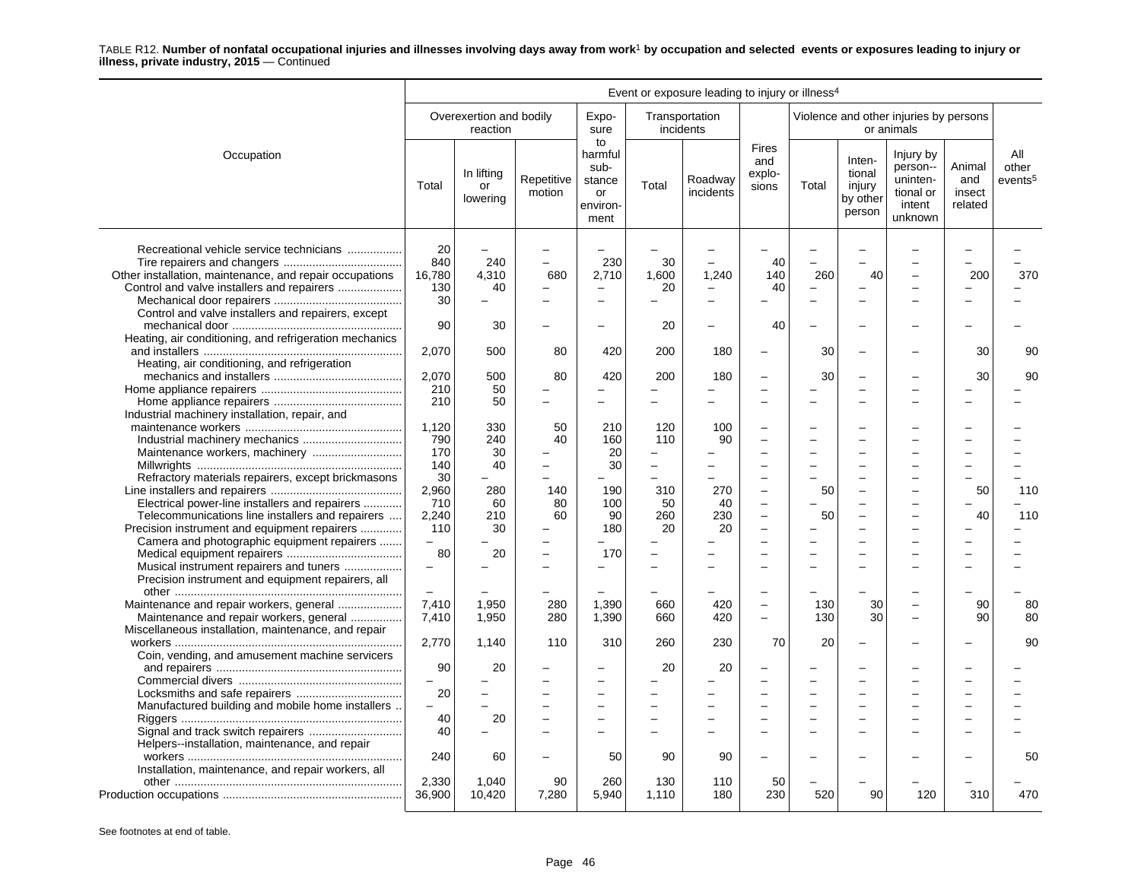|                                                                                                                                                                                                         | Event or exposure leading to injury or illness <sup>4</sup> |                                     |                      |                                                                                  |                                             |                             |                                        |            |                                                  |                                                                     |                                    |                                     |
|---------------------------------------------------------------------------------------------------------------------------------------------------------------------------------------------------------|-------------------------------------------------------------|-------------------------------------|----------------------|----------------------------------------------------------------------------------|---------------------------------------------|-----------------------------|----------------------------------------|------------|--------------------------------------------------|---------------------------------------------------------------------|------------------------------------|-------------------------------------|
|                                                                                                                                                                                                         |                                                             | Overexertion and bodily<br>reaction |                      | Expo-<br>sure                                                                    |                                             | Transportation<br>incidents |                                        |            |                                                  | Violence and other injuries by persons<br>or animals                |                                    |                                     |
| Occupation                                                                                                                                                                                              | Total                                                       | In lifting<br>or<br>lowering        | Repetitive<br>motion | to<br>harmful<br>sub-<br>stance<br>or<br>environ-<br>ment                        | Total                                       | Roadway<br>incidents        | <b>Fires</b><br>and<br>explo-<br>sions | Total      | Inten-<br>tional<br>injury<br>by other<br>person | Injury by<br>person--<br>uninten-<br>tional or<br>intent<br>unknown | Animal<br>and<br>insect<br>related | All<br>other<br>events <sup>5</sup> |
| Recreational vehicle service technicians<br>Other installation, maintenance, and repair occupations<br>Control and valve installers and repairers<br>Control and valve installers and repairers, except | 20<br>840<br>16,780<br>130<br>30                            | 240<br>4.310<br>40                  | 680                  | 230<br>2,710<br>$\overline{\phantom{m}}$<br>$\overline{\phantom{0}}$             | 30<br>1.600<br>20                           | 1,240                       | 40<br>140<br>40                        | 260        | 40                                               |                                                                     | 200                                | 370                                 |
| Heating, air conditioning, and refrigeration mechanics                                                                                                                                                  | 90<br>2,070                                                 | 30<br>500                           | 80                   | $\overline{\phantom{a}}$<br>420                                                  | 20<br>200                                   | 180                         | 40                                     | 30         |                                                  |                                                                     | 30                                 | 90                                  |
| Heating, air conditioning, and refrigeration                                                                                                                                                            | 2,070<br>210                                                | 500<br>50                           | 80                   | 420<br>$\overline{\phantom{0}}$                                                  | 200                                         | 180                         | Ē,<br>÷                                | 30         | -                                                |                                                                     | 30                                 | 90                                  |
| Industrial machinery installation, repair, and                                                                                                                                                          | 210<br>1,120                                                | 50<br>330                           | 50                   | $\overline{\phantom{0}}$<br>210                                                  | 120                                         | 100                         |                                        |            |                                                  |                                                                     |                                    |                                     |
|                                                                                                                                                                                                         | 790<br>170<br>140                                           | 240<br>30<br>40                     | 40                   | 160<br>20<br>30                                                                  | 110<br>$\equiv$<br>$\overline{\phantom{0}}$ | 90                          |                                        |            |                                                  |                                                                     |                                    |                                     |
| Refractory materials repairers, except brickmasons<br>Electrical power-line installers and repairers                                                                                                    | 30<br>2,960<br>710                                          | 280<br>60                           | 140<br>80            | 190<br>100                                                                       | 310<br>50                                   | 270<br>40                   | $\overline{a}$<br>$\overline{a}$       | 50         |                                                  |                                                                     | 50                                 | 110                                 |
| Telecommunications line installers and repairers<br>Precision instrument and equipment repairers<br>Camera and photographic equipment repairers                                                         | 2,240<br>110<br>$\overline{\phantom{0}}$                    | 210<br>30                           | 60                   | 90<br>180                                                                        | 260<br>20                                   | 230<br>20                   | $\overline{\phantom{0}}$               | 50         | -                                                |                                                                     | 40                                 | 110                                 |
| Musical instrument repairers and tuners<br>Precision instrument and equipment repairers, all                                                                                                            | 80                                                          | 20                                  |                      | 170                                                                              | -                                           |                             |                                        |            |                                                  |                                                                     |                                    |                                     |
| Maintenance and repair workers, general<br>Maintenance and repair workers, general<br>Miscellaneous installation, maintenance, and repair                                                               | $\overline{\phantom{0}}$<br>7.410<br>7,410                  | 1,950<br>1,950                      | 280<br>280           | 1,390<br>1,390                                                                   | 660<br>660                                  | 420<br>420                  |                                        | 130<br>130 | 30<br>30                                         |                                                                     | 90<br>90                           | 80<br>80                            |
| Coin, vending, and amusement machine servicers                                                                                                                                                          | 2,770                                                       | 1,140                               | 110                  | 310                                                                              | 260                                         | 230                         | 70                                     | 20         | $\equiv$                                         |                                                                     |                                    | 90                                  |
|                                                                                                                                                                                                         | 90<br>$\overline{\phantom{0}}$<br>20                        | 20                                  |                      | $\overline{\phantom{0}}$<br>$\overline{\phantom{0}}$                             | 20                                          | 20                          |                                        |            |                                                  |                                                                     |                                    |                                     |
| Manufactured building and mobile home installers<br>Signal and track switch repairers                                                                                                                   | L.<br>40<br>40                                              | $\equiv$<br>20                      |                      | $\overline{\phantom{0}}$<br>$\overline{\phantom{0}}$<br>$\overline{\phantom{0}}$ | $\equiv$<br>$\overline{\phantom{0}}$        |                             | L.                                     | $\sim$     | $\overline{\phantom{0}}$                         |                                                                     |                                    |                                     |
| Helpers-installation, maintenance, and repair<br>Installation, maintenance, and repair workers, all                                                                                                     | 240                                                         | 60                                  |                      | 50                                                                               | 90                                          | 90                          | ÷                                      |            |                                                  |                                                                     |                                    | 50                                  |
|                                                                                                                                                                                                         | 2,330<br>36,900                                             | 1,040<br>10,420                     | 90<br>7,280          | 260<br>5,940                                                                     | 130<br>1,110                                | 110<br>180                  | 50<br>230                              | 520        | 90                                               | 120                                                                 | 310                                | 470                                 |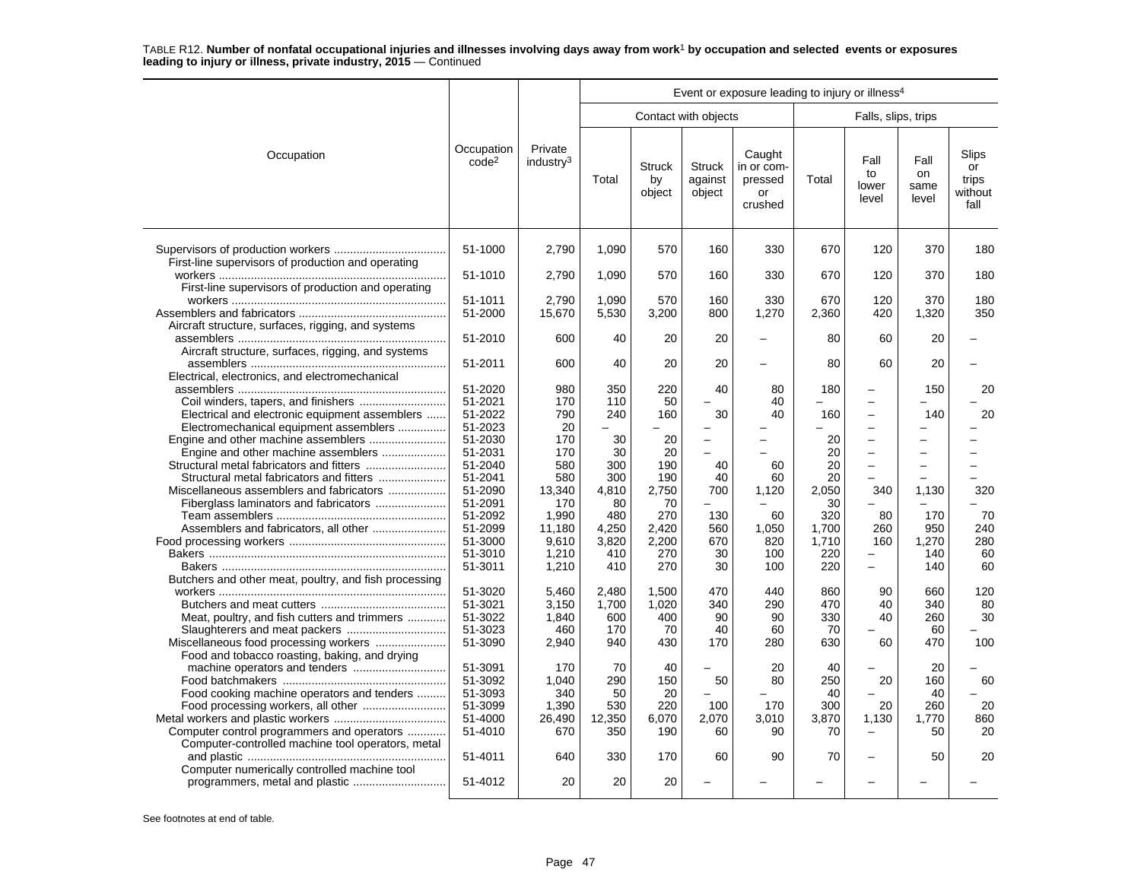|                                                       |                                 | Event or exposure leading to injury or illness <sup>4</sup> |            |                               |                             |                                                  |          |                                                      |                                            |                                         |  |  |
|-------------------------------------------------------|---------------------------------|-------------------------------------------------------------|------------|-------------------------------|-----------------------------|--------------------------------------------------|----------|------------------------------------------------------|--------------------------------------------|-----------------------------------------|--|--|
|                                                       |                                 |                                                             |            |                               | Contact with objects        |                                                  |          | Falls, slips, trips                                  |                                            |                                         |  |  |
| Occupation                                            | Occupation<br>code <sup>2</sup> | Private<br>industry <sup>3</sup>                            | Total      | <b>Struck</b><br>by<br>object | Struck<br>against<br>object | Caught<br>in or com-<br>pressed<br>or<br>crushed | Total    | Fall<br>to<br>lower<br>level                         | Fall<br>on<br>same<br>level                | Slips<br>or<br>trips<br>without<br>fall |  |  |
| First-line supervisors of production and operating    | 51-1000                         | 2,790                                                       | 1,090      | 570                           | 160                         | 330                                              | 670      | 120                                                  | 370                                        | 180                                     |  |  |
|                                                       | 51-1010                         | 2,790                                                       | 1,090      | 570                           | 160                         | 330                                              | 670      | 120                                                  | 370                                        | 180                                     |  |  |
| First-line supervisors of production and operating    | 51-1011                         | 2,790                                                       | 1,090      | 570                           | 160                         | 330                                              | 670      | 120                                                  | 370                                        | 180                                     |  |  |
| Aircraft structure, surfaces, rigging, and systems    | 51-2000                         | 15,670                                                      | 5,530      | 3,200                         | 800                         | 1,270                                            | 2,360    | 420                                                  | 1,320                                      | 350                                     |  |  |
| Aircraft structure, surfaces, rigging, and systems    | 51-2010                         | 600                                                         | 40         | 20                            | 20                          |                                                  | 80       | 60                                                   | 20                                         |                                         |  |  |
| Electrical, electronics, and electromechanical        | 51-2011                         | 600                                                         | 40         | 20                            | 20                          |                                                  | 80       | 60                                                   | 20                                         |                                         |  |  |
|                                                       | 51-2020                         | 980                                                         | 350        | 220                           | 40                          | 80                                               | 180      | $\overline{\phantom{0}}$                             | 150                                        | 20                                      |  |  |
| Electrical and electronic equipment assemblers        | 51-2021<br>51-2022              | 170<br>790                                                  | 110<br>240 | 50<br>160                     | 30                          | 40<br>40                                         | 160      | $\overline{\phantom{0}}$<br>$\overline{\phantom{0}}$ | 140                                        | 20                                      |  |  |
| Electromechanical equipment assemblers                | 51-2023                         | 20                                                          |            |                               |                             |                                                  |          | $\overline{a}$                                       |                                            |                                         |  |  |
|                                                       | 51-2030                         | 170                                                         | 30         | 20                            | $\overline{\phantom{0}}$    |                                                  | 20       | -                                                    |                                            |                                         |  |  |
| Engine and other machine assemblers                   | 51-2031<br>51-2040              | 170<br>580                                                  | 30<br>300  | 20<br>190                     | 40                          | 60                                               | 20<br>20 | $\overline{\phantom{0}}$<br>$\overline{\phantom{0}}$ | $\overline{a}$<br>$\overline{\phantom{0}}$ |                                         |  |  |
| Structural metal fabricators and fitters              | 51-2041                         | 580                                                         | 300        | 190                           | 40                          | 60                                               | 20       |                                                      |                                            |                                         |  |  |
| Miscellaneous assemblers and fabricators              | 51-2090                         | 13,340                                                      | 4,810      | 2,750                         | 700                         | 1,120                                            | 2.050    | 340                                                  | 1,130                                      | 320                                     |  |  |
| Fiberglass laminators and fabricators                 | 51-2091                         | 170                                                         | 80         | 70                            |                             |                                                  | 30       |                                                      | $\overline{\phantom{0}}$                   |                                         |  |  |
|                                                       | 51-2092                         | 1,990                                                       | 480        | 270                           | 130                         | 60                                               | 320      | 80                                                   | 170                                        | 70                                      |  |  |
| Assemblers and fabricators, all other                 | 51-2099                         | 11,180                                                      | 4,250      | 2,420                         | 560                         | 1,050                                            | 1.700    | 260                                                  | 950                                        | 240                                     |  |  |
|                                                       | 51-3000                         | 9,610                                                       | 3,820      | 2,200                         | 670                         | 820                                              | 1,710    | 160                                                  | 1,270                                      | 280                                     |  |  |
|                                                       | 51-3010                         | 1,210                                                       | 410        | 270                           | 30                          | 100                                              | 220      | L.                                                   | 140                                        | 60                                      |  |  |
|                                                       | 51-3011                         | 1,210                                                       | 410        | 270                           | 30                          | 100                                              | 220      | $\overline{\phantom{0}}$                             | 140                                        | 60                                      |  |  |
| Butchers and other meat, poultry, and fish processing |                                 |                                                             |            |                               |                             |                                                  |          |                                                      |                                            |                                         |  |  |
|                                                       | 51-3020                         | 5,460                                                       | 2,480      | 1.500                         | 470                         | 440                                              | 860      | 90                                                   | 660                                        | 120                                     |  |  |
|                                                       | 51-3021                         | 3,150                                                       | 1,700      | 1,020                         | 340                         | 290                                              | 470      | 40                                                   | 340                                        | 80                                      |  |  |
| Meat, poultry, and fish cutters and trimmers          | 51-3022                         | 1.840                                                       | 600        | 400                           | 90                          | 90                                               | 330      | 40                                                   | 260                                        | 30                                      |  |  |
| Slaughterers and meat packers                         | 51-3023                         | 460                                                         | 170        | 70                            | 40                          | 60                                               | 70       |                                                      | 60                                         |                                         |  |  |
|                                                       | 51-3090                         | 2,940                                                       | 940        | 430                           | 170                         | 280                                              | 630      | 60                                                   | 470                                        | 100                                     |  |  |
| Food and tobacco roasting, baking, and drying         | 51-3091                         | 170                                                         | 70         | 40                            |                             | 20                                               | 40       |                                                      | 20                                         |                                         |  |  |
|                                                       | 51-3092                         | 1,040                                                       | 290        | 150                           | 50                          | 80                                               | 250      | 20                                                   | 160                                        | 60                                      |  |  |
| Food cooking machine operators and tenders            | 51-3093                         | 340                                                         | 50         | 20                            |                             |                                                  | 40       |                                                      | 40                                         |                                         |  |  |
|                                                       | 51-3099                         | 1,390                                                       | 530        | 220                           | 100                         | 170                                              | 300      | 20                                                   | 260                                        | 20                                      |  |  |
|                                                       | 51-4000                         | 26,490                                                      | 12,350     | 6.070                         | 2,070                       | 3.010                                            | 3,870    | 1,130                                                | 1.770                                      | 860                                     |  |  |
| Computer control programmers and operators            | 51-4010                         | 670                                                         | 350        | 190                           | 60                          | 90                                               | 70       |                                                      | 50                                         | 20                                      |  |  |
| Computer-controlled machine tool operators, metal     |                                 |                                                             |            |                               |                             |                                                  |          |                                                      |                                            |                                         |  |  |
|                                                       | 51-4011                         | 640                                                         | 330        | 170                           | 60                          | 90                                               | 70       |                                                      | 50                                         | 20                                      |  |  |
| Computer numerically controlled machine tool          | 51-4012                         | 20                                                          | 20         | 20                            |                             |                                                  |          |                                                      |                                            |                                         |  |  |
| programmers, metal and plastic                        |                                 |                                                             |            |                               |                             |                                                  |          |                                                      |                                            |                                         |  |  |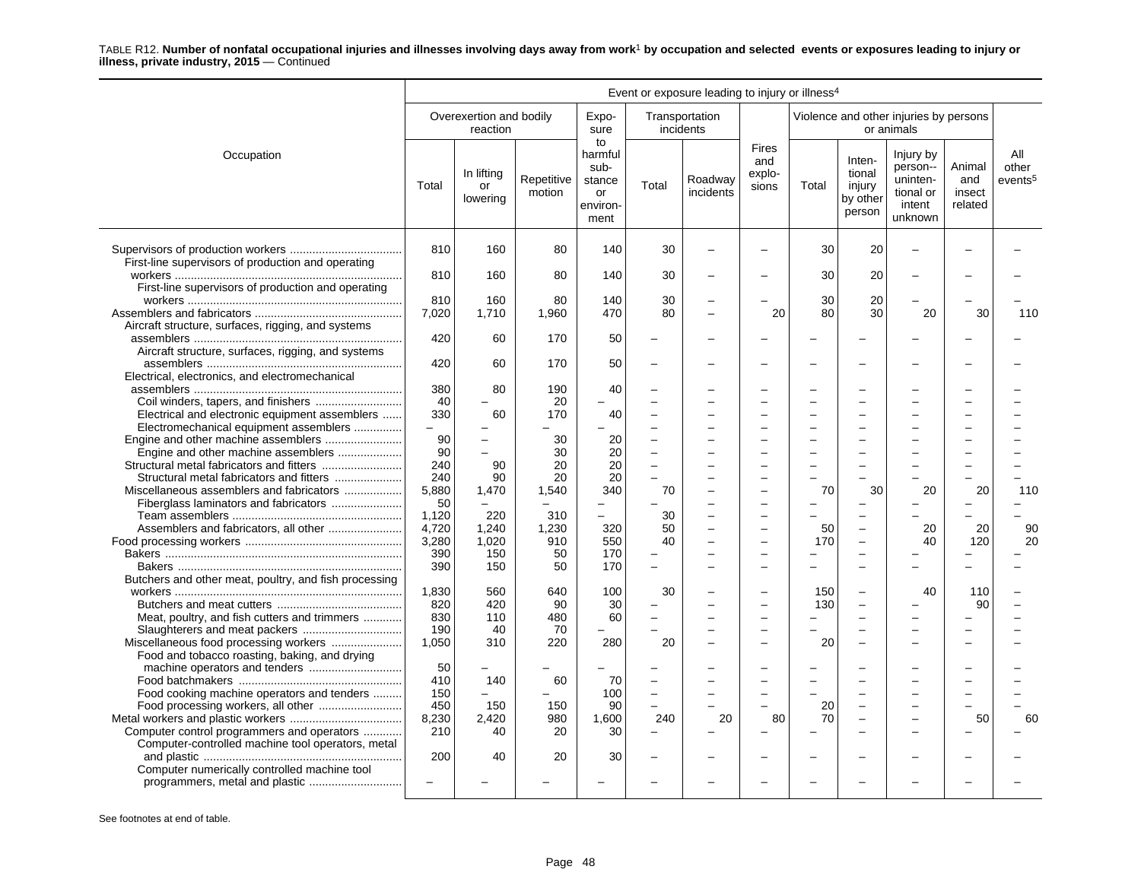|                                                       | Event or exposure leading to injury or illness <sup>4</sup> |                                     |                      |                                                           |                |                             |                                        |       |                                                  |                                                                     |                                    |                                     |
|-------------------------------------------------------|-------------------------------------------------------------|-------------------------------------|----------------------|-----------------------------------------------------------|----------------|-----------------------------|----------------------------------------|-------|--------------------------------------------------|---------------------------------------------------------------------|------------------------------------|-------------------------------------|
|                                                       |                                                             | Overexertion and bodily<br>reaction |                      | Expo-<br>sure                                             |                | Transportation<br>incidents |                                        |       |                                                  | Violence and other injuries by persons<br>or animals                |                                    |                                     |
| Occupation                                            | Total                                                       | In lifting<br><b>or</b><br>lowering | Repetitive<br>motion | to<br>harmful<br>sub-<br>stance<br>or<br>environ-<br>ment | Total          | Roadway<br>incidents        | <b>Fires</b><br>and<br>explo-<br>sions | Total | Inten-<br>tional<br>injury<br>by other<br>person | Injury by<br>person--<br>uninten-<br>tional or<br>intent<br>unknown | Animal<br>and<br>insect<br>related | All<br>other<br>events <sup>5</sup> |
|                                                       | 810                                                         | 160                                 | 80                   | 140                                                       | 30             |                             |                                        | 30    | 20                                               |                                                                     |                                    |                                     |
| First-line supervisors of production and operating    | 810                                                         | 160                                 | 80                   | 140                                                       | 30             |                             |                                        | 30    | 20                                               |                                                                     |                                    |                                     |
| First-line supervisors of production and operating    |                                                             |                                     |                      |                                                           |                |                             |                                        |       |                                                  |                                                                     |                                    |                                     |
|                                                       | 810                                                         | 160                                 | 80                   | 140                                                       | 30             |                             |                                        | 30    | 20                                               |                                                                     |                                    |                                     |
|                                                       | 7,020                                                       | 1,710                               | 1,960                | 470                                                       | 80             |                             | 20                                     | 80    | 30                                               | 20                                                                  | 30                                 | 110                                 |
| Aircraft structure, surfaces, rigging, and systems    |                                                             |                                     |                      |                                                           |                |                             |                                        |       |                                                  |                                                                     |                                    |                                     |
|                                                       | 420                                                         | 60                                  | 170                  | 50                                                        |                |                             |                                        |       |                                                  |                                                                     |                                    |                                     |
| Aircraft structure, surfaces, rigging, and systems    |                                                             |                                     |                      |                                                           |                |                             |                                        |       |                                                  |                                                                     |                                    |                                     |
|                                                       | 420                                                         | 60                                  | 170                  | 50                                                        |                |                             |                                        |       |                                                  |                                                                     |                                    |                                     |
| Electrical, electronics, and electromechanical        |                                                             |                                     |                      |                                                           |                |                             |                                        |       |                                                  |                                                                     |                                    |                                     |
|                                                       | 380                                                         | 80                                  | 190                  | 40                                                        |                |                             |                                        |       |                                                  |                                                                     |                                    |                                     |
|                                                       | 40                                                          |                                     | 20                   |                                                           |                |                             |                                        |       |                                                  |                                                                     |                                    |                                     |
| Electrical and electronic equipment assemblers        | 330                                                         | 60                                  | 170                  | 40                                                        |                |                             |                                        |       |                                                  |                                                                     |                                    |                                     |
| Electromechanical equipment assemblers                | $\overline{\phantom{0}}$                                    | $\overline{\phantom{0}}$            |                      |                                                           |                |                             |                                        |       |                                                  |                                                                     |                                    |                                     |
|                                                       | 90                                                          | $\equiv$                            | 30                   | 20                                                        |                |                             |                                        |       |                                                  |                                                                     |                                    |                                     |
| Engine and other machine assemblers                   | 90                                                          | $\overline{\phantom{0}}$            | 30                   | 20                                                        |                |                             |                                        |       |                                                  |                                                                     |                                    |                                     |
|                                                       | 240                                                         | 90                                  | 20                   | 20                                                        |                |                             |                                        |       |                                                  |                                                                     |                                    |                                     |
|                                                       | 240                                                         | 90                                  | 20                   | 20                                                        |                |                             |                                        |       |                                                  |                                                                     |                                    |                                     |
| Miscellaneous assemblers and fabricators              | 5,880                                                       | 1,470                               | 1,540                | 340                                                       | 70             |                             |                                        | 70    | 30                                               | 20                                                                  | 20                                 | 110                                 |
| Fiberglass laminators and fabricators                 | 50                                                          |                                     | $\equiv$             | $\overline{\phantom{0}}$                                  |                |                             |                                        |       |                                                  |                                                                     |                                    |                                     |
|                                                       | 1,120                                                       | 220                                 | 310                  |                                                           | 30             |                             |                                        |       |                                                  |                                                                     |                                    |                                     |
| Assemblers and fabricators, all other                 | 4,720                                                       | 1,240                               | 1,230                | 320                                                       | 50             |                             |                                        | 50    |                                                  | 20                                                                  | 20                                 | 90                                  |
|                                                       | 3,280                                                       | 1,020                               | 910                  | 550                                                       | 40             |                             |                                        | 170   | $\overline{\phantom{0}}$                         | 40                                                                  | 120                                | 20                                  |
|                                                       | 390                                                         | 150                                 | 50                   | 170                                                       |                |                             |                                        |       |                                                  |                                                                     |                                    |                                     |
|                                                       | 390                                                         | 150                                 | 50                   | 170                                                       |                |                             |                                        |       |                                                  |                                                                     |                                    |                                     |
| Butchers and other meat, poultry, and fish processing |                                                             |                                     |                      |                                                           |                |                             |                                        |       |                                                  |                                                                     |                                    |                                     |
|                                                       | 1,830                                                       | 560                                 | 640                  | 100                                                       | 30             |                             |                                        | 150   |                                                  | 40                                                                  | 110                                |                                     |
|                                                       | 820                                                         | 420                                 | 90                   | 30                                                        |                |                             |                                        | 130   |                                                  |                                                                     | 90                                 |                                     |
| Meat, poultry, and fish cutters and trimmers          | 830                                                         | 110                                 | 480                  | 60                                                        |                |                             |                                        |       |                                                  |                                                                     |                                    |                                     |
|                                                       | 190                                                         | 40                                  | 70                   |                                                           |                |                             |                                        |       |                                                  |                                                                     |                                    |                                     |
|                                                       | 1,050                                                       | 310                                 | 220                  | 280                                                       | 20             |                             |                                        | 20    |                                                  |                                                                     |                                    |                                     |
| Food and tobacco roasting, baking, and drying         |                                                             |                                     |                      |                                                           |                |                             |                                        |       |                                                  |                                                                     |                                    |                                     |
|                                                       | 50                                                          |                                     |                      |                                                           |                |                             |                                        |       |                                                  |                                                                     |                                    |                                     |
|                                                       | 410                                                         | 140                                 | 60                   | 70                                                        |                |                             |                                        |       |                                                  |                                                                     |                                    |                                     |
| Food cooking machine operators and tenders            | 150                                                         |                                     | $\overline{a}$       | 100                                                       | $\overline{a}$ |                             |                                        |       |                                                  |                                                                     |                                    |                                     |
|                                                       | 450                                                         | 150                                 | 150                  | 90                                                        | L.             |                             |                                        | 20    |                                                  |                                                                     |                                    |                                     |
|                                                       | 8,230                                                       | 2,420                               | 980                  | 1,600                                                     | 240            | 20                          | 80                                     | 70    |                                                  |                                                                     | 50                                 | 60                                  |
| Computer control programmers and operators            | 210                                                         | 40                                  | 20                   | 30                                                        |                |                             |                                        |       |                                                  |                                                                     |                                    |                                     |
| Computer-controlled machine tool operators, metal     |                                                             |                                     |                      |                                                           |                |                             |                                        |       |                                                  |                                                                     |                                    |                                     |
|                                                       | 200                                                         | 40                                  | 20                   | 30                                                        |                |                             |                                        |       |                                                  |                                                                     |                                    |                                     |
| Computer numerically controlled machine tool          |                                                             |                                     |                      |                                                           |                |                             |                                        |       |                                                  |                                                                     |                                    |                                     |
|                                                       | $\overline{\phantom{0}}$                                    |                                     |                      |                                                           |                |                             |                                        |       |                                                  |                                                                     |                                    |                                     |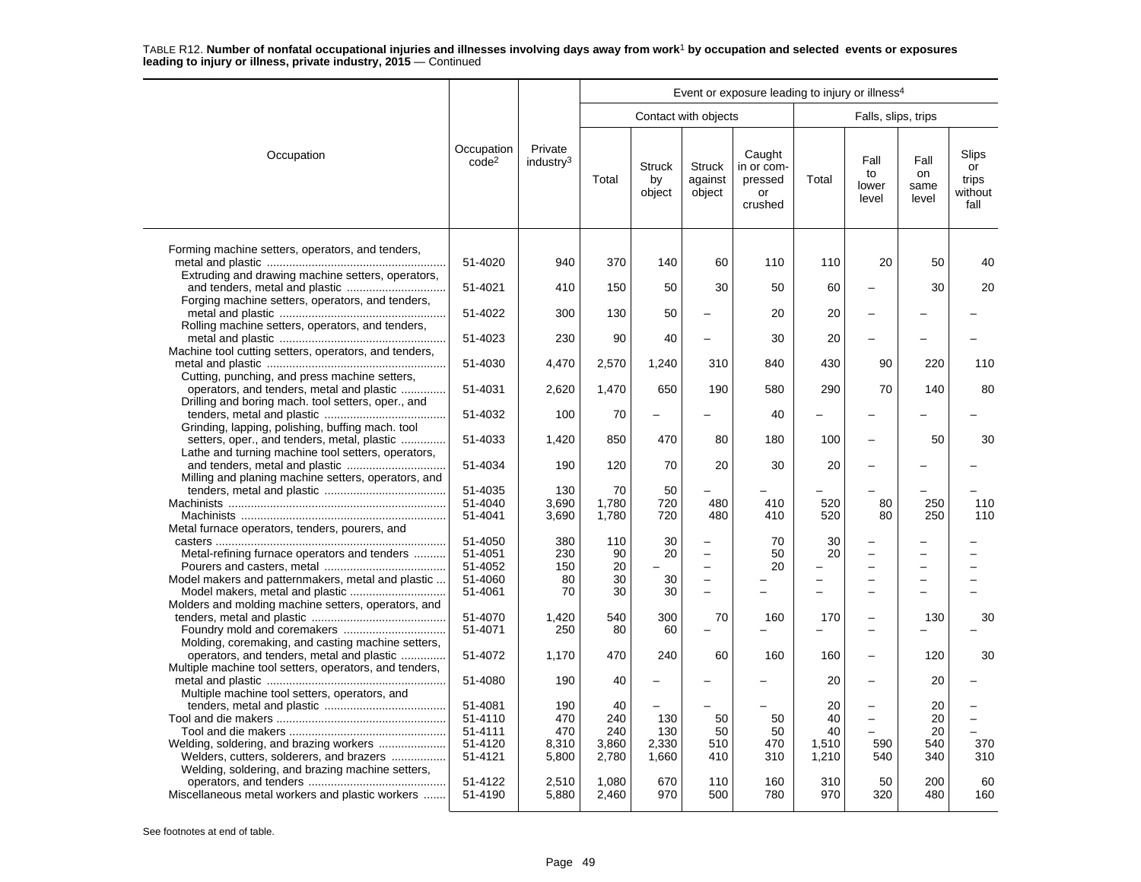|                                                                                                     |                                 |                                  | Event or exposure leading to injury or illness <sup>4</sup> |                               |                                    |                                                  |            |                              |                             |                                         |  |  |
|-----------------------------------------------------------------------------------------------------|---------------------------------|----------------------------------|-------------------------------------------------------------|-------------------------------|------------------------------------|--------------------------------------------------|------------|------------------------------|-----------------------------|-----------------------------------------|--|--|
|                                                                                                     |                                 |                                  |                                                             |                               | Contact with objects               |                                                  |            | Falls, slips, trips          |                             |                                         |  |  |
|                                                                                                     |                                 |                                  |                                                             |                               |                                    |                                                  |            |                              |                             |                                         |  |  |
| Occupation                                                                                          | Occupation<br>code <sup>2</sup> | Private<br>industry <sup>3</sup> | Total                                                       | <b>Struck</b><br>by<br>object | <b>Struck</b><br>against<br>object | Caught<br>in or com-<br>pressed<br>or<br>crushed | Total      | Fall<br>to<br>lower<br>level | Fall<br>on<br>same<br>level | Slips<br>or<br>trips<br>without<br>fall |  |  |
| Forming machine setters, operators, and tenders,                                                    |                                 |                                  |                                                             |                               |                                    |                                                  |            |                              |                             |                                         |  |  |
| Extruding and drawing machine setters, operators,                                                   | 51-4020                         | 940                              | 370                                                         | 140                           | 60                                 | 110                                              | 110        | 20                           | 50                          | 40                                      |  |  |
| Forging machine setters, operators, and tenders,                                                    | 51-4021                         | 410                              | 150                                                         | 50                            | 30                                 | 50                                               | 60         |                              | 30                          | 20                                      |  |  |
| Rolling machine setters, operators, and tenders,                                                    | 51-4022                         | 300                              | 130                                                         | 50                            | $\overline{\phantom{0}}$           | 20                                               | 20         |                              |                             |                                         |  |  |
|                                                                                                     | 51-4023                         | 230                              | 90                                                          | 40                            | $\equiv$                           | 30                                               | 20         |                              |                             |                                         |  |  |
| Machine tool cutting setters, operators, and tenders,                                               | 51-4030                         | 4,470                            | 2,570                                                       | 1,240                         | 310                                | 840                                              | 430        | 90                           | 220                         | 110                                     |  |  |
| Cutting, punching, and press machine setters,<br>operators, and tenders, metal and plastic          | 51-4031                         | 2,620                            | 1,470                                                       | 650                           | 190                                | 580                                              | 290        | 70                           | 140                         | 80                                      |  |  |
| Drilling and boring mach. tool setters, oper., and                                                  | 51-4032                         | 100                              | 70                                                          | ÷                             |                                    | 40                                               |            |                              |                             |                                         |  |  |
| Grinding, lapping, polishing, buffing mach, tool<br>setters, oper., and tenders, metal, plastic     | 51-4033                         | 1,420                            | 850                                                         | 470                           | 80                                 | 180                                              | 100        |                              | 50                          | 30                                      |  |  |
| Lathe and turning machine tool setters, operators,                                                  | 51-4034                         | 190                              | 120                                                         | 70                            | 20                                 | 30                                               | 20         |                              |                             |                                         |  |  |
| Milling and planing machine setters, operators, and                                                 | 51-4035                         | 130                              | 70                                                          | 50                            |                                    |                                                  |            |                              |                             |                                         |  |  |
|                                                                                                     | 51-4040                         | 3.690                            | 1,780                                                       | 720                           | 480                                | 410                                              | 520        | 80                           | 250                         | 110                                     |  |  |
| Metal furnace operators, tenders, pourers, and                                                      | 51-4041                         | 3,690                            | 1,780                                                       | 720                           | 480                                | 410                                              | 520        | 80                           | 250                         | 110                                     |  |  |
|                                                                                                     | 51-4050                         | 380                              | 110                                                         | 30                            |                                    | 70                                               | 30         |                              |                             |                                         |  |  |
| Metal-refining furnace operators and tenders                                                        | 51-4051                         | 230                              | 90                                                          | 20                            | $\equiv$                           | 50                                               | 20         | $\overline{\phantom{0}}$     |                             |                                         |  |  |
|                                                                                                     | 51-4052                         | 150                              | 20                                                          |                               | $\overline{\phantom{0}}$           | 20                                               |            | $\sim$                       |                             |                                         |  |  |
| Model makers and patternmakers, metal and plastic                                                   | 51-4060                         | 80                               | 30                                                          | 30                            | $\overline{\phantom{0}}$           |                                                  |            | $\overline{\phantom{0}}$     |                             |                                         |  |  |
| Model makers, metal and plastic<br>Molders and molding machine setters, operators, and              | 51-4061                         | 70                               | 30                                                          | 30                            |                                    |                                                  |            |                              |                             |                                         |  |  |
|                                                                                                     | 51-4070                         | 1,420                            | 540                                                         | 300                           | 70                                 | 160                                              | 170        | $\overline{\phantom{0}}$     | 130                         | 30                                      |  |  |
|                                                                                                     | 51-4071                         | 250                              | 80                                                          | 60                            | $\overline{\phantom{0}}$           |                                                  |            | $\equiv$                     |                             |                                         |  |  |
| Molding, coremaking, and casting machine setters,                                                   |                                 |                                  |                                                             |                               |                                    |                                                  |            |                              |                             |                                         |  |  |
| operators, and tenders, metal and plastic<br>Multiple machine tool setters, operators, and tenders, | 51-4072                         | 1,170                            | 470                                                         | 240                           | 60                                 | 160                                              | 160        | $\overline{\phantom{0}}$     | 120                         | 30                                      |  |  |
|                                                                                                     | 51-4080                         | 190                              | 40                                                          |                               |                                    |                                                  | 20         |                              | 20                          |                                         |  |  |
| Multiple machine tool setters, operators, and                                                       | 51-4081                         | 190                              | 40                                                          |                               |                                    |                                                  | 20         | $\overline{\phantom{0}}$     | 20                          |                                         |  |  |
|                                                                                                     | 51-4110                         | 470                              | 240                                                         | 130                           | 50                                 | 50                                               | 40         | $\equiv$                     | 20                          | $\overline{a}$                          |  |  |
|                                                                                                     | 51-4111                         | 470                              | 240                                                         | 130                           | 50                                 | 50                                               | 40         |                              | 20                          | ÷                                       |  |  |
|                                                                                                     | 51-4120                         | 8,310                            | 3,860                                                       | 2,330                         | 510                                | 470                                              | 1,510      | 590                          | 540                         | 370                                     |  |  |
| Welders, cutters, solderers, and brazers<br>Welding, soldering, and brazing machine setters,        | 51-4121                         | 5,800                            | 2,780                                                       | 1,660                         | 410                                | 310                                              | 1,210      | 540                          | 340                         | 310                                     |  |  |
| Miscellaneous metal workers and plastic workers                                                     | 51-4122<br>51-4190              | 2,510<br>5,880                   | 1,080<br>2,460                                              | 670<br>970                    | 110<br>500                         | 160<br>780                                       | 310<br>970 | 50<br>320                    | 200<br>480                  | 60<br>160                               |  |  |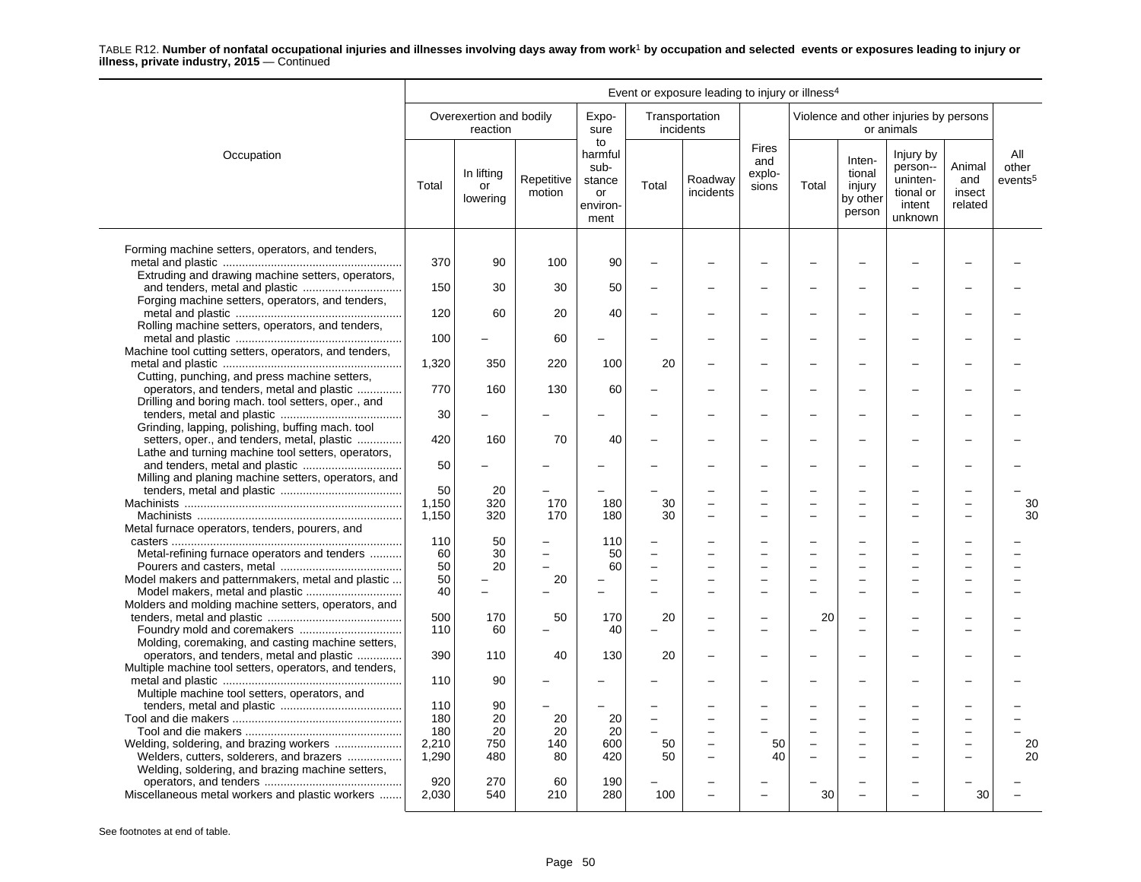|                                                                                                                                                          |                      |                                     |                      |                                                           |          | Event or exposure leading to injury or illness <sup>4</sup> |                                        |       |                                                  |                                                                     |                                    |                                     |
|----------------------------------------------------------------------------------------------------------------------------------------------------------|----------------------|-------------------------------------|----------------------|-----------------------------------------------------------|----------|-------------------------------------------------------------|----------------------------------------|-------|--------------------------------------------------|---------------------------------------------------------------------|------------------------------------|-------------------------------------|
|                                                                                                                                                          |                      | Overexertion and bodily<br>reaction |                      | Expo-<br>sure                                             |          | Transportation<br>incidents                                 |                                        |       |                                                  | Violence and other injuries by persons<br>or animals                |                                    |                                     |
| Occupation                                                                                                                                               | Total                | In lifting<br>or<br>lowering        | Repetitive<br>motion | to<br>harmful<br>sub-<br>stance<br>or<br>environ-<br>ment | Total    | Roadway<br>incidents                                        | <b>Fires</b><br>and<br>explo-<br>sions | Total | Inten-<br>tional<br>injury<br>by other<br>person | Injury by<br>person--<br>uninten-<br>tional or<br>intent<br>unknown | Animal<br>and<br>insect<br>related | All<br>other<br>events <sup>5</sup> |
| Forming machine setters, operators, and tenders,                                                                                                         | 370                  | 90                                  | 100                  | 90                                                        |          |                                                             |                                        |       |                                                  |                                                                     |                                    |                                     |
| Extruding and drawing machine setters, operators,                                                                                                        | 150                  | 30                                  | 30                   | 50                                                        |          |                                                             |                                        |       |                                                  |                                                                     |                                    |                                     |
| Forging machine setters, operators, and tenders,                                                                                                         | 120                  | 60                                  | 20                   | 40                                                        |          |                                                             |                                        |       |                                                  |                                                                     |                                    |                                     |
| Rolling machine setters, operators, and tenders,<br>Machine tool cutting setters, operators, and tenders,                                                | 100                  | $\overline{\phantom{0}}$            | 60                   | $\overline{\phantom{a}}$                                  |          |                                                             |                                        |       | -                                                |                                                                     |                                    |                                     |
| Cutting, punching, and press machine setters,                                                                                                            | 1,320                | 350                                 | 220                  | 100                                                       | 20       |                                                             |                                        |       |                                                  |                                                                     |                                    |                                     |
| operators, and tenders, metal and plastic<br>Drilling and boring mach. tool setters, oper., and                                                          | 770                  | 160                                 | 130                  | 60                                                        |          |                                                             |                                        |       |                                                  |                                                                     |                                    |                                     |
| Grinding, lapping, polishing, buffing mach. tool                                                                                                         | 30                   |                                     |                      |                                                           |          |                                                             | $\overline{\phantom{a}}$               | ÷     | ÷                                                |                                                                     |                                    |                                     |
| setters, oper., and tenders, metal, plastic<br>Lathe and turning machine tool setters, operators,                                                        | 420                  | 160                                 | 70                   | 40                                                        |          |                                                             |                                        |       |                                                  |                                                                     |                                    |                                     |
| Milling and planing machine setters, operators, and                                                                                                      | 50                   |                                     |                      |                                                           |          |                                                             |                                        |       |                                                  |                                                                     |                                    |                                     |
|                                                                                                                                                          | 50<br>1.150<br>1,150 | 20<br>320<br>320                    | 170<br>170           | 180<br>180                                                | 30<br>30 |                                                             | $\overline{\phantom{0}}$               |       | $\overline{\phantom{0}}$                         |                                                                     | $\overline{\phantom{0}}$           | 30<br>30                            |
| Metal furnace operators, tenders, pourers, and<br>Metal-refining furnace operators and tenders                                                           | 110<br>60            | 50<br>30                            |                      | 110<br>50                                                 |          |                                                             |                                        |       |                                                  |                                                                     |                                    |                                     |
| Model makers and patternmakers, metal and plastic                                                                                                        | 50<br>50             | 20                                  | 20                   | 60<br>$\overline{\phantom{0}}$                            |          |                                                             |                                        |       |                                                  |                                                                     |                                    |                                     |
| Molders and molding machine setters, operators, and                                                                                                      | 40                   | $\overline{\phantom{0}}$            |                      |                                                           |          |                                                             | $\overline{\phantom{0}}$               |       | $\overline{\phantom{0}}$                         |                                                                     |                                    |                                     |
|                                                                                                                                                          | 500<br>110           | 170<br>60                           | 50                   | 170<br>40                                                 | 20       |                                                             |                                        | 20    | $\overline{\phantom{0}}$                         |                                                                     |                                    |                                     |
| Molding, coremaking, and casting machine setters,<br>operators, and tenders, metal and plastic<br>Multiple machine tool setters, operators, and tenders, | 390                  | 110                                 | 40                   | 130                                                       | 20       |                                                             |                                        |       |                                                  |                                                                     |                                    |                                     |
| Multiple machine tool setters, operators, and                                                                                                            | 110                  | 90                                  |                      |                                                           |          |                                                             |                                        |       | -                                                |                                                                     |                                    |                                     |
|                                                                                                                                                          | 110<br>180<br>180    | 90<br>20<br>20                      | 20<br>20             | 20<br>20                                                  | $\equiv$ |                                                             |                                        |       | $\overline{\phantom{0}}$<br>$\equiv$             |                                                                     | $\equiv$                           |                                     |
| Welding, soldering, and brazing workers<br>Welders, cutters, solderers, and brazers<br>Welding, soldering, and brazing machine setters,                  | 2,210<br>1,290       | 750<br>480                          | 140<br>80            | 600<br>420                                                | 50<br>50 |                                                             | 50<br>40                               |       | ÷                                                |                                                                     |                                    | 20<br>20                            |
| Miscellaneous metal workers and plastic workers                                                                                                          | 920<br>2,030         | 270<br>540                          | 60<br>210            | 190<br>280                                                | 100      |                                                             | $\overline{a}$                         | 30    |                                                  |                                                                     | 30                                 |                                     |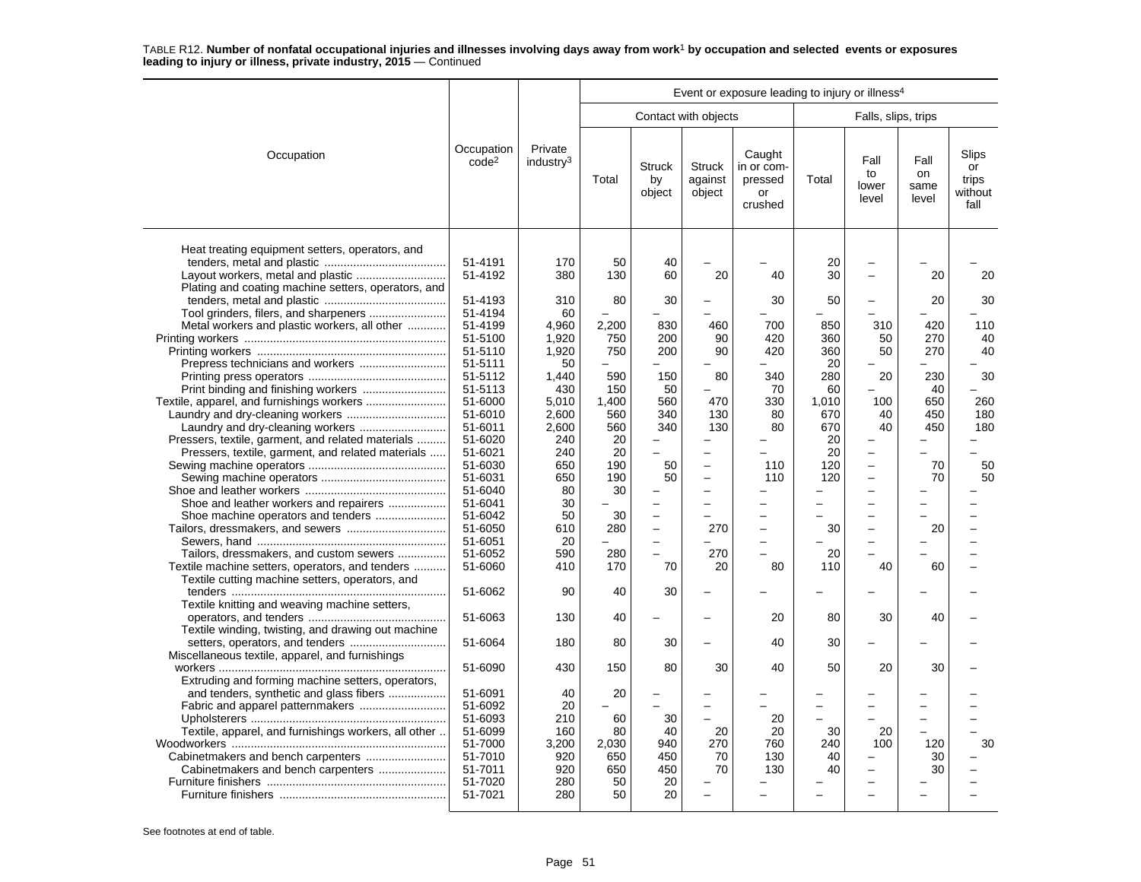|                                                                                                                                               |                                                     |                                   |                               |                                   |                                                                     | Event or exposure leading to injury or illness <sup>4</sup> |                               |                                                                                  |                             |                                         |
|-----------------------------------------------------------------------------------------------------------------------------------------------|-----------------------------------------------------|-----------------------------------|-------------------------------|-----------------------------------|---------------------------------------------------------------------|-------------------------------------------------------------|-------------------------------|----------------------------------------------------------------------------------|-----------------------------|-----------------------------------------|
|                                                                                                                                               |                                                     |                                   |                               |                                   | Contact with objects                                                |                                                             |                               | Falls, slips, trips                                                              |                             |                                         |
| Occupation                                                                                                                                    | Occupation<br>code <sup>2</sup>                     | Private<br>industry <sup>3</sup>  | Total                         | <b>Struck</b><br>by<br>object     | <b>Struck</b><br>against<br>object                                  | Caught<br>in or com-<br>pressed<br>or<br>crushed            | Total                         | Fall<br>to<br>lower<br>level                                                     | Fall<br>on<br>same<br>level | Slips<br>or<br>trips<br>without<br>fall |
| Heat treating equipment setters, operators, and<br>Layout workers, metal and plastic<br>Plating and coating machine setters, operators, and   | 51-4191<br>51-4192<br>51-4193<br>51-4194            | 170<br>380<br>310<br>60           | 50<br>130<br>80               | 40<br>60<br>30                    | 20                                                                  | 40<br>30                                                    | 20<br>30<br>50                | $\overline{\phantom{0}}$<br>$\overline{\phantom{0}}$<br>$\overline{\phantom{0}}$ | 20<br>20                    | 20<br>30                                |
| Metal workers and plastic workers, all other                                                                                                  | 51-4199<br>51-5100<br>51-5110<br>51-5111            | 4,960<br>1,920<br>1,920<br>50     | 2,200<br>750<br>750           | 830<br>200<br>200                 | 460<br>90<br>90                                                     | 700<br>420<br>420                                           | 850<br>360<br>360<br>20       | 310<br>50<br>50                                                                  | 420<br>270<br>270           | 110<br>40<br>40                         |
|                                                                                                                                               | 51-5112<br>51-5113<br>51-6000<br>51-6010            | 1,440<br>430<br>5.010<br>2,600    | 590<br>150<br>1.400<br>560    | 150<br>50<br>560<br>340           | 80<br>L.<br>470<br>130                                              | 340<br>70<br>330<br>80                                      | 280<br>60<br>1.010<br>670     | 20<br>100<br>40                                                                  | 230<br>40<br>650<br>450     | 30<br>260<br>180                        |
| Laundry and dry-cleaning workers<br>Pressers, textile, garment, and related materials<br>Pressers, textile, garment, and related materials    | 51-6011<br>51-6020<br>51-6021<br>51-6030<br>51-6031 | 2,600<br>240<br>240<br>650<br>650 | 560<br>20<br>20<br>190<br>190 | 340<br>$\overline{a}$<br>50<br>50 | 130<br>$\overline{\phantom{0}}$<br>$\overline{a}$<br>$\overline{a}$ | 80<br>110<br>110                                            | 670<br>20<br>20<br>120<br>120 | 40<br>$\equiv$<br>$\overline{\phantom{0}}$<br>$\equiv$                           | 450<br>70<br>70             | 180<br>50<br>50                         |
| Shoe and leather workers and repairers<br>Shoe machine operators and tenders                                                                  | 51-6040<br>51-6041<br>51-6042<br>51-6050            | 80<br>30<br>50<br>610             | 30<br>30<br>280               | $\equiv$                          | $\overline{\phantom{0}}$<br>270                                     | L.<br>$\equiv$                                              | 30                            | $\overline{a}$<br>$\equiv$<br>L.                                                 | 20                          |                                         |
| Tailors, dressmakers, and custom sewers<br>Textile machine setters, operators, and tenders<br>Textile cutting machine setters, operators, and | 51-6051<br>51-6052<br>51-6060                       | 20<br>590<br>410                  | 280<br>170                    | $\overline{\phantom{a}}$<br>70    | 270<br>20                                                           | $\overline{\phantom{0}}$<br>▃<br>80                         | 20<br>110                     | $=$<br>40                                                                        | 60                          |                                         |
| Textile knitting and weaving machine setters,                                                                                                 | 51-6062                                             | 90                                | 40                            | 30                                |                                                                     |                                                             |                               |                                                                                  |                             |                                         |
| Textile winding, twisting, and drawing out machine                                                                                            | 51-6063<br>51-6064                                  | 130<br>180                        | 40<br>80                      | 30                                |                                                                     | 20<br>40                                                    | 80<br>30                      | 30                                                                               | 40                          |                                         |
| Miscellaneous textile, apparel, and furnishings                                                                                               | 51-6090                                             | 430                               | 150                           | 80                                | 30                                                                  | 40                                                          | 50                            | 20                                                                               | 30                          |                                         |
| Extruding and forming machine setters, operators,<br>and tenders, synthetic and glass fibers                                                  | 51-6091<br>51-6092                                  | 40<br>20                          | 20                            |                                   | ÷                                                                   |                                                             |                               | -                                                                                | -                           |                                         |
| Textile, apparel, and furnishings workers, all other                                                                                          | 51-6093<br>51-6099<br>51-7000<br>51-7010            | 210<br>160<br>3,200<br>920        | 60<br>80<br>2.030<br>650      | 30<br>40<br>940<br>450            | 20<br>270<br>70                                                     | 20<br>20<br>760<br>130                                      | 30<br>240<br>40               | 20<br>100                                                                        | 120<br>30                   | 30                                      |
| Cabinetmakers and bench carpenters                                                                                                            | 51-7011<br>51-7020<br>51-7021                       | 920<br>280<br>280                 | 650<br>50<br>50               | 450<br>20<br>20                   | 70                                                                  | 130                                                         | 40                            | $\overline{\phantom{0}}$                                                         | 30                          |                                         |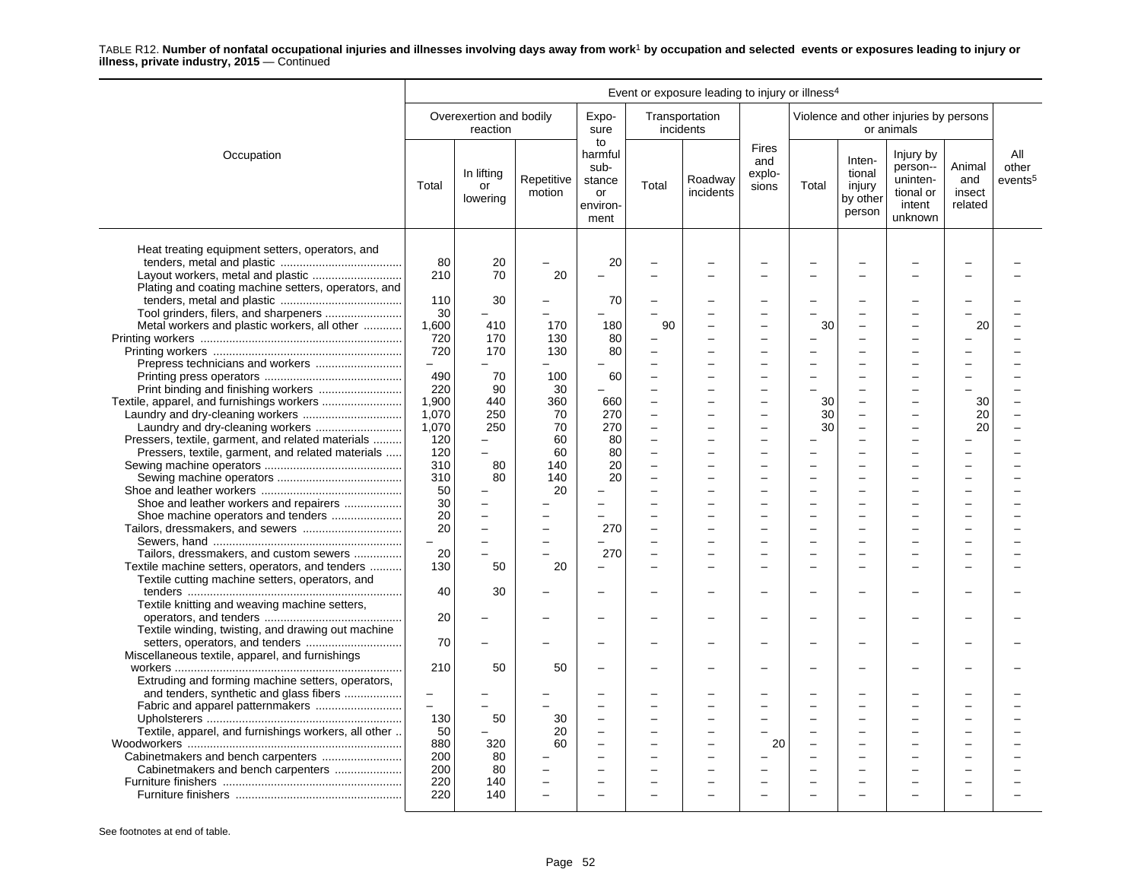|                                                      | Event or exposure leading to injury or illness <sup>4</sup> |                                     |                      |                                                           |                                                      |                             |                                 |                          |                                                  |                                                                     |                                    |                                     |
|------------------------------------------------------|-------------------------------------------------------------|-------------------------------------|----------------------|-----------------------------------------------------------|------------------------------------------------------|-----------------------------|---------------------------------|--------------------------|--------------------------------------------------|---------------------------------------------------------------------|------------------------------------|-------------------------------------|
|                                                      |                                                             | Overexertion and bodily<br>reaction |                      | Expo-<br>sure                                             |                                                      | Transportation<br>incidents |                                 |                          |                                                  | Violence and other injuries by persons<br>or animals                |                                    |                                     |
| Occupation                                           | Total                                                       | In lifting<br>or<br>lowering        | Repetitive<br>motion | to<br>harmful<br>sub-<br>stance<br>or<br>environ-<br>ment | Total                                                | Roadway<br>incidents        | Fires<br>and<br>explo-<br>sions | Total                    | Inten-<br>tional<br>injury<br>by other<br>person | Injury by<br>person--<br>uninten-<br>tional or<br>intent<br>unknown | Animal<br>and<br>insect<br>related | All<br>other<br>events <sup>5</sup> |
| Heat treating equipment setters, operators, and      | 80<br>210                                                   | 20<br>70                            | 20                   | 20                                                        |                                                      |                             |                                 |                          |                                                  |                                                                     |                                    |                                     |
| Plating and coating machine setters, operators, and  |                                                             |                                     |                      |                                                           |                                                      |                             |                                 |                          |                                                  |                                                                     |                                    |                                     |
|                                                      | 110                                                         | 30                                  |                      | 70                                                        |                                                      |                             |                                 |                          |                                                  |                                                                     |                                    |                                     |
|                                                      | 30                                                          |                                     |                      |                                                           |                                                      |                             |                                 |                          |                                                  |                                                                     |                                    |                                     |
| Metal workers and plastic workers, all other         | 1,600                                                       | 410                                 | 170                  | 180                                                       | 90                                                   |                             | ÷                               | 30                       | $\equiv$                                         |                                                                     | 20                                 |                                     |
|                                                      | 720                                                         | 170                                 | 130                  | 80                                                        | $\overline{\phantom{0}}$                             |                             |                                 |                          |                                                  |                                                                     |                                    |                                     |
|                                                      | 720                                                         | 170                                 | 130                  | 80                                                        |                                                      |                             |                                 |                          |                                                  |                                                                     |                                    |                                     |
|                                                      | $\overline{\phantom{0}}$                                    |                                     |                      |                                                           |                                                      |                             |                                 |                          |                                                  |                                                                     |                                    |                                     |
|                                                      | 490                                                         | 70                                  | 100                  | 60                                                        |                                                      |                             |                                 |                          |                                                  |                                                                     |                                    |                                     |
|                                                      | 220                                                         | 90                                  | 30                   |                                                           | L.                                                   |                             | L.                              |                          | ÷                                                |                                                                     |                                    |                                     |
|                                                      | 1.900<br>1,070                                              | 440<br>250                          | 360<br>70            | 660<br>270                                                | $\overline{\phantom{0}}$<br>$\overline{\phantom{0}}$ |                             |                                 | 30<br>30                 | $\overline{a}$                                   |                                                                     | 30<br>20                           |                                     |
| Laundry and dry-cleaning workers                     | 1,070                                                       | 250                                 | 70                   | 270                                                       | $\overline{a}$                                       |                             |                                 | 30                       |                                                  |                                                                     | 20                                 |                                     |
| Pressers, textile, garment, and related materials    | 120                                                         |                                     | 60                   | 80                                                        |                                                      |                             |                                 |                          |                                                  |                                                                     |                                    |                                     |
| Pressers, textile, garment, and related materials    | 120                                                         | L.                                  | 60                   | 80                                                        | $\overline{\phantom{a}}$                             |                             |                                 |                          | L.                                               |                                                                     |                                    |                                     |
|                                                      | 310                                                         | 80                                  | 140                  | 20                                                        |                                                      |                             |                                 |                          |                                                  |                                                                     |                                    |                                     |
|                                                      | 310                                                         | 80                                  | 140                  | 20                                                        |                                                      |                             |                                 |                          |                                                  |                                                                     |                                    |                                     |
|                                                      | 50                                                          |                                     | 20                   |                                                           |                                                      |                             |                                 |                          |                                                  |                                                                     |                                    |                                     |
| Shoe and leather workers and repairers               | 30                                                          |                                     |                      |                                                           |                                                      |                             |                                 |                          |                                                  |                                                                     |                                    |                                     |
|                                                      | 20                                                          |                                     |                      |                                                           | ÷                                                    |                             |                                 |                          | ÷                                                |                                                                     |                                    |                                     |
| Tailors, dressmakers, and sewers                     | 20                                                          |                                     |                      | 270                                                       | L.                                                   |                             |                                 |                          |                                                  |                                                                     |                                    |                                     |
|                                                      | $\overline{\phantom{a}}$                                    |                                     |                      |                                                           |                                                      |                             |                                 |                          |                                                  |                                                                     |                                    |                                     |
| Tailors, dressmakers, and custom sewers              | 20                                                          |                                     |                      | 270                                                       |                                                      |                             |                                 |                          |                                                  |                                                                     |                                    |                                     |
| Textile machine setters, operators, and tenders      | 130                                                         | 50                                  | 20                   |                                                           |                                                      |                             |                                 |                          |                                                  |                                                                     |                                    |                                     |
| Textile cutting machine setters, operators, and      |                                                             |                                     |                      |                                                           |                                                      |                             |                                 |                          |                                                  |                                                                     |                                    |                                     |
|                                                      | 40                                                          | 30                                  |                      |                                                           |                                                      |                             |                                 | $\overline{\phantom{0}}$ | $\overline{\phantom{0}}$                         |                                                                     |                                    |                                     |
| Textile knitting and weaving machine setters,        |                                                             |                                     |                      |                                                           |                                                      |                             |                                 |                          |                                                  |                                                                     |                                    |                                     |
| Textile winding, twisting, and drawing out machine   | 20                                                          |                                     |                      |                                                           |                                                      |                             |                                 |                          |                                                  |                                                                     |                                    |                                     |
|                                                      | 70                                                          |                                     |                      |                                                           |                                                      |                             |                                 |                          |                                                  |                                                                     |                                    |                                     |
| Miscellaneous textile, apparel, and furnishings      |                                                             |                                     |                      |                                                           |                                                      |                             |                                 |                          |                                                  |                                                                     |                                    |                                     |
|                                                      | 210                                                         | 50                                  | 50                   | $\overline{\phantom{0}}$                                  |                                                      |                             |                                 | -                        |                                                  |                                                                     |                                    |                                     |
| Extruding and forming machine setters, operators,    |                                                             |                                     |                      |                                                           |                                                      |                             |                                 |                          |                                                  |                                                                     |                                    |                                     |
| and tenders, synthetic and glass fibers              | $\qquad \qquad -$                                           |                                     |                      |                                                           |                                                      |                             |                                 |                          |                                                  |                                                                     |                                    |                                     |
| Fabric and apparel patternmakers                     | $\overline{a}$                                              |                                     |                      |                                                           |                                                      |                             |                                 |                          |                                                  |                                                                     |                                    |                                     |
|                                                      | 130                                                         | 50                                  | 30                   | $\overline{a}$                                            |                                                      |                             |                                 |                          |                                                  |                                                                     |                                    |                                     |
| Textile, apparel, and furnishings workers, all other | 50<br>880                                                   | 320                                 | 20<br>60             | $\overline{\phantom{0}}$<br>$\overline{\phantom{0}}$      |                                                      |                             | 20                              |                          |                                                  |                                                                     |                                    |                                     |
|                                                      | 200                                                         | 80                                  |                      | $\overline{\phantom{a}}$                                  |                                                      |                             |                                 |                          |                                                  |                                                                     |                                    |                                     |
| Cabinetmakers and bench carpenters                   | 200                                                         | 80                                  |                      |                                                           |                                                      |                             |                                 |                          |                                                  |                                                                     |                                    |                                     |
|                                                      | 220                                                         | 140                                 |                      |                                                           |                                                      |                             |                                 |                          |                                                  |                                                                     |                                    |                                     |
|                                                      | 220                                                         | 140                                 |                      |                                                           |                                                      |                             |                                 |                          |                                                  |                                                                     |                                    |                                     |
|                                                      |                                                             |                                     |                      |                                                           |                                                      |                             |                                 |                          |                                                  |                                                                     |                                    |                                     |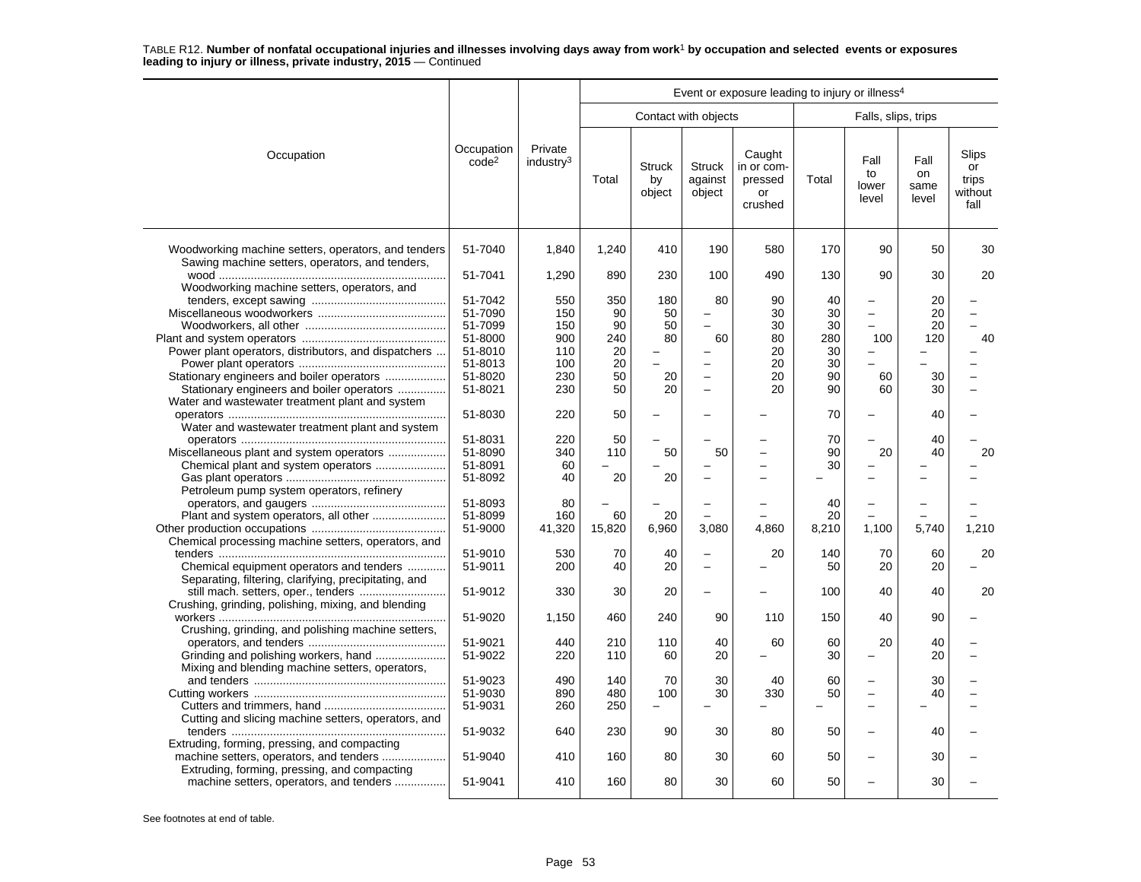|                                                                                                        |                                 |                                  | Event or exposure leading to injury or illness <sup>4</sup> |                               |                                    |                                                  |             |                              |                             |                                         |  |  |  |
|--------------------------------------------------------------------------------------------------------|---------------------------------|----------------------------------|-------------------------------------------------------------|-------------------------------|------------------------------------|--------------------------------------------------|-------------|------------------------------|-----------------------------|-----------------------------------------|--|--|--|
|                                                                                                        |                                 |                                  |                                                             |                               | Contact with objects               |                                                  |             | Falls, slips, trips          |                             |                                         |  |  |  |
| Occupation                                                                                             | Occupation<br>code <sup>2</sup> | Private<br>industry <sup>3</sup> | Total                                                       | <b>Struck</b><br>by<br>object | <b>Struck</b><br>against<br>object | Caught<br>in or com-<br>pressed<br>or<br>crushed | Total       | Fall<br>to<br>lower<br>level | Fall<br>on<br>same<br>level | Slips<br>or<br>trips<br>without<br>fall |  |  |  |
| Woodworking machine setters, operators, and tenders<br>Sawing machine setters, operators, and tenders, | 51-7040                         | 1,840                            | 1,240                                                       | 410                           | 190                                | 580                                              | 170         | 90                           | 50                          | 30                                      |  |  |  |
|                                                                                                        | 51-7041                         | 1,290                            | 890                                                         | 230                           | 100                                | 490                                              | 130         | 90                           | 30                          | 20                                      |  |  |  |
| Woodworking machine setters, operators, and                                                            |                                 |                                  |                                                             |                               |                                    |                                                  |             |                              |                             |                                         |  |  |  |
|                                                                                                        | 51-7042                         | 550                              | 350                                                         | 180                           | 80                                 | 90                                               | 40          |                              | 20                          |                                         |  |  |  |
|                                                                                                        | 51-7090                         | 150                              | 90                                                          | 50                            |                                    | 30                                               | 30          |                              | 20                          |                                         |  |  |  |
|                                                                                                        | 51-7099                         | 150                              | 90                                                          | 50                            |                                    | 30                                               | 30          |                              | 20                          | L.                                      |  |  |  |
|                                                                                                        | 51-8000                         | 900                              | 240                                                         | 80                            | 60                                 | 80                                               | 280         | 100                          | 120                         | 40                                      |  |  |  |
| Power plant operators, distributors, and dispatchers                                                   | 51-8010                         | 110                              | 20                                                          |                               |                                    | 20                                               | 30          |                              |                             |                                         |  |  |  |
|                                                                                                        | 51-8013                         | 100                              | 20                                                          |                               | -                                  | 20                                               | 30          |                              |                             |                                         |  |  |  |
| Stationary engineers and boiler operators                                                              | 51-8020                         | 230                              | 50                                                          | 20                            | $\overline{\phantom{0}}$           | 20                                               | 90          | 60                           | 30                          |                                         |  |  |  |
| Stationary engineers and boiler operators                                                              | 51-8021                         | 230                              | 50                                                          | 20                            | L.                                 | 20                                               | 90          | 60                           | 30                          |                                         |  |  |  |
| Water and wastewater treatment plant and system                                                        |                                 |                                  |                                                             |                               |                                    |                                                  |             |                              |                             |                                         |  |  |  |
|                                                                                                        | 51-8030                         | 220                              | 50                                                          |                               |                                    |                                                  | 70          |                              | 40                          |                                         |  |  |  |
| Water and wastewater treatment plant and system                                                        |                                 |                                  |                                                             |                               |                                    |                                                  |             |                              |                             |                                         |  |  |  |
|                                                                                                        | 51-8031                         | 220                              | 50                                                          |                               |                                    |                                                  | 70          |                              | 40                          |                                         |  |  |  |
| Miscellaneous plant and system operators                                                               | 51-8090                         | 340                              | 110                                                         | 50                            | 50                                 |                                                  | 90          | 20                           | 40                          | 20                                      |  |  |  |
|                                                                                                        | 51-8091                         | 60                               |                                                             |                               |                                    |                                                  | 30          | $\overline{\phantom{0}}$     |                             |                                         |  |  |  |
|                                                                                                        | 51-8092                         | 40                               | 20                                                          | 20                            |                                    |                                                  |             |                              |                             |                                         |  |  |  |
| Petroleum pump system operators, refinery                                                              |                                 |                                  |                                                             |                               |                                    |                                                  |             |                              |                             |                                         |  |  |  |
|                                                                                                        | 51-8093                         | 80                               |                                                             |                               | $\overline{\phantom{0}}$           |                                                  | 40          | $\overline{\phantom{0}}$     |                             |                                         |  |  |  |
|                                                                                                        | 51-8099<br>51-9000              | 160<br>41,320                    | 60<br>15,820                                                | 20<br>6,960                   | 3,080                              | 4.860                                            | 20<br>8,210 | 1,100                        | 5.740                       |                                         |  |  |  |
|                                                                                                        |                                 |                                  |                                                             |                               |                                    |                                                  |             |                              |                             | 1,210                                   |  |  |  |
| Chemical processing machine setters, operators, and                                                    | 51-9010                         | 530                              | 70                                                          | 40                            | $\equiv$                           | 20                                               | 140         | 70                           | 60                          | 20                                      |  |  |  |
| Chemical equipment operators and tenders                                                               | 51-9011                         | 200                              | 40                                                          | 20                            | $\equiv$                           |                                                  | 50          | 20                           | 20                          |                                         |  |  |  |
| Separating, filtering, clarifying, precipitating, and                                                  |                                 |                                  |                                                             |                               |                                    |                                                  |             |                              |                             |                                         |  |  |  |
|                                                                                                        | 51-9012                         | 330                              | 30                                                          | 20                            | -                                  |                                                  | 100         | 40                           | 40                          | 20                                      |  |  |  |
| Crushing, grinding, polishing, mixing, and blending                                                    |                                 |                                  |                                                             |                               |                                    |                                                  |             |                              |                             |                                         |  |  |  |
|                                                                                                        | 51-9020                         | 1,150                            | 460                                                         | 240                           | 90                                 | 110                                              | 150         | 40                           | 90                          |                                         |  |  |  |
| Crushing, grinding, and polishing machine setters,                                                     |                                 |                                  |                                                             |                               |                                    |                                                  |             |                              |                             |                                         |  |  |  |
|                                                                                                        | 51-9021                         | 440                              | 210                                                         | 110                           | 40                                 | 60                                               | 60          | 20                           | 40                          |                                         |  |  |  |
|                                                                                                        | 51-9022                         | 220                              | 110                                                         | 60                            | 20                                 |                                                  | 30          |                              | 20                          |                                         |  |  |  |
| Mixing and blending machine setters, operators,                                                        |                                 |                                  |                                                             |                               |                                    |                                                  |             |                              |                             |                                         |  |  |  |
|                                                                                                        | 51-9023                         | 490                              | 140                                                         | 70                            | 30                                 | 40                                               | 60          |                              | 30                          |                                         |  |  |  |
|                                                                                                        | 51-9030                         | 890                              | 480                                                         | 100                           | 30                                 | 330                                              | 50          |                              | 40                          |                                         |  |  |  |
|                                                                                                        | 51-9031                         | 260                              | 250                                                         | $\equiv$                      |                                    |                                                  |             | $\overline{\phantom{0}}$     |                             |                                         |  |  |  |
| Cutting and slicing machine setters, operators, and                                                    |                                 |                                  |                                                             |                               |                                    |                                                  |             |                              |                             |                                         |  |  |  |
|                                                                                                        | 51-9032                         | 640                              | 230                                                         | 90                            | 30                                 | 80                                               | 50          |                              | 40                          |                                         |  |  |  |
| Extruding, forming, pressing, and compacting                                                           |                                 |                                  |                                                             |                               |                                    |                                                  |             |                              |                             |                                         |  |  |  |
| machine setters, operators, and tenders                                                                | 51-9040                         | 410                              | 160                                                         | 80                            | 30                                 | 60                                               | 50          |                              | 30                          |                                         |  |  |  |
| Extruding, forming, pressing, and compacting                                                           |                                 |                                  |                                                             |                               |                                    |                                                  |             |                              |                             |                                         |  |  |  |
| machine setters, operators, and tenders                                                                | 51-9041                         | 410                              | 160                                                         | 80                            | 30                                 | 60                                               | 50          |                              | 30                          |                                         |  |  |  |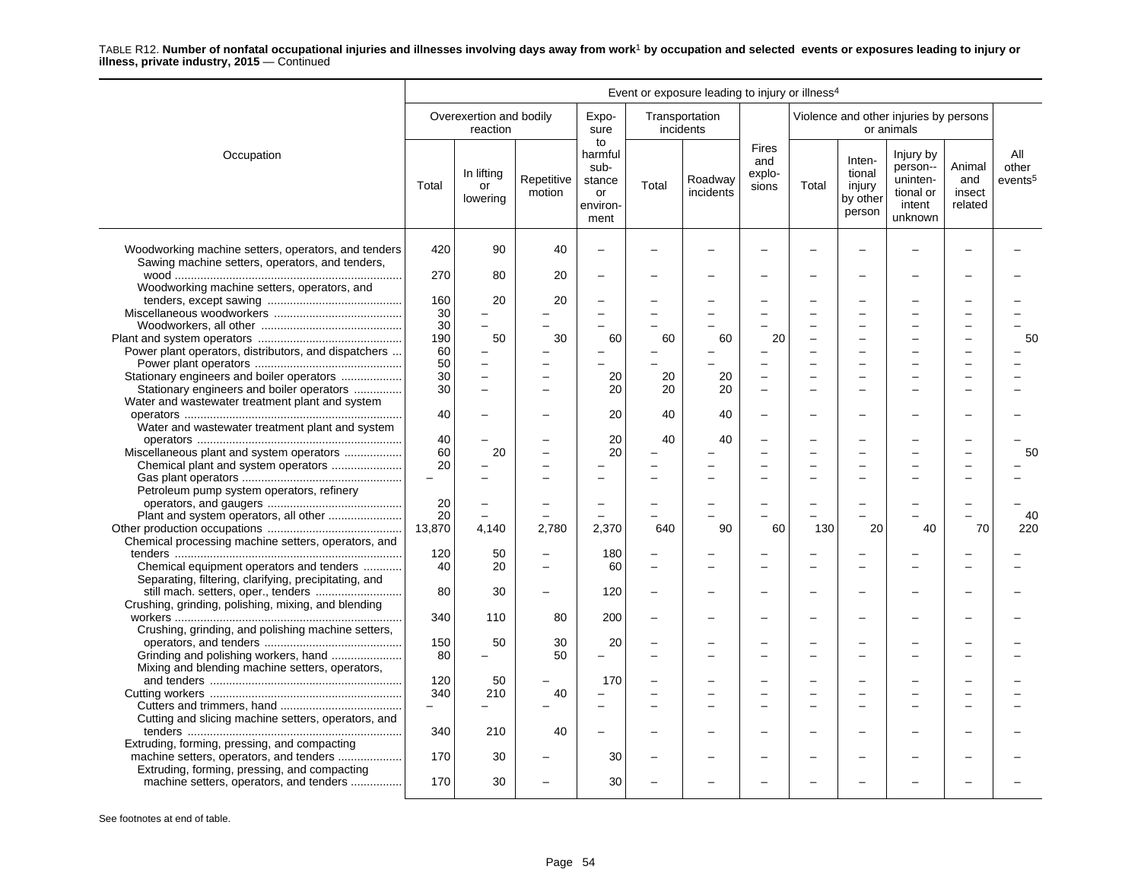|                                                                                                        |                          |                                     |                          |                                                           |                          | Event or exposure leading to injury or illness <sup>4</sup> |                                        |       |                                                  |                                                                     |                                    |                                     |
|--------------------------------------------------------------------------------------------------------|--------------------------|-------------------------------------|--------------------------|-----------------------------------------------------------|--------------------------|-------------------------------------------------------------|----------------------------------------|-------|--------------------------------------------------|---------------------------------------------------------------------|------------------------------------|-------------------------------------|
|                                                                                                        |                          | Overexertion and bodily<br>reaction |                          | Expo-<br>sure                                             |                          | Transportation<br>incidents                                 |                                        |       |                                                  | Violence and other injuries by persons<br>or animals                |                                    |                                     |
| Occupation                                                                                             | Total                    | In lifting<br>or<br>lowering        | Repetitive<br>motion     | to<br>harmful<br>sub-<br>stance<br>or<br>environ-<br>ment | Total                    | Roadway<br>incidents                                        | <b>Fires</b><br>and<br>explo-<br>sions | Total | Inten-<br>tional<br>injury<br>by other<br>person | Injury by<br>person--<br>uninten-<br>tional or<br>intent<br>unknown | Animal<br>and<br>insect<br>related | All<br>other<br>events <sup>5</sup> |
| Woodworking machine setters, operators, and tenders<br>Sawing machine setters, operators, and tenders, | 420                      | 90                                  | 40                       | $\equiv$                                                  |                          |                                                             |                                        |       |                                                  |                                                                     |                                    |                                     |
|                                                                                                        | 270                      | 80                                  | 20                       | $\overline{\phantom{0}}$                                  |                          |                                                             |                                        |       |                                                  |                                                                     |                                    |                                     |
| Woodworking machine setters, operators, and                                                            | 160                      | 20                                  | 20                       |                                                           |                          |                                                             |                                        |       |                                                  |                                                                     |                                    |                                     |
|                                                                                                        | 30                       |                                     |                          |                                                           |                          |                                                             |                                        |       |                                                  |                                                                     |                                    |                                     |
|                                                                                                        | 30                       | $\equiv$                            |                          |                                                           |                          |                                                             |                                        |       |                                                  |                                                                     |                                    |                                     |
|                                                                                                        | 190                      | 50                                  | 30                       | 60                                                        | 60                       | 60                                                          | 20                                     |       |                                                  |                                                                     |                                    | 50                                  |
| Power plant operators, distributors, and dispatchers                                                   | 60                       |                                     |                          | $\overline{\phantom{0}}$                                  |                          |                                                             |                                        |       |                                                  |                                                                     |                                    |                                     |
|                                                                                                        | 50                       |                                     |                          |                                                           |                          |                                                             |                                        |       |                                                  |                                                                     |                                    |                                     |
| Stationary engineers and boiler operators                                                              | 30                       |                                     |                          | 20                                                        | 20                       | 20                                                          |                                        |       |                                                  |                                                                     |                                    |                                     |
| Stationary engineers and boiler operators                                                              | 30                       | $\overline{a}$                      |                          | 20                                                        | 20                       | 20                                                          | $\overline{\phantom{a}}$               |       |                                                  |                                                                     |                                    |                                     |
| Water and wastewater treatment plant and system                                                        |                          |                                     |                          |                                                           |                          |                                                             |                                        |       |                                                  |                                                                     |                                    |                                     |
|                                                                                                        | 40                       |                                     |                          | 20                                                        | 40                       | 40                                                          |                                        |       |                                                  |                                                                     |                                    |                                     |
| Water and wastewater treatment plant and system                                                        |                          |                                     |                          |                                                           |                          |                                                             |                                        |       |                                                  |                                                                     |                                    |                                     |
|                                                                                                        | 40                       |                                     |                          | 20                                                        | 40                       | 40                                                          |                                        |       |                                                  |                                                                     |                                    |                                     |
| Miscellaneous plant and system operators                                                               | 60                       | 20                                  |                          | 20                                                        |                          |                                                             |                                        |       |                                                  |                                                                     |                                    | 50                                  |
| Chemical plant and system operators                                                                    | 20                       |                                     |                          |                                                           |                          |                                                             |                                        |       |                                                  |                                                                     |                                    |                                     |
|                                                                                                        | $\overline{\phantom{0}}$ |                                     |                          |                                                           |                          |                                                             |                                        |       |                                                  |                                                                     |                                    |                                     |
| Petroleum pump system operators, refinery                                                              |                          |                                     |                          |                                                           |                          |                                                             |                                        |       |                                                  |                                                                     |                                    |                                     |
|                                                                                                        | 20                       | $\equiv$                            |                          | $\sim$                                                    |                          |                                                             |                                        |       |                                                  |                                                                     |                                    |                                     |
| Plant and system operators, all other                                                                  | 20                       |                                     |                          | $\sim$                                                    |                          | 90                                                          |                                        |       |                                                  | 40                                                                  | 70                                 | 40                                  |
| Chemical processing machine setters, operators, and                                                    | 13,870                   | 4.140                               | 2.780                    | 2,370                                                     | 640                      |                                                             | 60                                     | 130   | 20                                               |                                                                     |                                    | 220                                 |
|                                                                                                        | 120                      | 50                                  | $\overline{\phantom{0}}$ | 180                                                       |                          |                                                             |                                        |       |                                                  |                                                                     |                                    |                                     |
| Chemical equipment operators and tenders                                                               | 40                       | 20                                  | $\equiv$                 | 60                                                        | $\overline{\phantom{a}}$ |                                                             |                                        |       |                                                  |                                                                     |                                    |                                     |
| Separating, filtering, clarifying, precipitating, and                                                  |                          |                                     |                          |                                                           |                          |                                                             |                                        |       |                                                  |                                                                     |                                    |                                     |
| Crushing, grinding, polishing, mixing, and blending                                                    | 80                       | 30                                  |                          | 120                                                       |                          |                                                             |                                        |       |                                                  |                                                                     |                                    |                                     |
|                                                                                                        | 340                      | 110                                 | 80                       | 200                                                       |                          |                                                             |                                        |       |                                                  |                                                                     |                                    |                                     |
| Crushing, grinding, and polishing machine setters,                                                     |                          |                                     |                          |                                                           |                          |                                                             |                                        |       |                                                  |                                                                     |                                    |                                     |
|                                                                                                        | 150                      | 50                                  | 30                       | 20                                                        |                          |                                                             |                                        |       |                                                  |                                                                     |                                    |                                     |
|                                                                                                        | 80                       | $\equiv$                            | 50                       | $\overline{\phantom{0}}$                                  |                          |                                                             |                                        |       |                                                  |                                                                     |                                    |                                     |
| Mixing and blending machine setters, operators,                                                        | 120                      |                                     |                          | 170                                                       |                          |                                                             |                                        |       |                                                  |                                                                     |                                    |                                     |
|                                                                                                        | 340                      | 50                                  |                          | $\equiv$                                                  |                          |                                                             |                                        |       |                                                  |                                                                     |                                    |                                     |
|                                                                                                        | $\equiv$                 | 210<br>$\equiv$                     | 40                       |                                                           |                          |                                                             |                                        |       |                                                  |                                                                     |                                    |                                     |
| Cutting and slicing machine setters, operators, and                                                    |                          |                                     |                          |                                                           |                          |                                                             |                                        |       |                                                  |                                                                     |                                    |                                     |
|                                                                                                        | 340                      | 210                                 | 40                       |                                                           |                          |                                                             |                                        |       |                                                  |                                                                     |                                    |                                     |
| Extruding, forming, pressing, and compacting                                                           |                          |                                     |                          |                                                           |                          |                                                             |                                        |       |                                                  |                                                                     |                                    |                                     |
| machine setters, operators, and tenders                                                                | 170                      | 30                                  |                          | 30                                                        |                          |                                                             |                                        |       |                                                  |                                                                     |                                    |                                     |
| Extruding, forming, pressing, and compacting                                                           |                          |                                     |                          |                                                           |                          |                                                             |                                        |       |                                                  |                                                                     |                                    |                                     |
| machine setters, operators, and tenders                                                                | 170                      | 30                                  |                          | 30                                                        |                          |                                                             |                                        |       |                                                  |                                                                     |                                    |                                     |
|                                                                                                        |                          |                                     |                          |                                                           |                          |                                                             |                                        |       |                                                  |                                                                     |                                    |                                     |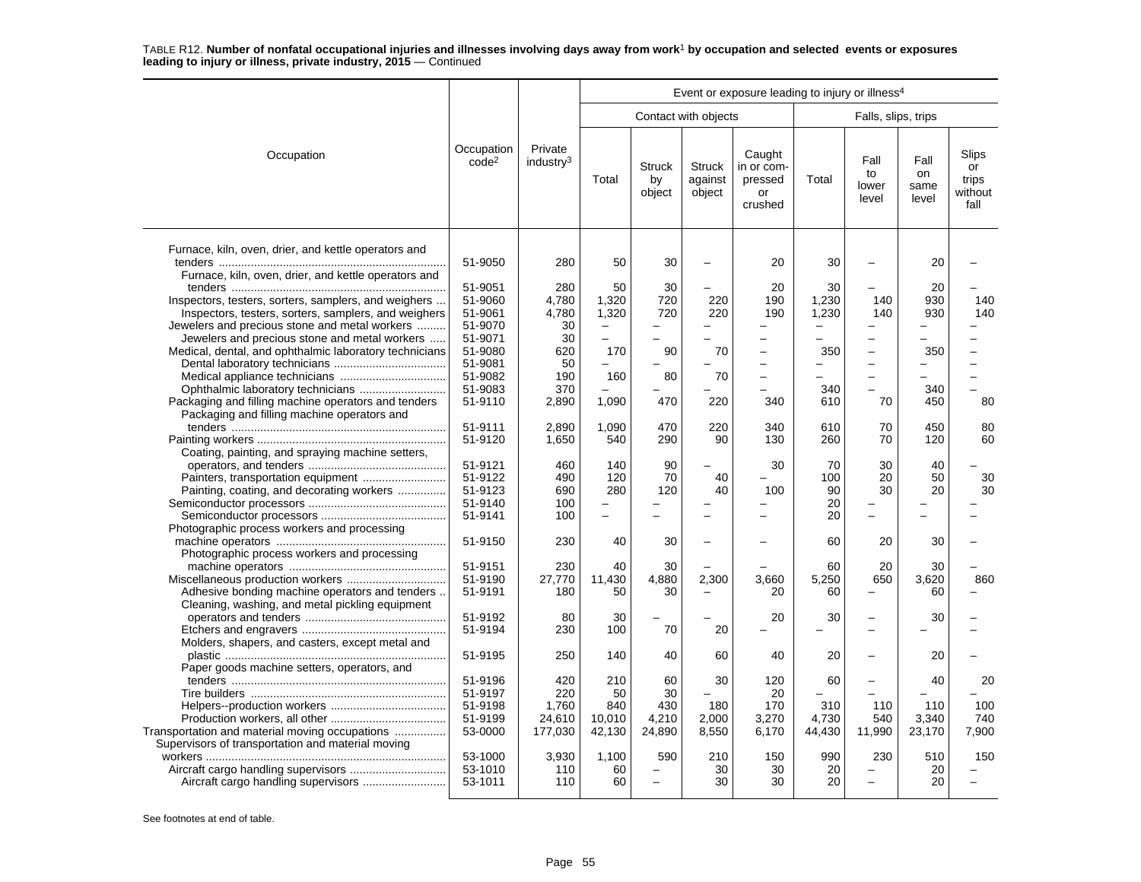|                                                                                                                                                               |                                                     | Event or exposure leading to injury or illness <sup>4</sup> |                                                  |                                    |                                    |                                                  |                                                  |                                                                                  |                              |                                         |  |  |
|---------------------------------------------------------------------------------------------------------------------------------------------------------------|-----------------------------------------------------|-------------------------------------------------------------|--------------------------------------------------|------------------------------------|------------------------------------|--------------------------------------------------|--------------------------------------------------|----------------------------------------------------------------------------------|------------------------------|-----------------------------------------|--|--|
|                                                                                                                                                               |                                                     |                                                             |                                                  |                                    | Contact with objects               |                                                  |                                                  | Falls, slips, trips                                                              |                              |                                         |  |  |
| Occupation                                                                                                                                                    | Occupation<br>code <sup>2</sup>                     | Private<br>industry <sup>3</sup>                            | Total                                            | <b>Struck</b><br>by<br>object      | <b>Struck</b><br>against<br>object | Caught<br>in or com-<br>pressed<br>or<br>crushed | Total                                            | Fall<br>to<br>lower<br>level                                                     | Fall<br>on<br>same<br>level  | Slips<br>or<br>trips<br>without<br>fall |  |  |
| Furnace, kiln, oven, drier, and kettle operators and<br>Furnace, kiln, oven, drier, and kettle operators and                                                  | 51-9050                                             | 280                                                         | 50                                               | 30                                 | -                                  | 20                                               | 30                                               |                                                                                  | 20                           |                                         |  |  |
| Inspectors, testers, sorters, samplers, and weighers<br>Inspectors, testers, sorters, samplers, and weighers<br>Jewelers and precious stone and metal workers | 51-9051<br>51-9060<br>51-9061<br>51-9070            | 280<br>4,780<br>4,780<br>30                                 | 50<br>1,320<br>1,320<br>$\overline{\phantom{0}}$ | 30<br>720<br>720                   | 220<br>220                         | 20<br>190<br>190                                 | 30<br>1,230<br>1,230<br>$\overline{\phantom{m}}$ | 140<br>140                                                                       | 20<br>930<br>930             | 140<br>140                              |  |  |
| Jewelers and precious stone and metal workers<br>Medical, dental, and ophthalmic laboratory technicians                                                       | 51-9071<br>51-9080<br>51-9081<br>51-9082            | 30<br>620<br>50<br>190                                      | ÷<br>170<br>160                                  | 90<br>80                           | 70<br>70                           |                                                  | 350                                              | $\overline{\phantom{0}}$<br>$\overline{\phantom{0}}$<br>$\overline{\phantom{0}}$ | 350                          |                                         |  |  |
| Packaging and filling machine operators and tenders<br>Packaging and filling machine operators and                                                            | 51-9083<br>51-9110                                  | 370<br>2,890                                                | 1,090                                            | 470                                | 220                                | 340                                              | 340<br>610                                       | $\overline{\phantom{0}}$<br>70                                                   | 340<br>450                   | 80                                      |  |  |
| Coating, painting, and spraying machine setters,                                                                                                              | 51-9111<br>51-9120                                  | 2,890<br>1,650                                              | 1,090<br>540                                     | 470<br>290                         | 220<br>90                          | 340<br>130                                       | 610<br>260                                       | 70<br>70                                                                         | 450<br>120                   | 80<br>60                                |  |  |
| Painting, coating, and decorating workers                                                                                                                     | 51-9121<br>51-9122<br>51-9123                       | 460<br>490<br>690                                           | 140<br>120<br>280                                | 90<br>70<br>120                    | 40<br>40                           | 30<br>100                                        | 70<br>100<br>90                                  | 30<br>20<br>30                                                                   | 40<br>50<br>20               | 30<br>30                                |  |  |
| Photographic process workers and processing                                                                                                                   | 51-9140<br>51-9141                                  | 100<br>100                                                  | ÷                                                |                                    |                                    |                                                  | 20<br>20                                         |                                                                                  |                              |                                         |  |  |
| Photographic process workers and processing                                                                                                                   | 51-9150<br>51-9151                                  | 230<br>230                                                  | 40<br>40                                         | 30<br>30                           | -                                  |                                                  | 60<br>60                                         | 20<br>20                                                                         | 30<br>30                     |                                         |  |  |
| Adhesive bonding machine operators and tenders<br>Cleaning, washing, and metal pickling equipment                                                             | 51-9190<br>51-9191                                  | 27,770<br>180                                               | 11,430<br>50                                     | 4,880<br>30                        | 2,300<br>$\overline{\phantom{0}}$  | 3,660<br>20                                      | 5,250<br>60                                      | 650<br>$\overline{\phantom{0}}$                                                  | 3,620<br>60                  | 860                                     |  |  |
| Molders, shapers, and casters, except metal and                                                                                                               | 51-9192<br>51-9194                                  | 80<br>230                                                   | 30<br>100                                        | 70                                 | 20                                 | 20                                               | 30                                               |                                                                                  | 30                           |                                         |  |  |
| Paper goods machine setters, operators, and                                                                                                                   | 51-9195                                             | 250                                                         | 140                                              | 40                                 | 60                                 | 40                                               | 20                                               | $\sim$                                                                           | 20                           |                                         |  |  |
| Transportation and material moving occupations                                                                                                                | 51-9196<br>51-9197<br>51-9198<br>51-9199<br>53-0000 | 420<br>220<br>1,760<br>24,610<br>177,030                    | 210<br>50<br>840<br>10,010<br>42,130             | 60<br>30<br>430<br>4,210<br>24,890 | 30<br>180<br>2,000<br>8,550        | 120<br>20<br>170<br>3,270<br>6,170               | 60<br>310<br>4.730<br>44,430                     | 110<br>540<br>11,990                                                             | 40<br>110<br>3,340<br>23,170 | 20<br>100<br>740<br>7,900               |  |  |
| Supervisors of transportation and material moving                                                                                                             | 53-1000<br>53-1010<br>53-1011                       | 3,930<br>110<br>110                                         | 1,100<br>60<br>60                                | 590<br>-                           | 210<br>30<br>30                    | 150<br>30<br>30                                  | 990<br>20<br>20                                  | 230                                                                              | 510<br>20<br>20              | 150                                     |  |  |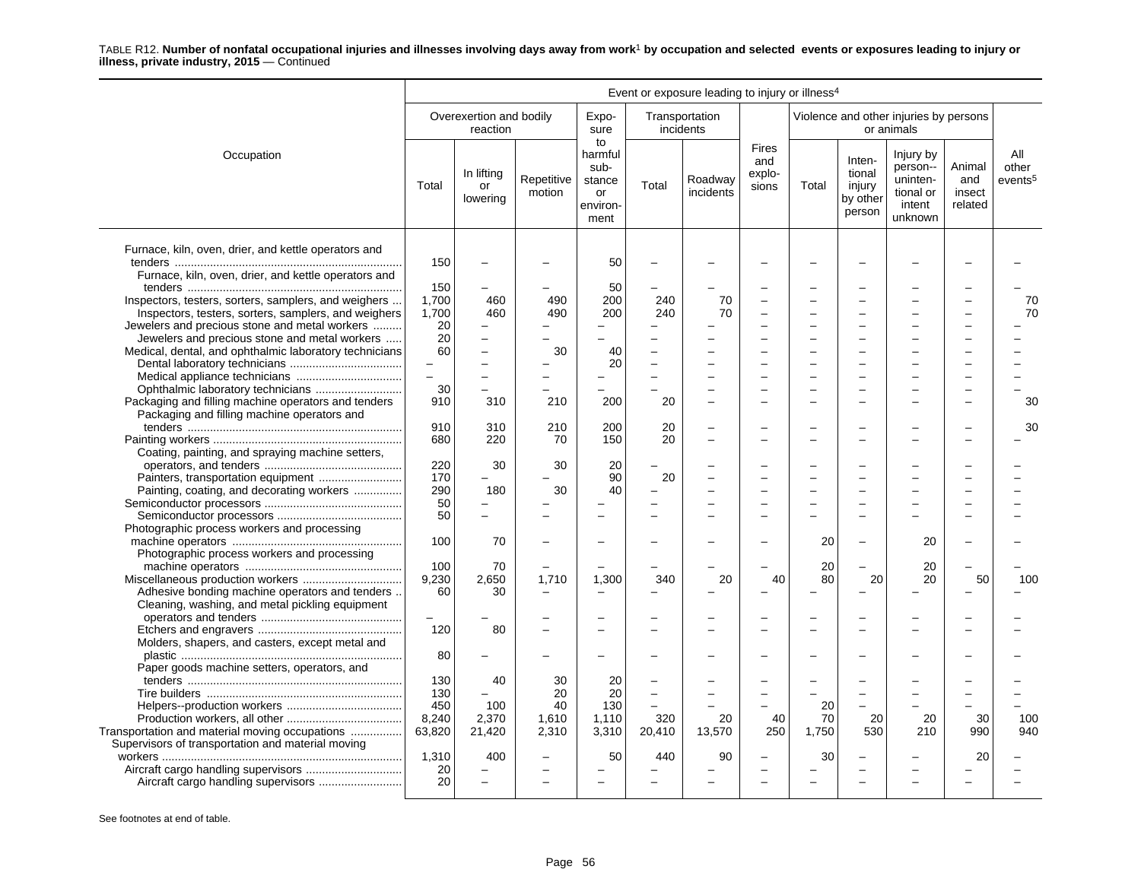|                                                                                                    | Event or exposure leading to injury or illness <sup>4</sup> |                                     |                      |                                                           |                          |                      |                                 |       |                                                  |                                                                     |                                    |                                     |
|----------------------------------------------------------------------------------------------------|-------------------------------------------------------------|-------------------------------------|----------------------|-----------------------------------------------------------|--------------------------|----------------------|---------------------------------|-------|--------------------------------------------------|---------------------------------------------------------------------|------------------------------------|-------------------------------------|
|                                                                                                    |                                                             | Overexertion and bodily<br>reaction |                      | Expo-<br>sure                                             | incidents                | Transportation       |                                 |       |                                                  | Violence and other injuries by persons<br>or animals                |                                    |                                     |
| Occupation                                                                                         | Total                                                       | In lifting<br>or<br>lowering        | Repetitive<br>motion | to<br>harmful<br>sub-<br>stance<br>or<br>environ-<br>ment | Total                    | Roadway<br>incidents | Fires<br>and<br>explo-<br>sions | Total | Inten-<br>tional<br>injury<br>by other<br>person | Injury by<br>person--<br>uninten-<br>tional or<br>intent<br>unknown | Animal<br>and<br>insect<br>related | All<br>other<br>events <sup>5</sup> |
| Furnace, kiln, oven, drier, and kettle operators and                                               |                                                             |                                     |                      |                                                           |                          |                      |                                 |       |                                                  |                                                                     |                                    |                                     |
| Furnace, kiln, oven, drier, and kettle operators and                                               | 150                                                         |                                     |                      | 50<br>50                                                  |                          |                      |                                 |       |                                                  |                                                                     |                                    |                                     |
|                                                                                                    | 150                                                         |                                     |                      |                                                           |                          |                      |                                 |       |                                                  |                                                                     |                                    |                                     |
| Inspectors, testers, sorters, samplers, and weighers                                               | 1,700                                                       | 460                                 | 490                  | 200                                                       | 240                      | 70                   |                                 |       |                                                  |                                                                     |                                    | 70                                  |
| Inspectors, testers, sorters, samplers, and weighers                                               | 1,700                                                       | 460                                 | 490                  | 200                                                       | 240                      | 70                   |                                 |       |                                                  |                                                                     |                                    | 70                                  |
| Jewelers and precious stone and metal workers                                                      | 20                                                          |                                     |                      |                                                           |                          |                      |                                 |       |                                                  |                                                                     |                                    |                                     |
| Jewelers and precious stone and metal workers                                                      | 20                                                          | -                                   |                      |                                                           | $=$                      |                      |                                 |       |                                                  |                                                                     |                                    |                                     |
| Medical, dental, and ophthalmic laboratory technicians                                             | 60                                                          |                                     | 30                   | 40                                                        | -                        |                      |                                 |       |                                                  |                                                                     |                                    |                                     |
|                                                                                                    |                                                             |                                     |                      | 20                                                        |                          |                      |                                 |       |                                                  |                                                                     |                                    |                                     |
|                                                                                                    | $\overline{a}$                                              |                                     |                      |                                                           | -                        |                      |                                 |       |                                                  |                                                                     |                                    |                                     |
| Ophthalmic laboratory technicians                                                                  | 30                                                          |                                     |                      |                                                           |                          |                      |                                 |       |                                                  |                                                                     |                                    |                                     |
|                                                                                                    |                                                             |                                     |                      |                                                           |                          |                      |                                 |       |                                                  |                                                                     |                                    |                                     |
| Packaging and filling machine operators and tenders<br>Packaging and filling machine operators and | 910                                                         | 310                                 | 210                  | 200                                                       | 20                       |                      |                                 |       |                                                  |                                                                     |                                    | 30                                  |
|                                                                                                    | 910                                                         | 310                                 | 210                  | 200                                                       | 20                       |                      |                                 |       |                                                  |                                                                     |                                    | 30                                  |
|                                                                                                    | 680                                                         | 220                                 | 70                   | 150                                                       | 20                       |                      |                                 |       |                                                  |                                                                     |                                    |                                     |
| Coating, painting, and spraying machine setters,                                                   |                                                             |                                     |                      |                                                           |                          |                      |                                 |       |                                                  |                                                                     |                                    |                                     |
|                                                                                                    | 220                                                         | 30                                  | 30                   | 20                                                        |                          |                      |                                 |       |                                                  |                                                                     |                                    |                                     |
|                                                                                                    | 170                                                         |                                     |                      | 90                                                        | 20                       |                      |                                 |       |                                                  |                                                                     |                                    |                                     |
|                                                                                                    | 290                                                         | 180                                 | 30                   | 40                                                        |                          |                      |                                 |       |                                                  |                                                                     |                                    |                                     |
| Painting, coating, and decorating workers                                                          |                                                             |                                     |                      |                                                           |                          |                      |                                 |       |                                                  |                                                                     |                                    |                                     |
|                                                                                                    | 50                                                          |                                     |                      |                                                           |                          |                      |                                 |       |                                                  |                                                                     |                                    |                                     |
|                                                                                                    | 50                                                          | $\equiv$                            |                      |                                                           |                          |                      |                                 |       |                                                  |                                                                     |                                    |                                     |
| Photographic process workers and processing                                                        |                                                             |                                     |                      |                                                           |                          |                      |                                 |       |                                                  |                                                                     |                                    |                                     |
|                                                                                                    | 100                                                         | 70                                  |                      |                                                           |                          |                      |                                 | 20    | $\equiv$                                         | 20                                                                  |                                    |                                     |
| Photographic process workers and processing                                                        |                                                             |                                     |                      |                                                           |                          |                      |                                 |       |                                                  |                                                                     |                                    |                                     |
|                                                                                                    | 100                                                         | 70                                  |                      |                                                           |                          |                      |                                 | 20    |                                                  | 20                                                                  |                                    |                                     |
|                                                                                                    | 9,230                                                       | 2,650                               | 1,710                | 1,300                                                     | 340                      | 20                   | 40                              | 80    | 20                                               | 20                                                                  | 50                                 | 100                                 |
| Adhesive bonding machine operators and tenders.                                                    | 60                                                          | 30                                  |                      |                                                           |                          |                      |                                 |       |                                                  |                                                                     |                                    |                                     |
| Cleaning, washing, and metal pickling equipment                                                    |                                                             |                                     |                      |                                                           |                          |                      |                                 |       |                                                  |                                                                     |                                    |                                     |
|                                                                                                    |                                                             |                                     |                      |                                                           |                          |                      |                                 |       |                                                  |                                                                     |                                    |                                     |
|                                                                                                    |                                                             | 80                                  |                      |                                                           |                          |                      |                                 |       |                                                  |                                                                     |                                    |                                     |
|                                                                                                    | 120                                                         |                                     |                      |                                                           |                          |                      |                                 |       |                                                  |                                                                     |                                    |                                     |
| Molders, shapers, and casters, except metal and                                                    |                                                             |                                     |                      |                                                           |                          |                      |                                 |       |                                                  |                                                                     |                                    |                                     |
|                                                                                                    | 80                                                          |                                     |                      |                                                           |                          |                      |                                 |       |                                                  |                                                                     |                                    |                                     |
| Paper goods machine setters, operators, and                                                        |                                                             |                                     |                      |                                                           |                          |                      |                                 |       |                                                  |                                                                     |                                    |                                     |
|                                                                                                    | 130                                                         | 40                                  | 30                   | 20                                                        |                          |                      |                                 |       |                                                  |                                                                     |                                    |                                     |
|                                                                                                    | 130                                                         |                                     | 20                   | 20                                                        | $\equiv$                 |                      |                                 |       |                                                  |                                                                     |                                    |                                     |
|                                                                                                    | 450                                                         | 100                                 | 40                   | 130                                                       | $\overline{\phantom{0}}$ |                      |                                 | 20    |                                                  |                                                                     |                                    |                                     |
|                                                                                                    | 8,240                                                       | 2.370                               | 1.610                | 1,110                                                     | 320                      | 20                   | 40                              | 70    | 20                                               | 20                                                                  | 30                                 | 100                                 |
| Transportation and material moving occupations                                                     | 63,820                                                      | 21,420                              | 2,310                | 3,310                                                     | 20,410                   | 13,570               | 250                             | 1,750 | 530                                              | 210                                                                 | 990                                | 940                                 |
| Supervisors of transportation and material moving                                                  |                                                             |                                     |                      |                                                           |                          |                      |                                 |       |                                                  |                                                                     |                                    |                                     |
|                                                                                                    |                                                             |                                     |                      |                                                           |                          |                      |                                 |       |                                                  |                                                                     |                                    |                                     |
|                                                                                                    | 1,310                                                       | 400                                 |                      | 50                                                        | 440                      | 90                   |                                 | 30    |                                                  |                                                                     | 20                                 |                                     |
|                                                                                                    | 20                                                          |                                     | $\equiv$             |                                                           |                          |                      |                                 |       |                                                  |                                                                     |                                    |                                     |
|                                                                                                    | 20                                                          | $\overline{a}$                      |                      |                                                           |                          |                      |                                 |       |                                                  |                                                                     |                                    |                                     |
|                                                                                                    |                                                             |                                     |                      |                                                           |                          |                      |                                 |       |                                                  |                                                                     |                                    |                                     |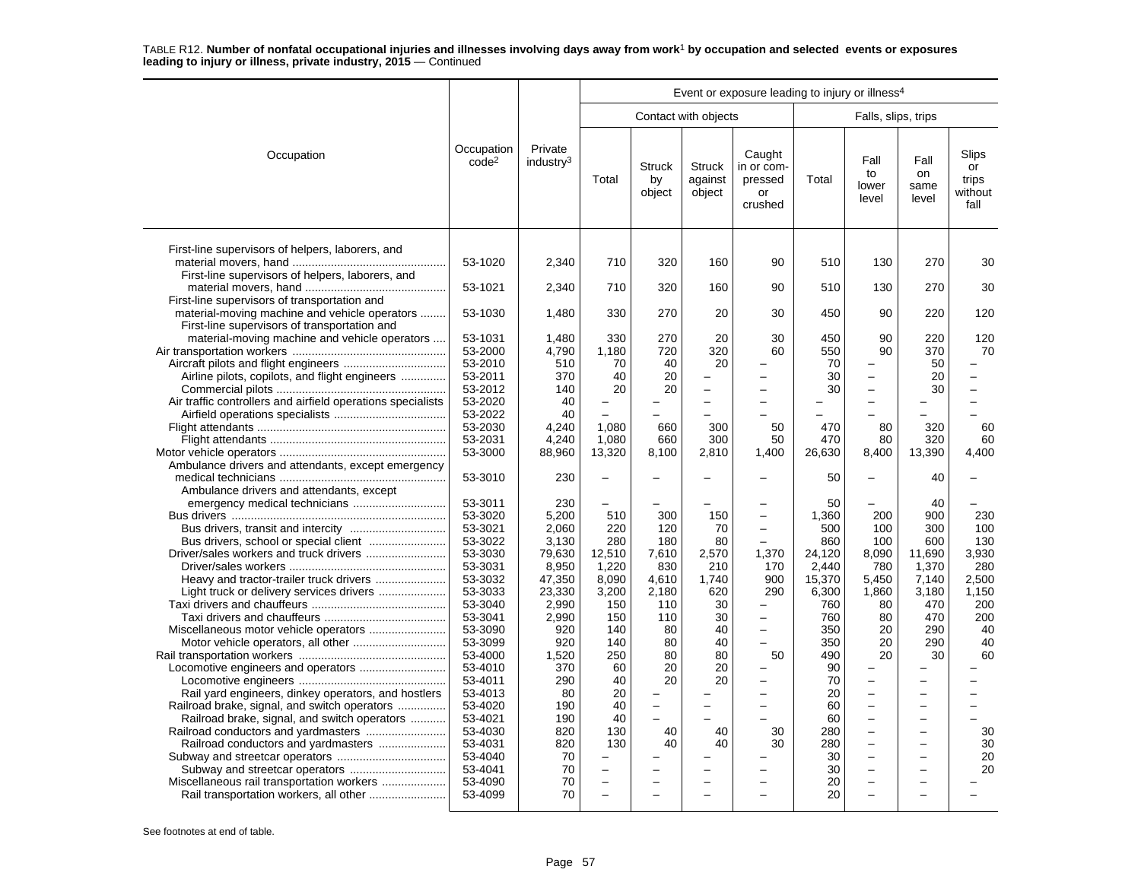|                                                                                                                                                                                                                                                                                                                               |                                                                                                                                                                                                                                                                      |                                                                                                                                                                                        | Event or exposure leading to injury or illness <sup>4</sup>                                                                                       |                                                                                                                       |                                                                                                                   |                                                                                    |                                                                                                                                                                        |                                                                                                                                                                                                                    |                                                                                                                    |                                                                                                             |  |  |
|-------------------------------------------------------------------------------------------------------------------------------------------------------------------------------------------------------------------------------------------------------------------------------------------------------------------------------|----------------------------------------------------------------------------------------------------------------------------------------------------------------------------------------------------------------------------------------------------------------------|----------------------------------------------------------------------------------------------------------------------------------------------------------------------------------------|---------------------------------------------------------------------------------------------------------------------------------------------------|-----------------------------------------------------------------------------------------------------------------------|-------------------------------------------------------------------------------------------------------------------|------------------------------------------------------------------------------------|------------------------------------------------------------------------------------------------------------------------------------------------------------------------|--------------------------------------------------------------------------------------------------------------------------------------------------------------------------------------------------------------------|--------------------------------------------------------------------------------------------------------------------|-------------------------------------------------------------------------------------------------------------|--|--|
|                                                                                                                                                                                                                                                                                                                               |                                                                                                                                                                                                                                                                      |                                                                                                                                                                                        |                                                                                                                                                   |                                                                                                                       | Contact with objects                                                                                              |                                                                                    |                                                                                                                                                                        | Falls, slips, trips                                                                                                                                                                                                |                                                                                                                    |                                                                                                             |  |  |
| Occupation                                                                                                                                                                                                                                                                                                                    | Occupation<br>code <sup>2</sup>                                                                                                                                                                                                                                      | Private<br>industry <sup>3</sup>                                                                                                                                                       | Total                                                                                                                                             | <b>Struck</b><br>by<br>object                                                                                         | <b>Struck</b><br>against<br>object                                                                                | Caught<br>in or com-<br>pressed<br>or<br>crushed                                   | Total                                                                                                                                                                  | Fall<br>to<br>lower<br>level                                                                                                                                                                                       | Fall<br>on<br>same<br>level                                                                                        | Slips<br>or<br>trips<br>without<br>fall                                                                     |  |  |
| First-line supervisors of helpers, laborers, and<br>.<br>First-line supervisors of helpers, laborers, and                                                                                                                                                                                                                     | 53-1020                                                                                                                                                                                                                                                              | 2,340                                                                                                                                                                                  | 710                                                                                                                                               | 320                                                                                                                   | 160                                                                                                               | 90                                                                                 | 510                                                                                                                                                                    | 130                                                                                                                                                                                                                | 270                                                                                                                | 30                                                                                                          |  |  |
| First-line supervisors of transportation and                                                                                                                                                                                                                                                                                  | 53-1021                                                                                                                                                                                                                                                              | 2,340                                                                                                                                                                                  | 710                                                                                                                                               | 320                                                                                                                   | 160                                                                                                               | 90                                                                                 | 510                                                                                                                                                                    | 130                                                                                                                                                                                                                | 270                                                                                                                | 30                                                                                                          |  |  |
| material-moving machine and vehicle operators<br>First-line supervisors of transportation and                                                                                                                                                                                                                                 | 53-1030                                                                                                                                                                                                                                                              | 1,480                                                                                                                                                                                  | 330                                                                                                                                               | 270                                                                                                                   | 20                                                                                                                | 30                                                                                 | 450                                                                                                                                                                    | 90                                                                                                                                                                                                                 | 220                                                                                                                | 120                                                                                                         |  |  |
| material-moving machine and vehicle operators<br>Airline pilots, copilots, and flight engineers<br>Air traffic controllers and airfield operations specialists                                                                                                                                                                | 53-1031<br>53-2000<br>53-2010<br>53-2011<br>53-2012<br>53-2020<br>53-2022<br>53-2030                                                                                                                                                                                 | 1,480<br>4,790<br>510<br>370<br>140<br>40<br>40<br>4,240                                                                                                                               | 330<br>1,180<br>70<br>40<br>20<br>$\overline{\phantom{0}}$<br>1,080                                                                               | 270<br>720<br>40<br>20<br>20<br>660                                                                                   | 20<br>320<br>20<br>300                                                                                            | 30<br>60<br>50                                                                     | 450<br>550<br>70<br>30<br>30<br>470                                                                                                                                    | 90<br>90<br>$\overline{\phantom{0}}$<br>$\overline{\phantom{0}}$<br>80                                                                                                                                             | 220<br>370<br>50<br>20<br>30<br>320                                                                                | 120<br>70<br>60                                                                                             |  |  |
|                                                                                                                                                                                                                                                                                                                               | 53-2031<br>53-3000                                                                                                                                                                                                                                                   | 4,240<br>88,960                                                                                                                                                                        | 1,080<br>13,320                                                                                                                                   | 660<br>8,100                                                                                                          | 300<br>2,810                                                                                                      | 50<br>1,400                                                                        | 470<br>26,630                                                                                                                                                          | 80<br>8,400                                                                                                                                                                                                        | 320<br>13,390                                                                                                      | 60<br>4,400                                                                                                 |  |  |
| Ambulance drivers and attendants, except emergency                                                                                                                                                                                                                                                                            | 53-3010                                                                                                                                                                                                                                                              | 230                                                                                                                                                                                    | $\overline{\phantom{0}}$                                                                                                                          |                                                                                                                       |                                                                                                                   |                                                                                    | 50                                                                                                                                                                     |                                                                                                                                                                                                                    | 40                                                                                                                 |                                                                                                             |  |  |
| Ambulance drivers and attendants, except<br>Heavy and tractor-trailer truck drivers<br>Light truck or delivery services drivers<br>Rail yard engineers, dinkey operators, and hostlers<br>Railroad brake, signal, and switch operators<br>Railroad brake, signal, and switch operators<br>Railroad conductors and yardmasters | 53-3011<br>53-3020<br>53-3021<br>53-3022<br>53-3030<br>53-3031<br>53-3032<br>53-3033<br>53-3040<br>53-3041<br>53-3090<br>53-3099<br>53-4000<br>53-4010<br>53-4011<br>53-4013<br>53-4020<br>53-4021<br>53-4030<br>53-4031<br>53-4040<br>53-4041<br>53-4090<br>53-4099 | 230<br>5,200<br>2,060<br>3,130<br>79,630<br>8,950<br>47,350<br>23,330<br>2,990<br>2,990<br>920<br>920<br>1,520<br>370<br>290<br>80<br>190<br>190<br>820<br>820<br>70<br>70<br>70<br>70 | 510<br>220<br>280<br>12,510<br>1,220<br>8,090<br>3,200<br>150<br>150<br>140<br>140<br>250<br>60<br>40<br>20<br>40<br>40<br>130<br>130<br>L.<br>L. | 300<br>120<br>180<br>7,610<br>830<br>4,610<br>2,180<br>110<br>110<br>80<br>80<br>80<br>20<br>20<br>$\sim$<br>40<br>40 | 150<br>70<br>80<br>2,570<br>210<br>1,740<br>620<br>30<br>30<br>40<br>40<br>80<br>20<br>20<br>$\equiv$<br>40<br>40 | $\sim$<br>1,370<br>170<br>900<br>290<br>$\overline{\phantom{0}}$<br>50<br>30<br>30 | 50<br>1.360<br>500<br>860<br>24,120<br>2.440<br>15,370<br>6,300<br>760<br>760<br>350<br>350<br>490<br>90<br>70<br>20<br>60<br>60<br>280<br>280<br>30<br>30<br>20<br>20 | 200<br>100<br>100<br>8,090<br>780<br>5,450<br>1,860<br>80<br>80<br>20<br>20<br>20<br>L.<br>$\overline{\phantom{0}}$<br>$\overline{a}$<br>$\overline{\phantom{0}}$<br>-<br>$\overline{\phantom{0}}$<br>÷<br>L.<br>÷ | 40<br>900<br>300<br>600<br>11,690<br>1,370<br>7,140<br>3,180<br>470<br>470<br>290<br>290<br>30<br>÷<br>÷<br>÷<br>- | 230<br>100<br>130<br>3,930<br>280<br>2,500<br>1,150<br>200<br>200<br>40<br>40<br>60<br>30<br>30<br>20<br>20 |  |  |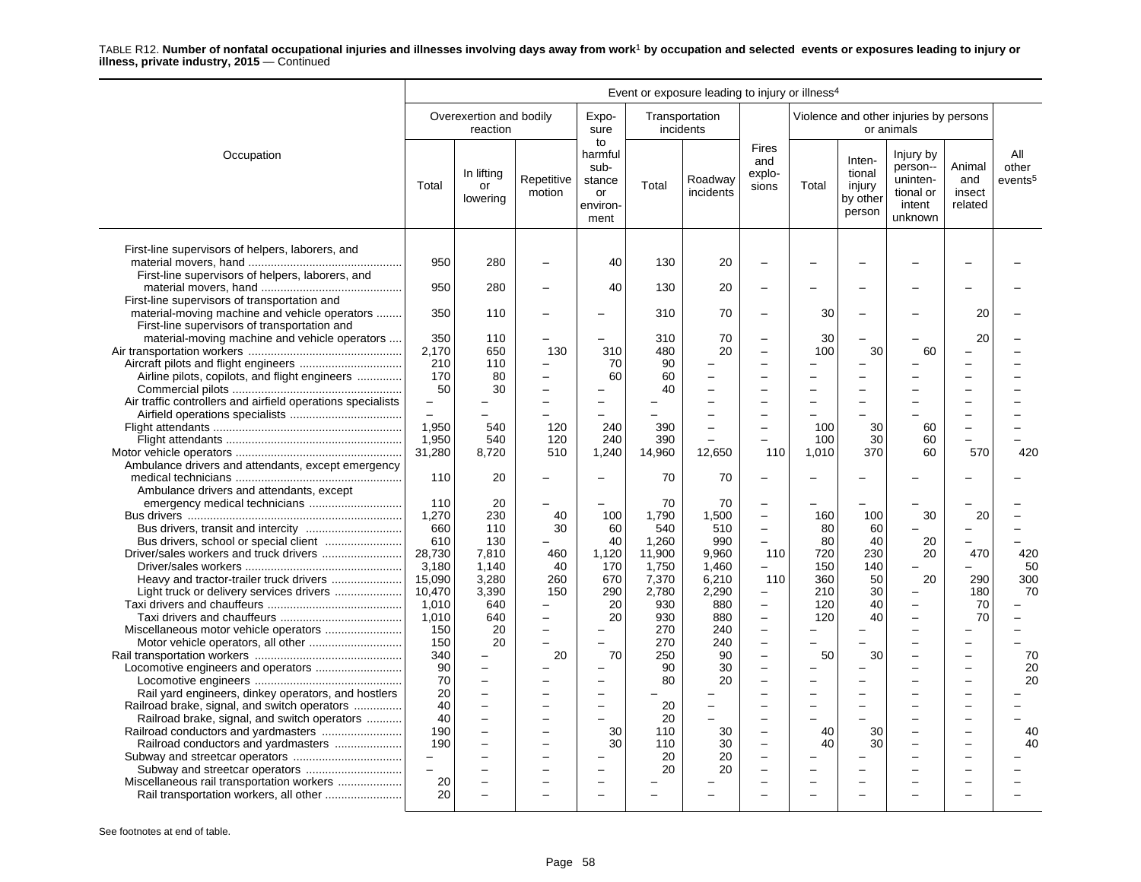|                                                                                                                                               | Event or exposure leading to injury or illness <sup>4</sup> |                                     |                                 |                                                           |                         |                             |                                                                                  |                                |                                                  |                                                                     |                                    |                                     |
|-----------------------------------------------------------------------------------------------------------------------------------------------|-------------------------------------------------------------|-------------------------------------|---------------------------------|-----------------------------------------------------------|-------------------------|-----------------------------|----------------------------------------------------------------------------------|--------------------------------|--------------------------------------------------|---------------------------------------------------------------------|------------------------------------|-------------------------------------|
|                                                                                                                                               |                                                             | Overexertion and bodily<br>reaction |                                 | Expo-<br>sure                                             |                         | Transportation<br>incidents |                                                                                  |                                |                                                  | Violence and other injuries by persons<br>or animals                |                                    |                                     |
| Occupation                                                                                                                                    | Total                                                       | In lifting<br>or<br>lowering        | Repetitive<br>motion            | to<br>harmful<br>sub-<br>stance<br>or<br>environ-<br>ment | Total                   | Roadway<br>incidents        | <b>Fires</b><br>and<br>explo-<br>sions                                           | Total                          | Inten-<br>tional<br>injury<br>by other<br>person | Injury by<br>person--<br>uninten-<br>tional or<br>intent<br>unknown | Animal<br>and<br>insect<br>related | All<br>other<br>events <sup>5</sup> |
| First-line supervisors of helpers, laborers, and<br>First-line supervisors of helpers, laborers, and                                          | 950                                                         | 280                                 |                                 | 40                                                        | 130                     | 20                          | $\overline{\phantom{0}}$                                                         |                                |                                                  |                                                                     |                                    |                                     |
|                                                                                                                                               | 950                                                         | 280                                 |                                 | 40                                                        | 130                     | 20                          |                                                                                  |                                |                                                  |                                                                     |                                    |                                     |
| First-line supervisors of transportation and<br>material-moving machine and vehicle operators<br>First-line supervisors of transportation and | 350                                                         | 110                                 |                                 |                                                           | 310                     | 70                          | $\overline{\phantom{0}}$                                                         | 30                             |                                                  |                                                                     | 20                                 |                                     |
| material-moving machine and vehicle operators                                                                                                 | 350<br>2,170<br>210                                         | 110<br>650<br>110                   | 130<br>$\overline{\phantom{0}}$ | 310<br>70                                                 | 310<br>480<br>90        | 70<br>20                    | $\overline{\phantom{0}}$<br>$\overline{a}$<br>$\overline{\phantom{a}}$           | 30<br>100                      | 30                                               | 60                                                                  | 20                                 |                                     |
| Airline pilots, copilots, and flight engineers<br>Air traffic controllers and airfield operations specialists                                 | 170<br>50<br>$\overline{\phantom{0}}$                       | 80<br>30                            |                                 | 60                                                        | 60<br>40                |                             | L.                                                                               |                                |                                                  |                                                                     |                                    |                                     |
|                                                                                                                                               | $\overline{a}$<br>1.950                                     | 540<br>540                          | 120                             | 240<br>240                                                | 390<br>390              |                             |                                                                                  | 100<br>100                     | 30<br>30                                         | 60<br>60                                                            | $\overline{\phantom{0}}$           |                                     |
| Ambulance drivers and attendants, except emergency                                                                                            | 1,950<br>31,280                                             | 8,720                               | 120<br>510                      | 1,240                                                     | 14,960                  | 12,650                      | 110                                                                              | 1,010                          | 370                                              | 60                                                                  | 570                                | 420                                 |
| Ambulance drivers and attendants, except                                                                                                      | 110                                                         | 20                                  |                                 |                                                           | 70                      | 70                          | $\overline{\phantom{0}}$                                                         |                                |                                                  |                                                                     |                                    |                                     |
|                                                                                                                                               | 110<br>1,270<br>660                                         | 20<br>230<br>110                    | 40<br>30                        | 100<br>60                                                 | 70<br>1,790<br>540      | 70<br>1,500<br>510          | $\overline{\phantom{0}}$<br>$\overline{\phantom{0}}$<br>$\overline{\phantom{0}}$ | 160<br>80                      | 100<br>60                                        | 30                                                                  | 20                                 |                                     |
| Bus drivers, school or special client                                                                                                         | 610<br>28.730                                               | 130<br>7.810                        | 460                             | 40<br>1,120                                               | 1,260<br>11.900         | 990<br>9.960                | $\overline{\phantom{0}}$<br>110                                                  | 80<br>720                      | 40<br>230                                        | 20<br>20                                                            | 470                                | 420                                 |
| Light truck or delivery services drivers                                                                                                      | 3,180<br>15,090<br>10,470                                   | 1.140<br>3,280<br>3,390             | 40<br>260<br>150                | 170<br>670<br>290                                         | 1,750<br>7,370<br>2,780 | 1.460<br>6,210<br>2,290     | 110<br>$\overline{\phantom{m}}$                                                  | 150<br>360<br>210              | 140<br>50<br>30                                  | 20<br>÷                                                             | 290<br>180                         | 50<br>300<br>70                     |
|                                                                                                                                               | 1.010<br>1,010<br>150                                       | 640<br>640<br>20                    | $\overline{\phantom{0}}$        | 20<br>20                                                  | 930<br>930<br>270       | 880<br>880<br>240           | $\overline{\phantom{a}}$<br>$\overline{\phantom{a}}$<br>$\overline{\phantom{0}}$ | 120<br>120                     | 40<br>40                                         |                                                                     | 70<br>70                           |                                     |
|                                                                                                                                               | 150<br>340                                                  | 20                                  | 20                              | 70                                                        | 270<br>250              | 240<br>90                   | $\overline{\phantom{a}}$<br>$\overline{\phantom{0}}$                             | 50                             | 30                                               |                                                                     | $\equiv$                           | 70                                  |
| Rail yard engineers, dinkey operators, and hostlers                                                                                           | 90<br>70<br>20                                              | $\overline{\phantom{0}}$            |                                 |                                                           | 90<br>80                | 30<br>20                    | $\overline{a}$                                                                   |                                |                                                  |                                                                     |                                    | 20<br>20                            |
| Railroad brake, signal, and switch operators<br>Railroad brake, signal, and switch operators                                                  | 40<br>40<br>190                                             | $\equiv$                            |                                 | $\sim$<br>30                                              | 20<br>20<br>110         | $\equiv$<br>30              | $\overline{\phantom{a}}$<br>$\overline{\phantom{0}}$<br>$\overline{a}$           | $\overline{\phantom{0}}$<br>40 | 30                                               |                                                                     |                                    | 40                                  |
| Railroad conductors and yardmasters                                                                                                           | 190<br>$\overline{\phantom{0}}$                             |                                     |                                 | 30                                                        | 110<br>20               | 30<br>20                    | $\overline{\phantom{0}}$<br>$\overline{\phantom{0}}$                             | 40                             | 30                                               | $\overline{a}$                                                      |                                    | 40                                  |
|                                                                                                                                               | $\overline{a}$<br>20                                        |                                     |                                 |                                                           | 20                      | 20                          |                                                                                  |                                |                                                  |                                                                     |                                    |                                     |
|                                                                                                                                               | 20                                                          |                                     |                                 |                                                           |                         |                             |                                                                                  |                                |                                                  |                                                                     |                                    |                                     |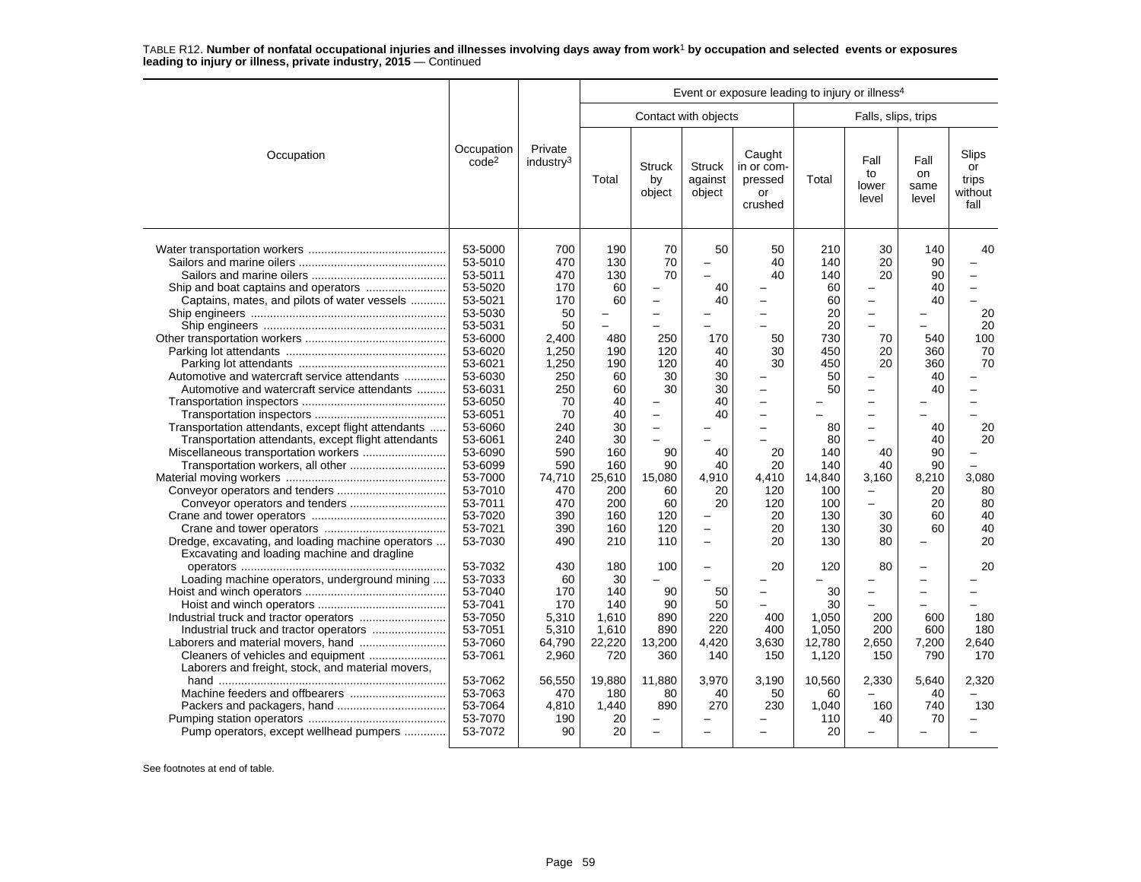|                                                                                                                                                                                                                                                                                                                 |                                                                                                                                                                                                                                                                      |                                                                                                                                                                           | Event or exposure leading to injury or illness <sup>4</sup>                                                                                       |                                                                                                                                                                                                                      |                                                                                                                             |                                                                                                                   |                                                                                                                                                   |                                                                                                                                                                                                                                                                              |                                                                                                                       |                                                                                      |  |  |
|-----------------------------------------------------------------------------------------------------------------------------------------------------------------------------------------------------------------------------------------------------------------------------------------------------------------|----------------------------------------------------------------------------------------------------------------------------------------------------------------------------------------------------------------------------------------------------------------------|---------------------------------------------------------------------------------------------------------------------------------------------------------------------------|---------------------------------------------------------------------------------------------------------------------------------------------------|----------------------------------------------------------------------------------------------------------------------------------------------------------------------------------------------------------------------|-----------------------------------------------------------------------------------------------------------------------------|-------------------------------------------------------------------------------------------------------------------|---------------------------------------------------------------------------------------------------------------------------------------------------|------------------------------------------------------------------------------------------------------------------------------------------------------------------------------------------------------------------------------------------------------------------------------|-----------------------------------------------------------------------------------------------------------------------|--------------------------------------------------------------------------------------|--|--|
|                                                                                                                                                                                                                                                                                                                 |                                                                                                                                                                                                                                                                      |                                                                                                                                                                           |                                                                                                                                                   |                                                                                                                                                                                                                      | Contact with objects                                                                                                        |                                                                                                                   |                                                                                                                                                   | Falls, slips, trips                                                                                                                                                                                                                                                          |                                                                                                                       |                                                                                      |  |  |
| Occupation                                                                                                                                                                                                                                                                                                      | Occupation<br>code <sup>2</sup>                                                                                                                                                                                                                                      | Private<br>industry <sup>3</sup>                                                                                                                                          | Total                                                                                                                                             | <b>Struck</b><br>by<br>object                                                                                                                                                                                        | <b>Struck</b><br>against<br>object                                                                                          | Caught<br>in or com-<br>pressed<br>or<br>crushed                                                                  | Total                                                                                                                                             | Fall<br>to<br>lower<br>level                                                                                                                                                                                                                                                 | Fall<br>on<br>same<br>level                                                                                           | Slips<br>or<br>trips<br>without<br>fall                                              |  |  |
| Captains, mates, and pilots of water vessels<br>Automotive and watercraft service attendants<br>Automotive and watercraft service attendants<br>Transportation attendants, except flight attendants<br>Transportation attendants, except flight attendants<br>Dredge, excavating, and loading machine operators | 53-5000<br>53-5010<br>53-5011<br>53-5020<br>53-5021<br>53-5030<br>53-5031<br>53-6000<br>53-6020<br>53-6021<br>53-6030<br>53-6031<br>53-6050<br>53-6051<br>53-6060<br>53-6061<br>53-6090<br>53-6099<br>53-7000<br>53-7010<br>53-7011<br>53-7020<br>53-7021<br>53-7030 | 700<br>470<br>470<br>170<br>170<br>50<br>50<br>2.400<br>1,250<br>1,250<br>250<br>250<br>70<br>70<br>240<br>240<br>590<br>590<br>74,710<br>470<br>470<br>390<br>390<br>490 | 190<br>130<br>130<br>60<br>60<br>480<br>190<br>190<br>60<br>60<br>40<br>40<br>30<br>30<br>160<br>160<br>25,610<br>200<br>200<br>160<br>160<br>210 | 70<br>70<br>70<br>$\overline{\phantom{0}}$<br>-<br>250<br>120<br>120<br>30<br>30<br>$\overline{\phantom{0}}$<br>$\overline{\phantom{0}}$<br>$\qquad \qquad -$<br>90<br>90<br>15,080<br>60<br>60<br>120<br>120<br>110 | 50<br>40<br>40<br>170<br>40<br>40<br>30<br>30<br>40<br>40<br>40<br>40<br>4,910<br>20<br>20<br>$\overline{\phantom{0}}$<br>- | 50<br>40<br>40<br>50<br>30<br>30<br>$\overline{\phantom{0}}$<br>20<br>20<br>4,410<br>120<br>120<br>20<br>20<br>20 | 210<br>140<br>140<br>60<br>60<br>20<br>20<br>730<br>450<br>450<br>50<br>50<br>80<br>80<br>140<br>140<br>14,840<br>100<br>100<br>130<br>130<br>130 | 30<br>20<br>20<br>$\overline{a}$<br>$\overline{\phantom{0}}$<br>70<br>20<br>20<br>$\overline{\phantom{0}}$<br>$\overline{\phantom{0}}$<br>$\overline{\phantom{0}}$<br>$\overline{\phantom{0}}$<br>Ē,<br>40<br>40<br>3,160<br>$\overline{\phantom{0}}$<br>÷<br>30<br>30<br>80 | 140<br>90<br>90<br>40<br>40<br>540<br>360<br>360<br>40<br>40<br>40<br>40<br>90<br>90<br>8,210<br>20<br>20<br>60<br>60 | 40<br>20<br>20<br>100<br>70<br>70<br>20<br>20<br>3,080<br>80<br>80<br>40<br>40<br>20 |  |  |
| Excavating and loading machine and dragline<br>Loading machine operators, underground mining<br>Industrial truck and tractor operators<br>Laborers and freight, stock, and material movers,                                                                                                                     | 53-7032<br>53-7033<br>53-7040<br>53-7041<br>53-7050<br>53-7051<br>53-7060<br>53-7061                                                                                                                                                                                 | 430<br>60<br>170<br>170<br>5,310<br>5,310<br>64,790<br>2,960                                                                                                              | 180<br>30<br>140<br>140<br>1,610<br>1,610<br>22,220<br>720                                                                                        | 100<br>90<br>90<br>890<br>890<br>13,200<br>360                                                                                                                                                                       | -<br>50<br>50<br>220<br>220<br>4,420<br>140                                                                                 | 20<br>400<br>400<br>3,630<br>150                                                                                  | 120<br>30<br>30<br>1,050<br>1,050<br>12,780<br>1,120                                                                                              | 80<br>L.<br>$\overline{\phantom{0}}$<br>200<br>200<br>2,650<br>150                                                                                                                                                                                                           | ۳<br>-<br>600<br>600<br>7,200<br>790                                                                                  | 20<br>180<br>180<br>2,640<br>170                                                     |  |  |
| Pump operators, except wellhead pumpers                                                                                                                                                                                                                                                                         | 53-7062<br>53-7063<br>53-7064<br>53-7070<br>53-7072                                                                                                                                                                                                                  | 56,550<br>470<br>4.810<br>190<br>90                                                                                                                                       | 19,880<br>180<br>1.440<br>20<br>20                                                                                                                | 11,880<br>80<br>890<br>$\overline{\phantom{0}}$                                                                                                                                                                      | 3,970<br>40<br>270                                                                                                          | 3,190<br>50<br>230                                                                                                | 10,560<br>60<br>1.040<br>110<br>20                                                                                                                | 2,330<br>160<br>40                                                                                                                                                                                                                                                           | 5,640<br>40<br>740<br>70                                                                                              | 2,320<br>130                                                                         |  |  |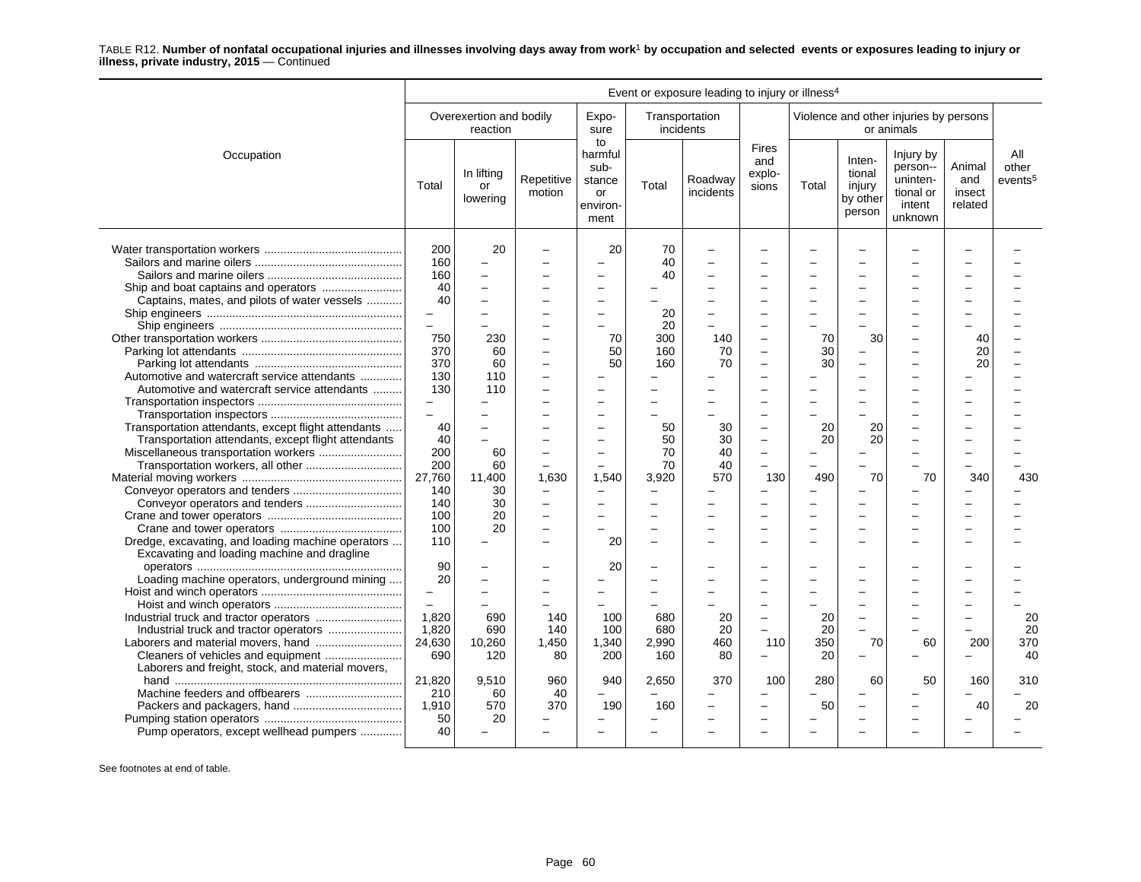|                                                                                                                                                                                         |                                                           |                                                                  |                                                                                |                                                           |                               | Event or exposure leading to injury or illness <sup>4</sup> |                                                      |                       |                                                  |                                                                     |                                    |                                     |
|-----------------------------------------------------------------------------------------------------------------------------------------------------------------------------------------|-----------------------------------------------------------|------------------------------------------------------------------|--------------------------------------------------------------------------------|-----------------------------------------------------------|-------------------------------|-------------------------------------------------------------|------------------------------------------------------|-----------------------|--------------------------------------------------|---------------------------------------------------------------------|------------------------------------|-------------------------------------|
|                                                                                                                                                                                         |                                                           | Overexertion and bodily<br>reaction                              |                                                                                | Expo-<br>sure                                             |                               | Transportation<br>incidents                                 |                                                      |                       |                                                  | Violence and other injuries by persons<br>or animals                |                                    |                                     |
| Occupation                                                                                                                                                                              | Total                                                     | In lifting<br>or<br>lowering                                     | Repetitive<br>motion                                                           | to<br>harmful<br>sub-<br>stance<br>or<br>environ-<br>ment | Total                         | Roadway<br>incidents                                        | <b>Fires</b><br>and<br>explo-<br>sions               | Total                 | Inten-<br>tional<br>injury<br>by other<br>person | Injury by<br>person--<br>uninten-<br>tional or<br>intent<br>unknown | Animal<br>and<br>insect<br>related | All<br>other<br>events <sup>5</sup> |
| Captains, mates, and pilots of water vessels                                                                                                                                            | 200<br>160<br>160<br>40<br>40                             | 20                                                               |                                                                                | 20<br>L,                                                  | 70<br>40<br>40                |                                                             |                                                      |                       |                                                  |                                                                     |                                    |                                     |
|                                                                                                                                                                                         | $\overline{\phantom{0}}$<br>$\equiv$<br>750<br>370<br>370 | 230<br>60<br>60                                                  | $\overline{\phantom{0}}$<br>-<br>$\overline{\phantom{0}}$                      | 70<br>50<br>50                                            | 20<br>20<br>300<br>160<br>160 | 140<br>70<br>70                                             | $\overline{\phantom{0}}$<br>$\overline{\phantom{0}}$ | 70<br>30<br>30        | 30                                               |                                                                     | 40<br>20<br>20                     |                                     |
| Automotive and watercraft service attendants<br>Automotive and watercraft service attendants                                                                                            | 130<br>130<br>-                                           | 110<br>110                                                       | $\overline{a}$<br>$\equiv$                                                     |                                                           |                               |                                                             |                                                      |                       |                                                  |                                                                     |                                    |                                     |
| Transportation attendants, except flight attendants<br>Transportation attendants, except flight attendants<br>Miscellaneous transportation workers<br>Transportation workers, all other | 40<br>40<br>200<br>200                                    | $\overline{\phantom{0}}$<br>$\overline{\phantom{0}}$<br>60<br>60 | -                                                                              | ÷<br>$\overline{\phantom{0}}$                             | 50<br>50<br>70<br>70          | 30<br>30<br>40<br>40                                        | $\overline{\phantom{0}}$<br>$\overline{\phantom{0}}$ | 20<br>20              | 20<br>20                                         |                                                                     |                                    |                                     |
| Conveyor operators and tenders                                                                                                                                                          | 27,760<br>140<br>140<br>100<br>100                        | 11,400<br>30<br>30<br>20<br>20                                   | 1,630<br>$\qquad \qquad -$<br>$\equiv$<br>$\overline{\phantom{0}}$<br>$\equiv$ | 1,540<br>$\overline{\phantom{0}}$                         | 3,920                         | 570                                                         | 130                                                  | 490                   | 70                                               | 70                                                                  | 340                                | 430                                 |
| Dredge, excavating, and loading machine operators<br>Excavating and loading machine and dragline                                                                                        | 110<br>90                                                 |                                                                  |                                                                                | 20<br>20                                                  |                               |                                                             |                                                      |                       |                                                  |                                                                     |                                    |                                     |
| Loading machine operators, underground mining                                                                                                                                           | 20<br>$\sim$<br>$\qquad \qquad -$                         |                                                                  |                                                                                |                                                           |                               |                                                             |                                                      |                       |                                                  |                                                                     |                                    |                                     |
| Laborers and material movers, hand<br>Cleaners of vehicles and equipment<br>Laborers and freight, stock, and material movers,                                                           | 1.820<br>1,820<br>24,630<br>690                           | 690<br>690<br>10,260<br>120                                      | 140<br>140<br>1,450<br>80                                                      | 100<br>100<br>1,340<br>200                                | 680<br>680<br>2,990<br>160    | 20<br>20<br>460<br>80                                       | $\overline{\phantom{0}}$<br>110<br>$\equiv$          | 20<br>20<br>350<br>20 | -<br>70                                          | 60                                                                  | 200                                | 20<br>20<br>370<br>40               |
| Pump operators, except wellhead pumpers                                                                                                                                                 | 21,820<br>210<br>1,910<br>50<br>40                        | 9,510<br>60<br>570<br>20                                         | 960<br>40<br>370                                                               | 940<br>190                                                | 2,650<br>160                  | 370                                                         | 100                                                  | 280<br>50             | 60                                               | 50                                                                  | 160<br>40                          | 310<br>20                           |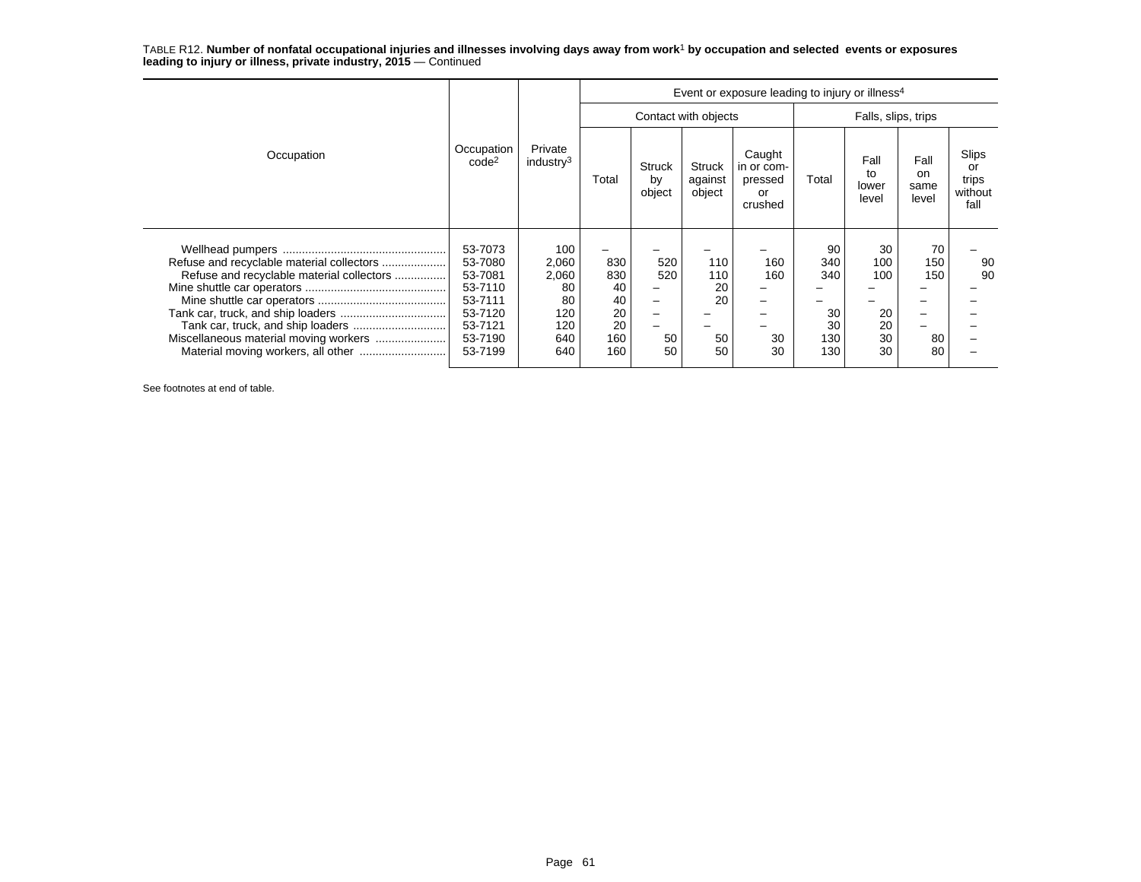| Occupation                                                                 | Occupation<br>code <sup>2</sup> | Private<br>industry <sup>3</sup> | Event or exposure leading to injury or illness <sup>4</sup> |                               |                                    |                                                  |                     |                              |                                        |                                         |  |  |
|----------------------------------------------------------------------------|---------------------------------|----------------------------------|-------------------------------------------------------------|-------------------------------|------------------------------------|--------------------------------------------------|---------------------|------------------------------|----------------------------------------|-----------------------------------------|--|--|
|                                                                            |                                 |                                  |                                                             |                               | Contact with objects               |                                                  | Falls, slips, trips |                              |                                        |                                         |  |  |
|                                                                            |                                 |                                  | Total                                                       | <b>Struck</b><br>by<br>object | <b>Struck</b><br>against<br>object | Caught<br>in or com-<br>pressed<br>or<br>crushed | Total               | Fall<br>to<br>lower<br>level | Fall<br><sub>on</sub><br>same<br>level | Slips<br>or<br>trips<br>without<br>fall |  |  |
| Refuse and recyclable material collectors                                  | 53-7073<br>53-7080              | 100<br>2,060                     | 830                                                         | 520                           | 110                                | 160                                              | 90<br>340           | 30<br>100                    | 70<br>150                              | 90                                      |  |  |
| Refuse and recyclable material collectors                                  | 53-7081<br>53-7110              | 2,060<br>80                      | 830<br>40                                                   | 520                           | 110<br>20                          | 160                                              | 340                 | 100                          | 150                                    | 90                                      |  |  |
|                                                                            | 53-7111                         | 80                               | 40                                                          | -                             | 20                                 |                                                  |                     |                              |                                        |                                         |  |  |
|                                                                            | 53-7120                         | 120                              | 20                                                          | -                             |                                    |                                                  | 30                  | 20                           |                                        |                                         |  |  |
| Tank car, truck, and ship loaders<br>Miscellaneous material moving workers | 53-7121<br>53-7190              | 120<br>640                       | 20<br>160                                                   | -<br>50                       | 50                                 | 30                                               | 30<br>130           | 20<br>30                     | 80                                     |                                         |  |  |
|                                                                            | 53-7199                         | 640                              | 160                                                         | 50                            | 50                                 | 30                                               | 130                 | 30                           | 80                                     |                                         |  |  |